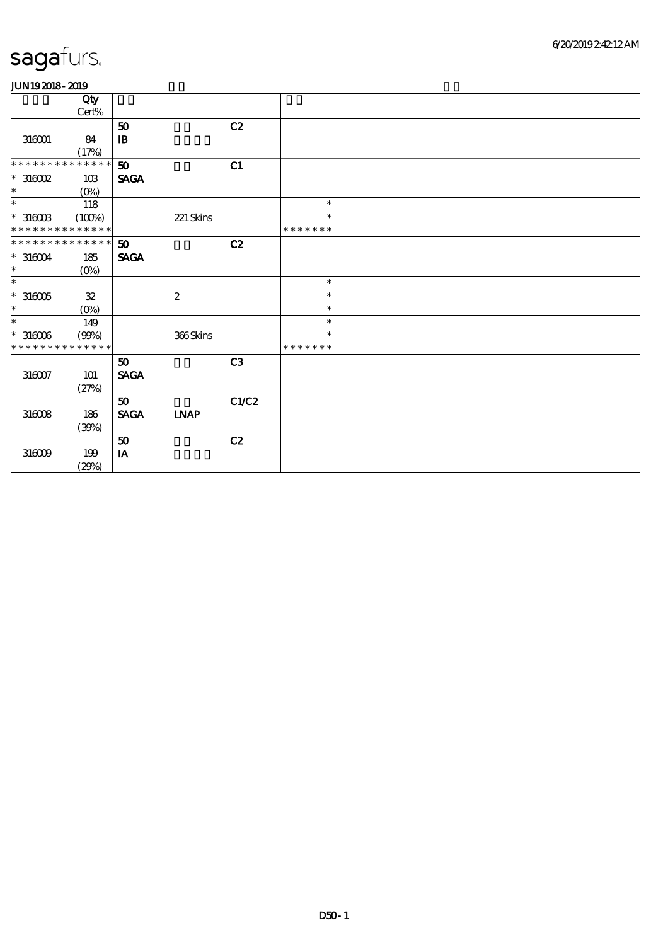|                             | Qty         |                             |                  |       |               |  |
|-----------------------------|-------------|-----------------------------|------------------|-------|---------------|--|
|                             | $Cert\%$    |                             |                  |       |               |  |
|                             |             | 50                          |                  | C2    |               |  |
| 316001                      | 84          | $\mathbf{B}$                |                  |       |               |  |
|                             | (17%)       |                             |                  |       |               |  |
| * * * * * * * *             | * * * * * * | 50                          |                  | C1    |               |  |
| $*316002$                   | 10B         | <b>SAGA</b>                 |                  |       |               |  |
| $\ast$                      | $(0\%)$     |                             |                  |       |               |  |
| $\ast$                      | 118         |                             |                  |       | $\ast$        |  |
| $*$ 316003                  | (100%)      |                             | $221$ Skins      |       | $\ast$        |  |
| * * * * * * * * * * * * * * |             |                             |                  |       | * * * * * * * |  |
| * * * * * * * * * * * * * * |             | 50                          |                  | C2    |               |  |
| $*316004$                   | 185         | <b>SAGA</b>                 |                  |       |               |  |
| $\ast$                      | $(O\%)$     |                             |                  |       |               |  |
| $\ast$                      |             |                             |                  |       | $\ast$        |  |
| $^\ast$ 316005              | ${\bf 3\!}$ |                             | $\boldsymbol{2}$ |       | $\ast$        |  |
| $\ast$                      | $(0\%)$     |                             |                  |       | $\ast$        |  |
| $\ast$                      | 149         |                             |                  |       | $\ast$        |  |
| $*316006$                   | (90%)       |                             | 366Skins         |       | $\ast$        |  |
| * * * * * * * *             | * * * * * * |                             |                  |       | * * * * * * * |  |
|                             |             | $\boldsymbol{\omega}$       |                  | C3    |               |  |
| $316007\,$                  | <b>101</b>  | <b>SAGA</b>                 |                  |       |               |  |
|                             | (27%)       |                             |                  |       |               |  |
|                             |             | $\boldsymbol{\mathfrak{D}}$ |                  | C1/C2 |               |  |
| $316008$                    | 186         | <b>SAGA</b>                 | <b>LNAP</b>      |       |               |  |
|                             | (30%)       |                             |                  |       |               |  |
|                             |             | $\pmb{\mathfrak{D}}$        |                  | C2    |               |  |
| 316009                      | 199         | IA                          |                  |       |               |  |
|                             | (29%)       |                             |                  |       |               |  |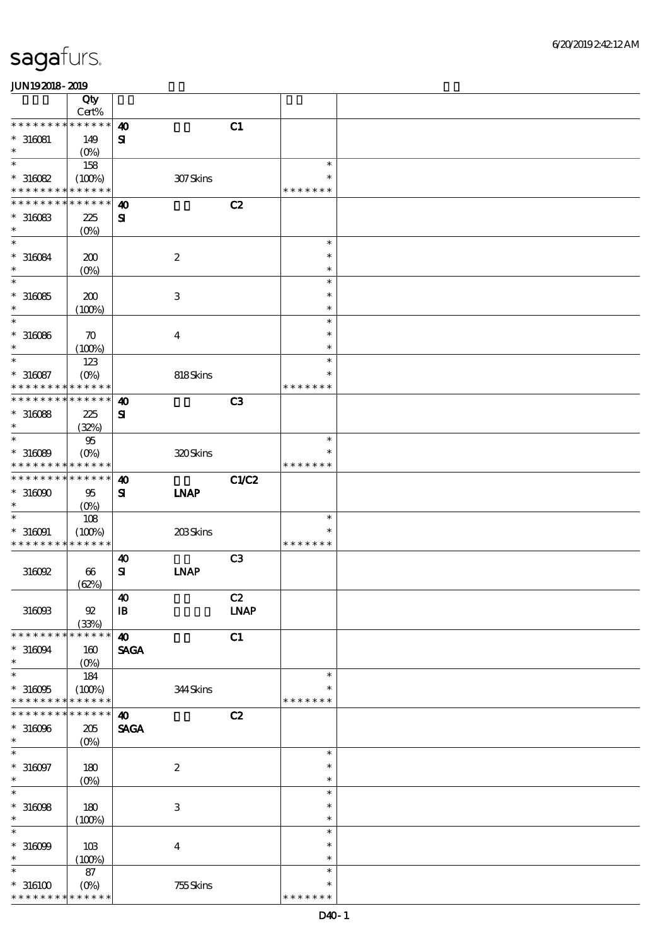|                             | Qty<br>Cert%          |                        |                           |                |                  |  |
|-----------------------------|-----------------------|------------------------|---------------------------|----------------|------------------|--|
| * * * * * * * *             | $******$              | $\boldsymbol{\omega}$  |                           | C1             |                  |  |
| $*316081$                   | 149                   | $\mathbf{S}$           |                           |                |                  |  |
| $\ast$                      | (O <sub>0</sub> )     |                        |                           |                |                  |  |
| $\ast$                      | 158                   |                        |                           |                | $\ast$           |  |
| $*316082$                   | (100%)                |                        | 307Skins                  |                | $\ast$           |  |
| * * * * * * * *             | * * * * * *           |                        |                           |                | * * * * * * *    |  |
| * * * * * * *               | * * * * * *           | $\boldsymbol{\omega}$  |                           | C2             |                  |  |
| $*316083$                   | 225                   | ${\bf s}$              |                           |                |                  |  |
| $\ast$                      | (O <sub>0</sub> )     |                        |                           |                |                  |  |
| $\ast$                      |                       |                        |                           |                | $\ast$           |  |
| $*316084$                   | 200                   |                        | $\boldsymbol{2}$          |                | $\ast$           |  |
| $\ast$                      | (O <sub>0</sub> )     |                        |                           |                | $\ast$           |  |
| $\ast$                      |                       |                        |                           |                | $\ast$           |  |
| $*316085$                   | 200                   |                        | $\ensuremath{\mathbf{3}}$ |                | $\ast$           |  |
| $\ast$                      | (100%)                |                        |                           |                | $\ast$           |  |
| $\ast$                      |                       |                        |                           |                | $\ast$<br>$\ast$ |  |
| $*316066$<br>$\ast$         | $\boldsymbol{\pi}$    |                        | $\boldsymbol{4}$          |                | $\ast$           |  |
| $\ast$                      | (100%)<br>123         |                        |                           |                | $\ast$           |  |
| $*316087$                   | $(O\%)$               |                        | 818Skins                  |                | $\ast$           |  |
| * * * * * * *               | * * * * * *           |                        |                           |                | * * * * * * *    |  |
| * * * * * * *               | * * * * * *           | $\boldsymbol{\omega}$  |                           | C <sub>3</sub> |                  |  |
| $*316088$                   | 225                   | ${\bf s}$              |                           |                |                  |  |
| $\ast$                      | (32%)                 |                        |                           |                |                  |  |
| $\ast$                      | $95\,$                |                        |                           |                | $\ast$           |  |
| $*316089$                   | $(O\!/\!\delta)$      |                        | 320Skins                  |                | $\ast$           |  |
| * * * * * * *               | * * * * * *           |                        |                           |                | * * * * * * *    |  |
| * * * * * * * *             | * * * * * *           | $\boldsymbol{\omega}$  |                           | <b>C1/C2</b>   |                  |  |
| $*316000$                   | 95                    | ${\bf s}$              | <b>INAP</b>               |                |                  |  |
| $\ast$                      | $(O\%)$               |                        |                           |                |                  |  |
| $\ast$                      | 108                   |                        |                           |                | $\ast$           |  |
| $*316091$                   | (100%)                |                        | 203Skins                  |                | *                |  |
| * * * * * * * *             | * * * * * *           |                        |                           |                | * * * * * * *    |  |
|                             |                       | $\boldsymbol{\omega}$  |                           | C <sub>3</sub> |                  |  |
| 316092                      | $\boldsymbol{\omega}$ | $\mathbf{S}$           | <b>INAP</b>               |                |                  |  |
|                             | (62%)                 | $\boldsymbol{\Lambda}$ |                           | C2             |                  |  |
| 316093                      | ${\mathfrak A}$       | $\mathbf{B}$           |                           | <b>LNAP</b>    |                  |  |
|                             | (33%)                 |                        |                           |                |                  |  |
| * * * * * * * *             | * * * * * *           | $\boldsymbol{\Lambda}$ |                           | C1             |                  |  |
| $*316094$                   | 160                   | <b>SAGA</b>            |                           |                |                  |  |
| $\ast$                      | $(O\%)$               |                        |                           |                |                  |  |
| $\ast$                      | 184                   |                        |                           |                | $\ast$           |  |
| $*316005$                   | (100%)                |                        | 344Skins                  |                | $\ast$           |  |
| * * * * * * * *             | * * * * * *           |                        |                           |                | * * * * * * *    |  |
| * * * * * * *               | * * * * * *           | $\boldsymbol{\omega}$  |                           | C2             |                  |  |
| $*316096$                   | 205                   | <b>SAGA</b>            |                           |                |                  |  |
| $\ast$                      | $(0\%)$               |                        |                           |                |                  |  |
| $\ast$                      |                       |                        |                           |                | $\ast$<br>$\ast$ |  |
| $*316097$<br>$\ast$         | 180                   |                        | $\boldsymbol{2}$          |                | $\ast$           |  |
| $\ast$                      | $(0\%)$               |                        |                           |                | $\ast$           |  |
| $*316098$                   | 180                   |                        | $\,3$                     |                | $\ast$           |  |
| $\ast$                      | (100%)                |                        |                           |                | $\ast$           |  |
| $\ast$                      |                       |                        |                           |                | $\ast$           |  |
| $*316099$                   | 10B                   |                        | $\boldsymbol{4}$          |                | $\ast$           |  |
| $\ast$                      | (100%)                |                        |                           |                | $\ast$           |  |
| $\ast$                      | 87                    |                        |                           |                | $\ast$           |  |
| $^\ast$ 316100              | $(O\%)$               |                        | 755Skins                  |                | $\ast$           |  |
| * * * * * * * * * * * * * * |                       |                        |                           |                | * * * * * * *    |  |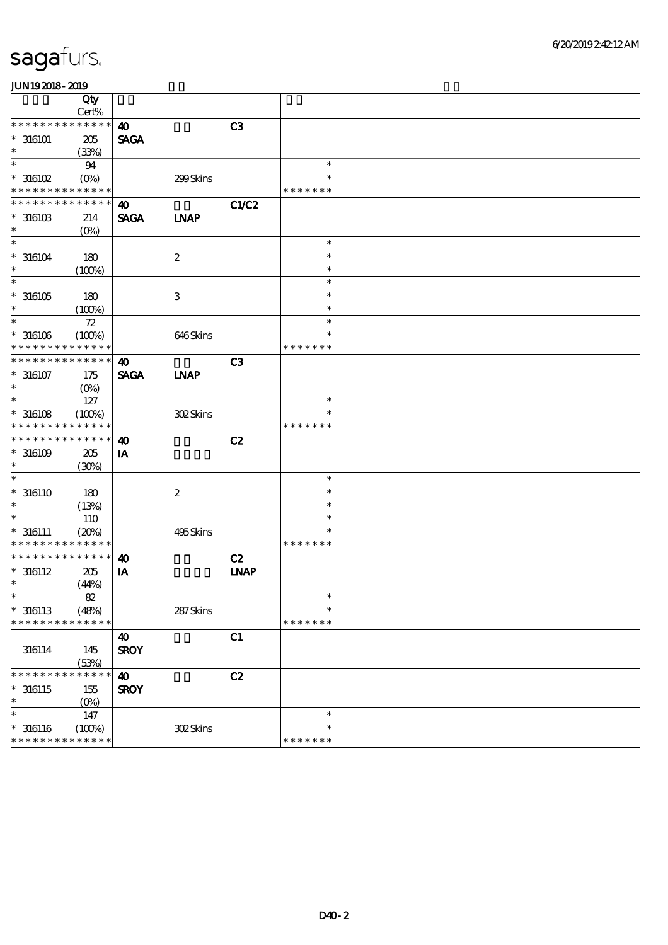### 6/20/2019 2:42:12 AM

### sagafurs.

|                  | Qty<br>Cert%      |                       |                  |                |               |  |
|------------------|-------------------|-----------------------|------------------|----------------|---------------|--|
| * * * * * * *    | * * * * * *       | $\boldsymbol{\omega}$ |                  | C3             |               |  |
|                  |                   |                       |                  |                |               |  |
| $*316101$        | 205               | <b>SAGA</b>           |                  |                |               |  |
| $\ast$           | (33%)             |                       |                  |                |               |  |
| $\ast$           | 94                |                       |                  |                | $\ast$        |  |
| $*316102$        | $(O\%)$           |                       | 299Skins         |                |               |  |
| * * * * * * * *  | * * * * * *       |                       |                  |                | * * * * * * * |  |
| * * * * * * *    | * * * * * *       |                       |                  |                |               |  |
|                  |                   | $\boldsymbol{\omega}$ |                  | <b>C1/C2</b>   |               |  |
| $*$ 316103       | 214               | <b>SAGA</b>           | <b>LNAP</b>      |                |               |  |
| $\ast$           | $(O\!/\!o)$       |                       |                  |                |               |  |
| $\ast$           |                   |                       |                  |                | $\ast$        |  |
| $^*$ 316104 $\,$ | 180               |                       | $\boldsymbol{2}$ |                | $\ast$        |  |
| $\ast$           |                   |                       |                  |                | $\ast$        |  |
|                  | (100%)            |                       |                  |                |               |  |
| $\ast$           |                   |                       |                  |                | $\ast$        |  |
| $^*$ 316105 $\,$ | 180               |                       | $\,3$            |                | $\ast$        |  |
| $\ast$           | (100%)            |                       |                  |                | $\ast$        |  |
| $\ast$           | 72                |                       |                  |                | $\ast$        |  |
|                  |                   |                       |                  |                | ∗             |  |
| $*316106$        | (100%)            |                       | 646Skins         |                |               |  |
| * * * * * * * *  | * * * * * *       |                       |                  |                | * * * * * * * |  |
| * * * * * * *    | * * * * * *       | $\boldsymbol{\omega}$ |                  | C <sub>3</sub> |               |  |
| $* 316107$       | 175               | <b>SAGA</b>           | <b>INAP</b>      |                |               |  |
| $\ast$           | (O <sub>0</sub> ) |                       |                  |                |               |  |
| $\ast$           |                   |                       |                  |                | $\ast$        |  |
|                  | 127               |                       |                  |                |               |  |
| $*316108$        | (100%)            |                       | 302Skins         |                | ∗             |  |
| * * * * * * * *  | * * * * * *       |                       |                  |                | * * * * * * * |  |
| * * * * * * *    | * * * * * *       | $\boldsymbol{\omega}$ |                  | C2             |               |  |
| $*316109$        | 205               | IA                    |                  |                |               |  |
| $\ast$           |                   |                       |                  |                |               |  |
|                  | (30%)             |                       |                  |                |               |  |
| $\ast$           |                   |                       |                  |                | $\ast$        |  |
| $* 316110$       | 180               |                       | $\boldsymbol{2}$ |                | $\ast$        |  |
| $\ast$           | (13%)             |                       |                  |                | $\ast$        |  |
| $\ast$           | 110               |                       |                  |                | $\ast$        |  |
|                  | (20%)             |                       |                  |                | $\ast$        |  |
| $* 316111$       |                   |                       | 495Skins         |                |               |  |
| * * * * * * * *  | * * * * * *       |                       |                  |                | * * * * * * * |  |
| * * * * * * *    | * * * * * *       | $\boldsymbol{\omega}$ |                  | C2             |               |  |
| $*316112$        | 205               | IA                    |                  | <b>INAP</b>    |               |  |
| $\ast$           | (44%)             |                       |                  |                |               |  |
| $\ast$           | $8\!2$            |                       |                  |                | $\ast$        |  |
|                  |                   |                       |                  |                | $\ast$        |  |
| $*316113$        | (48%)             |                       | 287Skins         |                |               |  |
| * * * * * * * *  | * * * * * *       |                       |                  |                | * * * * * * * |  |
|                  |                   | 40                    |                  | C1             |               |  |
| 316114           | 145               | <b>SROY</b>           |                  |                |               |  |
|                  | (53%)             |                       |                  |                |               |  |
| * * * * * * *    | * * * * * *       |                       |                  |                |               |  |
|                  |                   | $\boldsymbol{\omega}$ |                  | C2             |               |  |
| $^*$ 316115      | 155               | <b>SROY</b>           |                  |                |               |  |
| $\ast$           | $(0\%)$           |                       |                  |                |               |  |
| $\ast$           | 147               |                       |                  |                | $\ast$        |  |
| $* 316116$       | (100%)            |                       | 302Skins         |                | $\ast$        |  |
| * * * * * * * *  |                   |                       |                  |                |               |  |
|                  | * * * * * *       |                       |                  |                | * * * * * * * |  |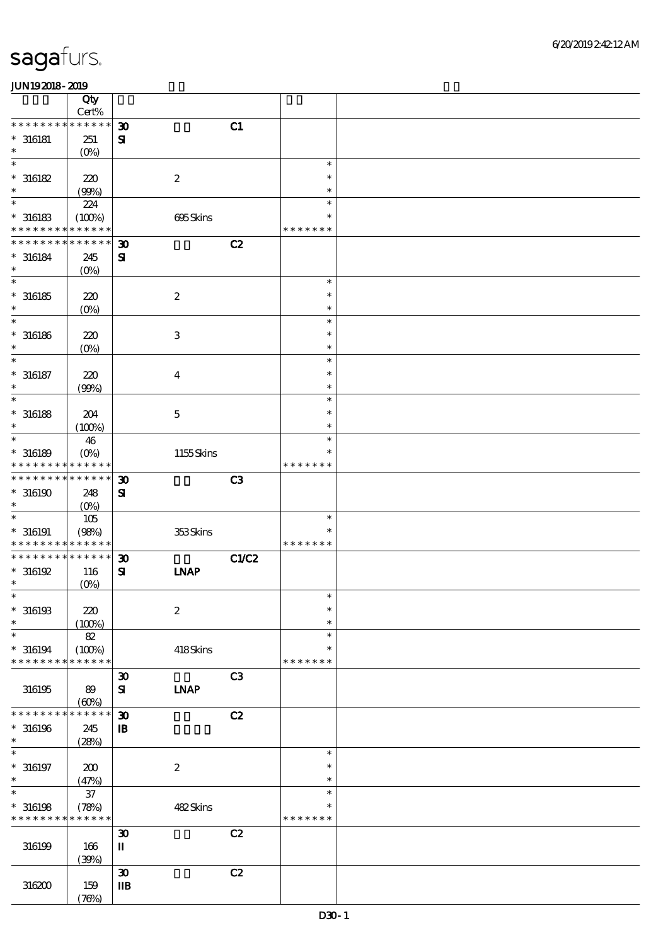|                                                           | Qty<br>Cert%         |                                       |                  |                |               |  |
|-----------------------------------------------------------|----------------------|---------------------------------------|------------------|----------------|---------------|--|
| * * * *<br>* * *                                          | * * * * * *          | $\boldsymbol{\mathfrak{D}}$           |                  | C1             |               |  |
| $^*$ 316181                                               | 251                  | $\mathbf{S}$                          |                  |                |               |  |
| $\ast$                                                    |                      |                                       |                  |                |               |  |
| $\ast$                                                    | $(0\%)$              |                                       |                  |                | $\ast$        |  |
|                                                           |                      |                                       |                  |                |               |  |
| $*316182$                                                 | 220                  |                                       | $\boldsymbol{2}$ |                | $\ast$        |  |
| $\ast$                                                    | (90%)                |                                       |                  |                | $\ast$        |  |
| $\ast$                                                    | 224                  |                                       |                  |                | $\ast$        |  |
| $*316183$                                                 | (100%)               |                                       | 695Skins         |                | ∗             |  |
| * * * * * * * *                                           | * * * * * *          |                                       |                  |                | * * * * * * * |  |
| * * * * * * * *                                           | * * * * * *          | $\boldsymbol{\mathfrak{D}}$           |                  | C2             |               |  |
| $* 316184$                                                | 245                  | $\mathbf{S}$                          |                  |                |               |  |
| $\ast$                                                    | $(0\%)$              |                                       |                  |                |               |  |
| $\overline{\ast}$                                         |                      |                                       |                  |                | $\ast$        |  |
| $*316185$                                                 | $220$                |                                       | $\boldsymbol{2}$ |                | $\ast$        |  |
| $\ast$                                                    | $(0\%)$              |                                       |                  |                | $\ast$        |  |
| $\ast$                                                    |                      |                                       |                  |                | $\ast$        |  |
|                                                           |                      |                                       |                  |                | $\ast$        |  |
| $^\ast$ 316186<br>$\ast$                                  | 220                  |                                       | $\,3$            |                | $\ast$        |  |
| $\ast$                                                    | $(0\%)$              |                                       |                  |                |               |  |
|                                                           |                      |                                       |                  |                | $\ast$        |  |
| $^*$ 316187                                               | 220                  |                                       | $\boldsymbol{4}$ |                | $\ast$        |  |
| $\ast$                                                    | (90%)                |                                       |                  |                | $\ast$        |  |
| $\ast$                                                    |                      |                                       |                  |                | $\ast$        |  |
| $^\ast$ 316188                                            | 204                  |                                       | $\mathbf 5$      |                | $\ast$        |  |
| $\ast$                                                    | (100%)               |                                       |                  |                | $\ast$        |  |
| $\ast$                                                    | 46                   |                                       |                  |                | $\ast$        |  |
| $*316189$                                                 | $(O\!/\!o)$          |                                       | 1155Skins        |                | ∗             |  |
| * * * * * * * *                                           | * * * * * *          |                                       |                  |                | * * * * * * * |  |
| * * * * * * * *                                           | * * * * * *          | $\boldsymbol{\mathfrak{D}}$           |                  | C <sub>3</sub> |               |  |
| $*316190$                                                 | 248                  | $\mathbf{S}$                          |                  |                |               |  |
| $\ast$                                                    | $(O\%)$              |                                       |                  |                |               |  |
| $\ast$                                                    | $105\,$              |                                       |                  |                | $\ast$        |  |
|                                                           |                      |                                       |                  |                | $\ast$        |  |
| $^*$ 316191<br>* * * * * * * * <mark>* * * * * *</mark> * | (98%)                |                                       | 353Skins         |                | * * * * * * * |  |
| * * * * * * * *                                           | * * * * * *          |                                       |                  |                |               |  |
|                                                           |                      | $\boldsymbol{\mathfrak{D}}$           |                  | <b>C1/C2</b>   |               |  |
| $*316192$                                                 | 116                  | $\mathbf{S}$                          | <b>INAP</b>      |                |               |  |
| $\ast$                                                    | (0%)                 |                                       |                  |                |               |  |
| $\ast$                                                    |                      |                                       |                  |                | $\ast$        |  |
| $*316193$                                                 | 220                  |                                       | $\boldsymbol{2}$ |                | $\ast$        |  |
| $\ast$                                                    | (100%)               |                                       |                  |                | $\ast$        |  |
| $\ast$                                                    | 82                   |                                       |                  |                | $\ast$        |  |
| $*316194$                                                 | (100%)               |                                       | 418Skins         |                | $\ast$        |  |
| * * * * * * * *                                           | * * * * * *          |                                       |                  |                | * * * * * * * |  |
|                                                           |                      | $\boldsymbol{\mathfrak{D}}$           |                  | C <sub>3</sub> |               |  |
| 316195                                                    | 89                   | ${\bf s}$                             | <b>INAP</b>      |                |               |  |
|                                                           | (60%)                |                                       |                  |                |               |  |
| * * * * * * * *                                           | * * * * * *          | $\boldsymbol{\mathfrak{D}}$           |                  | C2             |               |  |
| $*316196$                                                 | 245                  | $\mathbf B$                           |                  |                |               |  |
| $\ast$                                                    | (28%)                |                                       |                  |                |               |  |
| $\ast$                                                    |                      |                                       |                  |                | $\ast$        |  |
| $^*$ 316197                                               | 200                  |                                       | $\boldsymbol{2}$ |                | $\ast$        |  |
| $\ast$                                                    | (47%)                |                                       |                  |                | $\ast$        |  |
| $\ast$                                                    | $37\,$               |                                       |                  |                | $\ast$        |  |
| $*316198$                                                 |                      |                                       | 482Skins         |                | $\ast$        |  |
| * * * * * * * *                                           | (78%)<br>* * * * * * |                                       |                  |                | * * * * * * * |  |
|                                                           |                      |                                       |                  |                |               |  |
|                                                           |                      | $\boldsymbol{\mathfrak{D}}$           |                  | C2             |               |  |
| 316199                                                    | 166                  | $\rm I\hspace{-.1em}I\hspace{-.1em}I$ |                  |                |               |  |
|                                                           | (30%)                |                                       |                  |                |               |  |
|                                                           |                      | $\pmb{\mathfrak{D}}$                  |                  | C2             |               |  |
| 316200                                                    | 159                  | $\mathbf{I}$                          |                  |                |               |  |
|                                                           | (78%)                |                                       |                  |                |               |  |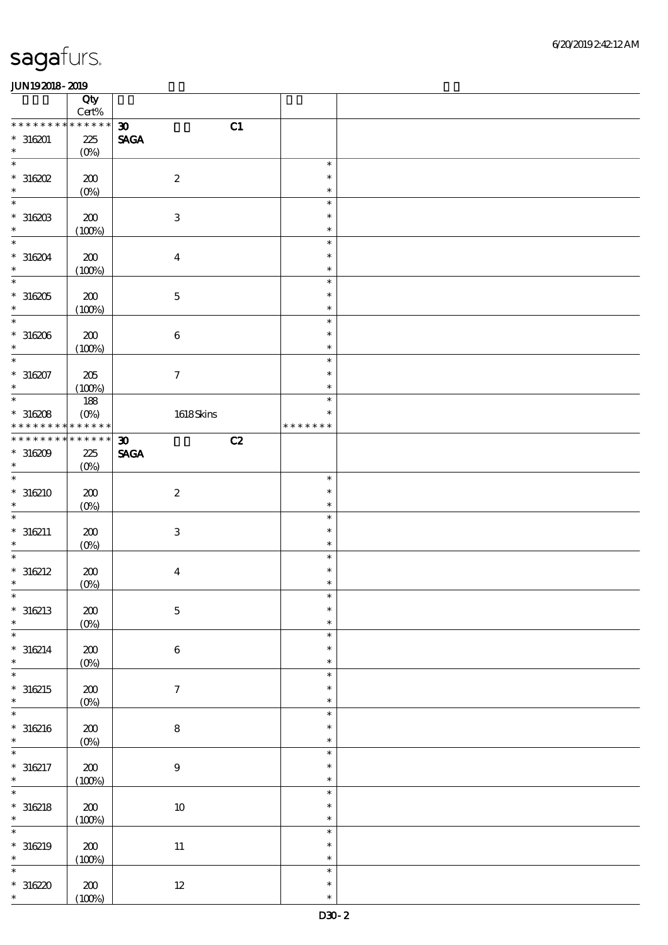|                          | Qty<br>Cert%  |                                   |               |  |
|--------------------------|---------------|-----------------------------------|---------------|--|
| * * * * * * *            | * * * * * *   | C1<br>$\boldsymbol{\mathfrak{D}}$ |               |  |
| $*316201$                |               |                                   |               |  |
|                          | 225           | $\ensuremath{\mathsf{SAGA}}$      |               |  |
| $\ast$                   | $(0\%)$       |                                   |               |  |
| $\ast$                   |               |                                   | $\ast$        |  |
| $*316202$                | 200           | $\boldsymbol{2}$                  | $\ast$        |  |
| $\ast$                   | $(0\%)$       |                                   | $\ast$        |  |
| $\ast$                   |               |                                   | $\ast$        |  |
|                          |               |                                   |               |  |
| $*316203$                | 200           | $\ensuremath{\mathbf{3}}$         | $\ast$        |  |
| $\ast$                   | (100%)        |                                   | $\ast$        |  |
| $\ast$                   |               |                                   | $\ast$        |  |
| $*316204$                | 200           | $\boldsymbol{4}$                  | $\ast$        |  |
| $\ast$                   | (100%)        |                                   | $\ast$        |  |
| $\overline{\phantom{0}}$ |               |                                   |               |  |
|                          |               |                                   | $\ast$        |  |
| $^\ast$ 316205           | 200           | $\mathbf 5$                       | $\ast$        |  |
| $\ast$                   | (100%)        |                                   | $\ast$        |  |
| $\ast$                   |               |                                   | $\ast$        |  |
|                          |               |                                   | $\ast$        |  |
| $*316206$                | 200           | $\bf 6$                           |               |  |
| $\ast$                   | (100%)        |                                   | $\ast$        |  |
| $\ast$                   |               |                                   | $\ast$        |  |
| $*316207$                | 205           | $\tau$                            | $\ast$        |  |
| $\ast$                   | (100%)        |                                   | $\ast$        |  |
| $\overline{\phantom{0}}$ |               |                                   | $\ast$        |  |
|                          | 188           |                                   |               |  |
| $*316208$                | $(O\%)$       | 1618Skins                         | $\ast$        |  |
| * * * * * * * *          | * * * * * *   |                                   | * * * * * * * |  |
| * * * * * * * *          | * * * * * *   | C2<br>$\boldsymbol{\mathfrak{D}}$ |               |  |
| $*316209$                | 225           | $\ensuremath{\mathsf{SAGA}}$      |               |  |
| $\ast$                   |               |                                   |               |  |
|                          | $(O\%)$       |                                   |               |  |
| $\ast$                   |               |                                   | $\ast$        |  |
| $* 316210$               | 200           | $\boldsymbol{z}$                  | $\ast$        |  |
| $\ast$                   | $(0\%)$       |                                   | $\ast$        |  |
| $\ast$                   |               |                                   | $\ast$        |  |
|                          |               |                                   |               |  |
|                          |               |                                   |               |  |
| $*316211$                | 200           | $\ensuremath{\mathbf{3}}$         | $\ast$        |  |
| $\ast$                   | $O($ %)       |                                   | $\ast$        |  |
| $\ast$                   |               |                                   | $\ast$        |  |
|                          |               |                                   | $\ast$        |  |
| $* 316212$               | 200           | $\boldsymbol{4}$                  |               |  |
| $\ast$                   | (0%)          |                                   | $\ast$        |  |
| $\ast$                   |               |                                   | $\ast$        |  |
| $*316213$                | ${\bf Z0}$    | $\mathbf 5$                       | $\ast$        |  |
| $\ast$                   |               |                                   | $\ast$        |  |
| $\ast$                   | $(0\%)$       |                                   | $\ast$        |  |
|                          |               |                                   |               |  |
|                          | $200\,$       | $\bf 6$                           | $\ast$        |  |
| $* 316214$<br>$\ast$     | $(0\%)$       |                                   | $\ast$        |  |
| $\ast$                   |               |                                   | $\ast$        |  |
|                          |               |                                   | $\ast$        |  |
| $*316215$<br>$\ast$      | 200           | $\tau$                            | $\ast$        |  |
|                          | $(0\%)$       |                                   |               |  |
| $\ast$                   |               |                                   | $\ast$        |  |
| $* 316216$               | $200\,$       | $\bf 8$                           | $\ast$        |  |
| $\ast$                   | $(0\%)$       |                                   | $\ast$        |  |
| $\ast$                   |               |                                   | $\ast$        |  |
|                          |               |                                   | $\ast$        |  |
| $* 316217$               | 200           | $\boldsymbol{9}$                  |               |  |
| $\ast$                   | (100%)        |                                   | $\ast$        |  |
| $\ast$                   |               |                                   | $\ast$        |  |
| $* 316218$               | 200           | $10\,$                            | $\ast$        |  |
| $\ast$                   |               |                                   | $\ast$        |  |
| $\ast$                   | (100%)        |                                   | $\ast$        |  |
|                          |               |                                   |               |  |
| $* 316219$               | 200           | $11\,$                            | $\ast$        |  |
| $\ast$                   | (100%)        |                                   | $\ast$        |  |
| $\ast$                   |               |                                   | $\ast$        |  |
|                          |               |                                   | $\ast$        |  |
| $*316220$<br>$\ast$      | 200<br>(100%) | $12\,$                            | $\ast$        |  |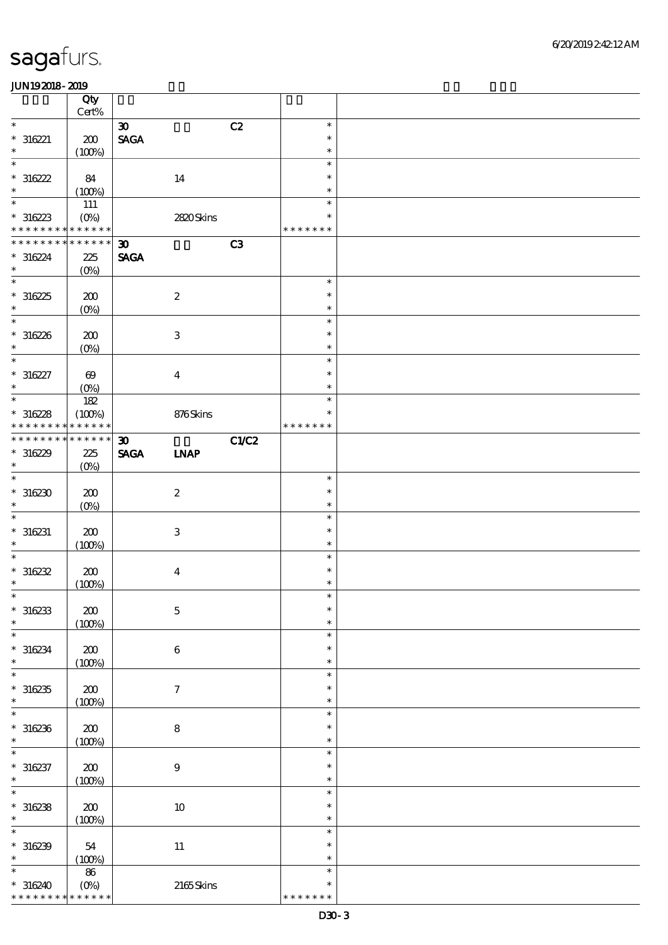|                                            | Qty<br>$Cert\%$        |                                |                           |       |                         |  |
|--------------------------------------------|------------------------|--------------------------------|---------------------------|-------|-------------------------|--|
| $\ast$                                     |                        | $\boldsymbol{\mathfrak{D}}$    | C2                        |       | $\ast$                  |  |
| $* 316221$                                 | 200                    | $\operatorname{\mathsf{SAGA}}$ |                           |       | $\ast$                  |  |
| $\ast$                                     | (100%)                 |                                |                           |       | $\ast$                  |  |
| $\ast$                                     |                        |                                |                           |       | $\ast$                  |  |
| $*316222$                                  | 84                     |                                | 14                        |       | $\ast$                  |  |
| $\ast$                                     | (100%)                 |                                |                           |       | $\ast$                  |  |
| $\ast$                                     | 111                    |                                |                           |       | $\ast$                  |  |
| $*316223$                                  | $(0\%)$                |                                | 2820Skins                 |       | $\ast$                  |  |
| * * * * * * * * <mark>* * * * * * *</mark> |                        |                                |                           |       | * * * * * * *           |  |
| * * * * * * * *                            | * * * * * *            | $\boldsymbol{\mathfrak{D}}$    | C3                        |       |                         |  |
| $* 316224$                                 | 225                    | <b>SAGA</b>                    |                           |       |                         |  |
| $\ast$                                     | $(O\%)$                |                                |                           |       |                         |  |
| $\overline{\phantom{a}^*}$                 |                        |                                |                           |       | $\ast$                  |  |
| $*316225$                                  | 200                    |                                | $\boldsymbol{2}$          |       | $\ast$                  |  |
| $\ast$                                     | $(0\%)$                |                                |                           |       | $\ast$                  |  |
| $\overline{\phantom{0}}$                   |                        |                                |                           |       | $\ast$                  |  |
| $*316226$                                  | 200                    |                                | $\ensuremath{\mathbf{3}}$ |       | $\ast$                  |  |
| $\ast$                                     | $(0\%)$                |                                |                           |       | $\ast$                  |  |
| $\overline{\ast}$                          |                        |                                |                           |       | $\ast$                  |  |
| $* 316227$                                 | $\boldsymbol{\Theta}$  |                                | $\bf{4}$                  |       | $\ast$                  |  |
| $\ast$                                     | $(O\!/\!o)$            |                                |                           |       | $\ast$                  |  |
| $\ast$                                     | 182                    |                                |                           |       | $\ast$                  |  |
| $*316228$                                  | (100%)                 |                                | 876Skins                  |       | $\ast$                  |  |
| * * * * * * * *                            | * * * * * *            |                                |                           |       | * * * * * * *           |  |
| * * * * * * * * * * * * * *                |                        | $\boldsymbol{\mathfrak{D}}$    |                           | C1/C2 |                         |  |
| $*316229$                                  | 225                    | <b>SAGA</b>                    | <b>INAP</b>               |       |                         |  |
| $\ast$                                     | $(O\%)$                |                                |                           |       |                         |  |
| $\overline{\phantom{0}}$                   |                        |                                |                           |       | $\ast$                  |  |
| $*30230$                                   | 200                    |                                | $\boldsymbol{2}$          |       | $\ast$                  |  |
| $\ast$                                     | $(0\%)$                |                                |                           |       | $\ast$                  |  |
| $\ast$                                     |                        |                                |                           |       | $\ast$                  |  |
| $* 316231$                                 | 200                    |                                | $\ensuremath{\mathbf{3}}$ |       | $\ast$                  |  |
| $\ast$                                     | (100%)                 |                                |                           |       | $\ast$                  |  |
| $\overline{\ast}$                          |                        |                                |                           |       | $\ast$                  |  |
| $*316232$                                  | 200                    |                                | $\boldsymbol{4}$          |       | $\ast$                  |  |
| $\ast$                                     | (100%)                 |                                |                           |       | $\ast$                  |  |
| $\ast$                                     |                        |                                |                           |       | $\ast$                  |  |
| $*316233$                                  | 200                    |                                | $\mathbf 5$               |       | $\ast$                  |  |
| $\ast$                                     | (100%)                 |                                |                           |       | $\ast$                  |  |
| $\ast$                                     |                        |                                |                           |       | $\ast$                  |  |
| $* 316234$                                 | 200                    |                                | $\,6\,$                   |       | $\ast$                  |  |
| $\ast$                                     | (100%)                 |                                |                           |       | $\ast$                  |  |
| $\ast$                                     |                        |                                |                           |       | $\ast$                  |  |
| $*316235$                                  | $200\,$                |                                | $\boldsymbol{\tau}$       |       | $\ast$                  |  |
| $\ast$                                     | (100%)                 |                                |                           |       | $\ast$                  |  |
| $\ast$                                     |                        |                                |                           |       | $\ast$                  |  |
| $*316236$                                  | 200                    |                                | $\bf 8$                   |       | $\ast$                  |  |
| $\ast$                                     | (100%)                 |                                |                           |       | $\ast$                  |  |
| $\ast$                                     |                        |                                |                           |       | $\ast$                  |  |
| $* 316237$                                 | $\pmb{30}$             |                                | $\boldsymbol{9}$          |       | $\ast$                  |  |
| $\ast$                                     | (100%)                 |                                |                           |       | $\ast$                  |  |
| $\ast$                                     |                        |                                |                           |       | $\ast$                  |  |
| $*316238$                                  | $200\,$                |                                | $10\,$                    |       | $\ast$                  |  |
| $\ast$                                     | (100%)                 |                                |                           |       | $\ast$                  |  |
| $\ast$                                     |                        |                                |                           |       | $\ast$                  |  |
| $*316239$                                  | 54                     |                                | $11\,$                    |       | $\ast$                  |  |
| $\ast$                                     | (100%)                 |                                |                           |       | $\ast$                  |  |
| $\ast$                                     | ${\bf 86}$             |                                |                           |       | $\ast$                  |  |
|                                            |                        |                                |                           |       |                         |  |
| $*316240$<br>* * * * * * * *               | $(0\%)$<br>* * * * * * |                                | 2165Skins                 |       | $\ast$<br>* * * * * * * |  |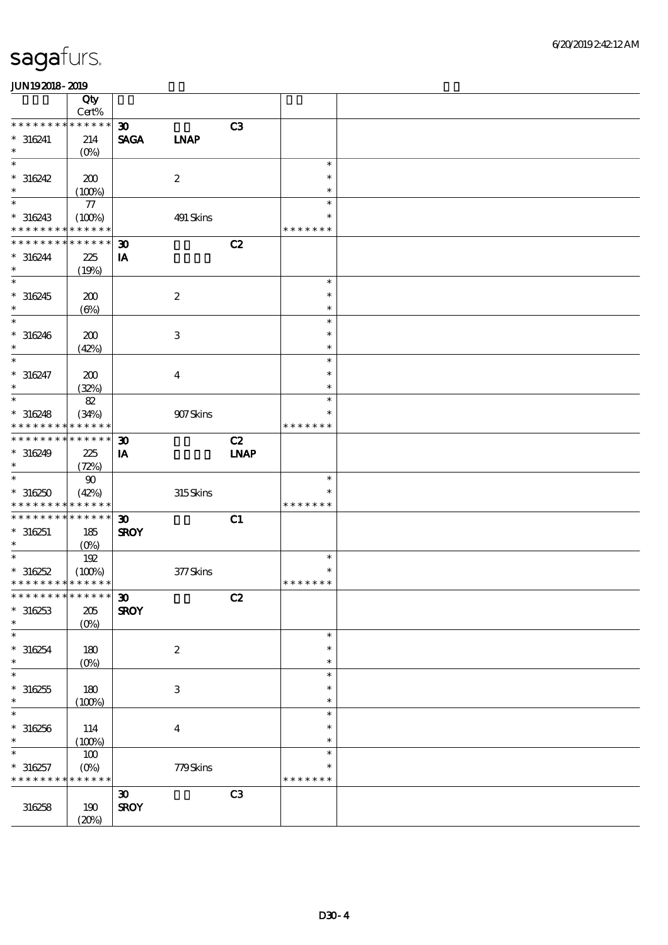|                                            | Qty               |                             |                           |             |               |  |
|--------------------------------------------|-------------------|-----------------------------|---------------------------|-------------|---------------|--|
|                                            | Cert%             |                             |                           |             |               |  |
| * * * * * * * *                            | * * * * * *       | $\boldsymbol{\mathfrak{D}}$ |                           | C3          |               |  |
| $* 316241$                                 | 214               | <b>SAGA</b>                 | <b>INAP</b>               |             |               |  |
| $\ast$                                     | (O <sub>0</sub> ) |                             |                           |             |               |  |
| $\ast$                                     |                   |                             |                           |             | $\ast$        |  |
| $*316242$                                  | 200               |                             | $\boldsymbol{2}$          |             | $\ast$        |  |
| $\ast$                                     | (100%)            |                             |                           |             | $\ast$        |  |
| $\ast$                                     |                   |                             |                           |             | $\ast$        |  |
|                                            | ${\bf 77}$        |                             |                           |             |               |  |
| $* 316243$                                 | (100%)            |                             | 491 Skins                 |             | $\ast$        |  |
| * * * * * * * *                            | * * * * * *       |                             |                           |             | * * * * * * * |  |
| * * * * * * * *                            | * * * * * *       | $\boldsymbol{\mathfrak{D}}$ |                           | C2          |               |  |
| $* 316244$                                 | 225               | IA                          |                           |             |               |  |
| $\ast$                                     | (19%)             |                             |                           |             |               |  |
| $\ast$                                     |                   |                             |                           |             | $\ast$        |  |
|                                            |                   |                             |                           |             | $\ast$        |  |
| $*316245$                                  | 200               |                             | $\boldsymbol{2}$          |             |               |  |
| $\ast$                                     | $(\Theta)$        |                             |                           |             | $\ast$        |  |
| $\ast$                                     |                   |                             |                           |             | $\ast$        |  |
| $* 316246$                                 | 200               |                             | $\ensuremath{\mathbf{3}}$ |             | $\ast$        |  |
| $\ast$                                     | (42%)             |                             |                           |             | $\ast$        |  |
| $\ast$                                     |                   |                             |                           |             | $\ast$        |  |
| $* 316247$                                 | 200               |                             | $\overline{\mathbf{4}}$   |             | $\ast$        |  |
| $\ast$                                     |                   |                             |                           |             | $\ast$        |  |
|                                            | (32%)             |                             |                           |             |               |  |
| $\ast$                                     | $8\!2$            |                             |                           |             | $\ast$        |  |
| $* 316248$                                 | (34%)             |                             | 907Skins                  |             | $\ast$        |  |
| * * * * * * * *                            | * * * * * *       |                             |                           |             | * * * * * * * |  |
| * * * * * * * * * * * * * *                |                   | $\boldsymbol{\mathfrak{D}}$ |                           | C2          |               |  |
| $*316249$                                  | 225               | IA                          |                           | <b>INAP</b> |               |  |
| $\ast$                                     |                   |                             |                           |             |               |  |
| $\ast$                                     | (72%)             |                             |                           |             |               |  |
|                                            | $90\,$            |                             |                           |             | $\ast$        |  |
| $*316250$                                  | (42%)             |                             | 315Skins                  |             | *             |  |
| * * * * * * * * <mark>* * * * * * *</mark> |                   |                             |                           |             | * * * * * * * |  |
| * * * * * * * * * * * * * *                |                   | $\boldsymbol{\mathfrak{D}}$ |                           | C1          |               |  |
| $*316251$                                  | 185               | <b>SROY</b>                 |                           |             |               |  |
| $\ast$                                     | $(0\%)$           |                             |                           |             |               |  |
| $\overline{\ast}$                          | 192               |                             |                           |             | $\ast$        |  |
|                                            |                   |                             |                           |             | $\ast$        |  |
| $*316252$                                  | (100%)            |                             | $377$ Skins               |             |               |  |
| * * * * * * * * * * * * * *                |                   |                             |                           |             | * * * * * * * |  |
| *************** 30                         |                   |                             |                           | C2          |               |  |
| $*316253$                                  | 205               | <b>SROY</b>                 |                           |             |               |  |
| $\ast$                                     | $(O\%)$           |                             |                           |             |               |  |
| $\ast$                                     |                   |                             |                           |             | $\ast$        |  |
| $*316254$                                  | 180               |                             | $\boldsymbol{2}$          |             | $\ast$        |  |
| $\ast$                                     |                   |                             |                           |             | $\ast$        |  |
|                                            | $(0\%)$           |                             |                           |             |               |  |
| $\ast$                                     |                   |                             |                           |             | $\ast$        |  |
| $*316255$                                  | 180               |                             | $\,3$                     |             | $\ast$        |  |
| $\ast$                                     | (100%)            |                             |                           |             | $\ast$        |  |
| $\ast$                                     |                   |                             |                           |             | $\ast$        |  |
| $*316256$                                  | 114               |                             | $\boldsymbol{4}$          |             | ∗             |  |
| $\ast$                                     |                   |                             |                           |             | $\ast$        |  |
| $\ast$                                     | (100%)            |                             |                           |             |               |  |
|                                            | $100\,$           |                             |                           |             | $\ast$        |  |
| $*316257$                                  | $(O\%)$           |                             | 779Skins                  |             | *             |  |
| * * * * * * * *                            | * * * * * *       |                             |                           |             | * * * * * * * |  |
|                                            |                   | $\pmb{\mathfrak{D}}$        |                           | C3          |               |  |
| 316258                                     | 190               | <b>SROY</b>                 |                           |             |               |  |
|                                            | (20%)             |                             |                           |             |               |  |
|                                            |                   |                             |                           |             |               |  |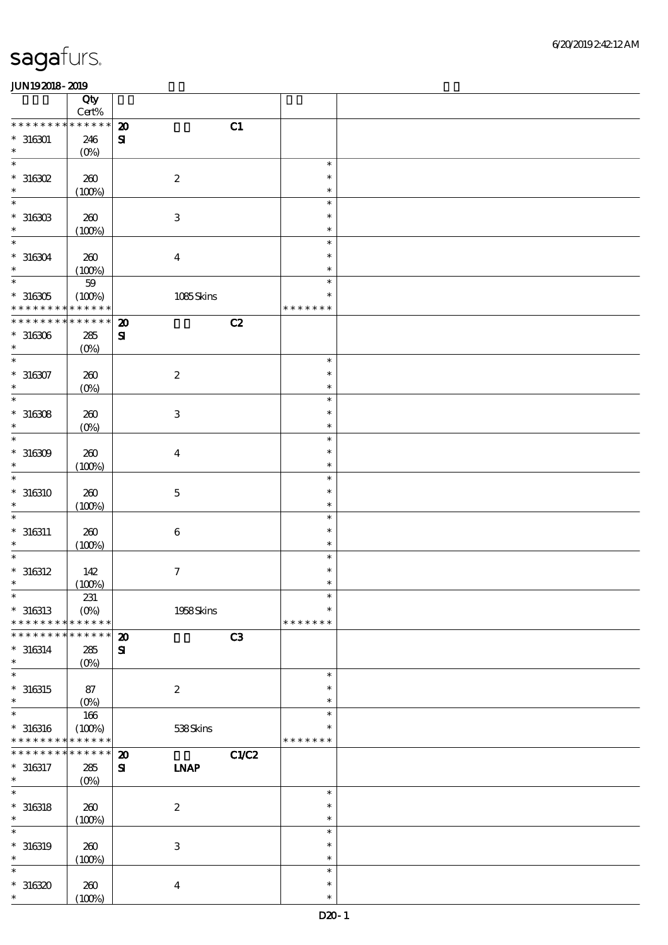|                          | Qty                     |                           |       |                  |  |
|--------------------------|-------------------------|---------------------------|-------|------------------|--|
| * * * * * * * *          | $Cert\%$<br>* * * * * * |                           |       |                  |  |
|                          |                         | $\boldsymbol{\mathbf{z}}$ | C1    |                  |  |
| $*316301$<br>$\ast$      | 246<br>$(0\%)$          | $\mathbf{S}$              |       |                  |  |
| $\ast$                   |                         |                           |       | $\ast$           |  |
| $*316302$                | 200                     | $\boldsymbol{2}$          |       | $\ast$           |  |
| $\ast$                   | (100%)                  |                           |       | $\ast$           |  |
| $\ast$                   |                         |                           |       | $\ast$           |  |
| $^*$ 316303 $\,$         | 200                     | $\,3$                     |       | $\ast$           |  |
| $\ast$                   | (100%)                  |                           |       | $\ast$           |  |
| $\ast$                   |                         |                           |       | $\ast$           |  |
| $* 316304$               | 200                     | $\boldsymbol{4}$          |       | $\ast$           |  |
| $\ast$                   | (100%)                  |                           |       | $\ast$           |  |
| $\ast$                   | $5\!9$                  |                           |       | $\ast$           |  |
| $^\ast$ 316305           | (100%)                  | 1085Skins                 |       | $\ast$           |  |
| * * * * * * * *          | * * * * * *             |                           |       | * * * * * * *    |  |
| * * * * * * * *          | * * * * * *             | $\boldsymbol{\mathbf{z}}$ | C2    |                  |  |
| $^\ast$ 316306           | 285                     | $\mathbf{S}$              |       |                  |  |
| $\ast$                   | $(0\%)$                 |                           |       |                  |  |
| $\ast$                   |                         |                           |       | $\ast$           |  |
| $* 316307$               | 200                     | $\boldsymbol{2}$          |       | $\ast$           |  |
| $\ast$<br>$\ast$         | $(0\%)$                 |                           |       | $\ast$<br>$\ast$ |  |
|                          |                         |                           |       | $\ast$           |  |
| $^\ast$ 316308<br>$\ast$ | 200                     | $\,3$                     |       | $\ast$           |  |
| $\ast$                   | $(0\%)$                 |                           |       | $\ast$           |  |
| $*316309$                | 200                     | $\boldsymbol{4}$          |       | $\ast$           |  |
| $\ast$                   | (100%)                  |                           |       | $\ast$           |  |
| $\ast$                   |                         |                           |       | $\ast$           |  |
| $* 316310$               | 200                     | $\mathbf 5$               |       | $\ast$           |  |
| $\ast$                   | (100%)                  |                           |       | $\ast$           |  |
|                          |                         |                           |       | $\ast$           |  |
| $* 316311$               | 200                     | $\,6\,$                   |       | $\ast$           |  |
| $\ast$                   | (100%)                  |                           |       | $\ast$           |  |
| $\ast$                   |                         |                           |       | $\ast$           |  |
| $* 316312$               | 142                     | $\boldsymbol{7}$          |       | $\ast$           |  |
| $\ast$                   | (100%)                  |                           |       | $\ast$           |  |
| $\ast$                   | 231                     |                           |       | $\ast$           |  |
| $*316313$                | $(O\%)$                 | 1958Skins                 |       | $\ast$           |  |
| * * * * * * * *          | * * * * * *             |                           |       | * * * * * * *    |  |
| * * * * * * *            | * * * * * *             | $\boldsymbol{\mathbf{z}}$ | C3    |                  |  |
| $* 316314$<br>$\ast$     | 285                     | ${\bf s}$                 |       |                  |  |
| $\ast$                   | $(0\%)$                 |                           |       | $\ast$           |  |
| $* 316315$               | 87                      | $\boldsymbol{2}$          |       | $\ast$           |  |
| $\ast$                   | $(0\%)$                 |                           |       | $\ast$           |  |
| $\ast$                   | 166                     |                           |       | $\ast$           |  |
| $* 316316$               | (100%)                  | 538Skins                  |       | $\ast$           |  |
| * * * * * * * *          | * * * * * *             |                           |       | * * * * * * *    |  |
| * * * * * * * *          | * * * * * *             | $\boldsymbol{\mathbf{z}}$ | C1/C2 |                  |  |
| $* 316317$               | 285                     | ${\bf s}$<br><b>INAP</b>  |       |                  |  |
| $\ast$                   | $(0\%)$                 |                           |       |                  |  |
| $\overline{\ast}$        |                         |                           |       | $\ast$           |  |
| $* 316318$               | 200                     | $\boldsymbol{2}$          |       | $\ast$           |  |
| $\ast$                   | (100%)                  |                           |       | $\ast$           |  |
| $\ast$                   |                         |                           |       | $\ast$           |  |
| $* 316319$<br>$\ast$     | 260                     | $\,3$                     |       | $\ast$<br>$\ast$ |  |
| $\ast$                   | (100%)                  |                           |       | $\ast$           |  |
| $*316320$                | 260                     |                           |       | $\ast$           |  |
| $\ast$                   | (100%)                  | $\overline{\mathbf{4}}$   |       | $\ast$           |  |
|                          |                         |                           |       |                  |  |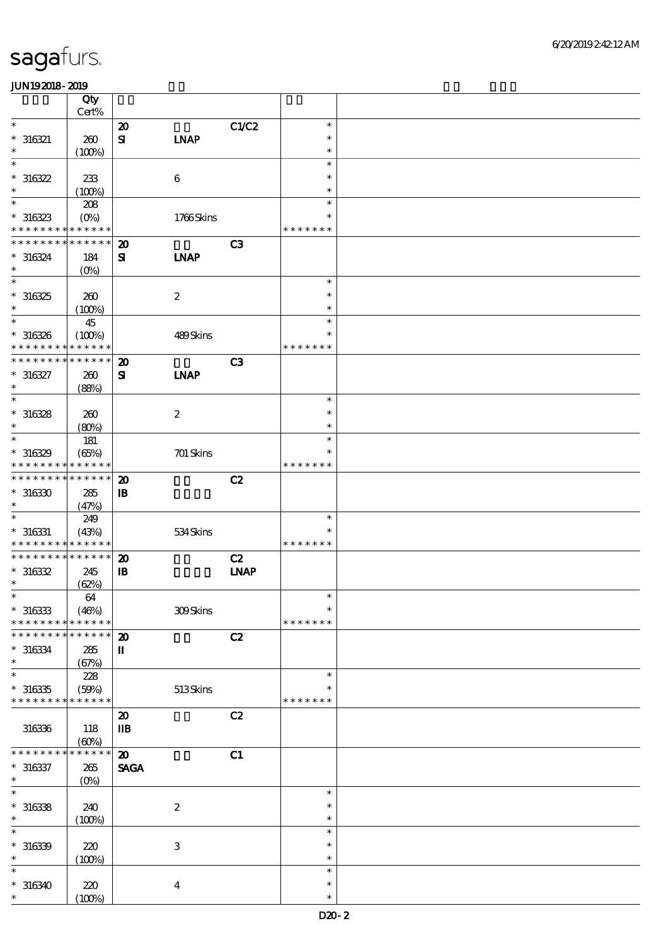|                                          | Qty         |                             |                  |                |               |  |
|------------------------------------------|-------------|-----------------------------|------------------|----------------|---------------|--|
|                                          | Cert%       |                             |                  |                |               |  |
| $\ast$                                   |             | $\boldsymbol{\mathbf{z}}$   |                  | C1/C2          | $\ast$        |  |
| $* 316321$                               | 260         | $\mathbf{S}$                | <b>LNAP</b>      |                | $\ast$        |  |
| $\ast$                                   | (100%)      |                             |                  |                | $\ast$        |  |
| $\ast$                                   |             |                             |                  |                | $\ast$        |  |
| $*316322$                                | 233         |                             | $\boldsymbol{6}$ |                | $\ast$        |  |
| $\ast$                                   | (100%)      |                             |                  |                | $\ast$        |  |
| $\ast$                                   | 208         |                             |                  |                | $\ast$        |  |
| $*316323$                                | $(O\%)$     |                             | 1766Skins        |                | ∗             |  |
| * * * * * * * * <mark>* * * * * *</mark> |             |                             |                  |                | * * * * * * * |  |
| * * * * * * * * <mark>* * * * * *</mark> |             | $\boldsymbol{\mathbf{z}}$   |                  | C <sub>3</sub> |               |  |
| $* 316324$                               | 184         | ${\bf s}$                   | <b>INAP</b>      |                |               |  |
| $\ast$                                   | $(O\%)$     |                             |                  |                |               |  |
| $\overline{\ast}$                        |             |                             |                  |                | $\ast$        |  |
| $*316325$                                |             |                             |                  |                | $\ast$        |  |
| $\ast$                                   | 260         |                             | $\boldsymbol{2}$ |                | $\ast$        |  |
| $\ast$                                   | (100%)      |                             |                  |                |               |  |
|                                          | 45          |                             |                  |                | $\ast$        |  |
| $*316326$                                | (100%)      |                             | 489Skins         |                | $\ast$        |  |
| * * * * * * * *                          | * * * * * * |                             |                  |                | * * * * * * * |  |
| * * * * * * * *                          | * * * * * * | $\boldsymbol{\mathfrak{D}}$ |                  | C3             |               |  |
| $* 316327$                               | 260         | $\mathbf{S}$                | <b>INAP</b>      |                |               |  |
| $\ast$                                   | (88%)       |                             |                  |                |               |  |
| $\ast$                                   |             |                             |                  |                | $\ast$        |  |
| $*316328$                                | 260         |                             | $\boldsymbol{2}$ |                | $\ast$        |  |
| $\ast$                                   | (80%)       |                             |                  |                | $\ast$        |  |
| $\ast$                                   | 181         |                             |                  |                | $\ast$        |  |
| $*316329$                                | (65%)       |                             | $701$ Skins      |                | ∗             |  |
| * * * * * * * *                          | * * * * * * |                             |                  |                | * * * * * * * |  |
| * * * * * * * * <mark>* * * * * *</mark> |             | $\boldsymbol{\mathbf{z}}$   |                  | C2             |               |  |
| $*316330$                                | 285         | ${\bf I\!B}$                |                  |                |               |  |
| $\ast$                                   |             |                             |                  |                |               |  |
| $\ast$                                   | (47%)       |                             |                  |                | $\ast$        |  |
|                                          | 249         |                             |                  |                |               |  |
| $^\ast$ 316331                           | (43%)       |                             | 534Skins         |                | $\ast$        |  |
| * * * * * * * * <mark>* * * * * *</mark> |             |                             |                  |                | * * * * * * * |  |
| * * * * * * * * * * * * * *              |             | $\boldsymbol{\mathsf{20}}$  |                  | C2             |               |  |
| $*316332$                                | 245         | ${\bf I\!B}$                |                  | <b>INAP</b>    |               |  |
| $\ast$                                   | (62%)       |                             |                  |                |               |  |
| $\ast$                                   | $64\,$      |                             |                  |                | $\ast$        |  |
| $*316333$                                | (46%)       |                             | 309Skins         |                | $\ast$        |  |
| * * * * * * * *                          | * * * * * * |                             |                  |                | * * * * * * * |  |
| * * * * * * *                            | * * * * * * | $\boldsymbol{\mathbf{z}}$   |                  | C2             |               |  |
| $*316334$                                | 285         | П                           |                  |                |               |  |
| $\ast$                                   | (67%)       |                             |                  |                |               |  |
| $\ast$                                   | 228         |                             |                  |                | $\ast$        |  |
| $*316335$                                | (50%)       |                             | $513$ Skins      |                |               |  |
| * * * * * * * * <mark>* * * * * *</mark> |             |                             |                  |                | * * * * * * * |  |
|                                          |             | $\boldsymbol{\mathfrak{D}}$ |                  | C2             |               |  |
| 316336                                   | 118         | $\mathbf{I}$                |                  |                |               |  |
|                                          | (60%)       |                             |                  |                |               |  |
| * * * * * *                              | * * * * * * | $\boldsymbol{\mathbf{z}}$   |                  | C1             |               |  |
| $* 316337$                               | 265         | <b>SAGA</b>                 |                  |                |               |  |
| $\ast$                                   |             |                             |                  |                |               |  |
| $\overline{\ast}$                        | $(O\!/\!o)$ |                             |                  |                | $\ast$        |  |
|                                          |             |                             |                  |                | $\ast$        |  |
| $*316338$<br>$\ast$                      | 240         |                             | $\boldsymbol{2}$ |                |               |  |
|                                          | (100%)      |                             |                  |                | $\ast$        |  |
| $\ast$                                   |             |                             |                  |                | $\ast$        |  |
| $*316339$                                | 220         |                             | $\,3$            |                | $\ast$        |  |
| $\ast$                                   | (100%)      |                             |                  |                | $\ast$        |  |
| $\ast$                                   |             |                             |                  |                | $\ast$        |  |
| $*316340$                                | 220         |                             | $\boldsymbol{4}$ |                | $\ast$        |  |
| $\ast$                                   | (100%)      |                             |                  |                | $\ast$        |  |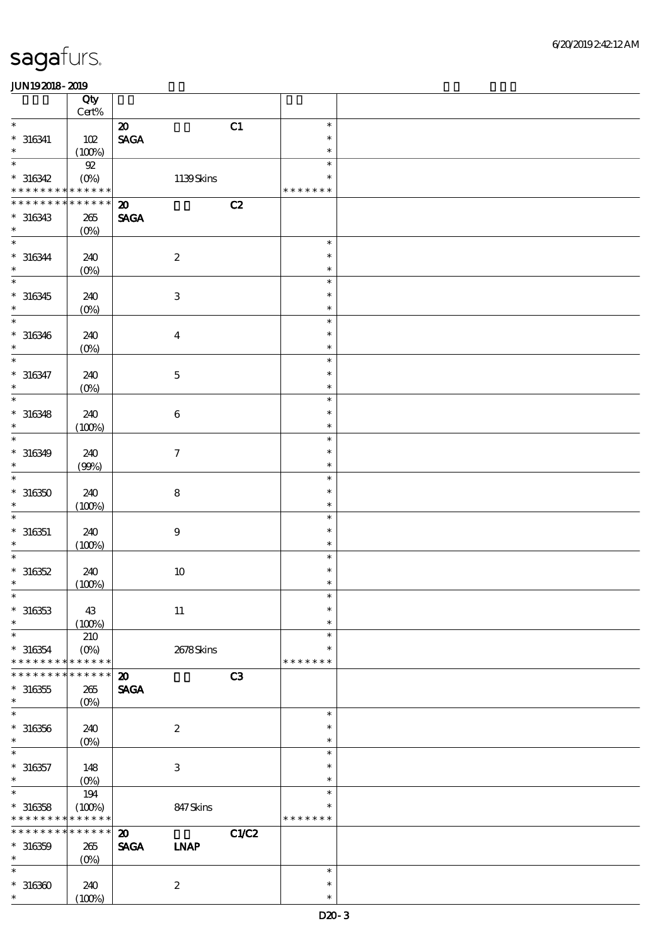|                                            | Qty<br>$\mbox{Cert}\%$ |                              |               |  |
|--------------------------------------------|------------------------|------------------------------|---------------|--|
| $\ast$                                     |                        | $\boldsymbol{\mathfrak{D}}$  | C1<br>$\ast$  |  |
| $* 316341$                                 | 102                    | $\ensuremath{\mathsf{SAGA}}$ | $\ast$        |  |
| $\ast$                                     | (100%)                 |                              | $\ast$        |  |
| $\ast$                                     | ${\mathfrak{A}}$       |                              | $\ast$        |  |
| $*316342$                                  | $(O\%)$                | 1139Skins                    | $\ast$        |  |
| * * * * * * * * <mark>* * * * * * *</mark> |                        |                              | * * * * * * * |  |
| * * * * * * * *                            | ******                 | $\boldsymbol{\mathbf{z}}$    | C2            |  |
|                                            |                        | <b>SAGA</b>                  |               |  |
| $*316343$<br>$\ast$                        | 265                    |                              |               |  |
| $\ast$                                     | $(0\%)$                |                              | $\ast$        |  |
| $* 316344$                                 | 240                    | $\boldsymbol{2}$             | $\ast$        |  |
| $\ast$                                     | $(0\%)$                |                              | $\ast$        |  |
| $\ast$                                     |                        |                              | $\ast$        |  |
| $*316345$                                  | 240                    | $\ensuremath{\mathbf{3}}$    | $\ast$        |  |
| $\ast$                                     | $(0\%)$                |                              | $\ast$        |  |
| $\overline{\phantom{0}}$                   |                        |                              | $\ast$        |  |
| $* 316346$                                 | 240                    | $\boldsymbol{4}$             | $\ast$        |  |
| $\ast$                                     | $(0\%)$                |                              | $\ast$        |  |
| $\ast$                                     |                        |                              | $\ast$        |  |
| $* 316347$                                 | 240                    | $\mathbf 5$                  | $\ast$        |  |
| $\ast$                                     | $(0\%)$                |                              | $\ast$        |  |
| $\ast$                                     |                        |                              | $\ast$        |  |
| $*316348$                                  | 240                    | $\,6\,$                      | $\ast$        |  |
| $\ast$                                     | (100%)                 |                              | $\ast$        |  |
| $\ast$                                     |                        |                              | $\ast$        |  |
| $* 316349$                                 | 240                    | $\boldsymbol{7}$             | $\ast$        |  |
| $\ast$                                     | (90%)                  |                              | $\ast$        |  |
| $\ast$                                     |                        |                              | $\ast$        |  |
| $*316350$                                  | 240                    | $\bf 8$                      | $\ast$        |  |
| $\ast$                                     | (100%)                 |                              | $\ast$        |  |
| $\ast$                                     |                        |                              | $\ast$        |  |
| $* 316351$                                 | 240                    | $\boldsymbol{9}$             | $\ast$        |  |
| $\ast$                                     | (100%)                 |                              | $\ast$        |  |
| $\ast$                                     |                        |                              | $\ast$        |  |
| $*316352$                                  | 240                    | $10$                         | $\ast$        |  |
| $\ast$                                     | (100%)                 |                              | $\ast$        |  |
| $*$                                        |                        |                              | $\ast$        |  |
| $*316353$                                  | 43                     | $11\,$                       | $\ast$        |  |
| $\ast$                                     | (100%)                 |                              | $\ast$        |  |
| $\ast$                                     | 210                    |                              | $\ast$        |  |
| $* 316354$                                 | $(O\%)$                | 2678Skins                    | $\ast$        |  |
| * * * * * * * *                            | * * * * * *            |                              | * * * * * * * |  |
| * * * * * * *                              | * * * * * *            | $\boldsymbol{\mathfrak{D}}$  | C3            |  |
| $^\ast$ 316355<br>$\ast$                   | 265                    | <b>SAGA</b>                  |               |  |
| $\ast$                                     | $(O\!/\!o)$            |                              | $\ast$        |  |
|                                            |                        |                              | $\ast$        |  |
| $* 316356$<br>$\ast$                       | 240                    | $\boldsymbol{2}$             | $\ast$        |  |
| $\ast$                                     | $(0\%)$                |                              | $\ast$        |  |
| $* 316357$                                 | 148                    | $\,3$                        | $\ast$        |  |
| $\ast$                                     | $(O\%)$                |                              | $\ast$        |  |
| $\ast$                                     | 194                    |                              | $\ast$        |  |
| $*316358$                                  | (100%)                 | 847Skins                     | ∗             |  |
| * * * * * * * *                            | * * * * * *            |                              | * * * * * * * |  |
| * * * * * * * * * * * * * *                |                        | $\boldsymbol{\mathbf{z}}$    | C1/C2         |  |
| $* 316359$                                 | 265                    | <b>SAGA</b><br><b>INAP</b>   |               |  |
| $\ast$                                     | $(0\%)$                |                              |               |  |
| $\ast$                                     |                        |                              | $\ast$        |  |
| $*316360$                                  | 240                    | $\boldsymbol{2}$             | $\ast$        |  |
| $\ast$                                     | (100%)                 |                              | $\ast$        |  |
|                                            |                        |                              |               |  |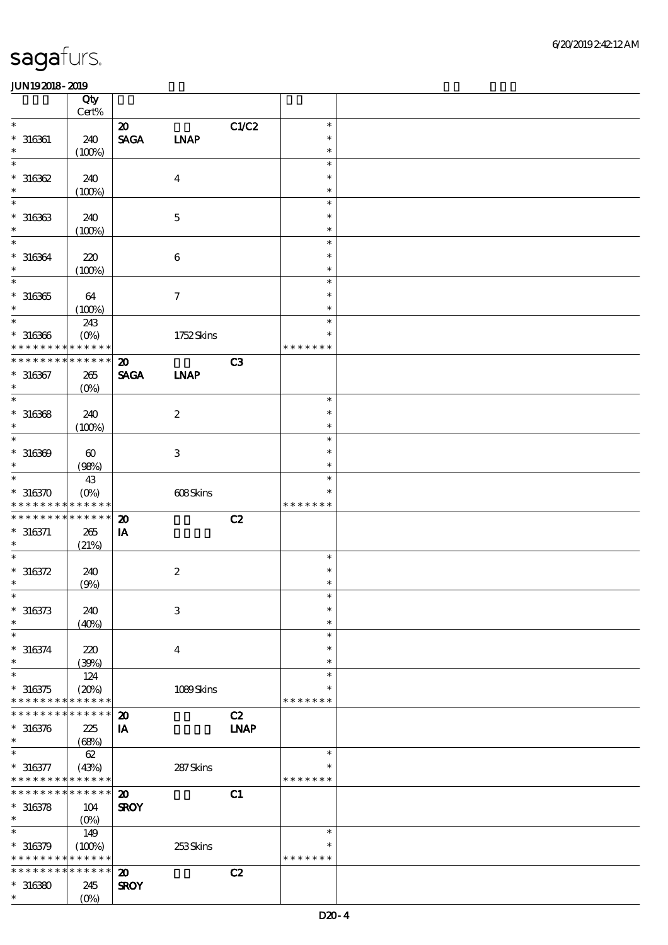|                                            | Qty<br>Cert%          |                             |                           |             |               |  |
|--------------------------------------------|-----------------------|-----------------------------|---------------------------|-------------|---------------|--|
| $\ast$                                     |                       |                             |                           |             | $\ast$        |  |
|                                            |                       | $\boldsymbol{\mathfrak{D}}$ |                           | C1/C2       |               |  |
| $* 316361$                                 | 240                   | <b>SAGA</b>                 | <b>LNAP</b>               |             | $\ast$        |  |
| $\ast$                                     | (100%)                |                             |                           |             | $\ast$        |  |
| $\ast$                                     |                       |                             |                           |             | $\ast$        |  |
| $*316362$                                  | 240                   |                             | $\boldsymbol{4}$          |             | $\ast$        |  |
| $\ast$                                     | (100%)                |                             |                           |             | $\ast$        |  |
| $\ast$                                     |                       |                             |                           |             | $\ast$        |  |
| $*316363$                                  | 240                   |                             | $\mathbf 5$               |             | $\ast$        |  |
| $\ast$                                     | (100%)                |                             |                           |             | $\ast$        |  |
| $\ast$                                     |                       |                             |                           |             | $\ast$        |  |
|                                            |                       |                             |                           |             | $\ast$        |  |
| $* 316364$<br>$\ast$                       | 220                   |                             | $\,6\,$                   |             |               |  |
| $\ast$                                     | (100%)                |                             |                           |             | $\ast$        |  |
|                                            |                       |                             |                           |             | $\ast$        |  |
| $*316365$                                  | 64                    |                             | $\boldsymbol{7}$          |             | $\ast$        |  |
| $\ast$                                     | (100%)                |                             |                           |             | $\ast$        |  |
| $\ast$                                     | 243                   |                             |                           |             | $\ast$        |  |
| $* 316366$                                 | $(O\%)$               |                             | 1752Skins                 |             | $\ast$        |  |
| * * * * * * * *                            | * * * * * *           |                             |                           |             | * * * * * * * |  |
| * * * * * * *                              | * * * * * *           | $\boldsymbol{\mathfrak{D}}$ |                           | C3          |               |  |
| $* 316367$                                 | 265                   | <b>SAGA</b>                 | <b>INAP</b>               |             |               |  |
| $\ast$                                     |                       |                             |                           |             |               |  |
| $\ast$                                     | $(O\!/\!o)$           |                             |                           |             | $\ast$        |  |
|                                            |                       |                             |                           |             |               |  |
| $* 316368$                                 | 240                   |                             | $\boldsymbol{2}$          |             | $\ast$        |  |
| $\ast$                                     | (100%)                |                             |                           |             | $\ast$        |  |
| $\ast$                                     |                       |                             |                           |             | $\ast$        |  |
| $*316369$                                  | $\boldsymbol{\omega}$ |                             | $\,3\,$                   |             | $\ast$        |  |
| $\ast$                                     | (98%)                 |                             |                           |             | $\ast$        |  |
| $\ast$                                     | 43                    |                             |                           |             | $\ast$        |  |
| $*316370$                                  | $(O\%)$               |                             | 608Skins                  |             | $\ast$        |  |
| * * * * * * * * <mark>* * * * * *</mark>   |                       |                             |                           |             | * * * * * * * |  |
| * * * * * * * *                            | * * * * * *           |                             |                           |             |               |  |
|                                            |                       | $\boldsymbol{\mathbf{z}}$   |                           | C2          |               |  |
| $* 316371$                                 | 265                   | ${\bf I} {\bf A}$           |                           |             |               |  |
| $\ast$                                     | (21%)                 |                             |                           |             |               |  |
| $\ast$                                     |                       |                             |                           |             | $\ast$        |  |
| $* 316372$                                 | 240                   |                             | $\boldsymbol{2}$          |             | $\ast$        |  |
| $\ast$                                     | (9%)                  |                             |                           |             | $\ast$        |  |
| $\ast$                                     |                       |                             |                           |             | $\ast$        |  |
| $* 316373$                                 | 240                   |                             | $\ensuremath{\mathbf{3}}$ |             | $\ast$        |  |
| $\ast$                                     | (40%)                 |                             |                           |             | $\ast$        |  |
| $\ast$                                     |                       |                             |                           |             | $\ast$        |  |
| $* 316374$                                 |                       |                             |                           |             | $\ast$        |  |
| $\ast$                                     | 220                   |                             | $\boldsymbol{4}$          |             | $\ast$        |  |
|                                            | (30%)                 |                             |                           |             |               |  |
| $\ast$                                     | 124                   |                             |                           |             | $\ast$        |  |
| $* 316375$                                 | (20%)                 |                             | 1089Skins                 |             | ∗             |  |
| * * * * * * * *                            | * * * * * *           |                             |                           |             | * * * * * * * |  |
| * * * * * * *                              | * * * * * *           | $\boldsymbol{\mathsf{20}}$  |                           | C2          |               |  |
| $* 316376$                                 | 225                   | IA                          |                           | <b>LNAP</b> |               |  |
| $\ast$                                     | (68%)                 |                             |                           |             |               |  |
| $\ast$                                     | $62\,$                |                             |                           |             | $\ast$        |  |
| $* 316377$                                 | (43%)                 |                             | 287Skins                  |             | ∗             |  |
| * * * * * * * * <mark>* * * * * *</mark>   |                       |                             |                           |             | * * * * * * * |  |
| * * * * * * * * <mark>* * * * * * *</mark> |                       |                             |                           |             |               |  |
|                                            |                       | $\boldsymbol{\mathfrak{D}}$ |                           | C1          |               |  |
| $* 316378$                                 | 104                   | <b>SROY</b>                 |                           |             |               |  |
| $\ast$                                     | $(0\%)$               |                             |                           |             |               |  |
| $\ast$                                     | 149                   |                             |                           |             | $\ast$        |  |
| $*316379$                                  | (100%)                |                             | 253Skins                  |             | $\ast$        |  |
| * * * * * * * * <mark>* * * * * *</mark>   |                       |                             |                           |             | * * * * * * * |  |
| * * * * * * * *                            | ******                | $\boldsymbol{\mathbf{z}}$   |                           | C2          |               |  |
| $*316380$                                  | 245                   | <b>SROY</b>                 |                           |             |               |  |
| $\ast$                                     | $(O\!/\!o)$           |                             |                           |             |               |  |
|                                            |                       |                             |                           |             |               |  |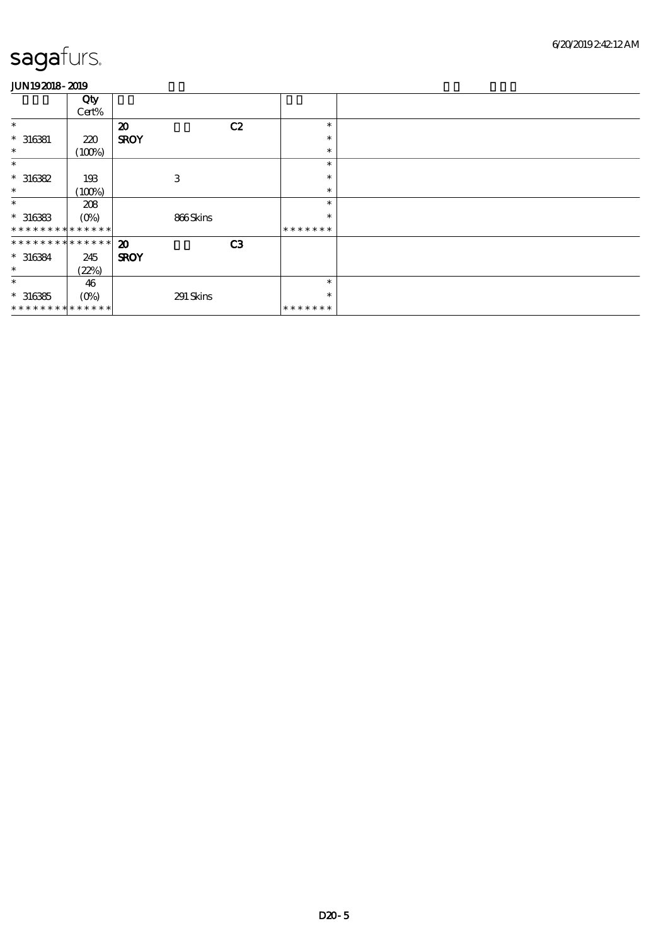|                               | Qty         |                             |    |         |  |
|-------------------------------|-------------|-----------------------------|----|---------|--|
|                               | Cert%       |                             |    |         |  |
|                               |             |                             |    |         |  |
| $\ast$                        |             | $\boldsymbol{\mathfrak{D}}$ | C2 | $\ast$  |  |
| $* 316381$                    | 220         | <b>SROY</b>                 |    | $\ast$  |  |
| $\ast$                        | (100%)      |                             |    | $\ast$  |  |
| $\ast$                        |             |                             |    | $\ast$  |  |
| $*316382$                     | 193         | 3                           |    | $\ast$  |  |
| $\ast$                        | (100%)      |                             |    | $\ast$  |  |
| $\ast$                        | 208         |                             |    | $\ast$  |  |
| $*316383$                     | $(O\%)$     | 866Skins                    |    | $\ast$  |  |
| * * * * * * * * * * * * * *   |             |                             |    | ******* |  |
| * * * * * * * * * * * * * * * |             | $\boldsymbol{\mathfrak{D}}$ | C3 |         |  |
| $* 316384$                    | 245         | <b>SROY</b>                 |    |         |  |
| $\ast$                        | (22%)       |                             |    |         |  |
| $\ast$                        | 46          |                             |    | $\ast$  |  |
| $*316385$                     | $(O\!/\!o)$ | 291 Skins                   |    | $\ast$  |  |
| * * * * * * * * * * * * * * * |             |                             |    | ******* |  |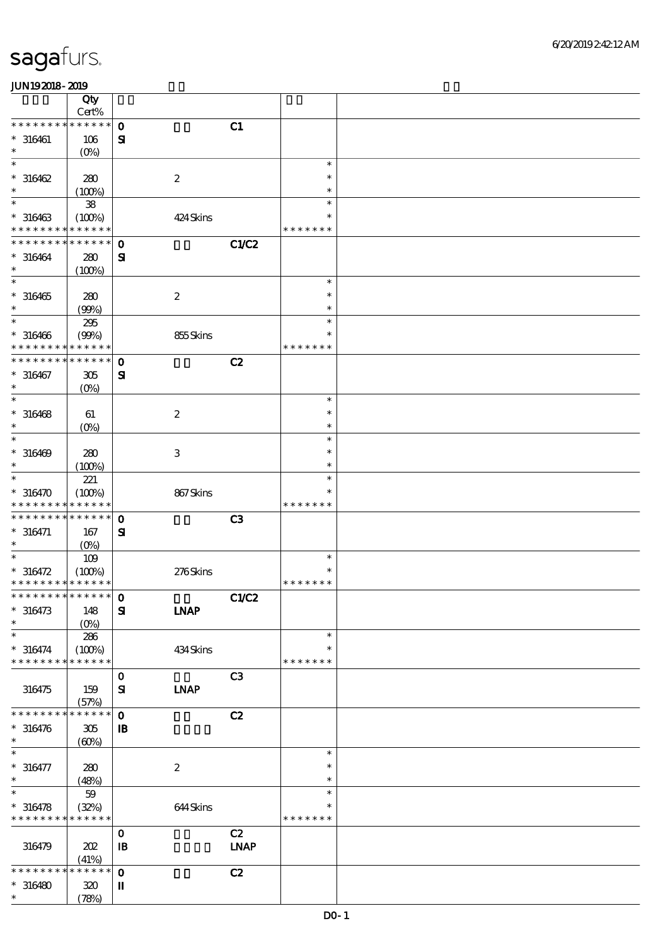|                             | Qty                |                           |                |               |  |
|-----------------------------|--------------------|---------------------------|----------------|---------------|--|
|                             | Cert%              |                           |                |               |  |
| * * * * * * *               | * * * * * *        | $\mathbf{o}$              | C1             |               |  |
| $* 316461$                  | 106                | $\mathbf{S}$              |                |               |  |
| $\ast$                      | $(O\!/\!\!\delta)$ |                           |                |               |  |
| $\ast$                      |                    |                           |                | $\ast$        |  |
| $*316462$                   | 280                | $\boldsymbol{2}$          |                | $\ast$        |  |
| $\ast$                      | (100%)             |                           |                | $\ast$        |  |
| $\ast$                      | ${\bf 38}$         |                           |                | $\ast$        |  |
| $* 316463$                  | (100%)             | 424Skins                  |                | $\ast$        |  |
| * * * * * * * *             | * * * * * *        |                           |                | * * * * * * * |  |
| * * * * * * * *             | * * * * * *        | $\mathbf{o}$              | <b>C1/C2</b>   |               |  |
| $* 316464$                  | 280                | ${\bf s}$                 |                |               |  |
| $\ast$                      | (100%)             |                           |                |               |  |
| $\ast$                      |                    |                           |                | $\ast$        |  |
| $* 316465$                  | 280                | $\boldsymbol{2}$          |                | $\ast$        |  |
| $\ast$                      | (90%)              |                           |                | $\ast$        |  |
| $\ast$                      | $295\,$            |                           |                | $\ast$        |  |
| $* 316466$                  | (90%)              | 855Skins                  |                | $\ast$        |  |
| * * * * * * * *             | * * * * * *        |                           |                | * * * * * * * |  |
| * * * * * * *               | * * * * * *        |                           |                |               |  |
|                             |                    | $\mathbf 0$               | C2             |               |  |
| $* 316467$                  | 305                | $\mathbf{S}$              |                |               |  |
| $\ast$<br>$\ast$            | $(O\!/\!\!\delta)$ |                           |                |               |  |
|                             |                    |                           |                | $\ast$        |  |
| $* 316468$                  | 61                 | $\boldsymbol{2}$          |                | $\ast$        |  |
| $\ast$                      | $(O\!/\!o)$        |                           |                | $\ast$        |  |
| $\ast$                      |                    |                           |                | $\ast$        |  |
| $*316469$                   | 280                | $\ensuremath{\mathbf{3}}$ |                | $\ast$        |  |
| $\ast$                      | (100%)             |                           |                | $\ast$        |  |
| $\ast$                      | 221                |                           |                | $\ast$        |  |
| $*316470$                   | (100%)             | 867Skins                  |                | $\ast$        |  |
| * * * * * * * *             | * * * * * *        |                           |                | * * * * * * * |  |
| * * * * * * * *             | * * * * * *        | $\mathbf{o}$              | C3             |               |  |
| $* 316471$                  | 167                | ${\bf s}$                 |                |               |  |
| $\ast$                      | $(O_0)$            |                           |                |               |  |
| $\ast$                      | 109                |                           |                | $\ast$        |  |
| $* 316472$                  | (100%)             | 276Skins                  |                | *             |  |
| * * * * * * * * * * * * * * |                    |                           |                | * * * * * * * |  |
|                             |                    |                           | C1/C2          |               |  |
| $*316473$                   | 148                | <b>LNAP</b><br>${\bf s}$  |                |               |  |
| $\ast$                      | (O <sub>0</sub> )  |                           |                |               |  |
| $\ast$                      | 286                |                           |                | $\ast$        |  |
| $* 316474$                  | (100%)             | 434Skins                  |                | $\ast$        |  |
| * * * * * * * *             | * * * * * *        |                           |                | * * * * * * * |  |
|                             |                    | $\mathbf{o}$              | C <sub>3</sub> |               |  |
| 316475                      | 159                | <b>INAP</b><br>${\bf s}$  |                |               |  |
|                             | (57%)              |                           |                |               |  |
| * * * * * * *               | * * * * * *        | $\mathbf 0$               | C2             |               |  |
|                             |                    |                           |                |               |  |
| $* 316476$<br>$\ast$        | 305                | $\mathbf{B}$              |                |               |  |
| $\ast$                      | (60%)              |                           |                | $\ast$        |  |
|                             |                    |                           |                |               |  |
| $* 316477$                  | 280                | $\boldsymbol{2}$          |                | $\ast$        |  |
| $\ast$                      | (48%)              |                           |                | $\ast$        |  |
| $\ast$                      | $59\,$             |                           |                | $\ast$        |  |
| $*316478$                   | (32%)              | 644Skins                  |                | $\ast$        |  |
| * * * * * * * * * * * * * * |                    |                           |                | * * * * * * * |  |
|                             |                    | $\mathbf 0$               | C2             |               |  |
| 316479                      | 202                | $\mathbf{B}$              | <b>LNAP</b>    |               |  |
|                             | (41%)              |                           |                |               |  |
| * * * * * * *               | * * * * * *        | $\mathbf{o}$              | C2             |               |  |
| $*316480$                   | 320                | П                         |                |               |  |
| $\ast$                      | (78%)              |                           |                |               |  |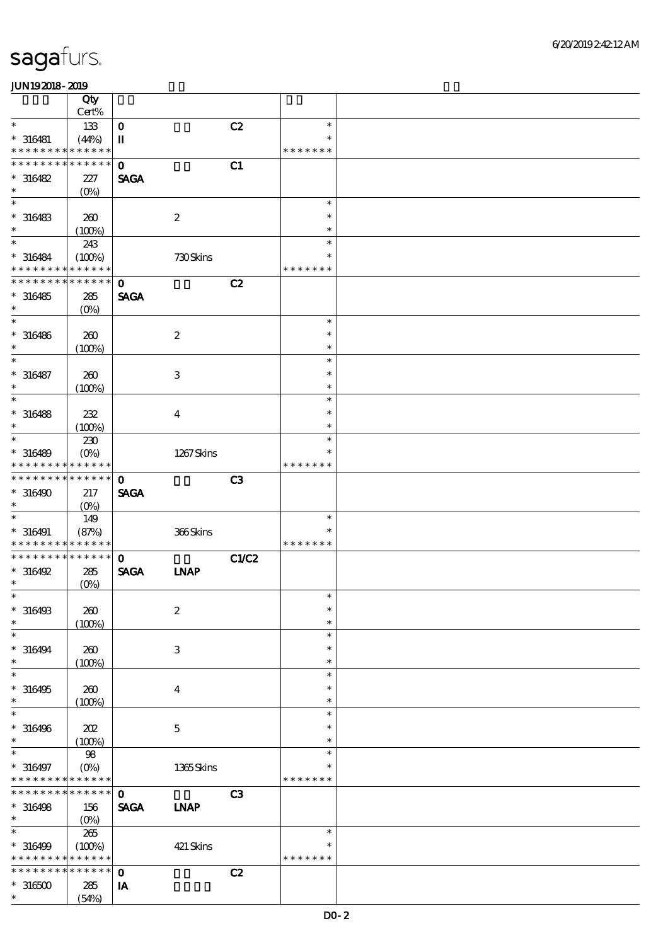|                                                        | Qty                   |                        |                  |                |                  |  |
|--------------------------------------------------------|-----------------------|------------------------|------------------|----------------|------------------|--|
|                                                        | Cert%                 |                        |                  |                |                  |  |
| $\ast$                                                 | 133                   | $\mathbf O$            |                  | C2             | $\ast$<br>$\ast$ |  |
| $* 316481$<br>* * * * * * * *                          | (44%)<br>* * * * * *  | $\mathbf{I}\mathbf{I}$ |                  |                | * * * * * * *    |  |
| * * * * * * *                                          | * * * * * *           | $\mathbf 0$            |                  | C1             |                  |  |
| $*316482$                                              | 227                   | <b>SAGA</b>            |                  |                |                  |  |
| $\ast$                                                 | (O <sub>0</sub> )     |                        |                  |                |                  |  |
| $\ast$                                                 |                       |                        |                  |                | $\ast$           |  |
| $* 316483$                                             | 260                   |                        | $\boldsymbol{2}$ |                | $\ast$           |  |
| $\ast$<br>$\ast$                                       | (100%)                |                        |                  |                | $\ast$           |  |
|                                                        | 243                   |                        |                  |                | $\ast$<br>$\ast$ |  |
| $* 316484$<br>* * * * * * * *                          | (100%)<br>* * * * * * |                        | 730Skins         |                | * * * * * * *    |  |
| * * * * * * *                                          | * * * * * *           | $\mathbf 0$            |                  | C2             |                  |  |
| $* 316485$                                             | 285                   | <b>SAGA</b>            |                  |                |                  |  |
| $\ast$                                                 | $(O\!/\!o)$           |                        |                  |                |                  |  |
| $\ast$                                                 |                       |                        |                  |                | $\ast$           |  |
| $* 316486$                                             | 260                   |                        | $\boldsymbol{2}$ |                | $\ast$           |  |
| $\ast$                                                 | (100%)                |                        |                  |                | $\ast$           |  |
| $\ast$                                                 |                       |                        |                  |                | $\ast$<br>$\ast$ |  |
| $* 316487$<br>$\ast$                                   | 260<br>(100%)         |                        | $\,3\,$          |                | $\ast$           |  |
| $\ast$                                                 |                       |                        |                  |                | $\ast$           |  |
| $* 316488$                                             | 232                   |                        | $\boldsymbol{4}$ |                | $\ast$           |  |
| $\ast$                                                 | (100%)                |                        |                  |                | $\ast$           |  |
| $\ast$                                                 | 230                   |                        |                  |                | $\ast$           |  |
| $* 316489$                                             | $(O\!/\!\!\delta)$    |                        | 1267Skins        |                | $\ast$           |  |
| * * * * * * *                                          | * * * * * *           |                        |                  |                | * * * * * * *    |  |
| * * * * * * * *                                        | $* * * * * * *$       | $\mathbf{o}$           |                  | C <sub>3</sub> |                  |  |
| $* 316490$<br>$\ast$                                   | 217<br>$(O\%)$        | <b>SAGA</b>            |                  |                |                  |  |
| $\ast$                                                 | 149                   |                        |                  |                | $\ast$           |  |
| $* 316491$                                             | (87%)                 |                        | 366Skins         |                | *                |  |
| * * * * * * * * <mark>* * * * * *</mark>               |                       |                        |                  |                | * * * * * * *    |  |
| * * * * * * * *                                        |                       |                        |                  |                |                  |  |
|                                                        | $* * * * * * *$       | $\mathbf{o}$           |                  | <b>C1/C2</b>   |                  |  |
| $*316492$                                              | 285                   | <b>SAGA</b>            | <b>INAP</b>      |                |                  |  |
| $\ast$                                                 | $(0\%)$               |                        |                  |                |                  |  |
| $*$                                                    |                       |                        |                  |                | $\ast$           |  |
| $* 316493$<br>$\ast$                                   | $200$                 |                        | $\boldsymbol{2}$ |                | $\ast$<br>$\ast$ |  |
| $\ast$                                                 | (100%)                |                        |                  |                | $\ast$           |  |
| $* 316494$                                             | 260                   |                        | 3                |                | $\ast$           |  |
| $\ast$                                                 | (100%)                |                        |                  |                | $\ast$           |  |
| $\ast$                                                 |                       |                        |                  |                | $\ast$           |  |
| $*316495$                                              | 260                   |                        | $\bf{4}$         |                | $\ast$           |  |
| $\ast$                                                 | (100%)                |                        |                  |                | $\ast$           |  |
| $\ast$                                                 |                       |                        |                  |                | $\ast$<br>$\ast$ |  |
| $\ast$                                                 | 202                   |                        | $\mathbf 5$      |                | $\ast$           |  |
| $\ast$                                                 | (100%)<br>98          |                        |                  |                | $\ast$           |  |
| $* 316496$<br>$* 316497$                               | $(O\%)$               |                        | 1365Skins        |                | *                |  |
| * * * * * * * * <mark>* * * * * *</mark>               |                       |                        |                  |                | * * * * * * *    |  |
| * * * * * * * * <mark>* * * * * *</mark>               |                       | $\mathbf 0$            |                  | C <sub>3</sub> |                  |  |
|                                                        | 156                   | <b>SAGA</b>            | <b>INAP</b>      |                |                  |  |
| $\ast$<br>$\ast$                                       | $(O_0)$               |                        |                  |                | $\ast$           |  |
| $* 316498$                                             | $265\,$               |                        |                  |                | $\ast$           |  |
| $* 316499$<br>* * * * * * * * <mark>* * * * * *</mark> | (100%)                |                        | 421 Skins        |                | * * * * * * *    |  |
| * * * * * * * *                                        | * * * * * *           | $\mathbf{o}$           |                  | C2             |                  |  |
| $*316500$<br>$\ast$                                    | 285<br>(54%)          | IA                     |                  |                |                  |  |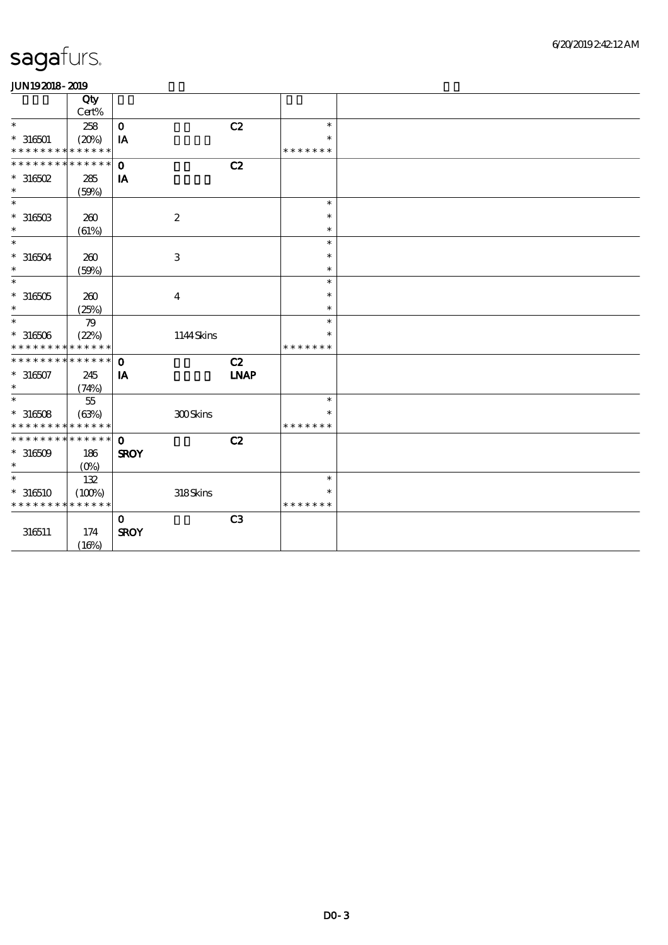|                               | Qty         |                   |             |               |  |
|-------------------------------|-------------|-------------------|-------------|---------------|--|
|                               | Cert%       |                   |             |               |  |
| $\ast$                        | 258         | $\mathbf O$       | C2          | $\ast$        |  |
| $* 316501$                    | (20%)       | IA                |             | $\ast$        |  |
| * * * * * * * * * * * * * *   |             |                   |             | * * * * * * * |  |
| * * * * * * * *               | * * * * * * | $\mathbf 0$       | C2          |               |  |
| $*$ 316502                    | 285         | ${\bf I} {\bf A}$ |             |               |  |
| $\ast$                        | (50%)       |                   |             |               |  |
| $\ast$                        |             |                   |             | $\ast$        |  |
| $^\ast$ 316503                | 260         | $\boldsymbol{2}$  |             | $\ast$        |  |
| $\ast$                        | (61%)       |                   |             | $\ast$        |  |
| $\ast$                        |             |                   |             | $\ast$        |  |
|                               |             |                   |             | $\ast$        |  |
| $* 316504$                    | 260         | $\,3$             |             |               |  |
| $\ast$                        | (50%)       |                   |             | $\ast$        |  |
| $\ast$                        |             |                   |             | $\ast$        |  |
| $^\ast$ 316505                | 200         | $\boldsymbol{4}$  |             | $\ast$        |  |
| $\ast$                        | (25%)       |                   |             | $\ast$        |  |
| $\ast$                        | 79          |                   |             | $\ast$        |  |
| $^\ast$ 316506                | (22%)       |                   | 1144Skins   | $\ast$        |  |
| * * * * * * * *               | * * * * * * |                   |             | * * * * * * * |  |
| * * * * * * * * * * * * * * * |             | $\mathbf{o}$      | C2          |               |  |
|                               |             |                   | <b>INAP</b> |               |  |
| $* 316507$<br>$\ast$          | 245         | IA                |             |               |  |
|                               | (74%)       |                   |             |               |  |
| $\ast$                        | $55\,$      |                   |             | $\ast$        |  |
| $*316508$                     | (63%)       |                   | 300Skins    | $\ast$        |  |
| * * * * * * * * * * * * * *   |             |                   |             | * * * * * * * |  |
| * * * * * * * * * * * * * * * |             | $\mathbf 0$       | C2          |               |  |
| $*316509$                     | 186         | <b>SROY</b>       |             |               |  |
| $\ast$                        | $(O\%)$     |                   |             |               |  |
| $\ast$                        | 132         |                   |             | $\ast$        |  |
| $*316510$                     | (100%)      |                   | 318Skins    | $\ast$        |  |
| * * * * * * * *               | * * * * * * |                   |             | * * * * * * * |  |
|                               |             |                   |             |               |  |
|                               |             | $\mathbf{O}$      | C3          |               |  |
| 316511                        | 174         | <b>SROY</b>       |             |               |  |
|                               | (16%)       |                   |             |               |  |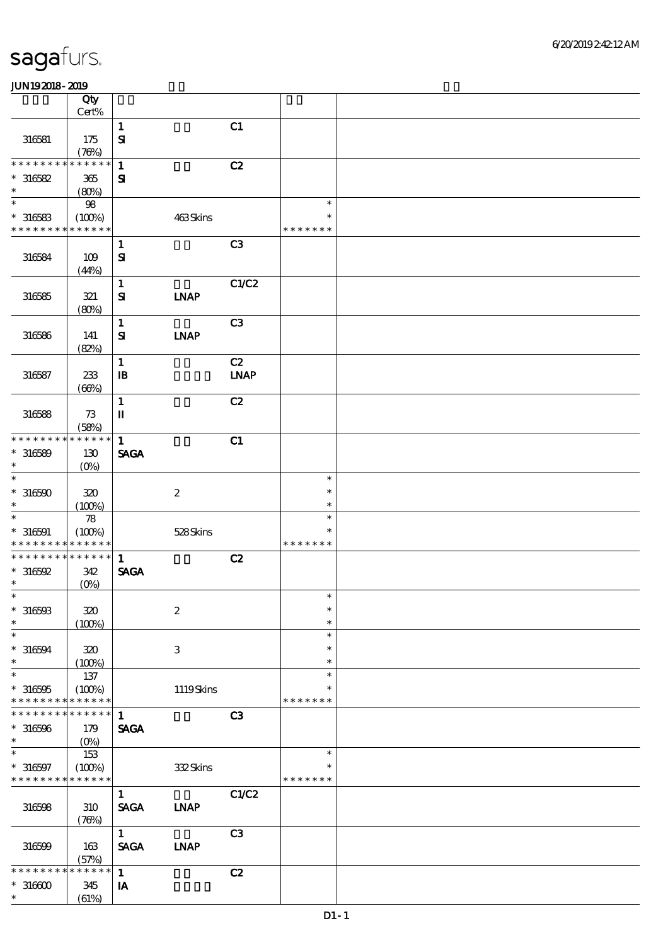|                             | Qty                        |                             |                  |                |                  |  |
|-----------------------------|----------------------------|-----------------------------|------------------|----------------|------------------|--|
|                             | Cert%                      |                             |                  |                |                  |  |
| 316581                      | 175                        | $\mathbf 1$<br>$\mathbf{S}$ |                  | C1             |                  |  |
| * * * * * * * *             | (78%)<br>* * * * * *       |                             |                  |                |                  |  |
|                             |                            | $\mathbf{1}$                |                  | C2             |                  |  |
| $*316582$<br>$\ast$         | 365<br>(80%)               | $\mathbf{S}$                |                  |                |                  |  |
| $\ast$                      | $98\,$                     |                             |                  |                | $\ast$           |  |
| $*316583$                   | (100%)                     |                             | 463Skins         |                | $\ast$           |  |
| * * * * * * * *             | * * * * * *                |                             |                  |                | * * * * * * *    |  |
|                             |                            | $\mathbf{1}$                |                  | C3             |                  |  |
| 316584                      | 109<br>(44%)               | $\mathbf{S}$                |                  |                |                  |  |
|                             |                            | $\mathbf 1$                 |                  | C1/C2          |                  |  |
| 316585                      | $321\,$                    | ${\bf S}$                   | <b>INAP</b>      |                |                  |  |
|                             | (80%)                      |                             |                  |                |                  |  |
|                             |                            | $\mathbf{1}$                |                  | C3             |                  |  |
| 316586                      | 141                        | ${\bf s}$                   | <b>LNAP</b>      |                |                  |  |
|                             | (82%)                      |                             |                  |                |                  |  |
|                             |                            | $\mathbf{1}$                |                  | C2             |                  |  |
| 316587                      | 233<br>(66%)               | $\mathbf{B}$                |                  | <b>LNAP</b>    |                  |  |
|                             |                            | $\mathbf{1}$                |                  | C2             |                  |  |
| 316588                      | 73                         | $\mathbf I$                 |                  |                |                  |  |
|                             | (58%)                      |                             |                  |                |                  |  |
| * * * * * * * *             | * * * * * *                | $\mathbf{1}$                |                  | C1             |                  |  |
| $*316589$                   | 130                        | <b>SAGA</b>                 |                  |                |                  |  |
| $\ast$                      | $(O\!/\!\!\delta)$         |                             |                  |                |                  |  |
| $\ast$                      |                            |                             |                  |                | $\ast$           |  |
| $*316590$                   | 320                        |                             | $\boldsymbol{2}$ |                | $\ast$           |  |
| $\ast$                      | (100%)                     |                             |                  |                | $\ast$           |  |
| $\ast$                      | $\boldsymbol{\mathcal{R}}$ |                             |                  |                | $\ast$           |  |
| $* 316591$                  | (100%)                     |                             | 528Skins         |                | $\ast$           |  |
| * * * * * * * *             | * * * * * *                |                             |                  |                | * * * * * * *    |  |
| * * * * * * * * * * * * * * |                            | $\mathbf{1}$                |                  | C2             |                  |  |
| $*316592$                   | 342                        | <b>SAGA</b>                 |                  |                |                  |  |
| $\ast$                      | $(0\%)$                    |                             |                  |                |                  |  |
| $*$                         |                            |                             |                  |                | $\ast$           |  |
| $* 316503$                  | 320                        |                             | $\boldsymbol{2}$ |                | $\ast$           |  |
| $\ast$                      | (100%)                     |                             |                  |                | $\ast$           |  |
| $\ast$                      |                            |                             |                  |                | $\ast$<br>$\ast$ |  |
| $* 316594$<br>$\ast$        | 320                        |                             | 3                |                | $\ast$           |  |
| $\ast$                      | (100%)<br>137              |                             |                  |                | $\ast$           |  |
| $*316595$                   | (100%)                     |                             | 1119Skins        |                | *                |  |
| * * * * * * * *             | * * * * * *                |                             |                  |                | * * * * * * *    |  |
| * * * * * * *               | * * * * * *                | $\mathbf{1}$                |                  | C <sub>3</sub> |                  |  |
| $*316596$                   | 179                        | <b>SAGA</b>                 |                  |                |                  |  |
| $\ast$                      | (O <sub>0</sub> )          |                             |                  |                |                  |  |
| $\ast$                      | 153                        |                             |                  |                | $\ast$           |  |
| $* 316597$                  | (100%)                     |                             | 332Skins         |                |                  |  |
| * * * * * * * *             | * * * * * *                |                             |                  |                | * * * * * * *    |  |
|                             |                            | $\mathbf{1}$                |                  | C1/C2          |                  |  |
| 316598                      | 310                        | <b>SAGA</b>                 | <b>LNAP</b>      |                |                  |  |
|                             | (78%)                      |                             |                  |                |                  |  |
|                             |                            | 1                           |                  | C3             |                  |  |
| 316599                      | 163                        | <b>SAGA</b>                 | <b>INAP</b>      |                |                  |  |
|                             | (57%)                      |                             |                  |                |                  |  |
| * * * * * * *               | * * * * * *                | $\mathbf{1}$                |                  | C2             |                  |  |
| $*316600$                   | 345                        | IA                          |                  |                |                  |  |
| $\ast$                      | (61%)                      |                             |                  |                |                  |  |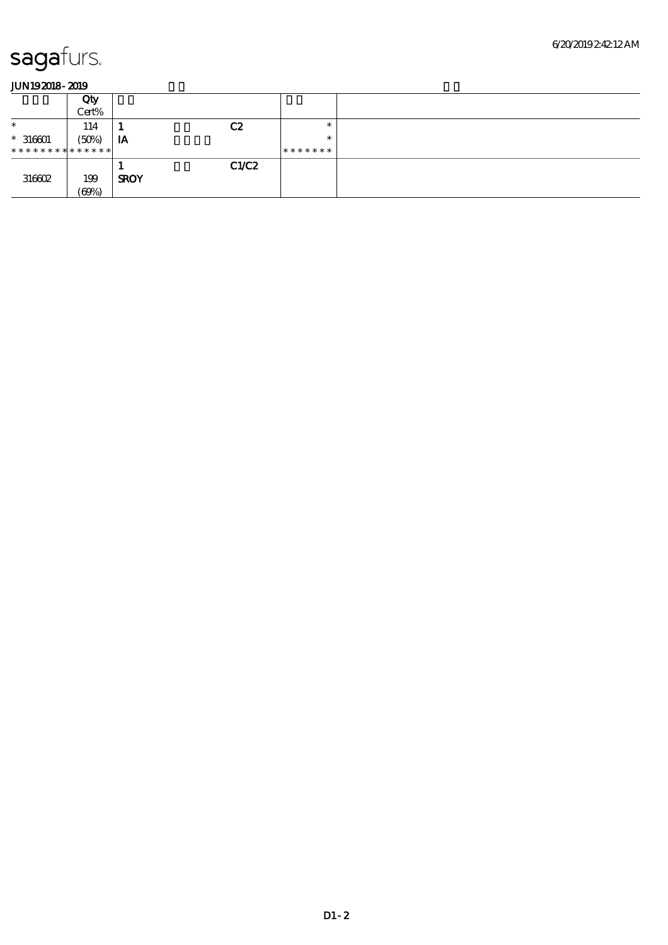|                               | Qty   |             |       |         |  |
|-------------------------------|-------|-------------|-------|---------|--|
|                               | Cert% |             |       |         |  |
| $\ast$                        | 114   |             | C2    | $\ast$  |  |
| $*316601$                     | (50%) | IA          |       | $\ast$  |  |
| * * * * * * * * * * * * * * * |       |             |       | ******* |  |
|                               |       |             | C1/C2 |         |  |
| 316602                        | 199   | <b>SROY</b> |       |         |  |
|                               | (60%) |             |       |         |  |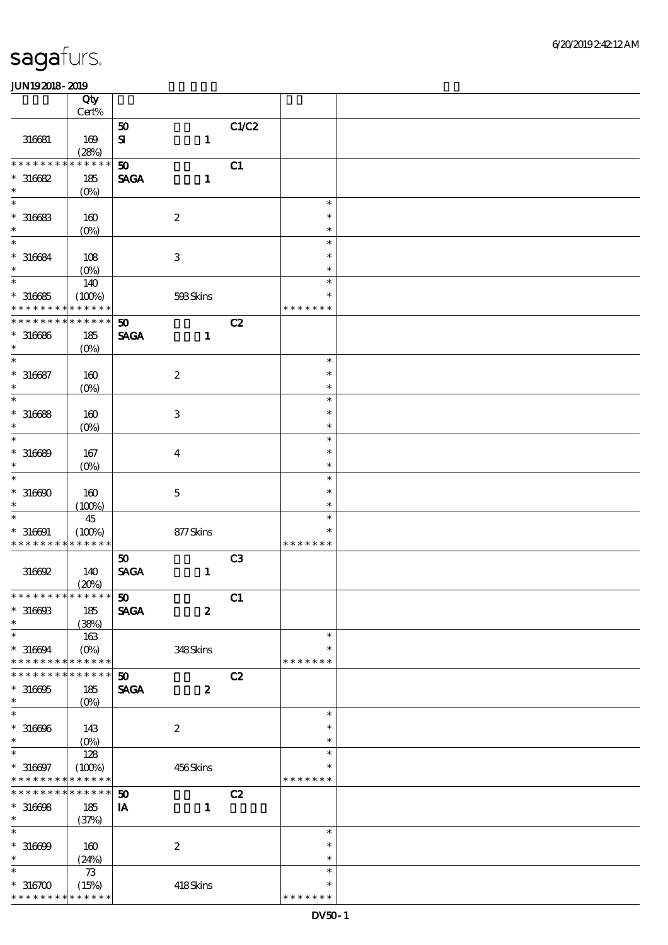|                              | Qty                |                         |                           |                |                  |  |
|------------------------------|--------------------|-------------------------|---------------------------|----------------|------------------|--|
|                              | Cert%              |                         |                           |                |                  |  |
|                              |                    | 50                      |                           | C1/C2          |                  |  |
| 316681                       | $169$<br>(28%)     | $\mathbf{S}$            | $\mathbf{1}$              |                |                  |  |
| * * * * * * *                | * * * * * *        | 50                      |                           | C1             |                  |  |
| $*316682$                    | 185                | <b>SAGA</b>             | $\mathbf{1}$              |                |                  |  |
| $\ast$                       | (O <sub>0</sub> )  |                         |                           |                |                  |  |
| $\ast$                       |                    |                         |                           |                | $\ast$           |  |
| $*316683$                    | 160                |                         | $\boldsymbol{2}$          |                | $\ast$           |  |
| $\ast$                       | (O <sub>0</sub> )  |                         |                           |                | $\ast$           |  |
| $\ast$                       |                    |                         |                           |                | $\ast$<br>$\ast$ |  |
| $* 316684$<br>$\ast$         | $108$              |                         | $\ensuremath{\mathbf{3}}$ |                | $\ast$           |  |
| $\ast$                       | $(0\%)$<br>140     |                         |                           |                | $\ast$           |  |
| $*316685$                    | (100%)             |                         | 593Skins                  |                | $\ast$           |  |
| * * * * * * * *              | * * * * * *        |                         |                           |                | * * * * * * *    |  |
| * * * * * * *                | * * * * * *        | 50                      |                           | C2             |                  |  |
| $* 316666$                   | 185                | <b>SAGA</b>             | $\mathbf{1}$              |                |                  |  |
| $\ast$                       | $(O\%)$            |                         |                           |                |                  |  |
| $\ast$                       |                    |                         |                           |                | $\ast$           |  |
| $* 316687$<br>$\ast$         | 160                |                         | $\boldsymbol{2}$          |                | $\ast$<br>$\ast$ |  |
| $\ast$                       | $(Q_0)$            |                         |                           |                | $\ast$           |  |
| $*316688$                    | 160                |                         | $\ensuremath{\mathbf{3}}$ |                | $\ast$           |  |
| $\ast$                       | (O <sub>0</sub> )  |                         |                           |                | $\ast$           |  |
| $\ast$                       |                    |                         |                           |                | $\ast$           |  |
| $* 316689$                   | 167                |                         | $\boldsymbol{4}$          |                | $\ast$           |  |
| $\ast$                       | $(O\!/\!\!\delta)$ |                         |                           |                | $\ast$           |  |
| $\ast$                       |                    |                         |                           |                | $\ast$           |  |
| $*316690$                    | 160                |                         | $\mathbf 5$               |                | $\ast$           |  |
| $\ast$<br>$\ast$             | (100%)<br>45       |                         |                           |                | $\ast$<br>$\ast$ |  |
| $* 316691$                   | (100%)             |                         | 877Skins                  |                | $\ast$           |  |
| * * * * * * * *              | * * * * * *        |                         |                           |                | * * * * * * *    |  |
|                              |                    | 50                      |                           | C <sub>3</sub> |                  |  |
| 316692                       | 140                | <b>SAGA</b>             | $\mathbf{1}$              |                |                  |  |
|                              | (20%)              |                         |                           |                |                  |  |
| ******** <mark>******</mark> |                    | 50                      |                           | C1             |                  |  |
| $*31660B$<br>$\ast$          | 185                | <b>SAGA</b>             | $\boldsymbol{z}$          |                |                  |  |
| $\ast$                       | (38%)<br>163       |                         |                           |                | $\ast$           |  |
| $* 316694$                   | $(O\%)$            |                         | 348Skins                  |                | $\ast$           |  |
| * * * * * * * *              | * * * * * *        |                         |                           |                | * * * * * * *    |  |
| * * * * * * *                | * * * * * *        | 50                      |                           | C2             |                  |  |
| $*316605$                    | 185                | <b>SAGA</b>             | $\boldsymbol{z}$          |                |                  |  |
| $\ast$                       | $(O\%)$            |                         |                           |                |                  |  |
| $\ast$                       |                    |                         |                           |                | $\ast$           |  |
| $* 316666$<br>$\ast$         | 143                |                         | $\boldsymbol{2}$          |                | $\ast$<br>$\ast$ |  |
| $\ast$                       | $(O\%)$<br>128     |                         |                           |                | $\ast$           |  |
| $* 316697$                   | (100%)             |                         | 456Skins                  |                | *                |  |
| * * * * * * * *              | * * * * * *        |                         |                           |                | * * * * * * *    |  |
| * * * * * * * *              | * * * * * *        | 50                      |                           | C2             |                  |  |
| $*316698$                    | 185                | $\mathbf{I} \mathbf{A}$ | $\mathbf{1}$              |                |                  |  |
| $\ast$                       | (37%)              |                         |                           |                |                  |  |
| $\ast$                       |                    |                         |                           |                | $\ast$           |  |
| $* 316699$<br>$\ast$         | 160                |                         | $\boldsymbol{2}$          |                | $\ast$<br>$\ast$ |  |
| $\ast$                       | (24%)<br>$73$      |                         |                           |                | $\ast$           |  |
| $*316700$                    | (15%)              |                         | 418Skins                  |                | $\ast$           |  |
| * * * * * * * *              | * * * * * *        |                         |                           |                | * * * * * * *    |  |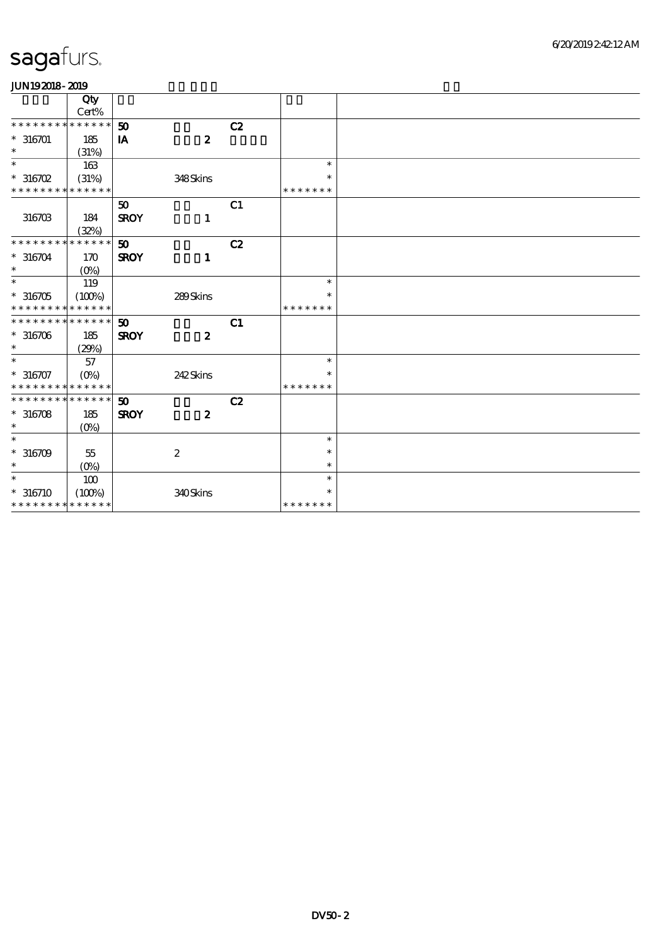| .                           |                    |                             |                  |    |               |  |
|-----------------------------|--------------------|-----------------------------|------------------|----|---------------|--|
|                             | Qty                |                             |                  |    |               |  |
|                             | Cert%              |                             |                  |    |               |  |
| * * * * * * * *             | * * * * * *        | 50                          |                  | C2 |               |  |
| $* 316701$                  | 185                | IA                          | $\boldsymbol{z}$ |    |               |  |
| $\ast$                      | (31%)              |                             |                  |    |               |  |
| $\ast$                      | 163                |                             |                  |    | $\ast$        |  |
| $^*$ 316702 $\,$            | (31%)              |                             | 348Skins         |    | $\ast$        |  |
| * * * * * * * * * * * * * * |                    |                             |                  |    | * * * * * * * |  |
|                             |                    | 50                          |                  | C1 |               |  |
| 316703                      | 184                | <b>SROY</b>                 | $\mathbf{1}$     |    |               |  |
|                             | (32%)              |                             |                  |    |               |  |
| * * * * * * * *             | * * * * * *        | 50 <sub>o</sub>             |                  | C2 |               |  |
| $* 316704$                  | 170                | <b>SROY</b>                 | $\mathbf{1}$     |    |               |  |
| $\ast$                      | $(O\%)$            |                             |                  |    |               |  |
| $\ast$                      | 119                |                             |                  |    | $\ast$        |  |
| $*316705$                   | (100%)             |                             | 289Skins         |    | $\ast$        |  |
| * * * * * * * *             | * * * * * *        |                             |                  |    | * * * * * * * |  |
| * * * * * * * * * * * * * * |                    | $\boldsymbol{\mathfrak{D}}$ |                  | C1 |               |  |
| $*316706$                   | 185                | <b>SROY</b>                 | $\boldsymbol{z}$ |    |               |  |
| $\ast$                      | (29%)              |                             |                  |    |               |  |
| $\ast$                      | 57                 |                             |                  |    | $\ast$        |  |
| $* 316707$                  | $(O\%)$            |                             | 242Skins         |    | $\ast$        |  |
| * * * * * * * *             | * * * * * *        |                             |                  |    | * * * * * * * |  |
| * * * * * * * * * * * * * * |                    | 50                          |                  | C2 |               |  |
| $*316708$                   | 185                | <b>SROY</b>                 | $\boldsymbol{z}$ |    |               |  |
| $\ast$                      |                    |                             |                  |    |               |  |
| $\ast$                      | $(O\%)$            |                             |                  |    | $\ast$        |  |
| $*316709$                   | $55\,$             |                             | $\boldsymbol{2}$ |    | $\ast$        |  |
| $\ast$                      | $(O\!/\!\!\delta)$ |                             |                  |    | $\ast$        |  |
| $\ast$                      |                    |                             |                  |    | $\ast$        |  |
|                             | 100                |                             |                  |    |               |  |
| $* 316710$                  | (100%)             |                             | 340Skins         |    | $\ast$        |  |
| * * * * * * * * * * * * * * |                    |                             |                  |    | * * * * * * * |  |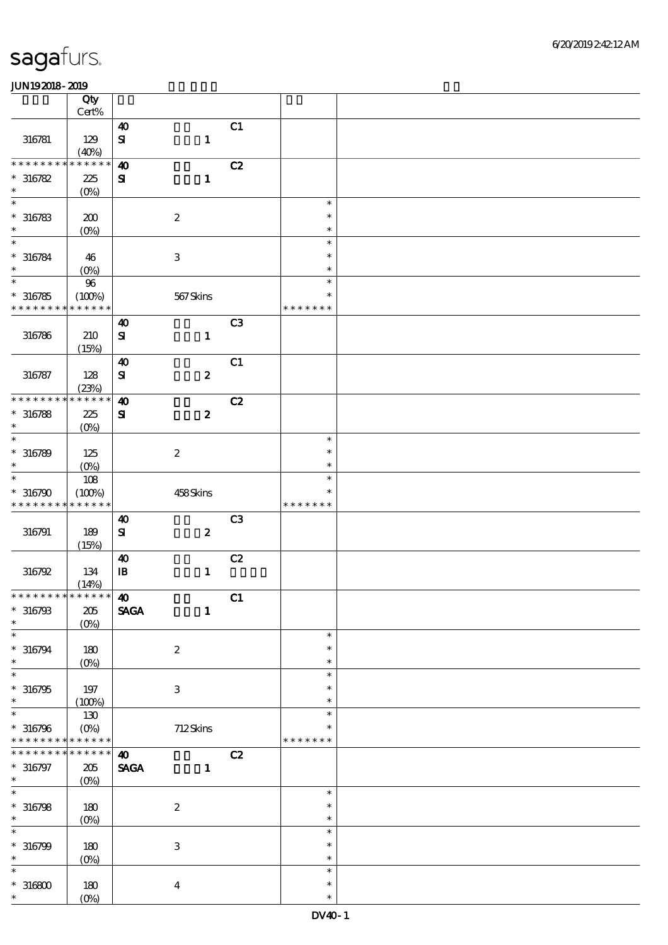|                               | Qty                    |                                |                           |    |                         |  |
|-------------------------------|------------------------|--------------------------------|---------------------------|----|-------------------------|--|
|                               | $Cert\%$               |                                |                           |    |                         |  |
|                               |                        | $\boldsymbol{\omega}$          |                           | C1 |                         |  |
| 316781                        | 129                    | $\mathbf{S}$                   | $\mathbf{1}$              |    |                         |  |
| * * * * * * *                 | (40%)<br>* * * * * *   | $\boldsymbol{\omega}$          |                           | C2 |                         |  |
| $*316782$                     | 225                    | ${\bf S}$                      |                           |    |                         |  |
| $\ast$                        |                        |                                | $\mathbf{1}$              |    |                         |  |
| $\ast$                        | $(O\%)$                |                                |                           |    | $\ast$                  |  |
|                               |                        |                                |                           |    | $\ast$                  |  |
| $* 316783$<br>$\ast$          | 200                    |                                | $\boldsymbol{2}$          |    | $\ast$                  |  |
| $\ast$                        | $(0\%)$                |                                |                           |    | $\ast$                  |  |
|                               |                        |                                |                           |    | $\ast$                  |  |
| $* 316784$<br>$\ast$          | 46                     |                                | $\ensuremath{\mathbf{3}}$ |    | $\ast$                  |  |
| $\ast$                        | $(0\%)$                |                                |                           |    | $\ast$                  |  |
|                               | $9\!6$                 |                                |                           |    |                         |  |
| $*316785$<br>* * * * * * * *  | (100%)<br>* * * * * *  |                                | $567$ Skins               |    | $\ast$<br>* * * * * * * |  |
|                               |                        |                                |                           |    |                         |  |
|                               |                        | $\boldsymbol{\omega}$          |                           | C3 |                         |  |
| 316786                        | 210                    | $\mathbf{S}$                   | $\mathbf 1$               |    |                         |  |
|                               | (15%)                  |                                |                           |    |                         |  |
|                               |                        | $\boldsymbol{\omega}$          |                           | C1 |                         |  |
| 316787                        | 128                    | $\mathbf{S}$                   | $\pmb{2}$                 |    |                         |  |
| * * * * * * * *               | (23%)<br>* * * * * *   |                                |                           |    |                         |  |
|                               |                        | $\boldsymbol{\omega}$          |                           | C2 |                         |  |
| $* 316788$                    | 225                    | ${\bf s}$                      | $\boldsymbol{z}$          |    |                         |  |
| $\ast$<br>$\ast$              | $(0\%)$                |                                |                           |    |                         |  |
|                               |                        |                                |                           |    | $\ast$                  |  |
| $* 316789$                    | 125                    |                                | $\boldsymbol{2}$          |    | $\ast$                  |  |
| $\ast$                        | $(O\%)$                |                                |                           |    | $\ast$                  |  |
| $\ast$                        | 108                    |                                |                           |    | $\ast$                  |  |
| $*316790$                     | (100%)                 |                                | 458Skins                  |    | $\ast$                  |  |
| * * * * * * * *               | * * * * * *            |                                |                           |    | * * * * * * *           |  |
|                               |                        | $\boldsymbol{\omega}$          |                           | C3 |                         |  |
| 316791                        | 189                    | $\mathbf{S}$                   | $\pmb{2}$                 |    |                         |  |
|                               | (15%)                  |                                |                           |    |                         |  |
|                               |                        | $\boldsymbol{\omega}$          |                           | C2 |                         |  |
| 316792                        | 134                    | ${\bf I\!B}$                   | $\mathbf{1}$              |    |                         |  |
|                               | (14%)                  |                                |                           |    |                         |  |
|                               |                        |                                |                           | C1 |                         |  |
| $* 316793$                    | $205\,$                | <b>SAGA</b>                    | $\mathbf{1}$              |    |                         |  |
| $\ast$<br>$\ast$              | $(O\%)$                |                                |                           |    | $\ast$                  |  |
|                               |                        |                                |                           |    |                         |  |
| $* 316794$<br>$\ast$          | 180                    |                                | $\boldsymbol{z}$          |    | $\ast$<br>$\ast$        |  |
| $\ast$                        | $(0\%)$                |                                |                           |    |                         |  |
|                               |                        |                                |                           |    | $\ast$<br>$\ast$        |  |
| $*316795$<br>$\ast$           | 197                    |                                | $\ensuremath{\mathsf{3}}$ |    | $\ast$                  |  |
| $\ast$                        | (100%)                 |                                |                           |    | $\ast$                  |  |
|                               | 130                    |                                |                           |    |                         |  |
| $* 316796$<br>* * * * * * * * | $(O\%)$<br>* * * * * * |                                | 712Skins                  |    | * * * * * * *           |  |
| * * * * * * *                 | * * * * * *            | $\boldsymbol{\omega}$          |                           | C2 |                         |  |
| $* 316797$                    | 205                    | $\operatorname{\mathsf{SAGA}}$ | $\mathbf{1}$              |    |                         |  |
| $\ast$                        |                        |                                |                           |    |                         |  |
| $\overline{\ast}$             | $(O\%)$                |                                |                           |    | $\ast$                  |  |
| $* 316798$                    |                        |                                |                           |    | $\ast$                  |  |
| $\ast$                        | 180                    |                                | $\boldsymbol{2}$          |    | $\ast$                  |  |
| $\ast$                        | $(0\%)$                |                                |                           |    | $\ast$                  |  |
|                               |                        |                                |                           |    | $\ast$                  |  |
| $* 316799$<br>$\ast$          | 180                    |                                | $\,3$                     |    | $\ast$                  |  |
| $\ast$                        | $(0\%)$                |                                |                           |    | $\ast$                  |  |
|                               |                        |                                |                           |    | $\ast$                  |  |
| $^\ast$ 316800<br>$\ast$      | 180                    |                                | $\boldsymbol{4}$          |    | $\ast$                  |  |
|                               | $(0\%)$                |                                |                           |    |                         |  |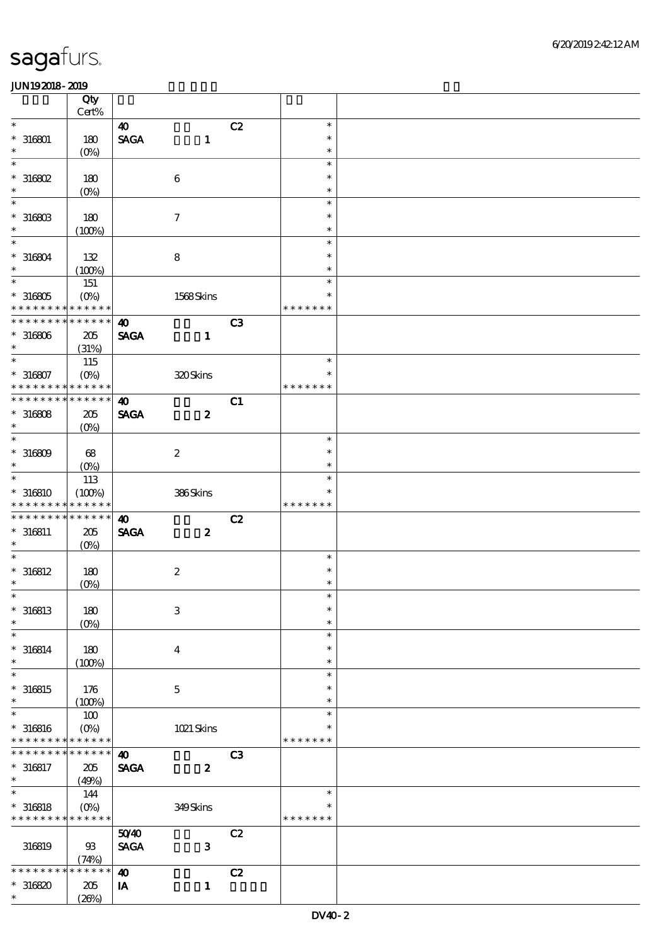|                             | Qty<br>Cert%       |                              |                         |                |               |  |
|-----------------------------|--------------------|------------------------------|-------------------------|----------------|---------------|--|
| $\ast$                      |                    | $\boldsymbol{\omega}$        |                         | C2             | $\ast$        |  |
|                             |                    |                              |                         |                | $\ast$        |  |
| $* 316001$<br>$\ast$        | 180                | $\ensuremath{\mathsf{SAGA}}$ | $\mathbf{1}$            |                | $\ast$        |  |
| $\ast$                      | (O <sub>0</sub> )  |                              |                         |                | $\ast$        |  |
|                             |                    |                              |                         |                |               |  |
| $*316802$                   | 180                |                              | $\boldsymbol{6}$        |                | $\ast$        |  |
| $\ast$                      | $(0\%)$            |                              |                         |                | $\ast$        |  |
| $\ast$                      |                    |                              |                         |                | $\ast$        |  |
| $^*$ 316803 $\,$            | 180                |                              | $\boldsymbol{\tau}$     |                | $\ast$        |  |
| $\ast$                      | (100%)             |                              |                         |                | $\ast$        |  |
| $\ast$                      |                    |                              |                         |                | $\ast$        |  |
| $*316804$                   | 132                |                              | ${\bf 8}$               |                | $\ast$        |  |
| $\ast$                      | (100%)             |                              |                         |                | $\ast$        |  |
| $\ast$                      | 151                |                              |                         |                | $\ast$        |  |
| $*316805$                   | $(O\%)$            |                              | 1568Skins               |                | $\ast$        |  |
| * * * * * * * * * * * * * * |                    |                              |                         |                | * * * * * * * |  |
| * * * * * * * * * * * * * * |                    | $\boldsymbol{\omega}$        |                         | C <sub>3</sub> |               |  |
| $*316806$                   | $205\,$            | <b>SAGA</b>                  | $\mathbf{1}$            |                |               |  |
| $\ast$                      | (31%)              |                              |                         |                |               |  |
| $\ast$                      | 115                |                              |                         |                | $\ast$        |  |
| $*316807$                   | $(O\!/\!\!\delta)$ |                              | 320Skins                |                | $\ast$        |  |
| * * * * * * * *             | * * * * * *        |                              |                         |                | * * * * * * * |  |
| * * * * * * * *             | * * * * * *        | $\boldsymbol{\omega}$        |                         |                |               |  |
|                             |                    |                              |                         | C1             |               |  |
| $*316808$                   | 205                | <b>SAGA</b>                  | $\boldsymbol{z}$        |                |               |  |
| $\ast$                      | $(O\%)$            |                              |                         |                |               |  |
| $\ast$                      |                    |                              |                         |                | $\ast$        |  |
| $*316809$                   | 68                 |                              | $\boldsymbol{2}$        |                | $\ast$        |  |
| $\ast$                      | $(O\% )$           |                              |                         |                | $\ast$        |  |
| $\ast$                      | 113                |                              |                         |                | $\ast$        |  |
| $*316810$                   | (100%)             |                              | 386Skins                |                | *             |  |
| * * * * * * * *             | * * * * * *        |                              |                         |                | * * * * * * * |  |
| * * * * * * *               | * * * * * *        | $\boldsymbol{\omega}$        |                         | C2             |               |  |
|                             |                    |                              |                         |                |               |  |
| $* 316811$                  | 205                | <b>SAGA</b>                  | $\boldsymbol{z}$        |                |               |  |
| $\ast$                      | $(O\%)$            |                              |                         |                |               |  |
| $\ast$                      |                    |                              |                         |                | $\ast$        |  |
| $* 316812$                  | 180                |                              |                         |                | $\ast$        |  |
| $\ast$                      |                    |                              | $\boldsymbol{2}$        |                | $\ast$        |  |
| $*$                         | O(6)               |                              |                         |                | $\ast$        |  |
|                             |                    |                              |                         |                | $\ast$        |  |
| $* 316813$<br>$\ast$        | 180                |                              | $\,3$                   |                | $\ast$        |  |
| $\ast$                      | (O <sub>0</sub> )  |                              |                         |                | $\ast$        |  |
|                             |                    |                              |                         |                | $\ast$        |  |
| $*316814$<br>$\ast$         | 180                |                              | $\overline{\mathbf{4}}$ |                | $\ast$        |  |
| $\ast$                      | (100%)             |                              |                         |                | $\ast$        |  |
|                             |                    |                              |                         |                | $\ast$        |  |
| $*316815$<br>$\ast$         | 176                |                              | $\mathbf 5$             |                | $\ast$        |  |
| $\ast$                      | (100%)             |                              |                         |                | $\ast$        |  |
|                             | 100                |                              |                         |                |               |  |
| $* 316816$                  | $(O\%)$            |                              | 1021 Skins              |                |               |  |
| * * * * * * * *             | * * * * * *        |                              |                         |                | * * * * * * * |  |
| * * * * * * *               | * * * * * *        | $\boldsymbol{\omega}$        |                         | C3             |               |  |
| $*316817$                   | 205                | <b>SAGA</b>                  | $\boldsymbol{z}$        |                |               |  |
| $\ast$                      | (49%)              |                              |                         |                |               |  |
| $\ast$                      | 144                |                              |                         |                | $\ast$        |  |
| $*316818$                   | $(O\%)$            |                              | 349Skins                |                | ∗             |  |
| * * * * * * * * * * * * * * |                    |                              |                         |                | * * * * * * * |  |
|                             |                    | 5040                         |                         | C2             |               |  |
| 316819                      | $93$               | <b>SAGA</b>                  | $\mathbf{3}$            |                |               |  |
|                             | (74%)              |                              |                         |                |               |  |
| * * * * * *                 | * * * * * *        | $\boldsymbol{\omega}$        |                         | C2             |               |  |
| $*316820$<br>$\ast$         | $205\,$<br>(20%)   | IA                           | $\mathbf{1}$            |                |               |  |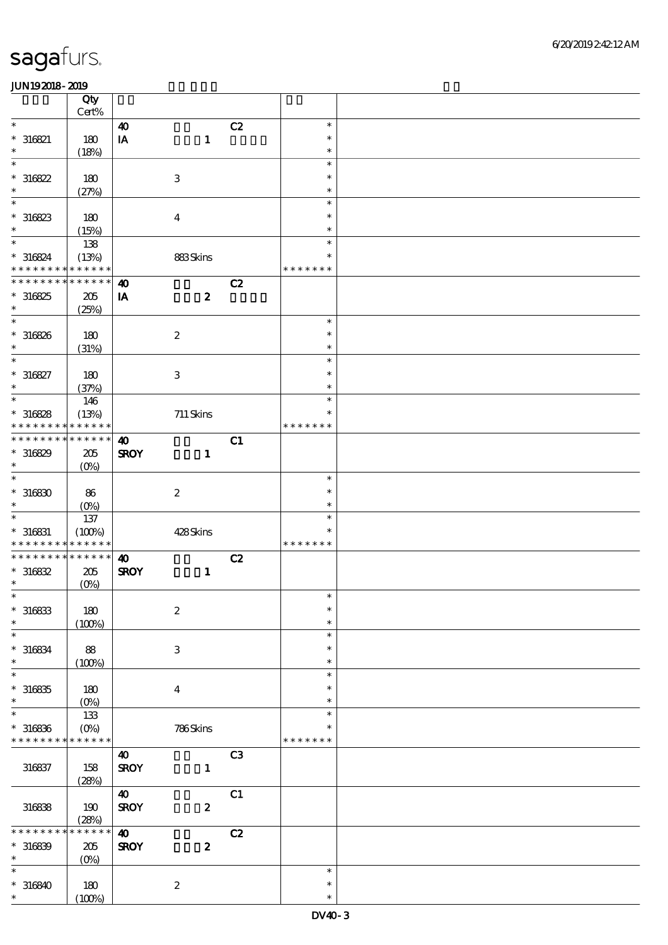|                              | Qty<br>Cert%         |                         |                           |                |               |  |
|------------------------------|----------------------|-------------------------|---------------------------|----------------|---------------|--|
| $\ast$                       |                      |                         |                           |                | $\ast$        |  |
|                              |                      | $\boldsymbol{\omega}$   |                           | C2             |               |  |
| $*316821$                    | 180                  | $\mathbf{I} \mathbf{A}$ | $\mathbf{1}$              |                | $\ast$        |  |
| $\ast$                       | (18%)                |                         |                           |                | $\ast$        |  |
| $\ast$                       |                      |                         |                           |                | $\ast$        |  |
| $*316822$                    | 180                  |                         | $\,3$                     |                | $\ast$        |  |
| $\ast$                       | (27%)                |                         |                           |                | $\ast$        |  |
| $\ast$                       |                      |                         |                           |                | $\ast$        |  |
| $*316823$                    | 180                  |                         | $\boldsymbol{4}$          |                | $\ast$        |  |
| $\ast$                       | (15%)                |                         |                           |                | $\ast$        |  |
| $\ast$                       | 138                  |                         |                           |                | $\ast$        |  |
|                              |                      |                         |                           |                | $\ast$        |  |
| $*316824$<br>* * * * * * * * | (13%)<br>* * * * * * |                         | 883Skins                  |                | * * * * * * * |  |
|                              |                      |                         |                           |                |               |  |
| * * * * * * * * * * * * * *  |                      | $\boldsymbol{\omega}$   |                           | C2             |               |  |
| $*316825$                    | $205\,$              | IA                      | $\boldsymbol{z}$          |                |               |  |
| $\ast$                       | (25%)                |                         |                           |                |               |  |
| $\ast$                       |                      |                         |                           |                | $\ast$        |  |
| $* 316826$                   | 180                  |                         | $\boldsymbol{2}$          |                | $\ast$        |  |
| $\ast$                       | (31%)                |                         |                           |                | $\ast$        |  |
| $\ast$                       |                      |                         |                           |                | $\ast$        |  |
| $* 316827$                   | 180                  |                         | $\ensuremath{\mathbf{3}}$ |                | $\ast$        |  |
| $\ast$                       |                      |                         |                           |                | $\ast$        |  |
| $\overline{\ast}$            | (37%)                |                         |                           |                | $\ast$        |  |
|                              | 146                  |                         |                           |                |               |  |
| $*316828$                    | (13%)                |                         | $711$ Skins               |                | $\ast$        |  |
| * * * * * * * *              | * * * * * *          |                         |                           |                | * * * * * * * |  |
| * * * * * * * *              | * * * * * *          | $\boldsymbol{\omega}$   |                           | C1             |               |  |
| $*316829$                    | 205                  | <b>SROY</b>             | $\mathbf{1}$              |                |               |  |
| $\ast$                       | (O <sub>0</sub> )    |                         |                           |                |               |  |
| $\ast$                       |                      |                         |                           |                | $\ast$        |  |
| $*316830$                    | 86                   |                         | $\boldsymbol{2}$          |                | $\ast$        |  |
| $\ast$                       | $(O\%)$              |                         |                           |                | $\ast$        |  |
| $\ast$                       | 137                  |                         |                           |                | $\ast$        |  |
|                              |                      |                         |                           |                | $\ast$        |  |
| $* 316831$                   | (100%)               |                         | 428Skins                  |                |               |  |
| * * * * * * * *              | * * * * * *          |                         |                           |                | * * * * * * * |  |
| * * * * * * * * * * * * * *  |                      | $\boldsymbol{\omega}$   |                           | C2             |               |  |
| $*316832$                    | $205\,$              | <b>SROY</b>             | $\mathbf{1}$              |                |               |  |
| $\ast$                       | $(0\%)$              |                         |                           |                |               |  |
| $\ast$                       |                      |                         |                           |                | $\ast$        |  |
| $*316833$                    | $180$                |                         | $\boldsymbol{2}$          |                | $\ast$        |  |
| $\ast$                       | (100%)               |                         |                           |                | $\ast$        |  |
| $\ast$                       |                      |                         |                           |                | $\ast$        |  |
| $* 316834$                   | 88                   |                         | $\,3$                     |                | $\ast$        |  |
| $\ast$                       | (100%)               |                         |                           |                | $\ast$        |  |
| $\ast$                       |                      |                         |                           |                | $\ast$        |  |
|                              |                      |                         |                           |                |               |  |
| $*316835$                    | 180                  |                         | $\boldsymbol{4}$          |                | ∗             |  |
| $\ast$                       | (O <sub>0</sub> )    |                         |                           |                | $\ast$        |  |
| $\ast$                       | 133                  |                         |                           |                | $\ast$        |  |
| $*316836$                    | $(O\%)$              |                         | 786Skins                  |                | ∗             |  |
| * * * * * * * *              | * * * * * *          |                         |                           |                | * * * * * * * |  |
|                              |                      | $\boldsymbol{\omega}$   |                           | C <sub>3</sub> |               |  |
| 316837                       | 158                  | <b>SROY</b>             | $\mathbf{1}$              |                |               |  |
|                              | (28%)                |                         |                           |                |               |  |
|                              |                      | $\boldsymbol{\omega}$   |                           | C1             |               |  |
|                              |                      |                         |                           |                |               |  |
| 316838                       | 190                  | <b>SROY</b>             | $\boldsymbol{z}$          |                |               |  |
|                              | (28%)                |                         |                           |                |               |  |
| * * * * *                    | * * * * * *          | $\boldsymbol{\omega}$   |                           | C2             |               |  |
| $*316839$                    | $205\,$              | <b>SROY</b>             | $\boldsymbol{2}$          |                |               |  |
| $\ast$                       | $(0\%)$              |                         |                           |                |               |  |
| $\ast$                       |                      |                         |                           |                | $\ast$        |  |
| $*316840$                    | 180                  |                         | $\boldsymbol{2}$          |                | $\ast$        |  |
| $\ast$                       | (100%)               |                         |                           |                | $\ast$        |  |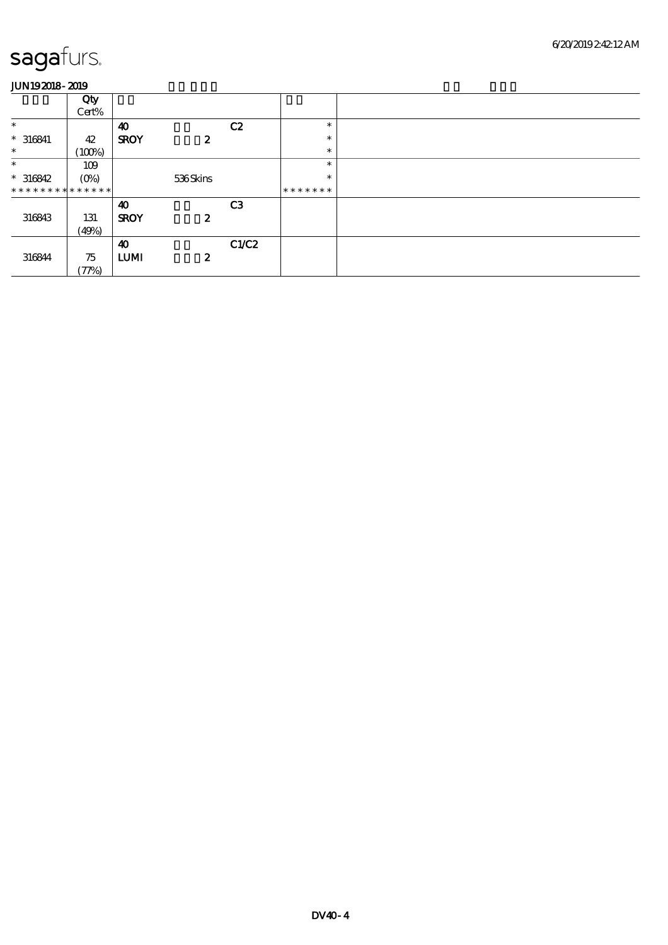|                               | Qty     |                       |                  |                |         |
|-------------------------------|---------|-----------------------|------------------|----------------|---------|
|                               | Cert%   |                       |                  |                |         |
| $\ast$                        |         | $\boldsymbol{\omega}$ |                  | C2             | $\ast$  |
| $* 316841$                    | 42      | <b>SROY</b>           | $\boldsymbol{z}$ |                | $\ast$  |
| $\ast$                        | (100%)  |                       |                  |                | $\ast$  |
| $\ast$                        | 109     |                       |                  |                | $\ast$  |
| $*316842$                     | $(0\%)$ |                       | 536Skins         |                | $\ast$  |
| * * * * * * * * * * * * * * * |         |                       |                  |                | ******* |
|                               |         | 40                    |                  | C <sub>3</sub> |         |
| 316843                        | 131     | <b>SROY</b>           | $\boldsymbol{z}$ |                |         |
|                               | (49%)   |                       |                  |                |         |
|                               |         | $\boldsymbol{\omega}$ |                  | C1/C2          |         |
| 316844                        | 75      | <b>LUMI</b>           | $\boldsymbol{z}$ |                |         |
|                               | (77%)   |                       |                  |                |         |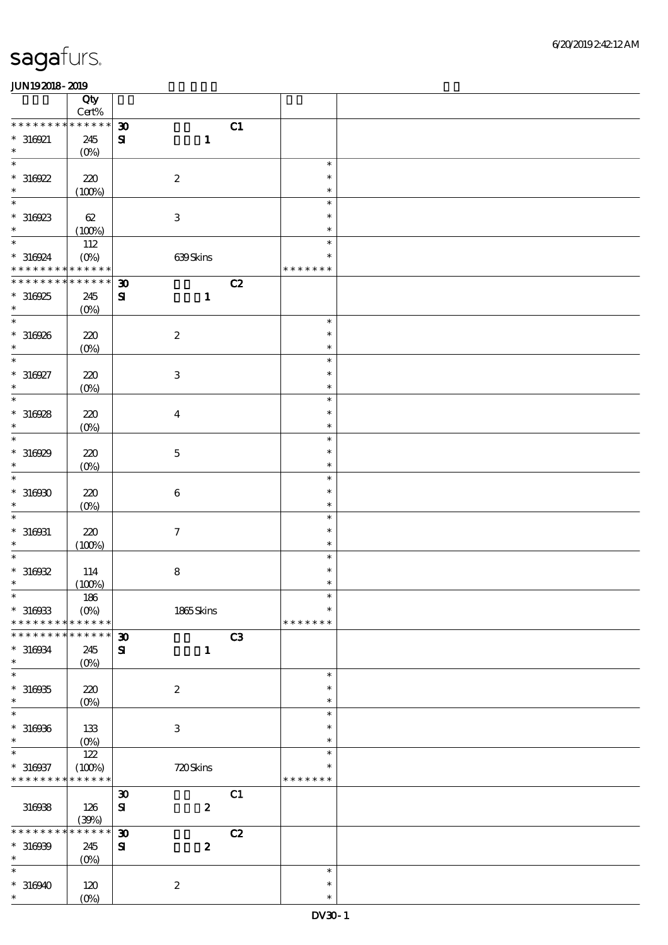|                                                         | Qty<br>$\mbox{Cert}\%$   |                             |                  |    |                         |  |
|---------------------------------------------------------|--------------------------|-----------------------------|------------------|----|-------------------------|--|
| * * * * * * * *                                         | * * * * * *              | $\boldsymbol{\mathfrak{D}}$ |                  | C1 |                         |  |
| $*316921$<br>$\ast$                                     | 245<br>$(0\%)$           | ${\bf s}$                   | $\mathbf{1}$     |    |                         |  |
| $\ast$                                                  |                          |                             |                  |    | $\ast$                  |  |
| $*316922$<br>$\ast$                                     | 220<br>(100%)            |                             | $\boldsymbol{2}$ |    | $\ast$<br>$\ast$        |  |
| $\ast$                                                  |                          |                             |                  |    | $\ast$                  |  |
| $*316923$<br>$\ast$                                     | 62<br>(100%)             |                             | $\,3$            |    | $\ast$<br>$\ast$        |  |
| $\ast$                                                  | 112                      |                             |                  |    | $\ast$                  |  |
| $*316924$<br>* * * * * * * * <mark>* * * * * *</mark> * | $(O\%)$                  |                             | 639Skins         |    | $\ast$<br>* * * * * * * |  |
| * * * * * * * *                                         | * * * * * *              | $\boldsymbol{\mathfrak{D}}$ |                  | C2 |                         |  |
| $*316925$<br>$\ast$                                     | 245<br>$(0\%)$           | ${\bf s}$                   | $\mathbf{1}$     |    |                         |  |
| $\overline{\ast}$                                       |                          |                             |                  |    | $\ast$                  |  |
| $*316926$<br>$\ast$                                     | $220$<br>$(0\%)$         |                             | $\boldsymbol{2}$ |    | $\ast$<br>$\ast$        |  |
| $\ast$                                                  |                          |                             |                  |    | $\ast$                  |  |
| $*316927$<br>$\ast$                                     | $220$<br>$(0\%)$         |                             | $\,3\,$          |    | $\ast$<br>$\ast$        |  |
| $\ast$                                                  |                          |                             |                  |    | $\ast$                  |  |
| $*316928$<br>$\ast$                                     | 220<br>$(0\%)$           |                             | $\boldsymbol{4}$ |    | $\ast$<br>$\ast$        |  |
| $\ast$                                                  |                          |                             |                  |    | $\ast$                  |  |
| $*316929$<br>$\ast$                                     | 220<br>$(0\%)$           |                             | $\mathbf 5$      |    | $\ast$<br>$\ast$        |  |
| $\ast$                                                  |                          |                             |                  |    | $\ast$                  |  |
| $*316930$<br>$\ast$                                     | 220<br>$(0\%)$           |                             | $\,6\,$          |    | $\ast$<br>$\ast$        |  |
| $\ast$                                                  |                          |                             |                  |    | $\ast$                  |  |
| $* 316031$<br>$\ast$                                    | 220<br>(100%)            |                             | $\boldsymbol{7}$ |    | $\ast$<br>$\ast$        |  |
| $\ast$                                                  |                          |                             |                  |    | $\ast$                  |  |
| $*316932$                                               | 114                      |                             | $\bf 8$          |    | $\ast$                  |  |
| $\ast$                                                  | (100%)                   |                             |                  |    | $\ast$                  |  |
| $\ast$<br>$*316933$                                     | $186\,$<br>$(O\!/\!o)$   |                             | 1865Skins        |    | $\ast$<br>$\ast$        |  |
| * * * * * * * *                                         | * * * * * *              |                             |                  |    | * * * * * * *           |  |
| * * * * * * *                                           | * * * * * *              | $\boldsymbol{\mathfrak{D}}$ |                  | C3 |                         |  |
| $* 316034$<br>$\ast$                                    | 245<br>(O <sub>0</sub> ) | ${\bf s}$                   | $\mathbf{1}$     |    |                         |  |
| $\ast$                                                  |                          |                             |                  |    | $\ast$                  |  |
| $*316935$<br>$\ast$                                     | 220<br>$(O\!/\!\delta)$  |                             | $\boldsymbol{2}$ |    | $\ast$<br>$\ast$        |  |
| $\ast$                                                  |                          |                             |                  |    | $\ast$                  |  |
| $*316936$<br>$\ast$                                     | 133<br>$(0\%)$           |                             | $\,3$            |    | $\ast$<br>$\ast$        |  |
| $\ast$                                                  | $122$                    |                             |                  |    | $\ast$                  |  |
| $* 316937$<br>* * * * * * * *                           | (100%)<br>* * * * * *    |                             | 720Skins         |    | $\ast$<br>* * * * * * * |  |
|                                                         |                          | $\boldsymbol{\mathfrak{D}}$ |                  | C1 |                         |  |
| 316938                                                  | 126<br>(30%)             | $\mathbf{S}$                | $\pmb{2}$        |    |                         |  |
| * * * * * * *                                           | * * * * * *              | $\boldsymbol{\mathfrak{D}}$ |                  | C2 |                         |  |
| $*316939$<br>$\ast$                                     | 245<br>$(0\%)$           | ${\bf s}$                   | $\boldsymbol{2}$ |    |                         |  |
| $\ast$                                                  |                          |                             |                  |    | $\ast$                  |  |
| $*316940$<br>$\ast$                                     | 120                      |                             | $\boldsymbol{2}$ |    | $\ast$<br>$\ast$        |  |
|                                                         | $(0\%)$                  |                             |                  |    |                         |  |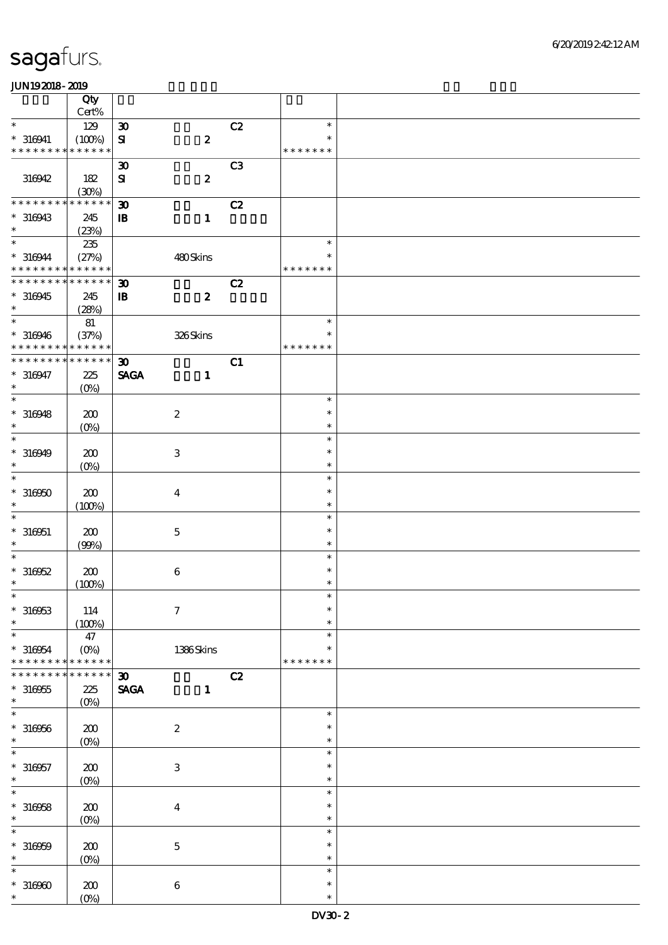|                                  | Qty                   |                                |                  |    |                  |  |
|----------------------------------|-----------------------|--------------------------------|------------------|----|------------------|--|
| $\ast$                           | Cert%                 |                                |                  |    | $\ast$           |  |
|                                  | 129                   | $\boldsymbol{\mathfrak{D}}$    |                  | C2 | $\ast$           |  |
| $* 316941$<br>* * * * * * * *    | (100%)<br>* * * * * * | $\mathbf{S}$                   | $\pmb{2}$        |    | * * * * * * *    |  |
|                                  |                       | $\boldsymbol{\mathfrak{D}}$    |                  | C3 |                  |  |
| 316942                           | 182                   | $\mathbf{S}$                   | $\boldsymbol{2}$ |    |                  |  |
|                                  | (30%)                 |                                |                  |    |                  |  |
| * * * * * * * *                  | * * * * * *           | $\boldsymbol{\mathfrak{D}}$    |                  | C2 |                  |  |
| $*316943$                        | 245                   | $\mathbf{B}$                   | $\mathbf{1}$     |    |                  |  |
| $\ast$                           | (23%)                 |                                |                  |    |                  |  |
| $\ast$                           | $235\,$               |                                |                  |    | $\ast$           |  |
| $*316944$                        | (27%)                 |                                | 480Skins         |    | $\ast$           |  |
| * * * * * * * *                  | * * * * * *           |                                |                  |    | * * * * * * *    |  |
| * * * * * * * *                  | * * * * * *           | $\boldsymbol{\mathfrak{D}}$    |                  | C2 |                  |  |
| $*316945$                        | 245                   | $\mathbf{B}$                   | $\boldsymbol{z}$ |    |                  |  |
| $\ast$<br>$\ast$                 | (28%)                 |                                |                  |    | $\ast$           |  |
|                                  | 81                    |                                |                  |    | $\ast$           |  |
| $* 316946$<br>* * * * *<br>* * * | (37%)<br>* * * * * *  |                                | 326Skins         |    | * * * * * * *    |  |
| * * * * * * * *                  | * * * * * *           | $\boldsymbol{\mathfrak{D}}$    |                  | C1 |                  |  |
| $* 316947$                       | 225                   | <b>SAGA</b>                    | $\mathbf{1}$     |    |                  |  |
| $\ast$                           | $(O\%)$               |                                |                  |    |                  |  |
| $\ast$                           |                       |                                |                  |    | $\ast$           |  |
| $* 316948$                       | 200                   |                                | $\boldsymbol{2}$ |    | $\ast$           |  |
| $\ast$                           | $(0\%)$               |                                |                  |    | $\ast$           |  |
| $\ast$                           |                       |                                |                  |    | $\ast$           |  |
| $*316949$                        | 200                   |                                | $\,3$            |    | $\ast$           |  |
| $\ast$                           | $(O\!/\!o)$           |                                |                  |    | $\ast$           |  |
| $\ast$                           |                       |                                |                  |    | $\ast$           |  |
| $*316950$                        | 200                   |                                | $\boldsymbol{4}$ |    | $\ast$           |  |
| $\ast$                           | (100%)                |                                |                  |    | $\ast$           |  |
| $\ast$                           |                       |                                |                  |    | $\ast$           |  |
| $* 316051$                       | 200                   |                                | $\mathbf 5$      |    | $\ast$           |  |
| $\ast$<br>$\ast$                 | (90%)                 |                                |                  |    | $\ast$<br>$\ast$ |  |
|                                  |                       |                                |                  |    | $\ast$           |  |
| $*316952$<br>$\ast$              | 200                   |                                | $\,6\,$          |    | $\ast$           |  |
| $*$                              | (100%)                |                                |                  |    | $\ast$           |  |
| $*316953$                        | 114                   |                                | $\boldsymbol{7}$ |    | $\ast$           |  |
| $\ast$                           | (100%)                |                                |                  |    | $\ast$           |  |
| $\ast$                           | 47                    |                                |                  |    | $\ast$           |  |
| $*316954$                        | $(O\%)$               |                                | 1386Skins        |    | *                |  |
| * * * * * * * *                  | * * * * * *           |                                |                  |    | * * * * * * *    |  |
| * * * * * * *                    | * * * * * *           | $\boldsymbol{\mathfrak{D}}$    |                  | C2 |                  |  |
| $*316955$                        | 225                   | $\operatorname{\mathsf{SAGA}}$ | $\mathbf{1}$     |    |                  |  |
| $\ast$                           | $(O\%)$               |                                |                  |    |                  |  |
| $\ast$                           |                       |                                |                  |    | $\ast$           |  |
| $* 316956$                       | 200                   |                                | $\boldsymbol{2}$ |    | $\ast$           |  |
| $\ast$                           | $(0\%)$               |                                |                  |    | $\ast$<br>$\ast$ |  |
|                                  |                       |                                |                  |    | $\ast$           |  |
| $* 316957$<br>$\ast$             | 200                   |                                | $\,3$            |    | $\ast$           |  |
| $\ast$                           | $(O\!/\!o)$           |                                |                  |    | $\ast$           |  |
| $*316958$                        | 200                   |                                | $\bf{4}$         |    | $\ast$           |  |
| $\ast$                           | $(0\%)$               |                                |                  |    | $\ast$           |  |
| $\ast$                           |                       |                                |                  |    | $\ast$           |  |
| $* 316959$                       | 200                   |                                | $\bf 5$          |    | $\ast$           |  |
| $\ast$                           | $(0\%)$               |                                |                  |    | $\ast$           |  |
| $\ast$                           |                       |                                |                  |    | $\ast$           |  |
| $*316960$                        | 200                   |                                | $\boldsymbol{6}$ |    | $\ast$           |  |
| $\ast$                           | $(O\%)$               |                                |                  |    | $\ast$           |  |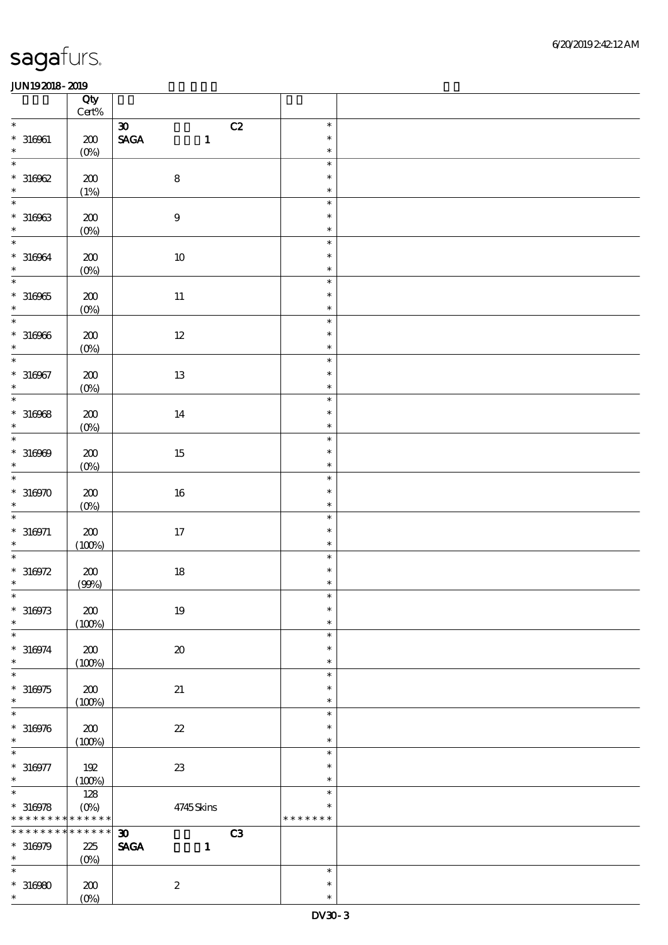|                                    | Qty<br>$\mbox{Cert}\%$ |                                                |    |                  |  |
|------------------------------------|------------------------|------------------------------------------------|----|------------------|--|
| $\ast$                             |                        | $\boldsymbol{\mathfrak{D}}$                    | C2 | $\ast$           |  |
| $* 316961$                         | $200\,$                | $\operatorname{\mathsf{SAGA}}$<br>$\mathbf{1}$ |    | $\ast$           |  |
| $\ast$                             | (0%)                   |                                                |    | $\ast$           |  |
| $\ast$                             | $200\,$                | $\bf 8$                                        |    | $\ast$<br>$\ast$ |  |
| $*310002$                          | (1%)                   |                                                |    | $\ast$           |  |
| $\ast$                             |                        |                                                |    | $\ast$           |  |
| $* 316963$                         | $200\,$                | $\boldsymbol{9}$                               |    | $\ast$           |  |
| $\ast$<br>$\ast$                   | (0%)                   |                                                |    | $\ast$<br>$\ast$ |  |
| $* 316964$                         | $\pmb{30}$             | $10\,$                                         |    | $\ast$           |  |
| $\ast$                             | $(0\%)$                |                                                |    | $\ast$           |  |
| $\overline{\phantom{0}}$           |                        |                                                |    | $\ast$           |  |
| $^\ast$ 316965                     | $\pmb{30}$             | $11\,$                                         |    | $\ast$           |  |
| $\ast$<br>$\overline{\phantom{0}}$ | (0%)                   |                                                |    | $\ast$<br>$\ast$ |  |
| $* 316966$                         | $\pmb{30}$             | $12\,$                                         |    | $\ast$           |  |
| $\ast$                             | $(0\%)$                |                                                |    | $\ast$           |  |
| $\overline{\ast}$                  |                        |                                                |    | $\ast$           |  |
| $* 316967$<br>$\ast$               | $200\,$                | $13\,$                                         |    | $\ast$<br>$\ast$ |  |
| $\overline{\phantom{a}^*}$         | (0%)                   |                                                |    | $\ast$           |  |
| $* 316968$                         | 200                    | $14\,$                                         |    | $\ast$           |  |
| $\ast$                             | (0%)                   |                                                |    | $\ast$           |  |
| $\overline{\ast}$                  |                        |                                                |    | $\ast$<br>$\ast$ |  |
| $* 316969$<br>$\ast$               | 200<br>$(0\%)$         | $15\,$                                         |    | $\ast$           |  |
| $\overline{\ast}$                  |                        |                                                |    | $\ast$           |  |
| $*316970$                          | $200\,$                | $16\,$                                         |    | $\ast$           |  |
| $\ast$<br>$\ast$                   | $(0\%)$                |                                                |    | $\ast$           |  |
| $^*$ 316971                        | $200\,$                | $17\,$                                         |    | $\ast$<br>$\ast$ |  |
| $\ast$                             | (100%)                 |                                                |    | $\ast$           |  |
| $\ast$                             |                        |                                                |    | $\ast$           |  |
| $*316972$<br>$\ast$                | $\pmb{30}$             | $18\,$                                         |    | $\ast$           |  |
| $*$                                | (90%)                  |                                                |    | $\ast$<br>$\ast$ |  |
| $* 316973$                         | 200                    | $19\,$                                         |    | $\ast$           |  |
| $\ast$                             | (100%)                 |                                                |    | $\ast$           |  |
| $\ast$                             |                        |                                                |    | $\ast$           |  |
| $* 316974$<br>$\ast$               | 200<br>(100%)          | $\pmb{\mathcal{X}}$                            |    | $\ast$<br>$\ast$ |  |
| $\ast$                             |                        |                                                |    | $\ast$           |  |
| $*316975$                          | 200                    | 21                                             |    | $\ast$           |  |
| $\ast$                             | (100%)                 |                                                |    | $\ast$           |  |
| $\ast$<br>$* 316976$               | 200                    | $\boldsymbol{\mathcal{Z}}$                     |    | $\ast$<br>$\ast$ |  |
| $\ast$                             | (100%)                 |                                                |    | $\ast$           |  |
| $\ast$                             |                        |                                                |    | $\ast$           |  |
| $* 316977$                         | 192                    | $2\!3$                                         |    | $\ast$           |  |
| $\ast$<br>$\overline{\ast}$        | (100%)<br>128          |                                                |    | $\ast$<br>$\ast$ |  |
| $*316978$                          | $(0\%)$                | 4745Skins                                      |    | $\ast$           |  |
| * * * * * * * *                    | * * * * * *            |                                                |    | * * * * * * *    |  |
| ********                           | $******$               | $\boldsymbol{\mathfrak{D}}$                    | C3 |                  |  |
| $*316979$<br>$\ast$                | 225<br>$(O\%)$         | <b>SAGA</b><br>$\mathbf{1}$                    |    |                  |  |
| $\ast$                             |                        |                                                |    | $\ast$           |  |
| $*316980$                          | 200                    | $\boldsymbol{2}$                               |    | $\ast$           |  |
| $\ast$                             | (O <sub>0</sub> )      |                                                |    | $\ast$           |  |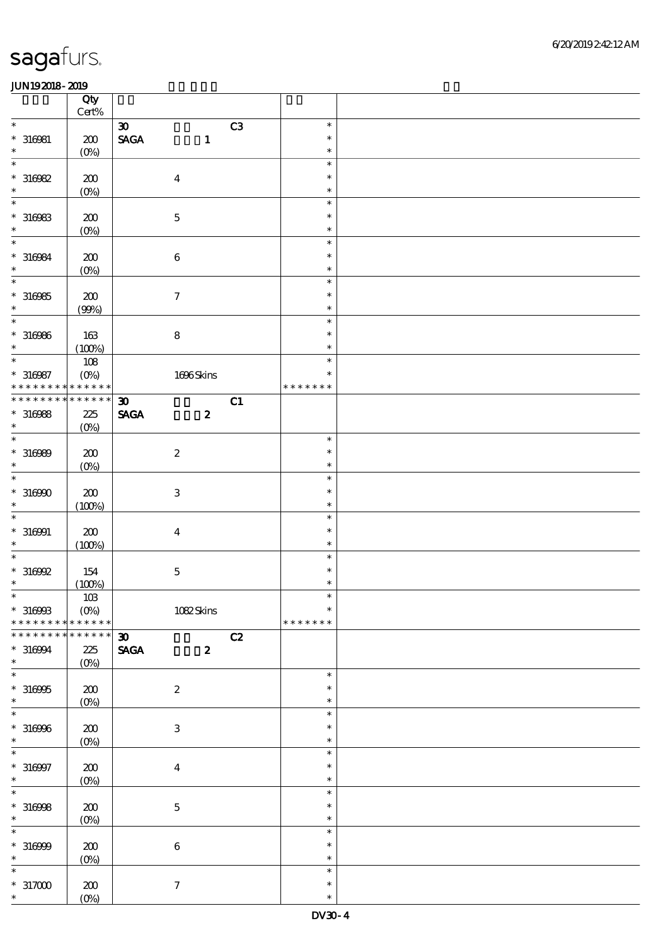|                             | Qty<br>Cert% |                                                    |    |               |  |
|-----------------------------|--------------|----------------------------------------------------|----|---------------|--|
| $\ast$                      |              |                                                    |    | $\ast$        |  |
|                             |              | $\boldsymbol{\mathfrak{D}}$                        | C3 |               |  |
| $*316081$                   | 200          | $\ensuremath{\mathsf{SAGA}}$<br>$\mathbf{1}$       |    | $\ast$        |  |
| $\ast$                      | $(0\%)$      |                                                    |    | $\ast$        |  |
| $\ast$                      |              |                                                    |    | $\ast$        |  |
| $*316982$                   | 200          | $\boldsymbol{4}$                                   |    | $\ast$        |  |
|                             |              |                                                    |    |               |  |
| $\ast$                      | $(0\%)$      |                                                    |    | $\ast$        |  |
| $\ast$                      |              |                                                    |    | $\ast$        |  |
| $* 316983$                  | 200          | $\mathbf 5$                                        |    | $\ast$        |  |
| $\ast$                      |              |                                                    |    | $\ast$        |  |
| $\ast$                      | $(0\%)$      |                                                    |    |               |  |
|                             |              |                                                    |    | $\ast$        |  |
| $* 316984$                  | 200          | $\,6\,$                                            |    | $\ast$        |  |
| $\ast$                      | $(0\%)$      |                                                    |    | $\ast$        |  |
| $\overline{\ast}$           |              |                                                    |    | $\ast$        |  |
|                             |              |                                                    |    | $\ast$        |  |
| $*316985$                   | 200          | $\boldsymbol{\tau}$                                |    |               |  |
| $\ast$                      | (90%)        |                                                    |    | $\ast$        |  |
| $\overline{\ast}$           |              |                                                    |    | $\ast$        |  |
| $* 316966$                  | 163          | $\bf8$                                             |    | $\ast$        |  |
| $\ast$                      | (100%)       |                                                    |    | $\ast$        |  |
| $\overline{\ast}$           |              |                                                    |    |               |  |
|                             | 108          |                                                    |    | $\ast$        |  |
| $* 316987$                  | $(O\%)$      | 1696Skins                                          |    | $\ast$        |  |
| * * * * * * * *             | * * * * * *  |                                                    |    | * * * * * * * |  |
| * * * * * * * * * * * * * * |              | $\boldsymbol{\mathfrak{D}}$                        | C1 |               |  |
|                             |              |                                                    |    |               |  |
| $*316988$                   | 225          | <b>SAGA</b><br>$\boldsymbol{z}$                    |    |               |  |
| $\ast$                      | $(O\%)$      |                                                    |    |               |  |
| $\overline{\ast}$           |              |                                                    |    | $\ast$        |  |
| $* 316989$                  | 200          | $\boldsymbol{2}$                                   |    | $\ast$        |  |
| $\ast$                      |              |                                                    |    | $\ast$        |  |
|                             | $(O\%)$      |                                                    |    |               |  |
| $\ast$                      |              |                                                    |    | $\ast$        |  |
| $*316900$                   | 200          | $\ensuremath{\mathbf{3}}$                          |    | $\ast$        |  |
| $\ast$                      | (100%)       |                                                    |    | $\ast$        |  |
| $\ast$                      |              |                                                    |    | $\ast$        |  |
|                             |              |                                                    |    |               |  |
| $* 316991$                  | 200          | $\boldsymbol{4}$                                   |    | $\ast$        |  |
| $\ast$                      | (100%)       |                                                    |    | $\ast$        |  |
| $\ast$                      |              |                                                    |    | $\ast$        |  |
| $*316992$                   | 154          | $\mathbf 5$                                        |    | $\ast$        |  |
| $\ast$                      | (100%)       |                                                    |    | $\ast$        |  |
|                             |              |                                                    |    |               |  |
| $\ast$                      | $10B$        |                                                    |    | $\ast$        |  |
| $*316993$                   | $(O\%)$      | 1082Skins                                          |    | $\ast$        |  |
| * * * * * * * *             | * * * * * *  |                                                    |    | * * * * * * * |  |
| * * * * * * *               | * * * * * *  | $\boldsymbol{\mathfrak{D}}$                        | C2 |               |  |
|                             |              |                                                    |    |               |  |
| $* 316994$                  | 225          | $\operatorname{\mathsf{SAGA}}$<br>$\boldsymbol{z}$ |    |               |  |
| $\ast$                      | $(0\%)$      |                                                    |    |               |  |
| $\ast$                      |              |                                                    |    | $\ast$        |  |
| $*316995$                   | 200          | $\boldsymbol{2}$                                   |    | $\ast$        |  |
| $\ast$                      | $(O\!/\!o)$  |                                                    |    | $\ast$        |  |
| $\ast$                      |              |                                                    |    | $\ast$        |  |
|                             |              |                                                    |    |               |  |
| $* 316966$                  | 200          | $\ensuremath{\mathbf{3}}$                          |    | $\ast$        |  |
| $\ast$                      | $(0\%)$      |                                                    |    | $\ast$        |  |
| $\ast$                      |              |                                                    |    | $\ast$        |  |
|                             |              |                                                    |    | $\ast$        |  |
| $* 316997$                  | 200          | $\boldsymbol{4}$                                   |    |               |  |
| $\ast$                      | $(0\%)$      |                                                    |    | $\ast$        |  |
| $\ast$                      |              |                                                    |    | $\ast$        |  |
| $* 316998$                  | 200          | $\mathbf 5$                                        |    | $\ast$        |  |
| $\ast$                      | $(0\%)$      |                                                    |    | $\ast$        |  |
| $\ast$                      |              |                                                    |    | $\ast$        |  |
|                             |              |                                                    |    |               |  |
| $*316999$                   | 200          | $\,6\,$                                            |    | $\ast$        |  |
| $\ast$                      | $(0\%)$      |                                                    |    | $\ast$        |  |
| $\ast$                      |              |                                                    |    | $\ast$        |  |
| $*317000$                   |              |                                                    |    | $\ast$        |  |
|                             | 200          | $\boldsymbol{\tau}$                                |    |               |  |
| $\ast$                      | $(O\%)$      |                                                    |    | $\ast$        |  |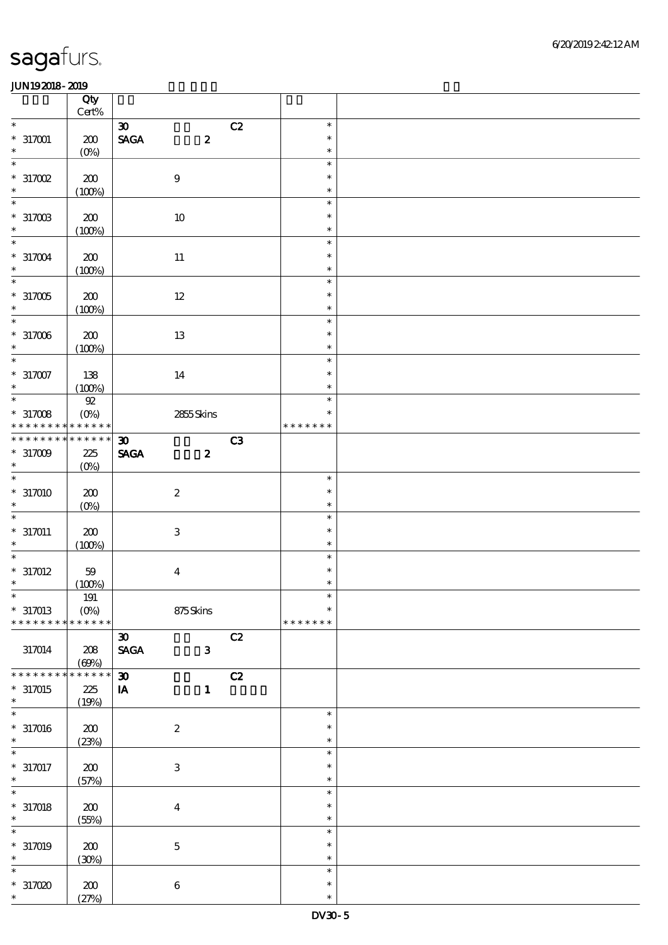|                          | Qty<br>Cert%    |                                |                  |               |  |
|--------------------------|-----------------|--------------------------------|------------------|---------------|--|
| $\ast$                   |                 | $\boldsymbol{\mathfrak{B}}$    | C2               | $\ast$        |  |
|                          |                 |                                |                  |               |  |
| $*317001$                | 200             | $\ensuremath{\mathsf{SAGA}}$   | $\pmb{2}$        | $\ast$        |  |
| $\ast$                   | $(0\%)$         |                                |                  | $\ast$        |  |
| $\overline{\ast}$        |                 |                                |                  | $\ast$        |  |
| $*317002$                | 200             | $\boldsymbol{9}$               |                  | $\ast$        |  |
| $\ast$                   | (100%)          |                                |                  | $\ast$        |  |
| $\overline{\ast}$        |                 |                                |                  | $\ast$        |  |
|                          |                 |                                |                  |               |  |
| $*317003$                | 200             | $10\,$                         |                  | $\ast$        |  |
| $\ast$                   | (100%)          |                                |                  | $\ast$        |  |
| $\overline{\ast}$        |                 |                                |                  | $\ast$        |  |
| $*317004$                | 200             | $11\,$                         |                  | $\ast$        |  |
| $\ast$                   |                 |                                |                  | $\ast$        |  |
| $\overline{\phantom{0}}$ | (100%)          |                                |                  |               |  |
|                          |                 |                                |                  | $\ast$        |  |
| $*317005$                | 200             | $12\,$                         |                  | $\ast$        |  |
| $\ast$                   | (100%)          |                                |                  | $\ast$        |  |
| $\overline{\ast}$        |                 |                                |                  | $\ast$        |  |
|                          |                 |                                |                  | $\ast$        |  |
| $*317006$                | 200             | 13                             |                  |               |  |
| $\ast$                   | (100%)          |                                |                  | $\ast$        |  |
| $\overline{\ast}$        |                 |                                |                  | $\ast$        |  |
| $*317007$                | 138             | 14                             |                  | $\ast$        |  |
| $\ast$                   | (100%)          |                                |                  | $\ast$        |  |
| $_{*}^{-}$               | ${\mathfrak A}$ |                                |                  | $\ast$        |  |
|                          |                 |                                |                  |               |  |
| $*317008$                | $(O\%)$         | 2855Skins                      |                  | $\ast$        |  |
| * * * * * * * *          | * * * * * *     |                                |                  | * * * * * * * |  |
| * * * * * * *            | * * * * * *     | $\boldsymbol{\mathfrak{D}}$    | C3               |               |  |
| $*317009$                | 225             | <b>SAGA</b>                    | $\boldsymbol{z}$ |               |  |
| $\ast$                   |                 |                                |                  |               |  |
| $\ast$                   | $(0\%)$         |                                |                  |               |  |
|                          |                 |                                |                  | $\ast$        |  |
| $*317010$                | 200             | $\boldsymbol{2}$               |                  | $\ast$        |  |
| $\ast$                   | $(0\%)$         |                                |                  | $\ast$        |  |
| $\ast$                   |                 |                                |                  | $\ast$        |  |
|                          |                 |                                |                  | $\ast$        |  |
| $*317011$                | 200             | $\,3$                          |                  |               |  |
| $\ast$                   | (100%)          |                                |                  | $\ast$        |  |
| $\ast$                   |                 |                                |                  | $\ast$        |  |
| $*317012$                | $59$            | $\boldsymbol{4}$               |                  | $\ast$        |  |
| $\ast$                   | (100%)          |                                |                  | $\ast$        |  |
| $\ast$                   | $191\,$         |                                |                  | $\ast$        |  |
|                          |                 |                                |                  | $\ast$        |  |
| $*317013$                | $(O\%)$         | 875Skins                       |                  |               |  |
| * * * * * * * *          | * * * * * *     |                                |                  | * * * * * * * |  |
|                          |                 | $\boldsymbol{\mathfrak{D}}$    | C2               |               |  |
| 317014                   | 208             | $\operatorname{\mathsf{SAGA}}$ | $\mathbf{3}$     |               |  |
|                          | (60%)           |                                |                  |               |  |
| * * * * * * *            | * * * * * *     | $\boldsymbol{\mathfrak{D}}$    | C2               |               |  |
|                          |                 |                                |                  |               |  |
| $*317015$                | 225             | $\mathbf{I} \mathbf{A}$        | $\mathbf{1}$     |               |  |
| $\ast$                   | (19%)           |                                |                  |               |  |
| $\ast$                   |                 |                                |                  | $\ast$        |  |
| $*317016$                | 200             | $\boldsymbol{2}$               |                  | $\ast$        |  |
| $\ast$                   | (23%)           |                                |                  | $\ast$        |  |
| $\ast$                   |                 |                                |                  | $\ast$        |  |
|                          |                 |                                |                  |               |  |
| $* 317017$               | 200             | $\,3$                          |                  | $\ast$        |  |
| $\ast$                   | (57%)           |                                |                  | $\ast$        |  |
| $\ast$                   |                 |                                |                  | $\ast$        |  |
| $*317018$                | 200             | $\boldsymbol{4}$               |                  | $\ast$        |  |
| $\ast$                   |                 |                                |                  | $\ast$        |  |
|                          | (55%)           |                                |                  |               |  |
| $\ast$                   |                 |                                |                  | $\ast$        |  |
| $*317019$                | 200             | $\mathbf 5$                    |                  | $\ast$        |  |
| $\ast$                   | (30%)           |                                |                  | $\ast$        |  |
| $\ast$                   |                 |                                |                  | $\ast$        |  |
|                          |                 |                                |                  | $\ast$        |  |
| $*317000$                | 200             | $\boldsymbol{6}$               |                  |               |  |
| $\ast$                   | (27%)           |                                |                  | $\ast$        |  |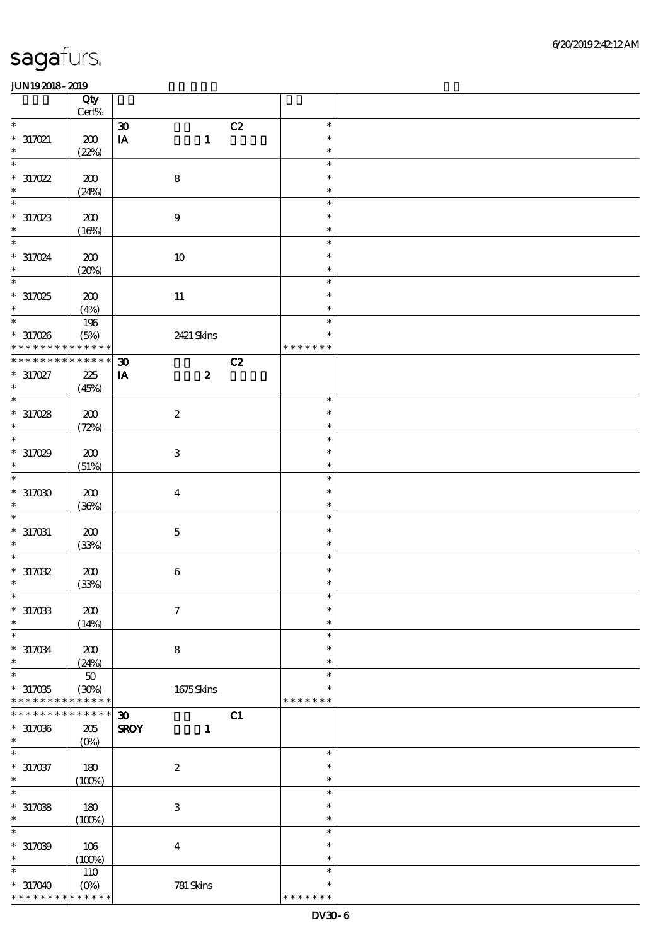|                             | Qty<br>$\mbox{Cert}\%$ |                             |                  |    |               |  |
|-----------------------------|------------------------|-----------------------------|------------------|----|---------------|--|
| $\ast$                      |                        | $\pmb{\mathfrak{D}}$        |                  | C2 | $\ast$        |  |
| $*317021$                   | $200$                  | $\mathbf{I}\mathbf{A}$      | $\mathbf{1}$     |    | $\ast$        |  |
| $\ast$                      |                        |                             |                  |    | $\ast$        |  |
| $\ast$                      | (22%)                  |                             |                  |    | $\ast$        |  |
|                             |                        |                             |                  |    | $\ast$        |  |
| $*317022$                   | 200                    |                             | $\bf 8$          |    |               |  |
| $\ast$                      | (24%)                  |                             |                  |    | $\ast$        |  |
| $\ast$                      |                        |                             |                  |    | $\ast$        |  |
| $*317023$                   | $\pmb{30}$             |                             | $\boldsymbol{9}$ |    | $\ast$        |  |
| $\ast$                      | (16%)                  |                             |                  |    | $\ast$        |  |
| $\ast$                      |                        |                             |                  |    | $\ast$        |  |
| $*317024$                   | 200                    |                             | 10               |    | $\ast$        |  |
| $\ast$                      | (20%)                  |                             |                  |    | $\ast$        |  |
| $\ast$                      |                        |                             |                  |    | $\ast$        |  |
| $*317025$                   | 200                    |                             |                  |    | $\ast$        |  |
| $\ast$                      |                        |                             | $11\,$           |    | $\ast$        |  |
| $\overline{\phantom{0}}$    | (4%)                   |                             |                  |    | $\ast$        |  |
|                             | 196                    |                             |                  |    |               |  |
| $*317026$                   | (5%)                   |                             | 2421 Skins       |    | $\ast$        |  |
| * * *                       | * * * * * *            |                             |                  |    | * * * * * * * |  |
| * * * * * * * *             | * * * * * *            | $\boldsymbol{\mathfrak{D}}$ |                  | C2 |               |  |
| $*317027$                   | $225\,$                | $\mathbf{I} \mathbf{A}$     | $\boldsymbol{z}$ |    |               |  |
| $\ast$                      | (45%)                  |                             |                  |    |               |  |
| $\ast$                      |                        |                             |                  |    | $\ast$        |  |
| $*317028$                   | 200                    |                             | $\boldsymbol{2}$ |    | $\ast$        |  |
| $\ast$                      | (72%)                  |                             |                  |    | $\ast$        |  |
| $\ast$                      |                        |                             |                  |    | $\ast$        |  |
| $*317029$                   | 200                    |                             | $\,3$            |    | $\ast$        |  |
| $\ast$                      | (51%)                  |                             |                  |    | $\ast$        |  |
| $\ast$                      |                        |                             |                  |    | $\ast$        |  |
| $*317000$                   | 200                    |                             | $\boldsymbol{4}$ |    | $\ast$        |  |
| $\ast$                      |                        |                             |                  |    | $\ast$        |  |
| $\ast$                      | (36%)                  |                             |                  |    |               |  |
|                             |                        |                             |                  |    | $\ast$        |  |
| $*317031$                   | 200                    |                             | $\mathbf 5$      |    | $\ast$        |  |
| $\ast$                      | (33%)                  |                             |                  |    | $\ast$        |  |
| $\ast$                      |                        |                             |                  |    | $\ast$        |  |
| $*317032$                   | ${\bf Z0}$             |                             | $\,6\,$          |    | $\ast$        |  |
| $\ast$                      | (33%)                  |                             |                  |    | $\ast$        |  |
| $*$                         |                        |                             |                  |    | $\ast$        |  |
| $*317033$                   | 200                    |                             | $\boldsymbol{7}$ |    | $\ast$        |  |
| $\ast$                      | (14%)                  |                             |                  |    | $\ast$        |  |
| $\ast$                      |                        |                             |                  |    | $\ast$        |  |
| $^*$ 317034 $\,$            | 200                    |                             | $\bf 8$          |    | $\ast$        |  |
| $\ast$                      | (24%)                  |                             |                  |    | $\ast$        |  |
| $\ast$                      | 50                     |                             |                  |    | $\ast$        |  |
| $*317035$                   | (30%)                  |                             | 1675Skins        |    | $\ast$        |  |
| * * * * * * * *             | * * * * * *            |                             |                  |    | * * * * * * * |  |
| * * * * * * *               | * * * * * *            | $\boldsymbol{\mathfrak{D}}$ |                  | C1 |               |  |
| $*317036$                   | 205                    | <b>SROY</b>                 | $\mathbf{1}$     |    |               |  |
| $\ast$                      |                        |                             |                  |    |               |  |
| $\ast$                      | $(0\%)$                |                             |                  |    | $\ast$        |  |
|                             |                        |                             |                  |    | $\ast$        |  |
| $* 317037$                  | 180                    |                             | $\boldsymbol{2}$ |    |               |  |
| $\ast$<br>$\overline{\ast}$ | (100%)                 |                             |                  |    | $\ast$        |  |
|                             |                        |                             |                  |    | $\ast$        |  |
| $*317038$                   | 180                    |                             | $\,3$            |    | $\ast$        |  |
| $\ast$                      | (100%)                 |                             |                  |    | $\ast$        |  |
| $\ast$                      |                        |                             |                  |    | $\ast$        |  |
| $*317009$                   | 106                    |                             | $\boldsymbol{4}$ |    | $\ast$        |  |
| $\ast$                      | (100%)                 |                             |                  |    | $\ast$        |  |
| $\ast$                      | 110                    |                             |                  |    | $\ast$        |  |
| $*317040$                   |                        |                             | 781 Skins        |    | $\ast$        |  |
| * * * * * * * *             | * * * * * *            |                             |                  |    | * * * * * * * |  |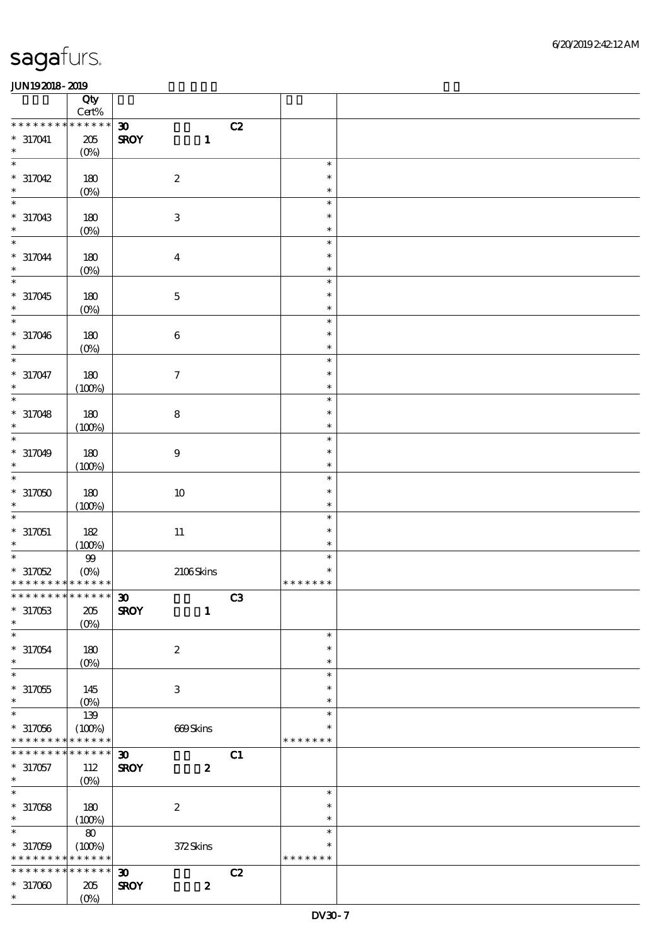|                             | Qty<br>$Cert\%$ |                             |                  |    |                  |  |
|-----------------------------|-----------------|-----------------------------|------------------|----|------------------|--|
| * * * * * * * *             | * * * * * *     | $\boldsymbol{\mathfrak{D}}$ |                  | C2 |                  |  |
| $* 317041$                  | $205\,$         | <b>SROY</b>                 | $\mathbf{1}$     |    |                  |  |
| $\ast$                      | $(0\%)$         |                             |                  |    |                  |  |
| $\ast$                      |                 |                             |                  |    | $\ast$           |  |
| $*317042$                   | $180$           | $\boldsymbol{2}$            |                  |    | $\ast$           |  |
| $\ast$                      | $(0\%)$         |                             |                  |    | $\ast$           |  |
| $\ast$                      |                 |                             |                  |    | $\ast$           |  |
| $*317043$                   | $180$           | $\,3$                       |                  |    | $\ast$           |  |
| $\ast$                      | $(0\%)$         |                             |                  |    | $\ast$           |  |
| $\ast$                      |                 |                             |                  |    | $\ast$           |  |
| $*317044$                   | $180$           | $\boldsymbol{4}$            |                  |    | $\ast$           |  |
| $\ast$                      | $(0\%)$         |                             |                  |    | $\ast$           |  |
| $\ast$                      |                 |                             |                  |    | $\ast$           |  |
| $*317045$                   | 180             | $\mathbf 5$                 |                  |    | $\ast$           |  |
| $\ast$                      | $(0\%)$         |                             |                  |    | $\ast$           |  |
| $\ast$                      |                 |                             |                  |    | $\ast$           |  |
| $*317046$                   | $180$           | $\,6\,$                     |                  |    | $\ast$           |  |
| $\ast$                      | $(0\%)$         |                             |                  |    | $\ast$           |  |
| $\ast$                      |                 |                             |                  |    | $\ast$           |  |
| $*317047$<br>$\ast$         | $180\,$         | $\boldsymbol{7}$            |                  |    | $\ast$           |  |
| $\ast$                      | (100%)          |                             |                  |    | $\ast$<br>$\ast$ |  |
|                             |                 |                             |                  |    | $\ast$           |  |
| $*317048$<br>$\ast$         | 180<br>(100%)   | $\bf 8$                     |                  |    | $\ast$           |  |
| $\ast$                      |                 |                             |                  |    | $\ast$           |  |
| $*317049$                   | 180             | $\boldsymbol{9}$            |                  |    | $\ast$           |  |
| $\ast$                      | (100%)          |                             |                  |    | $\ast$           |  |
| $\ast$                      |                 |                             |                  |    | $\ast$           |  |
| $*317050$                   | $180\,$         | $10\,$                      |                  |    | $\ast$           |  |
| $\ast$                      | (100%)          |                             |                  |    | $\ast$           |  |
| $\ast$                      |                 |                             |                  |    | $\ast$           |  |
| $*317051$                   | 182             | $11\,$                      |                  |    | $\ast$           |  |
| $\ast$                      | (100%)          |                             |                  |    | $\ast$           |  |
| $\ast$                      | $99\,$          |                             |                  |    | $\ast$           |  |
| $*317052$                   | (0%)            |                             | $2106$ Skins     |    | $\ast$           |  |
| * * * * * * * * * * * * * * |                 |                             |                  |    | * * * * * * *    |  |
| <b>00</b>                   |                 |                             |                  | C3 |                  |  |
| $*317053$                   | $205\,$         | <b>SROY</b>                 | $\mathbf{1}$     |    |                  |  |
| $\ast$                      | $(O\%)$         |                             |                  |    |                  |  |
| $\ast$                      |                 |                             |                  |    | $\ast$           |  |
| $*317054$                   | 180             | $\boldsymbol{2}$            |                  |    | $\ast$           |  |
| $\ast$<br>$\ast$            | $(O\%)$         |                             |                  |    | $\ast$           |  |
| $*317055$                   |                 | $\,3$                       |                  |    | $\ast$<br>$\ast$ |  |
| $\ast$                      | 145<br>$(0\%)$  |                             |                  |    | $\ast$           |  |
| $\ast$                      | 139             |                             |                  |    | $\ast$           |  |
| $*317056$                   | (100%)          |                             | 669Skins         |    | $\ast$           |  |
| * * * * * * * *             | * * * * * *     |                             |                  |    | * * * * * * *    |  |
| * * * * * * * *             | $* * * * * * *$ | $\boldsymbol{\mathfrak{D}}$ |                  | C1 |                  |  |
| $*317057$                   | 112             | <b>SROY</b>                 | $\boldsymbol{z}$ |    |                  |  |
| $\ast$                      | $(0\%)$         |                             |                  |    |                  |  |
| $\overline{\ast}$           |                 |                             |                  |    | $\ast$           |  |
| $*317058$                   | 180             | $\boldsymbol{2}$            |                  |    | $\ast$           |  |
| $\ast$                      | (100%)          |                             |                  |    | $\ast$           |  |
| $\ast$                      | ${\bf 80}$      |                             |                  |    | $\ast$           |  |
| $*317059$                   | (100%)          |                             | 372Skins         |    | $\ast$           |  |
| * * * * * * * *             | * * * * * *     |                             |                  |    | * * * * * * *    |  |
| * * * * * * * *             |                 | $\boldsymbol{\mathfrak{D}}$ |                  | C2 |                  |  |
| $*317000$<br>$\ast$         | 205             | <b>SROY</b>                 | $\boldsymbol{z}$ |    |                  |  |
|                             | $(O\%)$         |                             |                  |    |                  |  |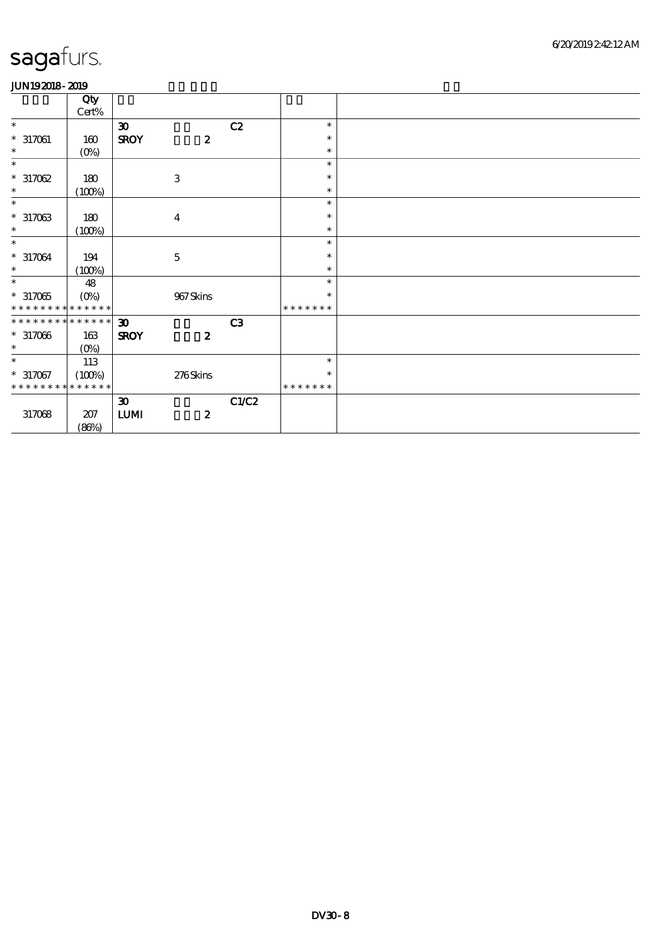|                             | Qty<br>$Cert\%$ |                                  |                  |       |               |  |
|-----------------------------|-----------------|----------------------------------|------------------|-------|---------------|--|
| $\ast$                      |                 | $\boldsymbol{\mathfrak{D}}$      |                  | C2    | $\ast$        |  |
| $*317061$                   | 160             | <b>SROY</b>                      | $\boldsymbol{z}$ |       | $\ast$        |  |
| $\ast$                      | $(O\!/\!o)$     |                                  |                  |       | $\ast$        |  |
| $\ast$                      |                 |                                  |                  |       | $\ast$        |  |
| $*317062$                   | 180             |                                  | $\,3$            |       | $\ast$        |  |
| $\ast$                      | (100%)          |                                  |                  |       | $\ast$        |  |
| $\ast$                      |                 |                                  |                  |       | $\ast$        |  |
| $*317033$                   | 180             |                                  | $\boldsymbol{4}$ |       | $\ast$        |  |
| $\ast$                      | (100%)          |                                  |                  |       | $\ast$        |  |
| $\ast$                      |                 |                                  |                  |       | $\ast$        |  |
| $*317064$                   | 194             |                                  | $\mathbf 5$      |       | $\ast$        |  |
| $\ast$                      | (100%)          |                                  |                  |       | $\ast$        |  |
| $\ast$                      | 48              |                                  |                  |       | $\ast$        |  |
| $^\ast$ 317065              | $(O\%)$         |                                  | 967Skins         |       | $\ast$        |  |
| * * * * * * * * * * * * * * |                 |                                  |                  |       | * * * * * * * |  |
| * * * * * * * * * * * * * * |                 | 30 <sub>o</sub>                  |                  | C3    |               |  |
| $*317066$                   | 163             | <b>SROY</b>                      | $\boldsymbol{z}$ |       |               |  |
| $\ast$                      | $(0\%)$         |                                  |                  |       |               |  |
| $\ast$                      | 113             |                                  |                  |       | $\ast$        |  |
| $*317067$                   | (100%)          |                                  | 276Skins         |       | $\ast$        |  |
| * * * * * * * *             | * * * * * *     |                                  |                  |       | * * * * * * * |  |
|                             |                 | $\boldsymbol{\mathfrak{D}}$      |                  | C1/C2 |               |  |
| 317068                      | $207\,$         | $\textbf{L}\textbf{U}\textbf{M}$ | $\boldsymbol{2}$ |       |               |  |
|                             | (86%)           |                                  |                  |       |               |  |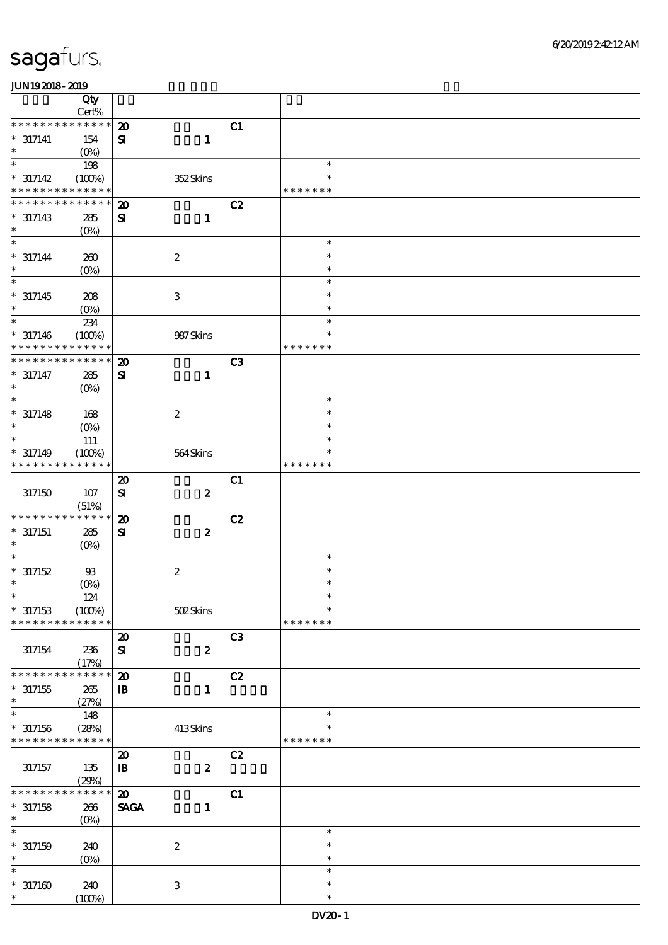|                             | Qty               |                             |                           |                |                  |  |
|-----------------------------|-------------------|-----------------------------|---------------------------|----------------|------------------|--|
|                             | Cert%             |                             |                           |                |                  |  |
| * * * * * * * * * * * * * * |                   | $\boldsymbol{\mathfrak{D}}$ |                           | C1             |                  |  |
| $* 317141$                  | 154               | $\mathbf{S}$                | $\mathbf{1}$              |                |                  |  |
| $\ast$                      | $(O\%)$           |                             |                           |                |                  |  |
| $\ast$                      | 198               |                             |                           |                | $\ast$           |  |
|                             |                   |                             |                           |                |                  |  |
| $* 317142$                  | (100%)            |                             | 352Skins                  |                | $\ast$           |  |
| * * * * * * * * * * * * * * |                   |                             |                           |                | * * * * * * *    |  |
| * * * * * * * *             | * * * * * *       | $\boldsymbol{\mathbf{z}}$   |                           | C2             |                  |  |
| $* 317143$                  | 285               | ${\bf s}$                   | $\mathbf{1}$              |                |                  |  |
| $\ast$                      | (O <sub>0</sub> ) |                             |                           |                |                  |  |
| $\ast$                      |                   |                             |                           |                | $\ast$           |  |
|                             |                   |                             |                           |                |                  |  |
| $* 317144$                  | 260               |                             | $\boldsymbol{2}$          |                | $\ast$           |  |
| $\ast$                      | $(O\!/\!\delta)$  |                             |                           |                | $\ast$           |  |
| $\ast$                      |                   |                             |                           |                | $\ast$           |  |
| $* 317145$                  | 208               |                             | $\ensuremath{\mathbf{3}}$ |                | $\ast$           |  |
| $\ast$                      |                   |                             |                           |                | $\ast$           |  |
| $\overline{\ast}$           | $(O\%)$           |                             |                           |                |                  |  |
|                             | 234               |                             |                           |                | $\ast$           |  |
| $* 317146$                  | (100%)            |                             | 987Skins                  |                | $\ast$           |  |
| * * * * * * * *             | * * * * * *       |                             |                           |                | * * * * *<br>* * |  |
| * * * * * * * *             | * * * * * *       | $\boldsymbol{\mathfrak{D}}$ |                           | C <sub>3</sub> |                  |  |
| $* 317147$                  | 285               | ${\bf S}$                   | $\mathbf{1}$              |                |                  |  |
| $\ast$                      |                   |                             |                           |                |                  |  |
| $\overline{\ast}$           | (O <sub>0</sub> ) |                             |                           |                |                  |  |
|                             |                   |                             |                           |                | $\ast$           |  |
| $* 317148$                  | 168               |                             | $\boldsymbol{2}$          |                | $\ast$           |  |
| $\ast$                      | $(O\%)$           |                             |                           |                | $\ast$           |  |
| $\ast$                      | 111               |                             |                           |                | $\ast$           |  |
| $* 317149$                  | (100%)            |                             | 564Skins                  |                | $\ast$           |  |
| * * * * * * * *             | * * * * * *       |                             |                           |                | * * * * * * *    |  |
|                             |                   |                             |                           |                |                  |  |
|                             |                   | $\boldsymbol{\mathfrak{D}}$ |                           | C1             |                  |  |
| 317150                      | 107               | $\mathbf{S}$                | $\boldsymbol{z}$          |                |                  |  |
|                             | (51%)             |                             |                           |                |                  |  |
| * * * * * * * *             | * * * * * *       | $\boldsymbol{\mathbf{z}}$   |                           | C2             |                  |  |
| $* 317151$                  | 285               | ${\bf s}$                   | $\pmb{2}$                 |                |                  |  |
| $\ast$                      |                   |                             |                           |                |                  |  |
|                             | (O <sub>0</sub> ) |                             |                           |                | $\ast$           |  |
|                             |                   |                             |                           |                |                  |  |
| $*317152$                   | $93$              |                             | $\boldsymbol{2}$          |                | $\ast$           |  |
| $\ast$                      | $(0\%)$           |                             |                           |                | $\ast$           |  |
|                             | 124               |                             |                           |                |                  |  |
| $*317153$                   | (100%)            |                             | 502Skins                  |                | $\ast$           |  |
| * * * * * * * *             | * * * * * *       |                             |                           |                | * * * * * * *    |  |
|                             |                   | $\boldsymbol{\mathbf{z}}$   |                           | C <sub>3</sub> |                  |  |
|                             |                   |                             |                           |                |                  |  |
| 317154                      | 236               | ${\bf S}$                   | $\pmb{2}$                 |                |                  |  |
|                             | (17%)             |                             |                           |                |                  |  |
| * * * * * * * *             | * * * * * *       | $\boldsymbol{\mathsf{20}}$  |                           | C2             |                  |  |
| $^\ast$ 317155              | 265               | ${\bf I\!B}$                | $\mathbf{1}$              |                |                  |  |
| $\ast$                      | (27%)             |                             |                           |                |                  |  |
| $\ast$                      | 148               |                             |                           |                | $\ast$           |  |
|                             |                   |                             |                           |                | $\ast$           |  |
| $*317156$                   | (28%)             |                             | 413Skins                  |                |                  |  |
| * * * * * * * *             | * * * * * *       |                             |                           |                | * * * * * * *    |  |
|                             |                   | $\boldsymbol{\mathfrak{D}}$ |                           | C2             |                  |  |
| 317157                      | 135               | $\mathbf{B}$                | $\pmb{2}$                 |                |                  |  |
|                             | (29%)             |                             |                           |                |                  |  |
| * * * * * * *               | * * * * * *       | $\boldsymbol{\mathbf{z}}$   |                           | C1             |                  |  |
|                             |                   |                             |                           |                |                  |  |
| $*317158$                   | 266               | <b>SAGA</b>                 | $\mathbf{1}$              |                |                  |  |
| $\ast$                      | (O <sub>0</sub> ) |                             |                           |                |                  |  |
| $\ast$                      |                   |                             |                           |                | $\ast$           |  |
| $* 317159$                  | 240               |                             | $\boldsymbol{2}$          |                | $\ast$           |  |
| $\ast$                      | $(0\%)$           |                             |                           |                | $\ast$           |  |
| $\ast$                      |                   |                             |                           |                | $\ast$           |  |
| $*317160$                   |                   |                             |                           |                | $\ast$           |  |
|                             | 240               |                             | $\,3$                     |                |                  |  |
| $\ast$                      | (100%)            |                             |                           |                | $\ast$           |  |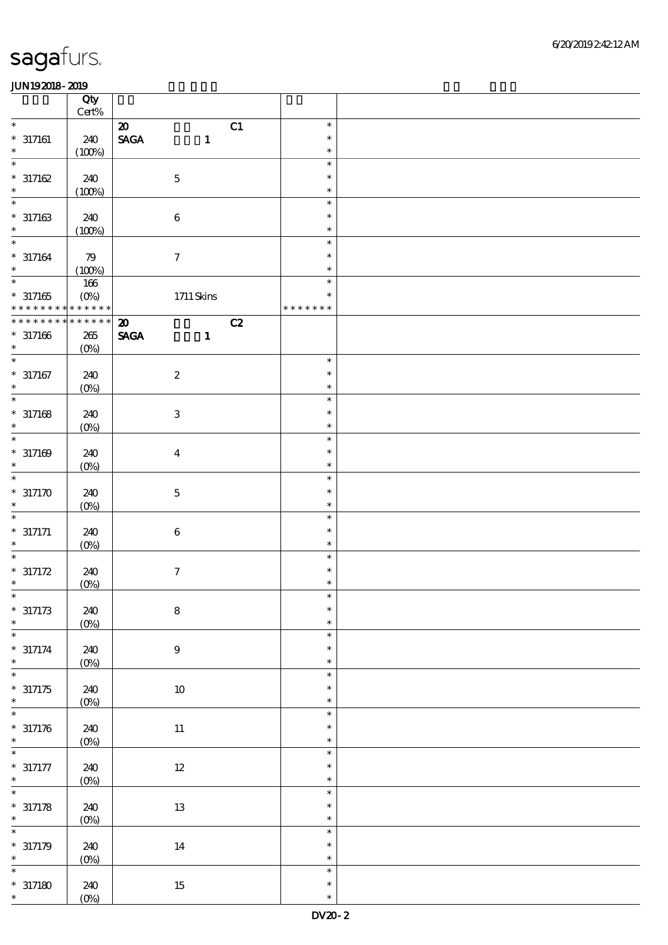|                   |                                                  | Qty<br>Cert%        |                              |                           |    |                         |  |
|-------------------|--------------------------------------------------|---------------------|------------------------------|---------------------------|----|-------------------------|--|
|                   | $\ast$                                           |                     | $\boldsymbol{\mathfrak{D}}$  |                           | C1 | $\ast$                  |  |
|                   | $* 317161$<br>$\ast$                             | 240<br>(100%)       | $\ensuremath{\mathsf{SAGA}}$ | $\mathbf 1$               |    | $\ast$<br>$\ast$        |  |
|                   | $\ast$                                           |                     |                              |                           |    | $\ast$                  |  |
|                   | $* 317162$<br>$\ast$                             | 240<br>(100%)       |                              | $\mathbf 5$               |    | $\ast$<br>$\ast$        |  |
|                   | $\ast$                                           |                     |                              |                           |    | $\ast$                  |  |
|                   | $* 317163$<br>$\ast$                             | 240<br>(100%)       |                              | $\bf 6$                   |    | $\ast$<br>$\ast$        |  |
| $\ast$            |                                                  |                     |                              |                           |    | $\ast$                  |  |
|                   | $* 317164$<br>$\ast$                             | 79<br>(100%)        |                              | $\tau$                    |    | $\ast$<br>$\ast$        |  |
| $_{\ast}^{-}$     |                                                  | $166\,$             |                              |                           |    | $\ast$                  |  |
|                   | $*317165$<br>* * * * * * * *                     | $(O\%)$<br>$******$ |                              | $1711$ Skins              |    | $\ast$<br>* * * * * * * |  |
|                   | $*********$                                      | $******$            | $\boldsymbol{\omega}$        |                           | C2 |                         |  |
|                   | $*317166$<br>$\ast$                              | 265<br>$(O\%)$      | <b>SAGA</b>                  | $\mathbf{1}$              |    |                         |  |
| $\overline{\ast}$ |                                                  |                     |                              |                           |    | $\ast$                  |  |
|                   | $* 317167$<br>$\ast$                             | 240<br>$(0\%)$      |                              | $\boldsymbol{2}$          |    | $\ast$<br>$\ast$        |  |
|                   | $\overline{\ast}$                                |                     |                              |                           |    | $\ast$                  |  |
|                   | $* 317168$<br>$\ast$                             | 240<br>$(0\%)$      |                              | $\ensuremath{\mathbf{3}}$ |    | $\ast$<br>$\ast$        |  |
| $\ast$            |                                                  |                     |                              |                           |    | $\ast$                  |  |
|                   | $* 317169$<br>$\ast$                             | 240<br>$(O\%)$      |                              | $\boldsymbol{4}$          |    | $\ast$<br>$\ast$        |  |
|                   | $\ast$                                           |                     |                              |                           |    | $\ast$                  |  |
| $\ast$            | $*317170$                                        | 240<br>$(O\!/\!o)$  |                              | $\mathbf 5$               |    | $\ast$<br>$\ast$        |  |
|                   | $\ast$                                           |                     |                              |                           |    | $\ast$                  |  |
|                   | $* 317171$<br>$\ast$                             | 240<br>$(0\%)$      |                              | $\,6\,$                   |    | $\ast$<br>$\ast$        |  |
|                   | $\ast$                                           |                     |                              |                           |    | $\ast$                  |  |
|                   | $* 317172$<br>$\ast$                             | 240<br>(0%)         |                              | $\boldsymbol{7}$          |    | $\ast$<br>$\ast$        |  |
|                   | $*$                                              |                     |                              |                           |    | $\ast$                  |  |
| $\ast$            | $*317173$                                        | 240<br>$(0\%)$      |                              | $\bf 8$                   |    | $\ast$<br>$\ast$        |  |
| $\ast$            |                                                  |                     |                              |                           |    | $\ast$                  |  |
|                   | $* 317174$<br>$\ast$                             | 240<br>$(0\%)$      |                              | $\boldsymbol{9}$          |    | $\ast$<br>$\ast$        |  |
|                   | $\overline{\ast}$                                |                     |                              |                           |    | $\ast$                  |  |
|                   | $*317175$<br>$\ast$                              | 240<br>$(0\%)$      |                              | $10\,$                    |    | $\ast$<br>$\ast$        |  |
| $\ast$            |                                                  |                     |                              |                           |    | $\ast$                  |  |
|                   | $* 317176$<br>$\ast$<br>$\overline{\phantom{1}}$ | 240<br>$(0\%)$      |                              | $11\,$                    |    | $\ast$<br>$\ast$        |  |
|                   |                                                  |                     |                              |                           |    | $\ast$                  |  |
|                   | $* 317177$<br>$\ast$                             | 240<br>$(0\%)$      |                              | $12\,$                    |    | $\ast$<br>$\ast$        |  |
|                   | $\overline{\ast}$                                |                     |                              |                           |    | $\ast$                  |  |
|                   | $* 317178$<br>$\ast$                             | 240<br>(0%)         |                              | $1\!3$                    |    | $\ast$<br>$\ast$        |  |
| $\ast$            |                                                  |                     |                              |                           |    | $\ast$                  |  |
|                   | $* 317179$                                       | 240                 |                              | $14\,$                    |    | $\ast$                  |  |
|                   | $\ast$                                           | (0%)                |                              |                           |    | $\ast$                  |  |
| $\ast$            |                                                  |                     |                              |                           |    | $\ast$                  |  |
|                   | $*317180$<br>$\ast$                              | 240<br>$(O\%)$      |                              | $15\,$                    |    | $\ast$<br>$\ast$        |  |
|                   |                                                  |                     |                              |                           |    |                         |  |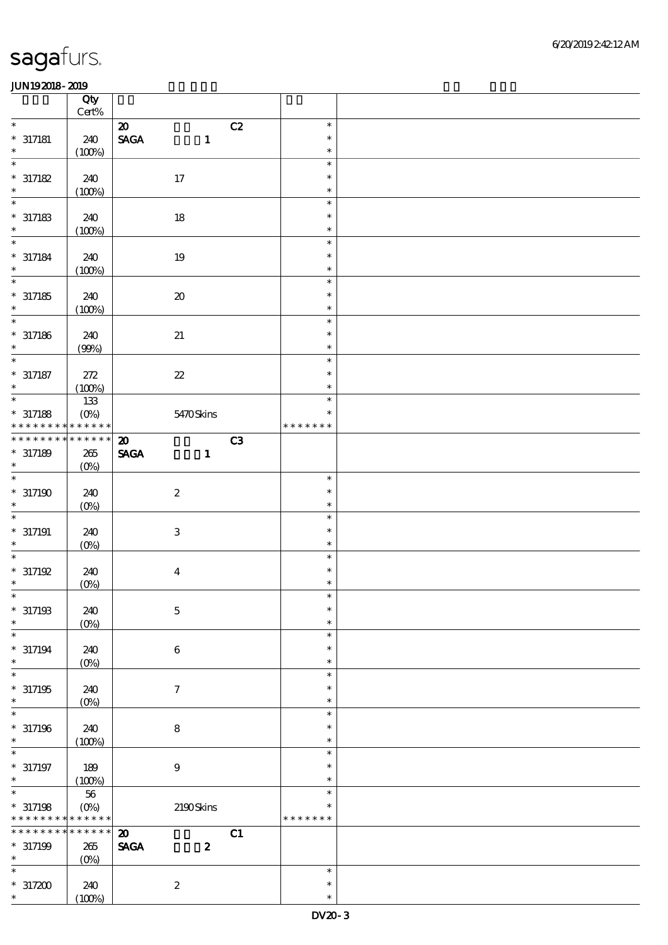|                      | Qty<br>$Cert\%$           |                                              |    |                  |  |
|----------------------|---------------------------|----------------------------------------------|----|------------------|--|
| $\ast$               |                           | $\boldsymbol{\mathfrak{D}}$                  | C2 | $\ast$           |  |
| $*$ 317181           | 240                       | $\ensuremath{\mathsf{SAGA}}$<br>$\mathbf{1}$ |    | $\ast$           |  |
| $\ast$               | (100%)                    |                                              |    | $\ast$           |  |
| $\ast$               |                           |                                              |    | $\ast$           |  |
| $*317182$            | 240                       | 17                                           |    | $\ast$           |  |
| $\ast$               | (100%)                    |                                              |    | $\ast$           |  |
| $\ast$               |                           |                                              |    | $\ast$           |  |
| $*317183$            | 240                       | $18\,$                                       |    | $\ast$           |  |
| $\ast$               | (100%)                    |                                              |    | $\ast$           |  |
| $\ast$               |                           |                                              |    | $\ast$           |  |
| $* 317184$           | 240                       | $19\,$                                       |    | $\ast$           |  |
| $\ast$               | (100%)                    |                                              |    | $\ast$           |  |
| $\overline{\ast}$    |                           |                                              |    | $\ast$           |  |
| $*317185$            | 240                       | ${\bf 20}$                                   |    | $\ast$           |  |
| $\ast$<br>$\ast$     | (100%)                    |                                              |    | $\ast$           |  |
|                      |                           |                                              |    | $\ast$<br>$\ast$ |  |
| $*$ 317186<br>$\ast$ | 240<br>(90%)              | 21                                           |    | $\ast$           |  |
| $\ast$               |                           |                                              |    | $\ast$           |  |
| $^*$ 317187          | 272                       | $\boldsymbol{\mathcal{Z}}$                   |    | $\ast$           |  |
| $\ast$               | (100%)                    |                                              |    | $\ast$           |  |
| $\ast$               | 133                       |                                              |    | $\ast$           |  |
| $* 317188$           | $(0\%)$                   | 5470Skins                                    |    | $\ast$           |  |
| * * * * * * * *      | * * * * * *               |                                              |    | * * * * * * *    |  |
| * * * * * * * *      | * * * * * *               | $\boldsymbol{\mathbf{z}}$                    | C3 |                  |  |
| $*317189$            | $265\,$                   | <b>SAGA</b><br>$\mathbf{1}$                  |    |                  |  |
| $\ast$               | $(O\%)$                   |                                              |    |                  |  |
| $\ast$               |                           |                                              |    | $\ast$           |  |
| $*317190$            | 240                       | $\boldsymbol{2}$                             |    | $\ast$           |  |
| $\ast$<br>$\ast$     | $(O\!/\!o)$               |                                              |    | $\ast$           |  |
|                      |                           |                                              |    | $\ast$<br>$\ast$ |  |
| $* 317191$<br>$\ast$ | 240<br>$(O\%)$            | $\,3\,$                                      |    | $\ast$           |  |
| $\ast$               |                           |                                              |    | $\ast$           |  |
| $* 317192$           | 240                       | $\boldsymbol{4}$                             |    | $\ast$           |  |
| $\ast$               | (0%)                      |                                              |    | $\ast$           |  |
| $\ast$               |                           |                                              |    | $\ast$           |  |
| $*317193$            | 240                       | $\mathbf 5$                                  |    | $\ast$           |  |
| $\ast$               | $(0\%)$                   |                                              |    | $\ast$           |  |
| $\ast$               |                           |                                              |    | $\ast$           |  |
| $* 317194$           | 240                       | $\boldsymbol{6}$                             |    | $\ast$           |  |
| $\ast$               | $(O\!/\!\!\delta)$        |                                              |    | $\ast$           |  |
| $\ast$               |                           |                                              |    | $\ast$           |  |
| $*317195$<br>$\ast$  | 240                       | $\boldsymbol{7}$                             |    | $\ast$           |  |
| $\ast$               | $(0\%)$                   |                                              |    | $\ast$<br>$\ast$ |  |
| $*317196$            | 240                       | $\bf8$                                       |    | $\ast$           |  |
| $\ast$               | (100%)                    |                                              |    | $\ast$           |  |
| $\ast$               |                           |                                              |    | $\ast$           |  |
| $* 317197$           | 189                       | $\boldsymbol{9}$                             |    | $\ast$           |  |
| $\ast$               | (100%)                    |                                              |    | $\ast$           |  |
| $\overline{\ast}$    | $5\!6$                    |                                              |    | $\ast$           |  |
| $*317198$            | $(O\!\!\!\!\!\!\!/\,\!o)$ | 2190Skins                                    |    | $\ast$           |  |
| * * * * * * * *      | * * * * * *               |                                              |    | * * * * * * *    |  |
| * * * * * * * *      | * * * * * *               | $\boldsymbol{\mathfrak{D}}$                  | C1 |                  |  |
| $*317199$            | $265\,$                   | <b>SAGA</b><br>$\boldsymbol{z}$              |    |                  |  |
| $\ast$               | $(O\%)$                   |                                              |    |                  |  |
| $\ast$               | 240                       |                                              |    | $\ast$<br>$\ast$ |  |
| $*317200$            |                           | $\boldsymbol{2}$                             |    |                  |  |
| $\ast$               | (100%)                    |                                              |    | $\ast$           |  |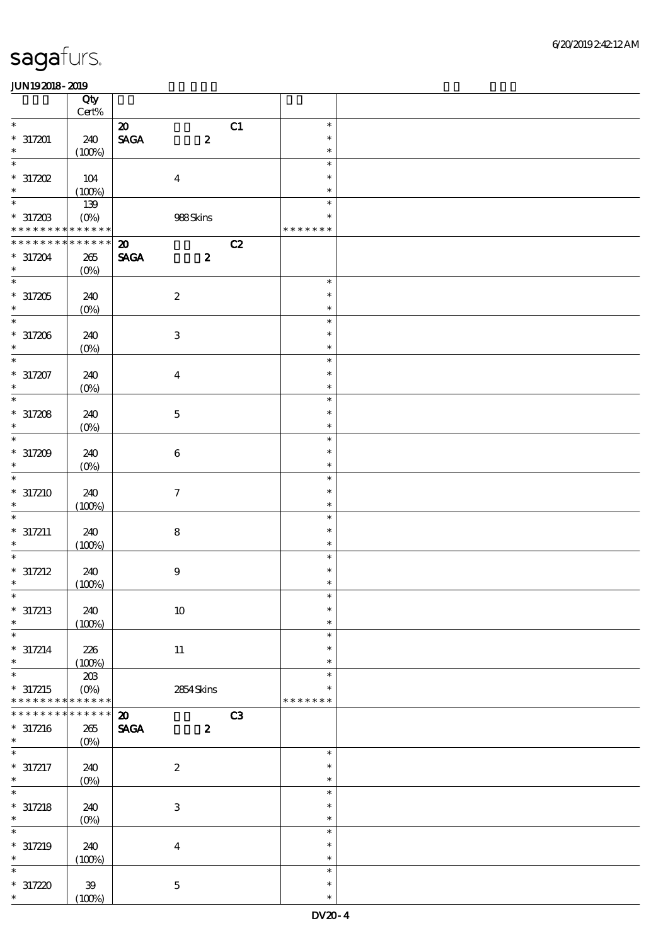|                                          | Qty                        |                                                             |                        |                         |  |
|------------------------------------------|----------------------------|-------------------------------------------------------------|------------------------|-------------------------|--|
| $\ast$                                   | $\mbox{Cert}\%$            |                                                             |                        | $\ast$                  |  |
| $*317201$                                | 240                        | $\boldsymbol{\mathfrak{D}}$<br>$\ensuremath{\mathsf{SAGA}}$ | C1<br>$\boldsymbol{z}$ | $\ast$                  |  |
| $\ast$                                   | (100%)                     |                                                             |                        | $\ast$                  |  |
| $\ast$<br>$*317202$                      | 104                        | $\boldsymbol{4}$                                            |                        | $\ast$<br>$\ast$        |  |
| $\ast$                                   | (100%)                     |                                                             |                        | $\ast$                  |  |
| $\ast$                                   | 139                        |                                                             |                        | $\ast$                  |  |
| $*317203$<br>* * * * * * * * * * * * * * | $(O\!\!\!\!\!\!\!/\,\!o)$  | 988Skins                                                    |                        | $\ast$<br>* * * * * * * |  |
| * * * * * * * *                          | $******$                   | $\boldsymbol{\mathfrak{D}}$                                 | C2                     |                         |  |
| $* 317204$<br>$\ast$                     | 265<br>$(0\%)$             | <b>SAGA</b>                                                 | $\boldsymbol{z}$       |                         |  |
| $\overline{\ast}$                        |                            |                                                             |                        | $\ast$                  |  |
| $*317205$<br>$\ast$                      | 240<br>$(0\%)$             | $\boldsymbol{2}$                                            |                        | $\ast$<br>$\ast$        |  |
| $\overline{\phantom{0}}$                 |                            |                                                             |                        | $\ast$                  |  |
| $*317206$<br>$\ast$                      | 240<br>$(0\%)$             | $\ensuremath{\mathbf{3}}$                                   |                        | $\ast$<br>$\ast$        |  |
| $\overline{\ast}$                        |                            |                                                             |                        | $\ast$                  |  |
| $* 317207$<br>$\ast$                     | 240<br>$(0\%)$             | $\boldsymbol{4}$                                            |                        | $\ast$<br>$\ast$        |  |
| $\overline{\ast}$                        |                            |                                                             |                        | $\ast$                  |  |
| $*317208$                                | 240                        | $\mathbf 5$                                                 |                        | $\ast$                  |  |
| $\ast$                                   | $(0\%)$                    |                                                             |                        | $\ast$                  |  |
| $\overline{\phantom{0}}$                 |                            |                                                             |                        | $\ast$                  |  |
| $*317209$<br>$\ast$                      | 240<br>$(O\%)$             | $\bf 6$                                                     |                        | $\ast$<br>$\ast$        |  |
| $\ast$                                   |                            |                                                             |                        | $\ast$                  |  |
| $* 317210$<br>$\ast$                     | 240<br>(100%)              | $\tau$                                                      |                        | $\ast$<br>$\ast$        |  |
| $\ast$                                   |                            |                                                             |                        | $\ast$                  |  |
| $* 317211$<br>$\ast$                     | 240<br>(100%)              | ${\bf 8}$                                                   |                        | $\ast$<br>$\ast$        |  |
|                                          |                            |                                                             |                        | $\ast$                  |  |
| $* 317212$                               | 240                        | $\boldsymbol{9}$                                            |                        | $\ast$                  |  |
| $\ast$<br>$\ast$                         | (100%)                     |                                                             |                        | $\ast$                  |  |
| $* 317213$                               | 240                        | $10\,$                                                      |                        | $\ast$                  |  |
| $\ast$                                   | (100%)                     |                                                             |                        | $\ast$                  |  |
| $\ast$                                   |                            |                                                             |                        | $\ast$                  |  |
| $* 317214$<br>$\ast$                     | 226<br>(100%)              | $11\,$                                                      |                        | $\ast$<br>$\ast$        |  |
| $\ast$                                   | 203                        |                                                             |                        | $\ast$                  |  |
| $* 317215$                               | $(O\%)$                    | $2854$ Skins                                                |                        | $\ast$                  |  |
| * * * * * * * *<br>* * * * * * *         | * * * * * *<br>* * * * * * |                                                             |                        | * * * * * * *           |  |
| $* 317216$                               | 265                        | $\boldsymbol{\mathfrak{D}}$<br><b>SAGA</b>                  | C3<br>$\boldsymbol{z}$ |                         |  |
| $\ast$                                   | $(O\%)$                    |                                                             |                        |                         |  |
| $\ast$                                   |                            |                                                             |                        | $\ast$                  |  |
| $* 317217$<br>$\ast$                     | 240<br>$(0\%)$             | $\boldsymbol{2}$                                            |                        | $\ast$<br>$\ast$        |  |
| $\ast$                                   |                            |                                                             |                        | $\ast$                  |  |
| $* 317218$<br>$\ast$                     | 240                        | $\ensuremath{\mathbf{3}}$                                   |                        | $\ast$<br>$\ast$        |  |
| $\ast$                                   | $(0\%)$                    |                                                             |                        | $\ast$                  |  |
| $* 317219$                               | 240                        | $\boldsymbol{4}$                                            |                        | $\ast$                  |  |
| $\ast$                                   | (100%)                     |                                                             |                        | $\ast$                  |  |
| $\ast$                                   |                            |                                                             |                        | $\ast$                  |  |
| $*317220$<br>$\ast$                      | ${\bf 39}$<br>(100%)       | $\mathbf 5$                                                 |                        | $\ast$<br>$\ast$        |  |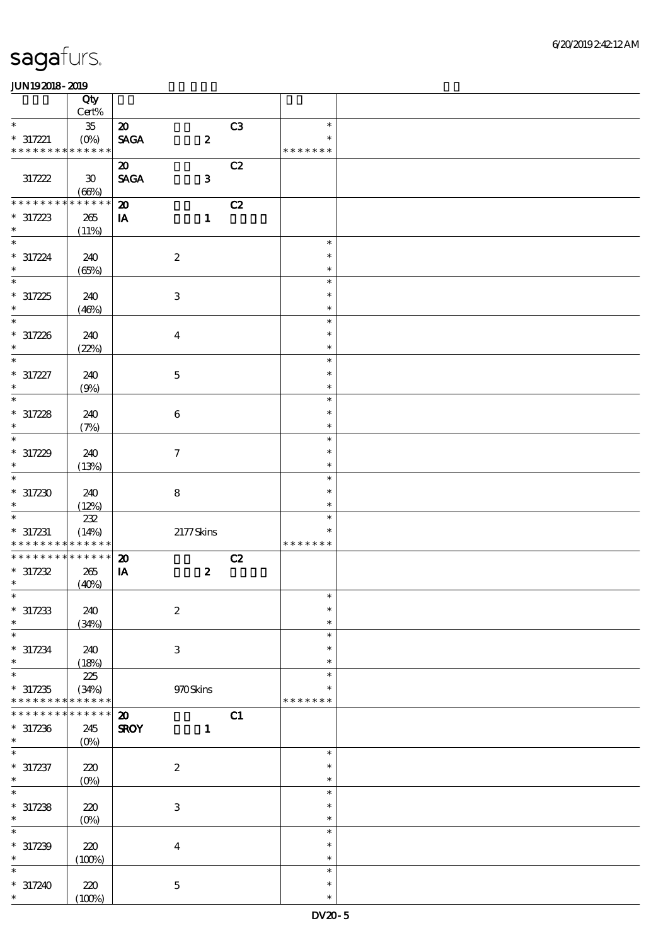|                                           | Qty                         |                             |                  |    |                  |  |
|-------------------------------------------|-----------------------------|-----------------------------|------------------|----|------------------|--|
| $\ast$                                    | $Cert\%$                    |                             |                  |    |                  |  |
|                                           | ${\bf 35}$                  | $\boldsymbol{\mathbf{z}}$   |                  | C3 | $\ast$<br>$\ast$ |  |
| $* 317221$<br>* * * * * * * * * * * * * * | (0%)                        | <b>SAGA</b>                 | $\boldsymbol{z}$ |    | * * * * * * *    |  |
|                                           |                             | $\boldsymbol{\mathfrak{D}}$ |                  | C2 |                  |  |
| 317222                                    | $\boldsymbol{\mathfrak{D}}$ | <b>SAGA</b>                 | $\mathbf{3}$     |    |                  |  |
|                                           | (66%)                       |                             |                  |    |                  |  |
| * * * * * * *                             | * * * * * *                 | $\boldsymbol{\mathbf{z}}$   |                  | C2 |                  |  |
| $* 317223$                                | 265                         | IA                          | $\mathbf{1}$     |    |                  |  |
| $\ast$                                    | (11%)                       |                             |                  |    |                  |  |
| $\ast$                                    |                             |                             |                  |    | $\ast$           |  |
| $* 317224$                                | 240                         |                             | $\boldsymbol{2}$ |    | $\ast$           |  |
| $\ast$                                    | (65%)                       |                             |                  |    | $\ast$           |  |
| $\ast$                                    |                             |                             |                  |    | $\ast$           |  |
| $*317225$                                 | 240                         |                             | $\,3\,$          |    | $\ast$           |  |
| $\ast$                                    | (46%)                       |                             |                  |    | $\ast$           |  |
| $\ast$                                    |                             |                             |                  |    | $\ast$           |  |
| $* 317226$                                | 240                         |                             | $\boldsymbol{4}$ |    | $\ast$           |  |
| $\ast$                                    | (22%)                       |                             |                  |    | $\ast$           |  |
| $\ast$                                    |                             |                             |                  |    | $\ast$           |  |
| $* 317227$                                | 240                         |                             | $\mathbf 5$      |    | $\ast$           |  |
| $\ast$<br>$\ast$                          | (9%)                        |                             |                  |    | $\ast$           |  |
|                                           |                             |                             |                  |    | $\ast$           |  |
| $*317228$<br>$\ast$                       | 240                         |                             | $\,6\,$          |    | $\ast$<br>$\ast$ |  |
| $\ast$                                    | (7%)                        |                             |                  |    | $\ast$           |  |
| $*317229$                                 | 240                         |                             | $\boldsymbol{7}$ |    | $\ast$           |  |
| $\ast$                                    | (13%)                       |                             |                  |    | $\ast$           |  |
| $\ast$                                    |                             |                             |                  |    | $\ast$           |  |
| $*317230$                                 | 240                         |                             | $\bf 8$          |    | $\ast$           |  |
| $\ast$                                    | (12%)                       |                             |                  |    | $\ast$           |  |
| $\ast$                                    | $222\,$                     |                             |                  |    | $\ast$           |  |
| $* 317231$                                | (14%)                       |                             | 2177Skins        |    | ∗                |  |
| * * * * * * * *                           | * * * * * *                 |                             |                  |    | * * * * * * *    |  |
| * * * * * * * *                           | * * * * * *                 | $\boldsymbol{\mathsf{20}}$  |                  | C2 |                  |  |
| $*317232$                                 | 265                         | ${\bf I} {\bf A}$           | $\boldsymbol{z}$ |    |                  |  |
| $\ast$                                    | (40%)                       |                             |                  |    |                  |  |
|                                           |                             |                             |                  |    | $\star$          |  |
| $*317233$                                 | 240                         |                             | $\boldsymbol{2}$ |    | $\ast$           |  |
| $\ast$<br>$\ast$                          | (34%)                       |                             |                  |    | $\ast$           |  |
|                                           |                             |                             |                  |    | $\ast$<br>$\ast$ |  |
| $*317234$<br>$\ast$                       | 240                         |                             | $\,3$            |    | $\ast$           |  |
| $\ast$                                    | (18%)<br>225                |                             |                  |    | $\ast$           |  |
| $*317235$                                 | (34%)                       |                             | 970Skins         |    | $\ast$           |  |
| * * * * * * * *                           | * * * * * *                 |                             |                  |    | * * * * * * *    |  |
| * * * * * * *                             | * * * * * *                 | $\boldsymbol{\mathfrak{D}}$ |                  | C1 |                  |  |
| $*317236$                                 | 245                         | <b>SROY</b>                 | $\mathbf{1}$     |    |                  |  |
| $\ast$                                    | $(O\%)$                     |                             |                  |    |                  |  |
| $\ast$                                    |                             |                             |                  |    | $\ast$           |  |
| $* 317237$                                | 220                         |                             | $\boldsymbol{2}$ |    | $\ast$           |  |
| $\ast$                                    | $(O\!/\!\delta)$            |                             |                  |    | $\ast$           |  |
| $\ast$                                    |                             |                             |                  |    | $\ast$           |  |
| $*317238$<br>$\ast$                       | $220$                       |                             | $\,3\,$          |    | $\ast$<br>$\ast$ |  |
| $\ast$                                    | $(Q_0)$                     |                             |                  |    | $\ast$           |  |
| $*317239$                                 | $220$                       |                             | $\boldsymbol{4}$ |    | $\ast$           |  |
| $\ast$                                    | (100%)                      |                             |                  |    | $\ast$           |  |
| $\ast$                                    |                             |                             |                  |    | $\ast$           |  |
| $*317240$                                 | 220                         |                             | $\mathbf 5$      |    | $\ast$           |  |
| $\ast$                                    | (100%)                      |                             |                  |    | $\ast$           |  |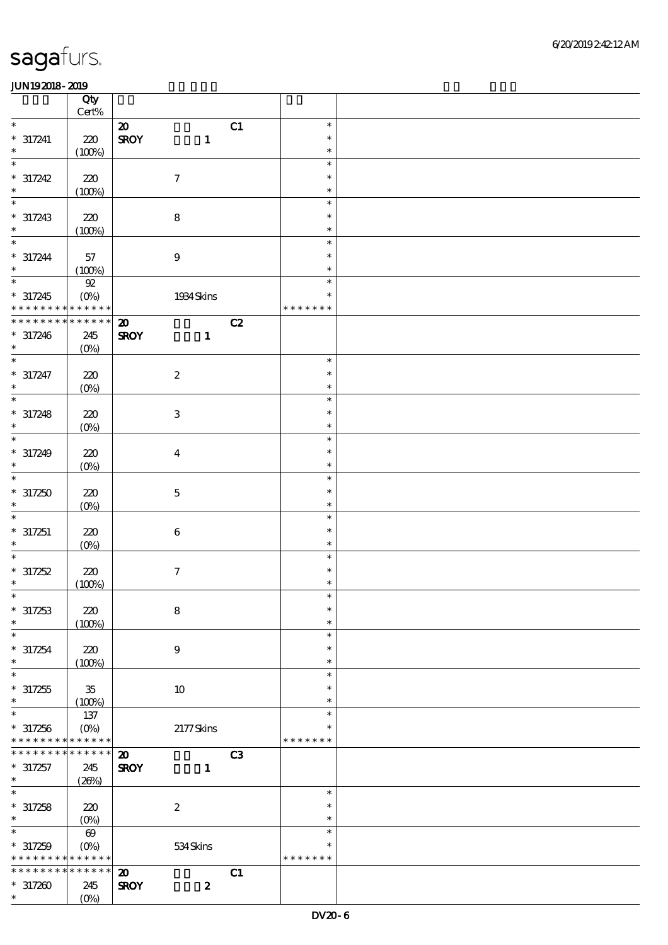|                                            | Qty                   |                             |                  |    |                  |  |
|--------------------------------------------|-----------------------|-----------------------------|------------------|----|------------------|--|
| $\ast$                                     | $Cert\%$              | $\boldsymbol{\mathfrak{D}}$ |                  | C1 | $\ast$           |  |
| $* 317241$                                 | $220$                 | <b>SROY</b>                 | $\mathbf{1}$     |    | $\ast$           |  |
| $\ast$                                     | (100%)                |                             |                  |    | $\ast$           |  |
| $\ast$                                     |                       |                             |                  |    | $\ast$           |  |
| $* 317242$                                 | 220                   |                             | $\boldsymbol{7}$ |    | $\ast$           |  |
| $\ast$                                     | (100%)                |                             |                  |    | $\ast$           |  |
| $\ast$                                     |                       |                             |                  |    | $\ast$           |  |
| $* 317243$                                 | 220                   |                             | $\bf 8$          |    | $\ast$           |  |
| $\ast$<br>$\ast$                           | (100%)                |                             |                  |    | $\ast$           |  |
| $* 317244$                                 |                       |                             |                  |    | $\ast$<br>$\ast$ |  |
| $\ast$                                     | 57<br>(100%)          |                             | $\boldsymbol{9}$ |    | $\ast$           |  |
| $\overline{\phantom{0}}$                   | ${\mathfrak{A}}$      |                             |                  |    | $\ast$           |  |
| $* 317245$                                 | $(O\%)$               |                             | 1934 Skins       |    | $\ast$           |  |
| * * * * * * * * <mark>* * * * * * *</mark> |                       |                             |                  |    | * * * * * * *    |  |
| * * * * * * * * * * * * * *                |                       | $\boldsymbol{\mathbf{z}}$   |                  | C2 |                  |  |
| $* 317246$                                 | 245                   | <b>SROY</b>                 | $\mathbf{1}$     |    |                  |  |
| $\ast$<br>$\ast$                           | $(O\%)$               |                             |                  |    |                  |  |
|                                            |                       |                             |                  |    | $\ast$<br>$\ast$ |  |
| $* 317247$<br>$\ast$                       | 220<br>$(0\%)$        |                             | $\boldsymbol{2}$ |    | $\ast$           |  |
| $\ast$                                     |                       |                             |                  |    | $\ast$           |  |
| $* 317248$                                 | 220                   |                             | $\,3\,$          |    | $\ast$           |  |
| $\ast$                                     | $(0\%)$               |                             |                  |    | $\ast$           |  |
| $\ast$                                     |                       |                             |                  |    | $\ast$           |  |
| $* 317249$                                 | 220                   |                             | $\boldsymbol{4}$ |    | $\ast$           |  |
| $\ast$                                     | $(0\%)$               |                             |                  |    | $\ast$           |  |
| $\ast$                                     |                       |                             |                  |    | $\ast$           |  |
| $*317250$<br>$\ast$                        | 220                   |                             | $\mathbf 5$      |    | $\ast$<br>$\ast$ |  |
| $\ast$                                     | $(O\%)$               |                             |                  |    | $\ast$           |  |
| $* 317251$                                 | 220                   |                             | $\,6\,$          |    | $\ast$           |  |
| $\ast$                                     | $(0\%)$               |                             |                  |    | $\ast$           |  |
| $\ast$                                     |                       |                             |                  |    | $\ast$           |  |
| $*317252$                                  | $220$                 |                             | $\boldsymbol{7}$ |    | $\ast$           |  |
| $\ast$                                     | (100%)                |                             |                  |    | $\ast$           |  |
| $\ast$                                     |                       |                             |                  |    | $\ast$<br>$\ast$ |  |
| $* 317253$<br>$\ast$                       | 220                   |                             | $\bf 8$          |    | $\ast$           |  |
| $\ast$                                     | (100%)                |                             |                  |    | $\ast$           |  |
| $* 317254$                                 | 220                   |                             | $\boldsymbol{9}$ |    | $\ast$           |  |
| $\ast$                                     | (100%)                |                             |                  |    | $\ast$           |  |
| $\ast$                                     |                       |                             |                  |    | $\ast$           |  |
| $*317255$                                  | $35\,$                |                             | $10\,$           |    | $\ast$           |  |
| $\ast$<br>$\ast$                           | (100%)                |                             |                  |    | $\ast$<br>$\ast$ |  |
| $*317256$                                  | $137$<br>$(O\%)$      |                             | $2177$ Skins     |    | $\ast$           |  |
| * * * * * * * * * * * * * *                |                       |                             |                  |    | * * * * * * *    |  |
| * * * * * * * *                            | * * * * * *           | $\boldsymbol{\mathbf{z}}$   |                  | C3 |                  |  |
| $* 317257$                                 | 245                   | <b>SROY</b>                 | 1                |    |                  |  |
| $\ast$                                     | (20%)                 |                             |                  |    |                  |  |
| $\overline{\ast}$                          |                       |                             |                  |    | $\ast$           |  |
| $*317258$                                  | 220                   |                             | $\boldsymbol{2}$ |    | $\ast$           |  |
| $\ast$<br>$\ast$                           | (O <sub>0</sub> )     |                             |                  |    | $\ast$<br>$\ast$ |  |
| $* 317259$                                 | $\boldsymbol{\omega}$ |                             |                  |    | $\ast$           |  |
| * * * * * * * * <mark>* * * * * *</mark>   | $(O\%)$               |                             | 534Skins         |    | * * * * * * *    |  |
| * * * * * * * *                            | * * * * * *           | $\boldsymbol{\mathfrak{D}}$ |                  | C1 |                  |  |
| $*317200$                                  | 245                   | <b>SROY</b>                 | $\boldsymbol{z}$ |    |                  |  |
| $\ast$                                     | $(O\!/\!\!\delta)$    |                             |                  |    |                  |  |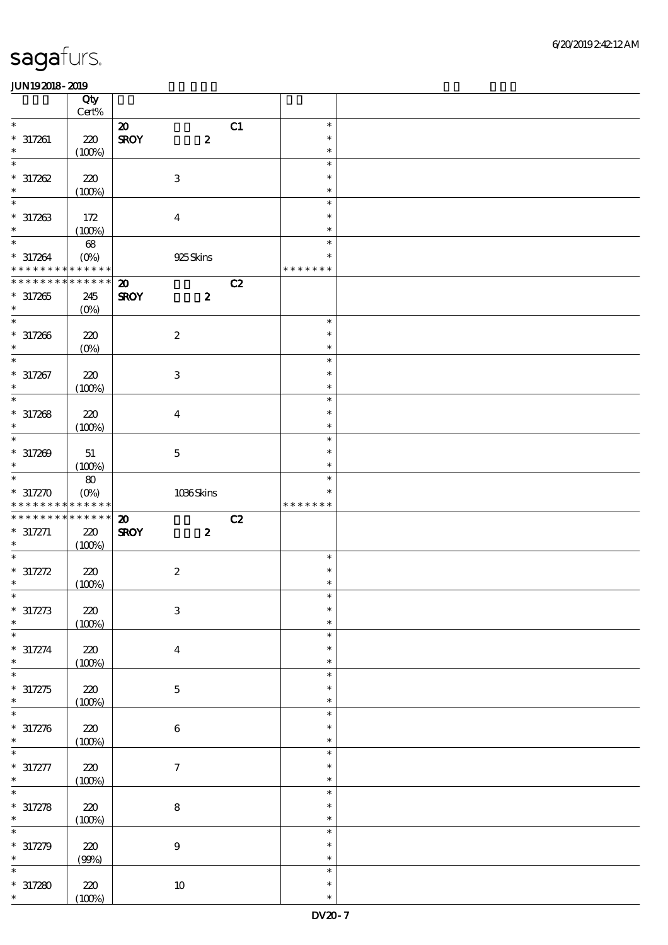|                                                     | Qty<br>Cert%       |                             |                           |    |                                   |  |
|-----------------------------------------------------|--------------------|-----------------------------|---------------------------|----|-----------------------------------|--|
| $\ast$                                              |                    | $\boldsymbol{\mathfrak{D}}$ |                           | C1 | $\ast$                            |  |
| $* 317261$<br>$\ast$                                | 220<br>(100%)      | <b>SROY</b>                 | $\boldsymbol{z}$          |    | $\ast$<br>$\ast$                  |  |
| $\ast$                                              |                    |                             |                           |    | $\ast$                            |  |
| $* 317262$                                          | 220                |                             | $\,3$                     |    | $\ast$                            |  |
| $\ast$                                              | (100%)             |                             |                           |    | $\ast$                            |  |
| $\ast$<br>$* 317263$<br>$\ast$                      | 172                |                             | $\bf{4}$                  |    | $\ast$<br>$\ast$<br>$\ast$        |  |
|                                                     | (100%)             |                             |                           |    |                                   |  |
| $\ast$<br>$* 317264$<br>* * * * * * * * * * * * * * | $68\,$<br>$(O\%)$  |                             | 925Skins                  |    | $\ast$<br>$\ast$<br>* * * * * * * |  |
| * * * * * * * * * * * * * *                         |                    | $\boldsymbol{\mathbf{z}}$   |                           | C2 |                                   |  |
| $*317265$<br>$\ast$                                 | 245<br>$(O\%)$     | <b>SROY</b>                 | $\boldsymbol{z}$          |    |                                   |  |
| $\ast$                                              |                    |                             |                           |    | $\ast$                            |  |
| $* 317266$<br>$\ast$                                | 220<br>$(O\!/\!o)$ |                             | $\boldsymbol{2}$          |    | $\ast$<br>$\ast$                  |  |
| $\ast$                                              |                    |                             |                           |    | $\ast$                            |  |
| $* 317267$<br>$\ast$                                | 220<br>(100%)      |                             | $\ensuremath{\mathbf{3}}$ |    | $\ast$<br>$\ast$                  |  |
| $\ast$                                              |                    |                             |                           |    | $\ast$                            |  |
| $* 317268$<br>$\ast$                                | 220<br>(100%)      |                             | $\bf{4}$                  |    | $\ast$<br>$\ast$                  |  |
| $\ast$                                              |                    |                             |                           |    | $\ast$                            |  |
| $* 317209$<br>$\ast$                                | 51<br>(100%)       |                             | $\mathbf 5$               |    | $\ast$<br>$\ast$                  |  |
| $\ast$                                              | ${\bf 80}$         |                             |                           |    | $\ast$                            |  |
| $* 317270$                                          | $(O\%)$            |                             | 1036Skins                 |    | ∗                                 |  |
| * * * * * * * * * * * * * *                         |                    |                             |                           |    | * * * * * * *                     |  |
| * * * * * * * *                                     | * * * * * *        | $\boldsymbol{\mathbf{Z}}$   |                           | C2 |                                   |  |
| $* 317271$<br>$\ast$                                | 220                | <b>SROY</b>                 | $\boldsymbol{z}$          |    |                                   |  |
| $\ast$                                              | (100%)             |                             |                           |    | $\ast$                            |  |
|                                                     |                    |                             |                           |    | $\ast$                            |  |
| $* 317272$<br>$\ast$                                | 220                |                             | $\boldsymbol{2}$          |    | $\ast$                            |  |
|                                                     | (100%)             |                             |                           |    | $\ast$                            |  |
| $*$<br>$* 317273$                                   | $220\,$            |                             | $\,3\,$                   |    | $\ast$                            |  |
| $\ast$<br>$\ast$                                    | (100%)             |                             |                           |    | $\ast$                            |  |
| $* 317274$<br>$\ast$                                | 220                |                             | $\boldsymbol{4}$          |    | $\ast$<br>$\ast$<br>$\ast$        |  |
| $\ast$                                              | (100%)             |                             |                           |    | $\ast$                            |  |
| $* 317275$<br>$\ast$                                | 220                |                             | $\mathbf 5$               |    | $\ast$<br>$\ast$                  |  |
| $\ast$                                              | (100%)             |                             |                           |    | $\ast$                            |  |
| $* 317276$<br>$\ast$                                | 220<br>(100%)      |                             | $\,6\,$                   |    | $\ast$<br>$\ast$                  |  |
|                                                     |                    |                             |                           |    | $\ast$                            |  |
| $* 317277$<br>$\ast$                                | 220<br>(100%)      |                             | $\boldsymbol{7}$          |    | $\ast$<br>$\ast$                  |  |
| $\ast$                                              |                    |                             |                           |    | $\ast$                            |  |
| $\ast$                                              | 220                |                             | $\bf 8$                   |    | $\ast$<br>$\ast$                  |  |
| $\ast$                                              | (100%)             |                             |                           |    | $\ast$                            |  |
| $* 317278$<br>$* 317279$                            | 220                |                             | $\boldsymbol{9}$          |    | $\ast$                            |  |
| $\ast$                                              | (90%)              |                             |                           |    | $\ast$                            |  |
| $*317280$<br>$\ast$                                 | 220<br>(100%)      |                             | $10\,$                    |    | $\ast$<br>$\ast$<br>$\ast$        |  |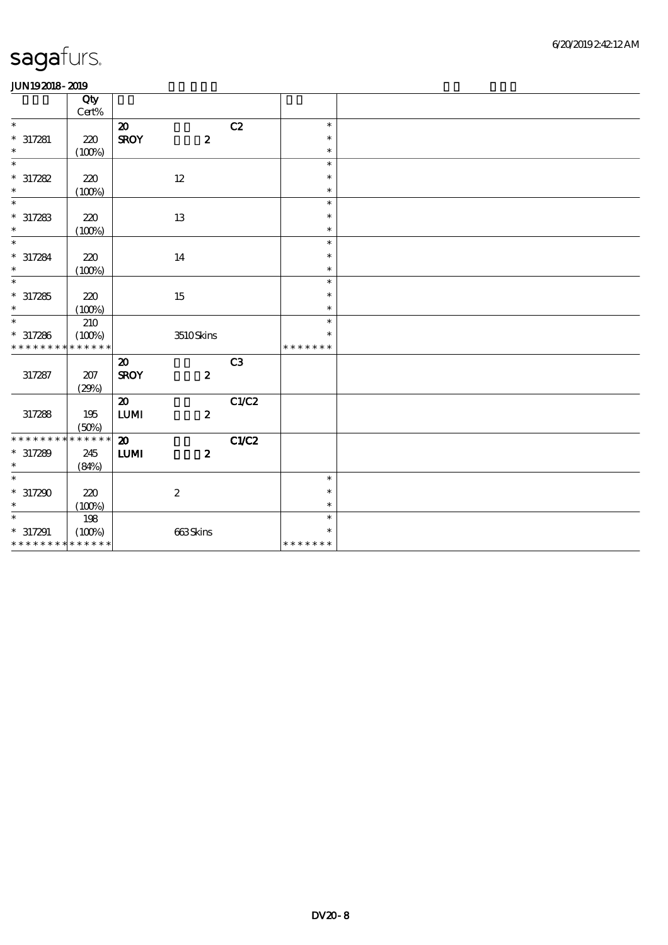| Qty<br>Cert%<br>$\ast$<br>C2<br>$\boldsymbol{\mathfrak{D}}$<br>$\ast$<br>$* 317281$<br><b>SROY</b><br>$\boldsymbol{z}$<br>220<br>$\ast$<br>$\ast$<br>(100%)<br>$\ast$<br>$\ast$<br>$\ast$<br>$* 317282$<br>220<br>$12 \,$<br>$\ast$<br>$\ast$<br>(100%)<br>$\ast$<br>$\ast$<br>$\ast$<br>$* 317283$<br>220<br>13<br>$\ast$<br>$\ast$<br>(100%)<br>$\ast$<br>$\ast$<br>$\ast$ |  |
|------------------------------------------------------------------------------------------------------------------------------------------------------------------------------------------------------------------------------------------------------------------------------------------------------------------------------------------------------------------------------|--|
|                                                                                                                                                                                                                                                                                                                                                                              |  |
|                                                                                                                                                                                                                                                                                                                                                                              |  |
|                                                                                                                                                                                                                                                                                                                                                                              |  |
|                                                                                                                                                                                                                                                                                                                                                                              |  |
|                                                                                                                                                                                                                                                                                                                                                                              |  |
|                                                                                                                                                                                                                                                                                                                                                                              |  |
|                                                                                                                                                                                                                                                                                                                                                                              |  |
|                                                                                                                                                                                                                                                                                                                                                                              |  |
|                                                                                                                                                                                                                                                                                                                                                                              |  |
|                                                                                                                                                                                                                                                                                                                                                                              |  |
|                                                                                                                                                                                                                                                                                                                                                                              |  |
|                                                                                                                                                                                                                                                                                                                                                                              |  |
| $* 317284$<br>220<br>14<br>$\ast$                                                                                                                                                                                                                                                                                                                                            |  |
| $\ast$<br>(100%)<br>$\ast$                                                                                                                                                                                                                                                                                                                                                   |  |
| $\ast$<br>$\ast$                                                                                                                                                                                                                                                                                                                                                             |  |
| $* 317285$<br>220<br>$\ast$                                                                                                                                                                                                                                                                                                                                                  |  |
| $15\,$<br>$\ast$<br>$\ast$                                                                                                                                                                                                                                                                                                                                                   |  |
| (100%)<br>$\ast$                                                                                                                                                                                                                                                                                                                                                             |  |
| 210<br>$\ast$                                                                                                                                                                                                                                                                                                                                                                |  |
| $* 317286$<br>(100%)<br>$3510\mbox{Skirs}$<br>$\ast$                                                                                                                                                                                                                                                                                                                         |  |
| * * * * * *<br>* * * * * * * *<br>* * * * * * *                                                                                                                                                                                                                                                                                                                              |  |
| C <sub>3</sub><br>$\boldsymbol{\mathfrak{D}}$                                                                                                                                                                                                                                                                                                                                |  |
| 317287<br>207<br><b>SROY</b><br>$\boldsymbol{z}$                                                                                                                                                                                                                                                                                                                             |  |
| (29%)                                                                                                                                                                                                                                                                                                                                                                        |  |
| C1/C2<br>$\boldsymbol{\mathfrak{D}}$                                                                                                                                                                                                                                                                                                                                         |  |
| ${\bf LUM}$<br>$\boldsymbol{z}$<br>317288<br>195                                                                                                                                                                                                                                                                                                                             |  |
| (50%)                                                                                                                                                                                                                                                                                                                                                                        |  |
| * * * * * * *<br>$\boldsymbol{\mathsf{20}}$<br>C1/C2<br>* * * * * * * *                                                                                                                                                                                                                                                                                                      |  |
| $* 317289$<br>$\mathbf{L}\mathbf{U}\mathbf{M}$<br>$\boldsymbol{z}$<br>245                                                                                                                                                                                                                                                                                                    |  |
| $\ast$<br>(84%)                                                                                                                                                                                                                                                                                                                                                              |  |
| $\ast$<br>$\ast$                                                                                                                                                                                                                                                                                                                                                             |  |
|                                                                                                                                                                                                                                                                                                                                                                              |  |
| $*317290$<br>$\boldsymbol{2}$<br>220<br>$\ast$                                                                                                                                                                                                                                                                                                                               |  |
| $\ast$<br>(100%)<br>$\ast$                                                                                                                                                                                                                                                                                                                                                   |  |
| $\ast$<br>198<br>$\ast$                                                                                                                                                                                                                                                                                                                                                      |  |
| $^*$ 317291<br>(100%)<br>663Skins<br>$\ast$                                                                                                                                                                                                                                                                                                                                  |  |
| * * * * * * * * * * * * * *<br>* * * * * * *                                                                                                                                                                                                                                                                                                                                 |  |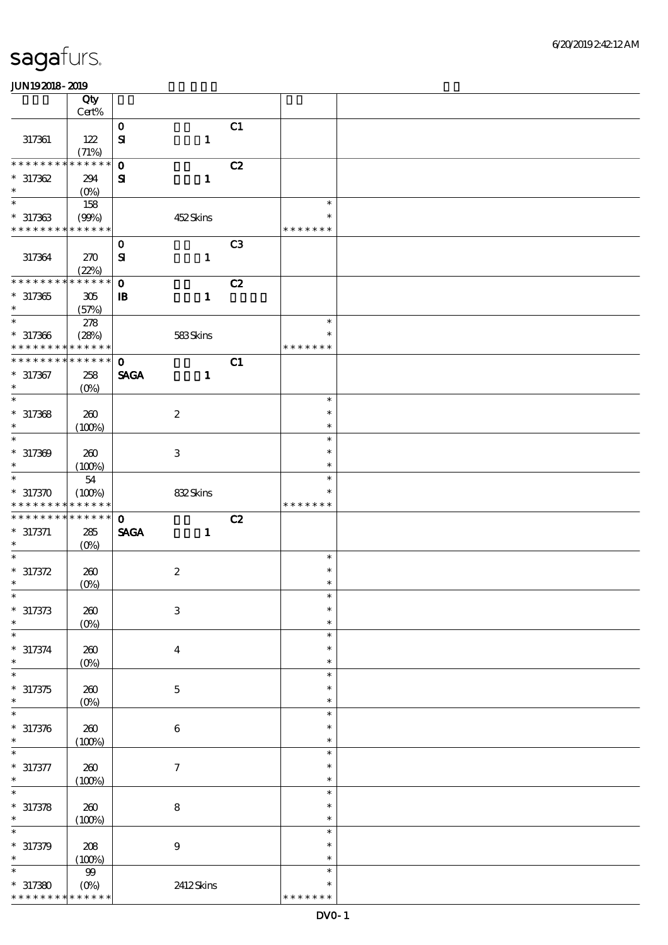|                            | Qty                               |                                           |                |               |  |
|----------------------------|-----------------------------------|-------------------------------------------|----------------|---------------|--|
|                            | Cert%                             |                                           |                |               |  |
| 317361                     | 122                               | $\mathbf{o}$<br>${\bf s}$<br>$\mathbf{1}$ | C1             |               |  |
|                            | (71%)                             |                                           |                |               |  |
| * * * * * * * *            | * * * * * *                       | $\mathbf 0$                               | C2             |               |  |
| $*317362$                  | 294                               | $\mathbf{1}$<br>${\bf s}$                 |                |               |  |
| $\ast$                     | $(O\%)$                           |                                           |                |               |  |
| $\ast$                     | 158                               |                                           |                | $\ast$        |  |
| $*317363$                  | (90%)                             | 452Skins                                  |                |               |  |
| * * * * * * * *            | * * * * * *                       |                                           |                | * * * * * * * |  |
|                            |                                   | $\mathbf{o}$                              | C <sub>3</sub> |               |  |
| 317364                     | 270                               | $\mathbf{S}$<br>$\mathbf{1}$              |                |               |  |
|                            | (22%)                             |                                           |                |               |  |
| * * * * * * * *            | * * * * * *                       | $\mathbf 0$                               | C2             |               |  |
| $*317365$                  | 305                               | $\mathbf{1}$<br>$\mathbf{B}$              |                |               |  |
| $\ast$                     | (57%)                             |                                           |                |               |  |
| $\ast$                     | 278                               |                                           |                | $\ast$        |  |
| $* 317366$                 | (28%)                             | 583Skins                                  |                | $\ast$        |  |
| * * * * * * * *            | * * * * * *                       |                                           |                | * * * * * * * |  |
| * * * * * * *              | * * * * * *                       | $\mathbf{O}$                              | C1             |               |  |
| $* 317367$                 | 258                               | <b>SAGA</b><br>$\mathbf{1}$               |                |               |  |
| $\ast$                     | $(O\%)$                           |                                           |                |               |  |
| $\overline{\ast}$          |                                   |                                           |                | $\ast$        |  |
| $*317368$                  | 260                               | $\boldsymbol{z}$                          |                | $\ast$        |  |
| $\ast$                     | (100%)                            |                                           |                | $\ast$        |  |
| $\ast$                     |                                   |                                           |                | $\ast$        |  |
| $* 317309$                 | 260                               | 3                                         |                | $\ast$        |  |
| $\ast$                     | (100%)                            |                                           |                | $\ast$        |  |
| $\ast$                     | 54                                |                                           |                | $\ast$        |  |
| $*317370$                  | (100%)                            | 832Skins                                  |                |               |  |
| * * * * * * * *            | * * * * * *                       |                                           |                | * * * * * * * |  |
| * * * * * * *              | * * * * * *                       | $\mathbf 0$                               | C2             |               |  |
|                            |                                   |                                           |                |               |  |
|                            |                                   |                                           |                |               |  |
| $* 317371$<br>$\ast$       | 285                               | <b>SAGA</b><br>$\mathbf{1}$               |                |               |  |
| $\ast$                     | $(O\%)$                           |                                           |                | $\ast$        |  |
|                            |                                   |                                           |                | $\ast$        |  |
| $* 317372$<br>$\ast$       | 260                               | $\boldsymbol{2}$                          |                | $\ast$        |  |
| $\ast$                     | $(0\%)$                           |                                           |                | $\ast$        |  |
|                            |                                   |                                           |                | $\ast$        |  |
| $\ast$                     | 260                               | $\ensuremath{\mathsf{3}}$                 |                | $\ast$        |  |
| $* 317373$<br>$\ast$       | $(0\%)$                           |                                           |                | $\ast$        |  |
|                            |                                   |                                           |                | $\ast$        |  |
| $* 317374$<br>$\ast$       | 260                               | $\bf{4}$                                  |                | $\ast$        |  |
| $\ast$                     | $(0\%)$                           |                                           |                | $\ast$        |  |
|                            | 260                               |                                           |                | ∗             |  |
| $* 317375$<br>$\ast$       |                                   | $\mathbf 5$                               |                | $\ast$        |  |
| $\ast$                     | $(0\%)$                           |                                           |                | $\ast$        |  |
|                            |                                   |                                           |                | $\ast$        |  |
| $* 317376$<br>$\ast$       | 260                               | $\bf 6$                                   |                | $\ast$        |  |
|                            | (100%)                            |                                           |                | $\ast$        |  |
|                            |                                   |                                           |                | $\ast$        |  |
| $* 317377$<br>$\ast$       | 260                               | $\boldsymbol{7}$                          |                | $\ast$        |  |
| $\ast$                     | (100%)                            |                                           |                | $\ast$        |  |
|                            |                                   |                                           |                | $\ast$        |  |
| $* 317378$<br>$\ast$       | 260                               | ${\bf 8}$                                 |                | $\ast$        |  |
| $\ast$                     | (100%)                            |                                           |                | $\ast$        |  |
|                            |                                   |                                           |                | $\ast$        |  |
| $* 317379$<br>$\ast$       | 208                               | $\boldsymbol{9}$                          |                | $\ast$        |  |
| $\ast$                     | (100%)                            |                                           |                | $\ast$        |  |
|                            | $99\,$                            |                                           |                | *             |  |
| $*317380$<br>* * * * * * * | $(O\!/\!\!\delta)$<br>* * * * * * | 2412Skins                                 |                | * * * * * * * |  |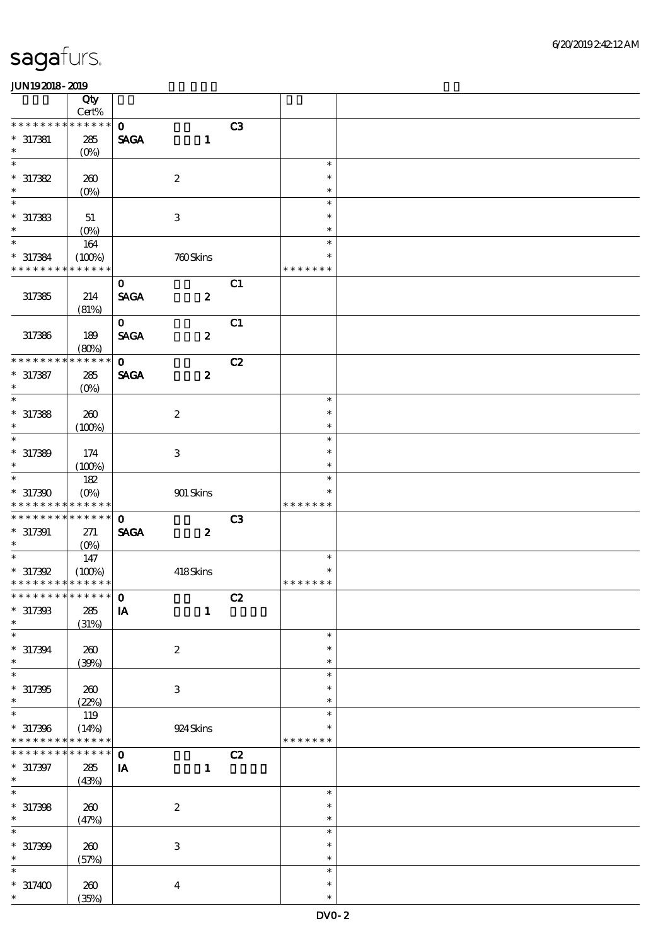|                             | Qty<br>Cert%      |                             |                  |    |               |  |
|-----------------------------|-------------------|-----------------------------|------------------|----|---------------|--|
| * * * * * * *               | * * * * * *       |                             |                  |    |               |  |
| $* 317381$                  | 285               | $\mathbf{o}$<br><b>SAGA</b> | $\mathbf{1}$     | C3 |               |  |
| $\ast$                      | $(O\%)$           |                             |                  |    |               |  |
| $\overline{\ast}$           |                   |                             |                  |    | $\ast$        |  |
| $*317382$                   | 260               |                             | $\boldsymbol{2}$ |    | $\ast$        |  |
| $\ast$                      | $(0\%)$           |                             |                  |    | $\ast$        |  |
| $\ast$                      |                   |                             |                  |    | $\ast$        |  |
| $*317383$                   | 51                |                             | $\,3\,$          |    | $\ast$        |  |
| $\ast$                      |                   |                             |                  |    |               |  |
|                             | $(0\%)$           |                             |                  |    | $\ast$        |  |
| $\ast$                      | 164               |                             |                  |    | $\ast$        |  |
| $* 317384$                  | (100%)            |                             | 760Skins         |    | $\ast$        |  |
| * * * * * * * *             | * * * * * *       |                             |                  |    | * * * * * * * |  |
|                             |                   | $\mathbf{o}$                |                  | C1 |               |  |
| 317385                      |                   | <b>SAGA</b>                 | $\boldsymbol{z}$ |    |               |  |
|                             | 214               |                             |                  |    |               |  |
|                             | (81%)             |                             |                  |    |               |  |
|                             |                   | $\mathbf{O}$                |                  | C1 |               |  |
| 317386                      | 189               | <b>SAGA</b>                 | $\boldsymbol{z}$ |    |               |  |
|                             | (80%)             |                             |                  |    |               |  |
| * * * * * * *               | * * * * * *       | $\mathbf{o}$                |                  | C2 |               |  |
| $* 317387$                  | 285               | <b>SAGA</b>                 | $\boldsymbol{z}$ |    |               |  |
| $\ast$                      |                   |                             |                  |    |               |  |
|                             | (O <sub>0</sub> ) |                             |                  |    |               |  |
| $\overline{\ast}$           |                   |                             |                  |    | $\ast$        |  |
| $*317388$                   | 260               |                             | $\boldsymbol{2}$ |    | $\ast$        |  |
| $\ast$                      | (100%)            |                             |                  |    | $\ast$        |  |
| $\ast$                      |                   |                             |                  |    | $\ast$        |  |
|                             |                   |                             |                  |    | $\ast$        |  |
| $* 317389$                  | 174               |                             | $\,3\,$          |    |               |  |
| $\ast$                      | (100%)            |                             |                  |    | $\ast$        |  |
| $\ast$                      | 182               |                             |                  |    | $\ast$        |  |
| $*317300$                   | $(O\%)$           |                             | 901 Skins        |    | $\ast$        |  |
| * * * * * * * *             | * * * * * *       |                             |                  |    | * * * * * * * |  |
| * * * * * * *               | * * * * * *       | $\mathbf 0$                 |                  | C3 |               |  |
|                             |                   |                             |                  |    |               |  |
| $*317391$                   | 271               | <b>SAGA</b>                 | $\boldsymbol{z}$ |    |               |  |
| $\ast$                      | (0%)              |                             |                  |    |               |  |
| $\ast$                      | 147               |                             |                  |    | $\ast$        |  |
| $* 317392$                  | (100%)            |                             | 418Skins         |    | $\ast$        |  |
| * * * * * * * * * * * * * * |                   |                             |                  |    | * * * * * * * |  |
| *************** 0           |                   |                             |                  | C2 |               |  |
| $*317303$                   |                   |                             |                  |    |               |  |
|                             | ${\bf 285}$       | ${\bf I} {\bf A}$           | $\mathbf{1}$     |    |               |  |
| $\ast$                      | (31%)             |                             |                  |    |               |  |
| $\ast$                      |                   |                             |                  |    | $\ast$        |  |
| $* 317394$                  | 260               |                             | $\boldsymbol{2}$ |    | $\ast$        |  |
| $\ast$                      | (30%)             |                             |                  |    | $\ast$        |  |
| $\ast$                      |                   |                             |                  |    | $\ast$        |  |
|                             |                   |                             |                  |    | ∗             |  |
| $*317305$                   | 260               |                             | $\,3\,$          |    |               |  |
| $\ast$                      | (22%)             |                             |                  |    | $\ast$        |  |
| $\ast$                      | 119               |                             |                  |    | $\ast$        |  |
| $* 317396$                  | (14%)             |                             | $924\,$ Skins    |    | ∗             |  |
| * * * * * * * *             | * * * * * *       |                             |                  |    | * * * * * * * |  |
| * * * * * * *               | * * * * * *       | $\mathbf{o}$                |                  | C2 |               |  |
|                             |                   |                             |                  |    |               |  |
| $* 317397$                  | 285               | IA                          | $\mathbf{1}$     |    |               |  |
| $\ast$                      | (43%)             |                             |                  |    |               |  |
| $\ast$                      |                   |                             |                  |    | $\ast$        |  |
| $* 317398$                  | 260               |                             | $\boldsymbol{2}$ |    | $\ast$        |  |
| $\ast$                      | (47%)             |                             |                  |    | $\ast$        |  |
| $\ast$                      |                   |                             |                  |    | $\ast$        |  |
|                             |                   |                             |                  |    |               |  |
| $* 317399$                  | 260               |                             | $\,3\,$          |    | $\ast$        |  |
| $\ast$                      | (57%)             |                             |                  |    | $\ast$        |  |
| $\ast$                      |                   |                             |                  |    | $\ast$        |  |
| $*317400$                   | 260               |                             | $\boldsymbol{4}$ |    | $\ast$        |  |
| $\ast$                      | (35%)             |                             |                  |    | $\ast$        |  |
|                             |                   |                             |                  |    |               |  |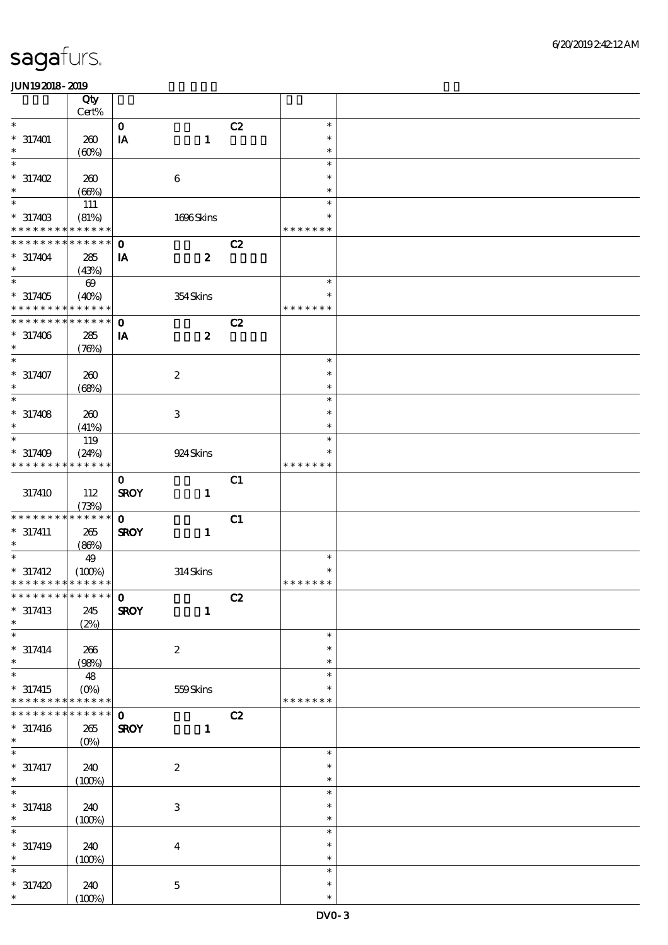|                             | Qty                   |                        |                           |                |               |  |
|-----------------------------|-----------------------|------------------------|---------------------------|----------------|---------------|--|
| $\ast$                      | Cert%                 |                        |                           |                | $\ast$        |  |
|                             |                       | $\mathbf O$            |                           | C2             |               |  |
| $* 317401$                  | 260                   | $\mathbf{I}\mathbf{A}$ | $\mathbf 1$               |                | $\ast$        |  |
| $\ast$                      | (60%)                 |                        |                           |                | $\ast$        |  |
| $\ast$                      |                       |                        |                           |                | $\ast$        |  |
| $* 317402$                  | 260                   |                        | $\boldsymbol{6}$          |                | $\ast$        |  |
| $\ast$                      | (66%)                 |                        |                           |                | $\ast$        |  |
| $\ast$                      | 111                   |                        |                           |                | $\ast$        |  |
| $* 31740B$                  | (81%)                 |                        | 1696Skins                 |                | $\ast$        |  |
| * * * * * * * *             | * * * * * *           |                        |                           |                | * * * * * * * |  |
| * * * * * * *               | * * * * * *           | $\mathbf 0$            |                           | C2             |               |  |
|                             |                       |                        |                           |                |               |  |
| $* 317404$<br>$\ast$        | 285                   | IA                     | $\boldsymbol{z}$          |                |               |  |
|                             | (43%)                 |                        |                           |                |               |  |
| $\ast$                      | $\boldsymbol{\omega}$ |                        |                           |                | $\ast$        |  |
| $*317405$                   | (40%)                 |                        | 354Skins                  |                | ∗             |  |
| * * * * * * * *             | * * * * * *           |                        |                           |                | * * * * * * * |  |
| * * * * * * * *             | * * * * * *           | $\mathbf{o}$           |                           | C2             |               |  |
| $* 317406$                  | 285                   | IA                     | $\boldsymbol{z}$          |                |               |  |
| $\ast$                      | (76%)                 |                        |                           |                |               |  |
| $\overline{\phantom{1}}$    |                       |                        |                           |                | $\ast$        |  |
| $* 317407$                  | 260                   |                        | $\boldsymbol{2}$          |                | $\ast$        |  |
| $\ast$                      | (68%)                 |                        |                           |                | $\ast$        |  |
| $\ast$                      |                       |                        |                           |                | $\ast$        |  |
|                             |                       |                        |                           |                |               |  |
| $* 317408$                  | 260                   |                        | $\ensuremath{\mathsf{3}}$ |                | $\ast$        |  |
| $\ast$                      | (41%)                 |                        |                           |                | $\ast$        |  |
| $\ast$                      | 119                   |                        |                           |                | $\ast$        |  |
| $* 317409$                  | (24%)                 |                        | 924 Skins                 |                | $\ast$        |  |
| * * * * * * * *             | * * * * * *           |                        |                           |                | * * * * * * * |  |
|                             |                       | $\mathbf{o}$           |                           | C1             |               |  |
| 317410                      | 112                   | <b>SROY</b>            | $\mathbf{1}$              |                |               |  |
|                             | (73%)                 |                        |                           |                |               |  |
| * * * * * * * *             | * * * * * *           | $\mathbf 0$            |                           | C1             |               |  |
|                             |                       |                        |                           |                |               |  |
| $* 317411$                  | $265\,$               | <b>SROY</b>            | $\mathbf{1}$              |                |               |  |
| $\ast$                      | (86%)                 |                        |                           |                |               |  |
|                             | 49                    |                        |                           |                | $\ast$        |  |
| $* 317412$                  | (100%)                |                        | 314Skins                  |                | $\ast$        |  |
| * * * * * * * * * * * * * * |                       |                        |                           |                | * * * * * * * |  |
|                             |                       |                        |                           | $\overline{c}$ |               |  |
| $* 317413$                  | 245                   | <b>SROY</b>            | $\mathbf{1}$              |                |               |  |
| $\ast$                      | (2%)                  |                        |                           |                |               |  |
| $\ast$                      |                       |                        |                           |                | $\ast$        |  |
| $* 317414$                  | 266                   |                        | $\boldsymbol{2}$          |                | $\ast$        |  |
| $\ast$                      | (98%)                 |                        |                           |                | $\ast$        |  |
| $\ast$                      | 48                    |                        |                           |                | $\ast$        |  |
|                             |                       |                        |                           |                |               |  |
| $* 317415$                  | $(O\%)$               |                        | 559Skins                  |                | $\ast$        |  |
| * * * * * * * *             | * * * * * *           |                        |                           |                | * * * * * * * |  |
| * * * * * * *               | * * * * * *           | $\mathbf 0$            |                           | C2             |               |  |
| $* 317416$                  | 265                   | <b>SROY</b>            | $\mathbf{1}$              |                |               |  |
| $\ast$                      | $(0\%)$               |                        |                           |                |               |  |
| $\ast$                      |                       |                        |                           |                | $\ast$        |  |
| $* 317417$                  | 240                   |                        | $\boldsymbol{2}$          |                | $\ast$        |  |
| $\ast$                      | (100%)                |                        |                           |                | $\ast$        |  |
|                             |                       |                        |                           |                | $\ast$        |  |
| $* 317418$                  | 240                   |                        | $\ensuremath{\mathbf{3}}$ |                | $\ast$        |  |
| $\ast$                      |                       |                        |                           |                | $\ast$        |  |
| $\ast$                      | (100%)                |                        |                           |                | $\ast$        |  |
|                             |                       |                        |                           |                |               |  |
| $* 317419$                  | 240                   |                        | $\boldsymbol{4}$          |                | $\ast$        |  |
| $\ast$                      | (100%)                |                        |                           |                | $\ast$        |  |
| $\ast$                      |                       |                        |                           |                | $\ast$        |  |
| $*317420$                   | 240                   |                        | $\bf 5$                   |                | $\ast$        |  |
| $\ast$                      | (100%)                |                        |                           |                | $\ast$        |  |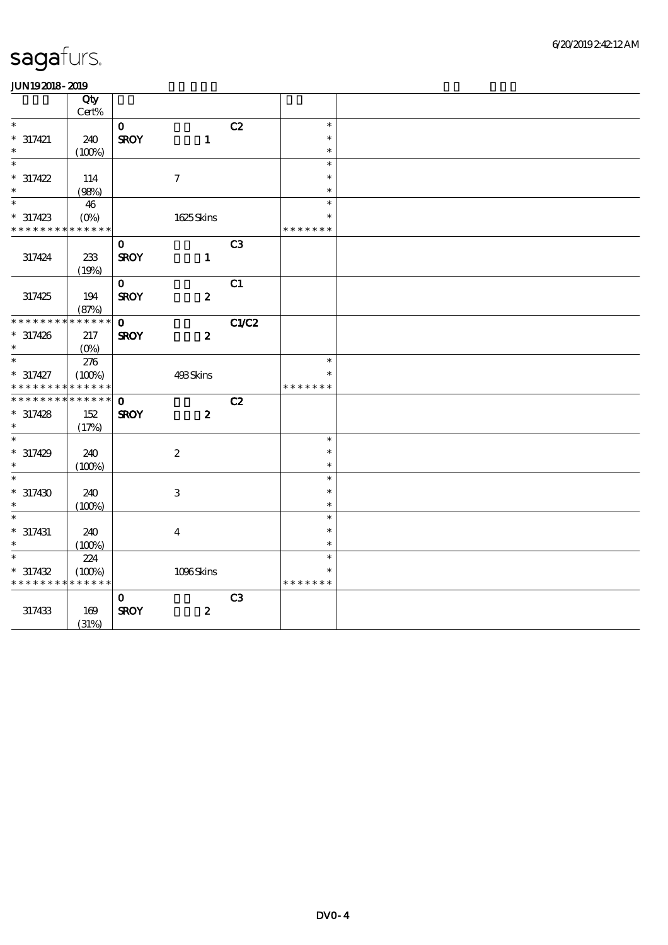|                             | Qty                       |              |                         |                |                  |  |
|-----------------------------|---------------------------|--------------|-------------------------|----------------|------------------|--|
| $\ast$                      | Cert%                     |              |                         |                | $\ast$           |  |
| $* 317421$                  |                           | $\mathbf{o}$ |                         | C2             | $\ast$           |  |
| $\ast$                      | 240<br>(100%)             | <b>SROY</b>  | $\mathbf{1}$            |                | $\ast$           |  |
| $\overline{\ast}$           |                           |              |                         |                | $\ast$           |  |
| $* 317422$                  | 114                       |              | $\tau$                  |                | $\ast$           |  |
| $\ast$                      | (98%)                     |              |                         |                | $\ast$           |  |
| $\overline{\phantom{a}^*}$  | 46                        |              |                         |                | $\ast$           |  |
| $* 317423$                  | $(O\!\!\!\!\!\!\!/\,\!o)$ |              | 1625Skins               |                | $\ast$           |  |
| * * * * * * * *             | * * * * * *               |              |                         |                | * * * * * * *    |  |
|                             |                           | $\mathbf{O}$ |                         | C <sub>3</sub> |                  |  |
| 317424                      | 233                       | <b>SROY</b>  | $\mathbf{1}$            |                |                  |  |
|                             | (19%)                     |              |                         |                |                  |  |
|                             |                           | $\mathbf{O}$ |                         | C1             |                  |  |
| 317425                      | 194                       | <b>SROY</b>  | $\boldsymbol{z}$        |                |                  |  |
|                             | (87%)                     |              |                         |                |                  |  |
| * * * * * * * * * * * * * * |                           | $\mathbf{o}$ |                         | C1/C2          |                  |  |
| $* 317426$<br>$\ast$        | 217                       | <b>SROY</b>  | $\boldsymbol{z}$        |                |                  |  |
| $\overline{\ast}$           | $(O\%)$                   |              |                         |                | $\ast$           |  |
| $* 317427$                  | 276                       |              |                         |                | $\ast$           |  |
| * * * * * * * *             | (100%)<br>* * * * * *     |              | 493Skins                |                | * * * * * * *    |  |
| * * * * * * * * * * * * * * |                           | $\mathbf{o}$ |                         | C2             |                  |  |
| $* 317428$                  | 152                       | <b>SROY</b>  | $\boldsymbol{z}$        |                |                  |  |
| $\ast$                      | (17%)                     |              |                         |                |                  |  |
| $\ast$                      |                           |              |                         |                | $\ast$           |  |
| $*317429$                   | 240                       |              | $\boldsymbol{2}$        |                | $\ast$           |  |
| $\ast$                      | (100%)                    |              |                         |                | $\ast$           |  |
| $\overline{\ast}$           |                           |              |                         |                | $\ast$           |  |
| $*317430$                   | 240                       |              | $\,3$                   |                | $\ast$           |  |
| $\ast$                      | (100%)                    |              |                         |                | $\ast$           |  |
| $\ast$                      |                           |              |                         |                | $\ast$           |  |
| $* 317431$                  | 240                       |              | $\overline{\mathbf{4}}$ |                | $\ast$           |  |
| $\ast$<br>$\ast$            | (100%)                    |              |                         |                | $\ast$<br>$\ast$ |  |
| $* 317432$                  | 224                       |              |                         |                |                  |  |
| * * * * * * * * * * * * * * | (100%)                    |              | 1096Skins               |                | * * * * * * *    |  |
|                             |                           | $\mathbf 0$  |                         | C <sub>3</sub> |                  |  |
| $317433\,$                  | 169                       | <b>SROY</b>  | $\boldsymbol{z}$        |                |                  |  |
|                             | (31%)                     |              |                         |                |                  |  |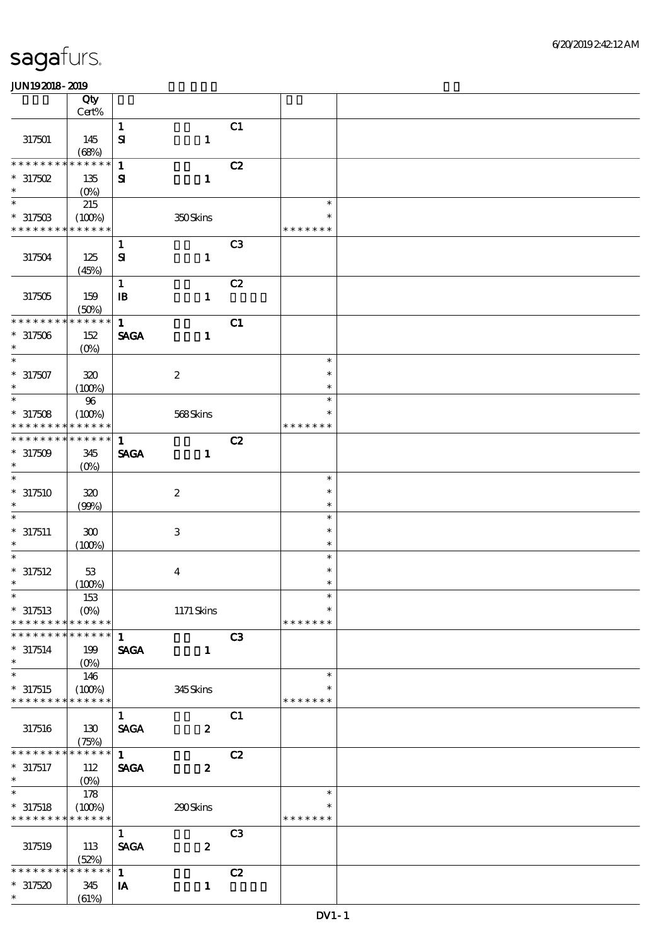|                              | Qty                   |                                |                           |                |                  |  |
|------------------------------|-----------------------|--------------------------------|---------------------------|----------------|------------------|--|
|                              | Cert%                 |                                |                           |                |                  |  |
|                              |                       | $\mathbf{1}$                   |                           | C1             |                  |  |
| 317501                       | 145                   | $\mathbf{S}$                   | $\mathbf{1}$              |                |                  |  |
| * * * * * * *<br>$\ast$      | (68%)<br>* * * * * *  | $\mathbf{1}$                   |                           | C2             |                  |  |
| $*317502$                    | 135                   | $\mathbf{S}$                   | $\mathbf{1}$              |                |                  |  |
| $\ast$                       | $(0\%)$               |                                |                           |                |                  |  |
| $\overline{\phantom{1}}$     | 215                   |                                |                           |                | $\ast$           |  |
| $*31750B$                    | (100%)                |                                | 350Skins                  |                |                  |  |
| * * * * * * * *              | * * * * * *           |                                |                           |                | * * * * * * *    |  |
|                              |                       | $\mathbf{1}$                   |                           | C <sub>3</sub> |                  |  |
| 317504                       | 125                   | $\mathbf{S}$                   | $\mathbf{1}$              |                |                  |  |
|                              | (45%)                 |                                |                           |                |                  |  |
|                              |                       | $\mathbf{1}$                   |                           | C2             |                  |  |
| 317505                       | 159                   | $\mathbf{B}$                   | $\mathbf{1}$              |                |                  |  |
|                              | (50%)                 |                                |                           |                |                  |  |
| * * * * * * * *              | * * * * * *           | $\mathbf{1}$                   |                           | C1             |                  |  |
| $*317506$                    | 152                   | <b>SAGA</b>                    | $\mathbf{1}$              |                |                  |  |
| $\ast$<br>$\overline{\ast}$  | $(O\%)$               |                                |                           |                | $\ast$           |  |
| $* 317507$                   | $320\,$               |                                | $\boldsymbol{2}$          |                | $\ast$           |  |
| $\ast$                       | (100%)                |                                |                           |                | $\ast$           |  |
| $\ast$                       | $96\,$                |                                |                           |                | $\ast$           |  |
| $*317508$                    | (100%)                |                                | $568\mathrm{S}$ kins      |                | ∗                |  |
| * * * * * * * *              | * * * * * *           |                                |                           |                | * * * * * * *    |  |
| * * * * * * *<br>$\ast$      | * * * * * *           | $\mathbf{1}$                   |                           | C2             |                  |  |
| $*317509$                    | 345                   | <b>SAGA</b>                    | $\mathbf{1}$              |                |                  |  |
| $\ast$                       | $(O\%)$               |                                |                           |                |                  |  |
| $\ast$                       |                       |                                |                           |                | $\ast$           |  |
| $*317510$                    | $320\,$               |                                | $\boldsymbol{2}$          |                | $\ast$           |  |
| $\ast$                       | (90%)                 |                                |                           |                | $\ast$           |  |
| $\ast$                       |                       |                                |                           |                | $\ast$           |  |
| $* 317511$<br>$\ast$         | 300                   |                                | $\ensuremath{\mathsf{3}}$ |                | $\ast$<br>$\ast$ |  |
| $\ast$                       | (100%)                |                                |                           |                | $\ast$           |  |
| $* 317512$                   | $53\,$                |                                | $\bf{4}$                  |                | $\ast$           |  |
| $\ast$                       | (100%)                |                                |                           |                | $\ast$           |  |
| $*$                          | 153                   |                                |                           |                | $\ast$           |  |
| $*317513$                    | $(O\%)$               |                                | $1171$ Skins              |                | $\ast$           |  |
| * * * * * * * *              | * * * * * *           |                                |                           |                | * * * * * * *    |  |
| * * * * * * *<br>$\ast$      | * * * * * *           | $\mathbf{1}$                   |                           | C3             |                  |  |
| $*317514$                    | 199                   | <b>SAGA</b>                    | $\mathbf{1}$              |                |                  |  |
| $\ast$                       | $(O\%)$               |                                |                           |                |                  |  |
| $\ast$                       | 146                   |                                |                           |                | $\ast$           |  |
| $*317515$<br>* * * * * * * * | (100%)<br>* * * * * * |                                | 345Skins                  |                | * * * * * * *    |  |
|                              |                       |                                |                           |                |                  |  |
|                              |                       | $\mathbf{1}$<br><b>SAGA</b>    | $\boldsymbol{z}$          | C1             |                  |  |
| 317516                       | 130<br>(75%)          |                                |                           |                |                  |  |
| * * * * * * *                | * * * * * *           | $\mathbf{1}$                   |                           | C2             |                  |  |
| $* 317517$                   | 112                   | <b>SAGA</b>                    | $\boldsymbol{2}$          |                |                  |  |
| $\ast$                       | $(0\%)$               |                                |                           |                |                  |  |
| $\ast$                       | 178                   |                                |                           |                | $\ast$           |  |
| $*317518$                    | (100%)                |                                | 290Skins                  |                |                  |  |
| * * * * * * * *              | * * * * * *           |                                |                           |                | * * * * * * *    |  |
|                              |                       | $\mathbf{1}$                   |                           | C3             |                  |  |
| 317519                       | 113                   | $\operatorname{\mathsf{SAGA}}$ | $\boldsymbol{z}$          |                |                  |  |
| * * * * * * * *              | (52%)<br>* * * * * *  |                                |                           |                |                  |  |
|                              |                       | $\mathbf{1}$                   |                           | C2             |                  |  |
| $*317520$<br>$\ast$          | 345<br>(61%)          | IA                             | $\mathbf{1}$              |                |                  |  |
|                              |                       |                                |                           |                |                  |  |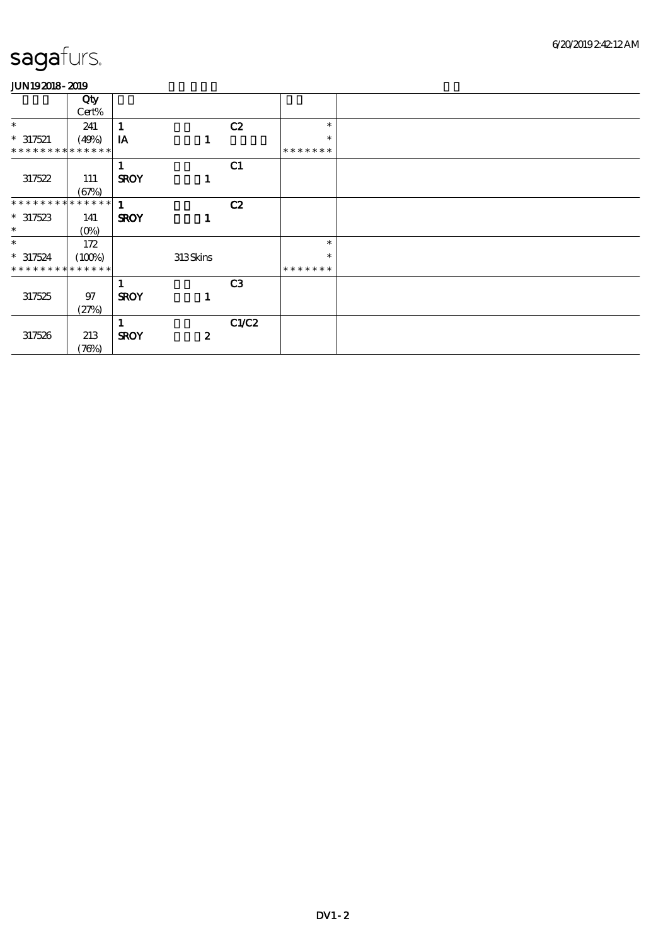|                               | Qty     |              |                  |                |               |  |
|-------------------------------|---------|--------------|------------------|----------------|---------------|--|
|                               | Cert%   |              |                  |                |               |  |
| $\ast$                        | 241     |              |                  | C2             | $\ast$        |  |
| $* 317521$                    | (49%)   | IA           | 1                |                | $\ast$        |  |
| **************                |         |              |                  |                | * * * * * * * |  |
|                               |         |              |                  | C1             |               |  |
| 317522                        | 111     | <b>SROY</b>  | 1                |                |               |  |
|                               | (67%)   |              |                  |                |               |  |
| * * * * * * * * * * * * * * * |         | $\mathbf{1}$ |                  | C2             |               |  |
| $*317523$                     | 141     | <b>SROY</b>  | 1                |                |               |  |
| $\ast$                        | $(O\%)$ |              |                  |                |               |  |
| $\ast$                        | 172     |              |                  |                | $\ast$        |  |
| $*317524$                     | (100%)  |              | 313Skins         |                | $\ast$        |  |
| * * * * * * * * * * * * * *   |         |              |                  |                | *******       |  |
|                               |         |              |                  | C <sub>3</sub> |               |  |
| 317525                        | 97      | <b>SROY</b>  | 1                |                |               |  |
|                               | (27%)   |              |                  |                |               |  |
|                               |         |              |                  | C1/C2          |               |  |
| 317526                        | 213     | <b>SROY</b>  | $\boldsymbol{z}$ |                |               |  |
|                               | (76%)   |              |                  |                |               |  |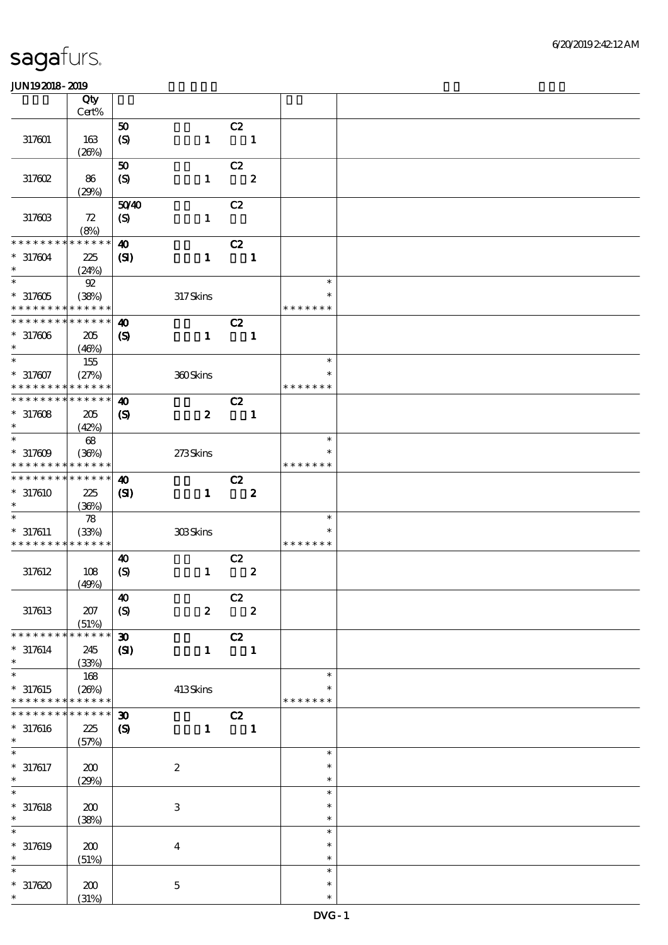|                              | Qty                  |                             |                  |                            |                  |                         |  |
|------------------------------|----------------------|-----------------------------|------------------|----------------------------|------------------|-------------------------|--|
|                              | $Cert\%$             |                             |                  |                            |                  |                         |  |
|                              |                      | 50                          |                  | C2                         |                  |                         |  |
| 317601                       | 163<br>(20%)         | (S)                         | $\mathbf{1}$     |                            | $\mathbf{1}$     |                         |  |
|                              |                      | 50                          |                  | C2                         |                  |                         |  |
| 317602                       | 86                   | (S)                         | $\mathbf{1}$     |                            | $\boldsymbol{2}$ |                         |  |
|                              | (29%)                |                             |                  |                            |                  |                         |  |
|                              |                      | 5040                        |                  | C2                         |                  |                         |  |
| 317603                       | 72                   | $\boldsymbol{S}$            | $\mathbf{1}$     |                            |                  |                         |  |
|                              | (8%)                 |                             |                  |                            |                  |                         |  |
| * * * * * * * *              | * * * * * *          | $\boldsymbol{\omega}$       |                  | C2                         |                  |                         |  |
| $*317604$                    | 225                  | (S)                         | $\mathbf{1}$     | $\blacksquare$             |                  |                         |  |
| $\ast$<br>$\ast$             | (24%)                |                             |                  |                            |                  | $\ast$                  |  |
|                              | $92\,$               |                             |                  |                            |                  | $\ast$                  |  |
| $*317605$<br>* * * * * * * * | (38%)<br>* * * * * * |                             | 317Skins         |                            |                  | * * * * * * *           |  |
| * * * * * * * *              | * * * * * *          | $\boldsymbol{\omega}$       |                  | C2                         |                  |                         |  |
| $*317606$                    | 205                  | $\boldsymbol{\mathcal{S}}$  | $\mathbf{1}$     |                            | $\mathbf{1}$     |                         |  |
| $\ast$                       | (46%)                |                             |                  |                            |                  |                         |  |
| $\ast$                       | $155\,$              |                             |                  |                            |                  | $\ast$                  |  |
| $* 317607$                   | (27%)                |                             | 360Skins         |                            |                  | $\ast$                  |  |
| * * * * * * * *              | * * * * * *          |                             |                  |                            |                  | * * * * * * *           |  |
| * * * * * * * *              | * * * * * *          | $\boldsymbol{\omega}$       |                  | C2                         |                  |                         |  |
| $*317608$                    | 205                  | $\boldsymbol{S}$            | $\boldsymbol{z}$ |                            | $\blacksquare$   |                         |  |
| $\ast$<br>$\ast$             | (42%)                |                             |                  |                            |                  | $\ast$                  |  |
| $*317609$                    | 68<br>(36%)          |                             | 273Skins         |                            |                  | $\ast$                  |  |
| * * * * * * * *              | * * * * * *          |                             |                  |                            |                  | * * * * * * *           |  |
| * * * * * * * *              | * * * * * *          | $\boldsymbol{\omega}$       |                  | C2                         |                  |                         |  |
| $*317610$                    | 225                  | (S)                         | $\mathbf{1}$     |                            | $\boldsymbol{z}$ |                         |  |
| $\ast$                       | (36%)                |                             |                  |                            |                  |                         |  |
| $\ast$                       | $78$                 |                             |                  |                            |                  | $\ast$                  |  |
| $* 317611$                   | (33%)                |                             | 308Skins         |                            |                  | $\ast$                  |  |
| * * * * * * * *              | * * * * * *          |                             |                  |                            |                  | * * * * * * *           |  |
| 317612                       | 108                  | $\boldsymbol{\omega}$       | $\mathbf{1}$     | C2                         | $\boldsymbol{2}$ |                         |  |
|                              | (49%)                | $\boldsymbol{S}$            |                  |                            |                  |                         |  |
|                              |                      | $\boldsymbol{\omega}$       |                  | C2                         |                  |                         |  |
| 317613                       | 207                  | (S)                         | $\boldsymbol{z}$ | $\overline{\phantom{a}}$ 2 |                  |                         |  |
|                              | (51%)                |                             |                  |                            |                  |                         |  |
| * * * * * * * *              | * * * * * *          | $\boldsymbol{\mathfrak{D}}$ |                  | C2                         |                  |                         |  |
| $* 317614$                   | 245                  | $\mathbf{C}$                | $\mathbf{1}$     |                            | $\blacksquare$   |                         |  |
| $\ast$                       | (33%)                |                             |                  |                            |                  |                         |  |
| $\ast$                       | 168                  |                             |                  |                            |                  | $\ast$                  |  |
| $*317615$<br>* * * * * * * * | (20%)<br>* * * * * * |                             | 413Skins         |                            |                  | $\ast$<br>* * * * * * * |  |
| * * * * * *                  | * * * * * *          | $\boldsymbol{\mathfrak{D}}$ |                  | C2                         |                  |                         |  |
| $* 317616$                   | 225                  | $\boldsymbol{S}$            | $\mathbf{1}$     | $\blacksquare$             |                  |                         |  |
| $\ast$                       | (57%)                |                             |                  |                            |                  |                         |  |
| $\ast$                       |                      |                             |                  |                            |                  | $\ast$                  |  |
| $* 317617$                   | 200                  |                             | $\boldsymbol{2}$ |                            |                  | $\ast$                  |  |
| $\ast$                       | (29%)                |                             |                  |                            |                  | $\ast$                  |  |
| $\ast$                       |                      |                             |                  |                            |                  | $\ast$                  |  |
| $* 317618$<br>$\ast$         | 200                  |                             | $\,3$            |                            |                  | $\ast$                  |  |
| $\ast$                       | (38%)                |                             |                  |                            |                  | $\ast$<br>$\ast$        |  |
| $* 317619$                   | 200                  |                             | $\boldsymbol{4}$ |                            |                  | $\ast$                  |  |
| $\ast$                       | (51%)                |                             |                  |                            |                  | $\ast$                  |  |
| $\ast$                       |                      |                             |                  |                            |                  | $\ast$                  |  |
| $*317620$                    | 200                  |                             | $\mathbf 5$      |                            |                  | $\ast$                  |  |
| $\ast$                       | (31%)                |                             |                  |                            |                  | $\ast$                  |  |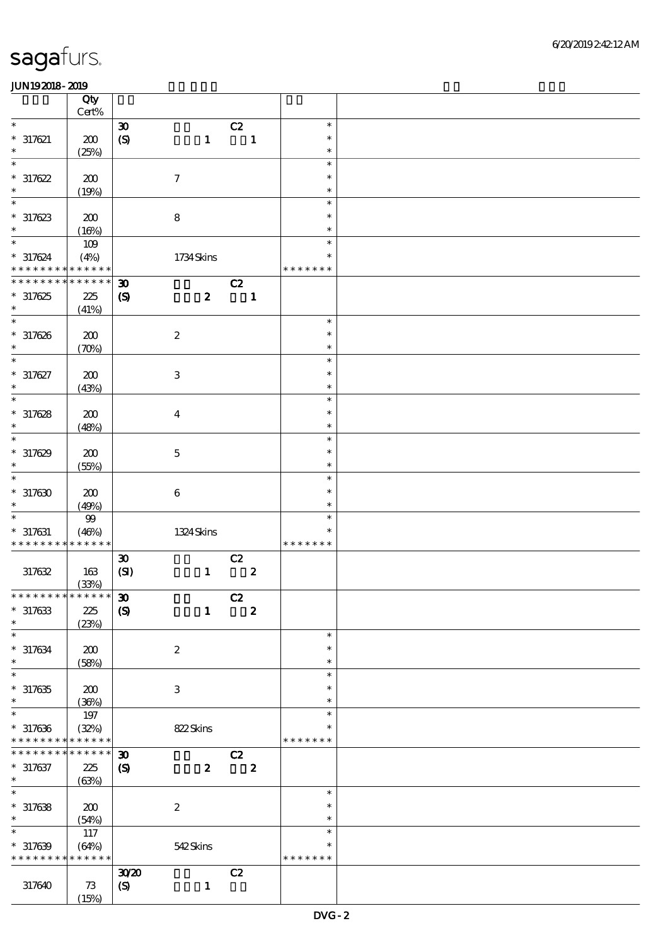|                                              | Qty            |                                     |                  |                         |                  |                  |  |
|----------------------------------------------|----------------|-------------------------------------|------------------|-------------------------|------------------|------------------|--|
| $\ast$                                       | $Cert\%$       | $\boldsymbol{\mathfrak{D}}$         |                  | C2                      |                  | $\ast$           |  |
| $* 317621$                                   | 200            | $\pmb{\in}$                         | $\mathbf{1}$     |                         | $\mathbf{1}$     | $\ast$           |  |
| $\ast$                                       | (25%)          |                                     |                  |                         |                  | $\ast$           |  |
| $\ast$                                       |                |                                     |                  |                         |                  | $\ast$           |  |
| $*317622$                                    | 200            |                                     | $\boldsymbol{7}$ |                         |                  | $\ast$           |  |
| $\ast$                                       | (19%)          |                                     |                  |                         |                  | $\ast$           |  |
| $\ast$                                       |                |                                     |                  |                         |                  | $\ast$           |  |
| $*317623$<br>$\ast$                          | 200            |                                     | $\bf 8$          |                         |                  | $\ast$           |  |
| $\ast$                                       | (16%)          |                                     |                  |                         |                  | $\ast$<br>$\ast$ |  |
| $* 317624$                                   | $109$<br>(4%)  |                                     | 1734Skins        |                         |                  | $\ast$           |  |
| * * * * * * * * <mark>* * * * * * *</mark>   |                |                                     |                  |                         |                  | * * * * * * *    |  |
| * * * * * * *                                | * * * * * *    | $\boldsymbol{\mathfrak{D}}$         |                  | C2                      |                  |                  |  |
| $*317625$                                    | $225\,$        | $\boldsymbol{S}$                    | $\boldsymbol{2}$ |                         | $\mathbf{1}$     |                  |  |
| $\ast$                                       | (41%)          |                                     |                  |                         |                  |                  |  |
| $\overline{\ast}$                            |                |                                     |                  |                         |                  | $\ast$           |  |
| $*317626$<br>$\ast$                          | 200            |                                     | $\boldsymbol{2}$ |                         |                  | $\ast$<br>$\ast$ |  |
| $\ast$                                       | (70%)          |                                     |                  |                         |                  | $\ast$           |  |
| $* 317627$                                   | 200            |                                     | $\,3$            |                         |                  | $\ast$           |  |
| $\ast$                                       | (43%)          |                                     |                  |                         |                  | $\ast$           |  |
| $\ast$                                       |                |                                     |                  |                         |                  | $\ast$           |  |
| $*317628$                                    | 200            |                                     | $\boldsymbol{4}$ |                         |                  | $\ast$           |  |
| $\ast$                                       | (48%)          |                                     |                  |                         |                  | $\ast$           |  |
| $\ast$                                       |                |                                     |                  |                         |                  | $\ast$<br>$\ast$ |  |
| $*317629$<br>$\ast$                          | 200<br>(55%)   |                                     | $\mathbf 5$      |                         |                  | $\ast$           |  |
| $\ast$                                       |                |                                     |                  |                         |                  | $\ast$           |  |
| $*317630$                                    | 200            |                                     | $\bf 6$          |                         |                  | $\ast$           |  |
| $\ast$                                       | (49%)          |                                     |                  |                         |                  | $\ast$           |  |
| $\ast$                                       | $9\hskip-2pt9$ |                                     |                  |                         |                  | $\ast$           |  |
| $* 317631$                                   | (46%)          |                                     | 1324Skins        |                         |                  | $\ast$           |  |
| * * * * * * * * <mark>* * * * * *</mark>     |                |                                     |                  |                         |                  | * * * * * * *    |  |
| 317632                                       | 163            | $\boldsymbol{\mathfrak{D}}$<br>(SI) | $\mathbf{1}$     | C2                      | $\boldsymbol{z}$ |                  |  |
|                                              | (33%)          |                                     |                  |                         |                  |                  |  |
| ************** 30                            |                |                                     |                  | $\overline{c}$          |                  |                  |  |
| $*317633$                                    | 225            | $\boldsymbol{S}$                    | $\mathbf{1}$     | $\overline{\mathbf{2}}$ |                  |                  |  |
| $\ast$                                       | (23%)          |                                     |                  |                         |                  |                  |  |
| $\ast$                                       |                |                                     |                  |                         |                  | $\ast$           |  |
| $* 317634$<br>$\ast$                         | 200            |                                     | $\boldsymbol{2}$ |                         |                  | $\ast$<br>$\ast$ |  |
| $\ast$                                       | (58%)          |                                     |                  |                         |                  | $\ast$           |  |
| $*317635$                                    | 200            |                                     | $\,3$            |                         |                  | $\ast$           |  |
| $\ast$                                       | (36%)          |                                     |                  |                         |                  | $\ast$           |  |
| $\ast$                                       | $197$          |                                     |                  |                         |                  | $\ast$           |  |
| $*317636$                                    | (32%)          |                                     | 822Skins         |                         |                  | $\ast$           |  |
| * * * * * * * * * * * * * *<br>* * * * * * * |                |                                     |                  |                         |                  | * * * * * * *    |  |
| $* 317637$                                   | * * * * * *    | $\boldsymbol{\mathfrak{D}}$         | $\boldsymbol{z}$ | C2                      | $\boldsymbol{z}$ |                  |  |
| $*$                                          | 225<br>(63%)   | $\boldsymbol{\mathcal{S}}$          |                  |                         |                  |                  |  |
| $\overline{\ast}$                            |                |                                     |                  |                         |                  | $\ast$           |  |
| $*317638$                                    | 200            |                                     | $\boldsymbol{2}$ |                         |                  | $\ast$           |  |
| $\ast$                                       | (54%)          |                                     |                  |                         |                  | $\ast$           |  |
| $\ast$                                       | 117            |                                     |                  |                         |                  | $\ast$           |  |
| $*317639$                                    | (64%)          |                                     | 542Skins         |                         |                  | $\ast$           |  |
| * * * * * * * *                              | * * * * * *    |                                     |                  |                         |                  | * * * * * * *    |  |
| 317640                                       | 73             | 3020<br>$\boldsymbol{S}$            | $\mathbf{1}$     | C2                      |                  |                  |  |
|                                              | (15%)          |                                     |                  |                         |                  |                  |  |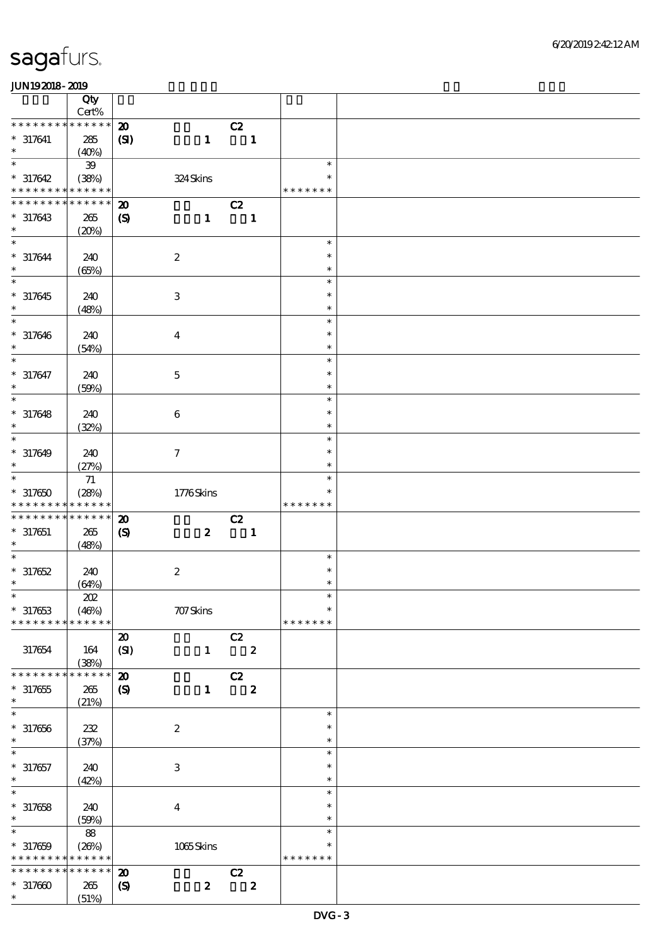|                                                         | Qty<br>Cert% |                             |                     |                  |                |                         |                         |  |
|---------------------------------------------------------|--------------|-----------------------------|---------------------|------------------|----------------|-------------------------|-------------------------|--|
| * * * * * * * *                                         | * * * * * *  | $\boldsymbol{\mathfrak{D}}$ |                     |                  | C2             |                         |                         |  |
| $* 317641$<br>$\ast$                                    | 285<br>(40%) | $\mathbf{C}$                |                     | $\mathbf{1}$     |                | $\mathbf{1}$            |                         |  |
| $\ast$                                                  | ${\bf 39}$   |                             |                     |                  |                |                         | $\ast$                  |  |
| $*317642$<br>* * * * * * * * <mark>* * * * * * *</mark> | (38%)        |                             | 324Skins            |                  |                |                         | $\ast$<br>* * * * * * * |  |
| * * * * * * * *                                         | * * * * * *  | $\boldsymbol{\mathbf{z}}$   |                     |                  | C2             |                         |                         |  |
| $*317643$<br>$\ast$                                     | 265<br>(20%) | $\boldsymbol{\mathcal{S}}$  |                     | $\mathbf{1}$     | $\blacksquare$ |                         |                         |  |
| $\ast$                                                  |              |                             |                     |                  |                |                         | $\ast$                  |  |
| $* 317644$<br>$\ast$                                    | 240<br>(65%) |                             | $\boldsymbol{2}$    |                  |                |                         | $\ast$<br>$\ast$        |  |
| $\overline{\ast}$                                       |              |                             |                     |                  |                |                         | $\ast$                  |  |
| $* 317645$<br>$\ast$                                    | 240<br>(48%) |                             | $\,3$               |                  |                |                         | $\ast$<br>$\ast$        |  |
| $\ast$                                                  |              |                             |                     |                  |                |                         | $\ast$                  |  |
| $* 317646$<br>$\ast$                                    | 240<br>(54%) |                             | $\boldsymbol{4}$    |                  |                |                         | $\ast$<br>$\ast$        |  |
| $\ast$                                                  |              |                             |                     |                  |                |                         | $\ast$                  |  |
| $* 317647$<br>$\ast$                                    | 240<br>(50%) |                             | $\mathbf 5$         |                  |                |                         | $\ast$<br>$\ast$        |  |
| $\ast$                                                  |              |                             |                     |                  |                |                         | $\ast$                  |  |
| $* 317648$<br>$\ast$                                    | 240<br>(32%) |                             | $\boldsymbol{6}$    |                  |                |                         | $\ast$<br>$\ast$        |  |
| $\ast$                                                  |              |                             |                     |                  |                |                         | $\ast$                  |  |
| $* 317649$<br>$\ast$                                    | 240<br>(27%) |                             | $\boldsymbol{\tau}$ |                  |                |                         | $\ast$<br>$\ast$        |  |
| $\ast$                                                  | $71\,$       |                             |                     |                  |                |                         | $\ast$                  |  |
| $*317650$<br>* * * * * * * * <mark>* * * * * *</mark> * | (28%)        |                             | 1776Skins           |                  |                |                         | $\ast$<br>* * * * * * * |  |
| * * * * * * * *                                         | * * * * * *  |                             |                     |                  |                |                         |                         |  |
|                                                         |              | $\boldsymbol{\mathbf{z}}$   |                     |                  | C2             |                         |                         |  |
| $* 317651$<br>$\ast$                                    | 265          | $\boldsymbol{\mathcal{S}}$  |                     | $\boldsymbol{z}$ | $\blacksquare$ |                         |                         |  |
| $\ast$                                                  | (48%)        |                             |                     |                  |                |                         | $\ast$                  |  |
| $*317652$                                               | 240          |                             | $\boldsymbol{2}$    |                  |                |                         | $\ast$                  |  |
| $\ast$                                                  | (64%)        |                             |                     |                  |                |                         | $\ast$                  |  |
| $\ast$                                                  | $202\,$      |                             |                     |                  |                |                         | $\ast$                  |  |
| $*317653$                                               | (46%)        |                             | 707Skins            |                  |                |                         | $\ast$                  |  |
| * * * * * * * *                                         | * * * * * *  |                             |                     |                  |                |                         | * * * * * * *           |  |
|                                                         |              | $\boldsymbol{\mathbf{z}}$   |                     |                  | C2             |                         |                         |  |
| 317654                                                  | 164<br>(38%) | (SI)                        |                     | $\mathbf{1}$     |                | $\overline{\mathbf{2}}$ |                         |  |
| * * * * * * * *                                         | * * * * * *  | $\boldsymbol{\mathfrak{D}}$ |                     |                  | C2             |                         |                         |  |
| $*317655$<br>$\ast$                                     | 265<br>(21%) | $\boldsymbol{S}$            |                     | $\mathbf{1}$     |                | $\overline{\mathbf{2}}$ |                         |  |
| $\ast$                                                  |              |                             |                     |                  |                |                         | $\ast$                  |  |
| $* 317656$                                              | $2\!2$       |                             | $\boldsymbol{2}$    |                  |                |                         | $\ast$                  |  |
| $\ast$                                                  | (37%)        |                             |                     |                  |                |                         | $\ast$                  |  |
| $\ast$                                                  |              |                             |                     |                  |                |                         | $\ast$                  |  |
| $* 317657$                                              | 240          |                             | $\,3$               |                  |                |                         | $\ast$                  |  |
| $\ast$                                                  | (42%)        |                             |                     |                  |                |                         | $\ast$                  |  |
| $\overline{\ast}$                                       |              |                             |                     |                  |                |                         | $\ast$                  |  |
| $* 317658$                                              | 240          |                             | $\boldsymbol{4}$    |                  |                |                         | $\ast$                  |  |
| $\ast$                                                  | (50%)        |                             |                     |                  |                |                         | $\ast$                  |  |
| $\ast$                                                  | 88           |                             |                     |                  |                |                         | $\ast$                  |  |
| $* 317659$                                              | (20%)        |                             | $1065$ Skins        |                  |                |                         | $\ast$                  |  |
| * * * * * * * *                                         | * * * * * *  |                             |                     |                  |                |                         | * * * * * * *           |  |
| * * * * * * *                                           | * * * * * *  | $\boldsymbol{\mathbf{z}}$   |                     |                  | C2             |                         |                         |  |
| $*317600$                                               | 265          | $\boldsymbol{\mathcal{S}}$  |                     | $\boldsymbol{z}$ |                | $\mathbf{2}$            |                         |  |
| $\ast$                                                  | (51%)        |                             |                     |                  |                |                         |                         |  |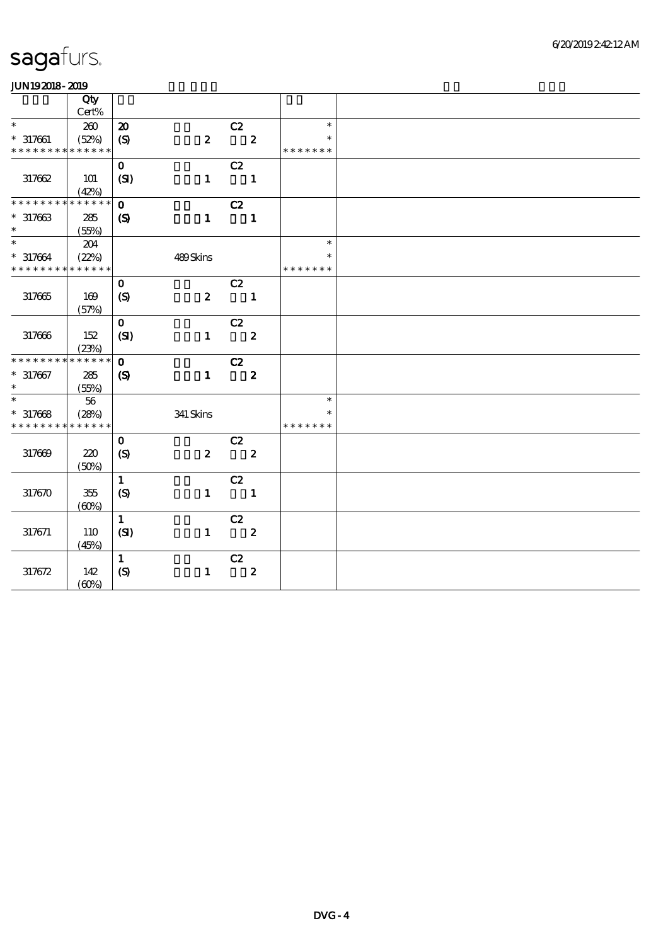| .                           |             |                             |                  |                            |                  |               |  |
|-----------------------------|-------------|-----------------------------|------------------|----------------------------|------------------|---------------|--|
|                             | Qty         |                             |                  |                            |                  |               |  |
|                             | Cert%       |                             |                  |                            |                  |               |  |
| $\ast$                      | 200         | $\boldsymbol{\mathfrak{D}}$ |                  | C2                         |                  | $\ast$        |  |
| $* 317661$                  | (52%)       | (S)                         | $\boldsymbol{z}$ | $\overline{\mathbf{2}}$    |                  | $\ast$        |  |
| * * * * * * * * * * * * * * |             |                             |                  |                            |                  | * * * * * * * |  |
|                             |             | $\mathbf{O}$                |                  | C2                         |                  |               |  |
| 317662                      | 101         | (SI)                        | $\mathbf{1}$     | $\overline{\phantom{a}}$ 1 |                  |               |  |
|                             | (42%)       |                             |                  |                            |                  |               |  |
| * * * * * * * *             | * * * * * * | $\mathbf{o}$                |                  | C2                         |                  |               |  |
| $* 317663$                  | 285         | $\boldsymbol{\mathcal{S}}$  |                  | $1 \quad 1$                |                  |               |  |
| $\ast$                      | (55%)       |                             |                  |                            |                  |               |  |
| $\ast$                      | 204         |                             |                  |                            |                  | $\ast$        |  |
| $* 317664$                  | (22%)       |                             | 489Skins         |                            |                  |               |  |
| * * * * * * * * * * * * * * |             |                             |                  |                            |                  | * * * * * * * |  |
|                             |             | $\mathbf{O}$                |                  | C2                         |                  |               |  |
|                             |             |                             |                  |                            |                  |               |  |
| 317665                      | 169         | $\boldsymbol{S}$            | $\boldsymbol{z}$ | $\blacksquare$             |                  |               |  |
|                             | (57%)       |                             |                  |                            |                  |               |  |
|                             |             | $\mathbf{O}$                |                  | C2                         |                  |               |  |
| 317666                      | 152         | (SI)                        |                  | $1 \t 2$                   |                  |               |  |
|                             | (23%)       |                             |                  |                            |                  |               |  |
| * * * * * * * *             | * * * * * * | $\mathbf{o}$                |                  | $\overline{c}z$            |                  |               |  |
| $* 317667$                  | 285         | $\boldsymbol{\mathrm{(S)}}$ | $\mathbf{1}$     | $\overline{\mathbf{z}}$    |                  |               |  |
| $\ast$                      | (55%)       |                             |                  |                            |                  |               |  |
| $\ast$                      | 56          |                             |                  |                            |                  | $\ast$        |  |
| $*317668$                   | (28%)       |                             | $341$ Skins      |                            |                  | $\ast$        |  |
| * * * * * * * *             | * * * * * * |                             |                  |                            |                  | * * * * * * * |  |
|                             |             | $\mathbf{O}$                |                  | C2                         |                  |               |  |
| 317669                      | 220         | $\boldsymbol{S}$            | $\boldsymbol{z}$ | $\overline{\phantom{a}}$ 2 |                  |               |  |
|                             | (50%)       |                             |                  |                            |                  |               |  |
|                             |             | $\mathbf{1}$                |                  | C2                         |                  |               |  |
| 317670                      | $355\,$     | (S)                         | $\mathbf{1}$     | $\overline{\phantom{a}}$   |                  |               |  |
|                             | (60%)       |                             |                  |                            |                  |               |  |
|                             |             | $\mathbf{1}$                |                  | C2                         |                  |               |  |
| 317671                      | 110         | (SI)                        | $\mathbf{1}$     | $\overline{\mathbf{z}}$    |                  |               |  |
|                             | (45%)       |                             |                  |                            |                  |               |  |
|                             |             | $\mathbf{1}$                |                  | C2                         |                  |               |  |
| 317672                      | 142         | $\circledS$                 | $\mathbf{1}$     |                            | $\boldsymbol{2}$ |               |  |
|                             |             |                             |                  |                            |                  |               |  |
|                             | (60%)       |                             |                  |                            |                  |               |  |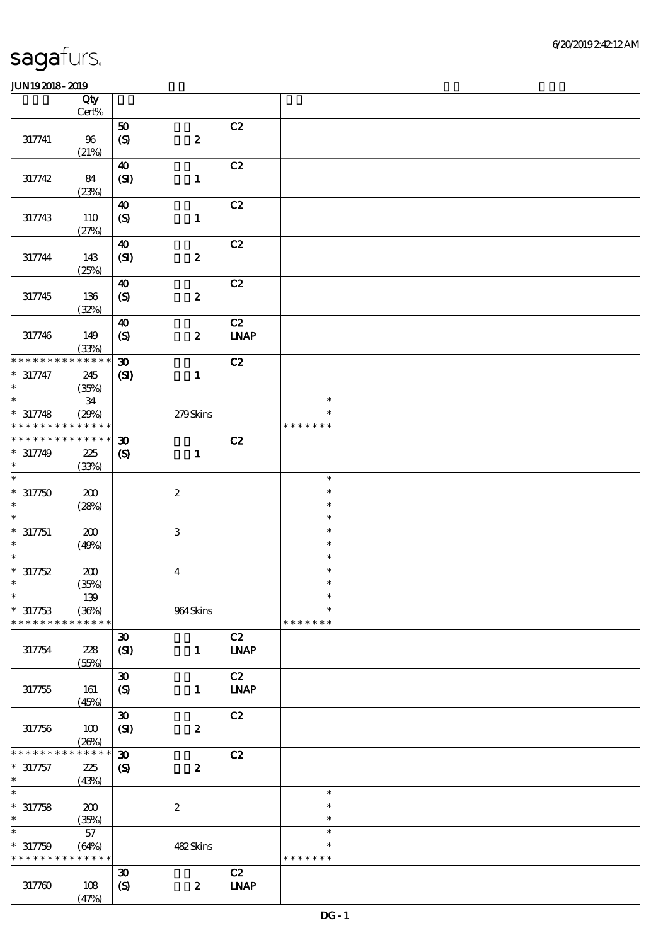|                            | Qty<br>Cert%    |                                           |                  |             |                  |  |
|----------------------------|-----------------|-------------------------------------------|------------------|-------------|------------------|--|
|                            |                 |                                           |                  |             |                  |  |
| 317741                     | 96              | 50<br>$\boldsymbol{\mathrm{(S)}}$         | $\pmb{2}$        | C2          |                  |  |
|                            | (21%)           |                                           |                  |             |                  |  |
|                            |                 | $\boldsymbol{40}$                         |                  | C2          |                  |  |
| 317742                     | 84<br>(23%)     | (SI)                                      | $\mathbf{1}$     |             |                  |  |
|                            |                 | $\boldsymbol{\omega}$                     |                  | C2          |                  |  |
| 317743                     | 110             | $\boldsymbol{S}$                          | $\mathbf{1}$     |             |                  |  |
|                            | (27%)           | $\boldsymbol{\omega}$                     |                  | C2          |                  |  |
| 317744                     | 143<br>(25%)    | (SI)                                      | $\pmb{2}$        |             |                  |  |
|                            |                 | $\boldsymbol{40}$                         |                  | C2          |                  |  |
| 317745                     | 136             | (S)                                       | $\pmb{2}$        |             |                  |  |
|                            | (32%)           |                                           |                  | C2          |                  |  |
| 317746                     | 149<br>(33%)    | $\boldsymbol{\omega}$<br>$\boldsymbol{S}$ | $\pmb{2}$        | <b>LNAP</b> |                  |  |
| * * * * * * *              | * * * * * *     | $\boldsymbol{\mathfrak{D}}$               |                  | C2          |                  |  |
| $* 317747$<br>$\ast$       | 245<br>(35%)    | $\mathbf{C}$                              | $\mathbf{1}$     |             |                  |  |
| $\ast$                     | ${\bf 34}$      |                                           |                  |             | $\ast$           |  |
| $* 317748$                 | (29%)           |                                           | 279Skins         |             | $\ast$           |  |
| * * * * * * * *            | * * * * * *     |                                           |                  |             | * * * * * * *    |  |
| * * * * * * *              | * * * * * *     | $\boldsymbol{\mathfrak{D}}$               |                  | C2          |                  |  |
| $* 317749$                 | 225             | $\boldsymbol{\mathcal{S}}$                | $\mathbf{1}$     |             |                  |  |
| $\ast$                     | (33%)           |                                           |                  |             |                  |  |
| $\ast$                     |                 |                                           |                  |             | $\ast$           |  |
| $*317750$                  | 200             |                                           | $\boldsymbol{2}$ |             | $\ast$           |  |
| $\ast$<br>$\ast$           | (28%)           |                                           |                  |             | $\ast$           |  |
|                            |                 |                                           |                  |             | $\ast$<br>$\ast$ |  |
| $* 317751$<br>$\ast$       | 200<br>(49%)    |                                           | $\,3$            |             | $\ast$           |  |
| $\ast$                     |                 |                                           |                  |             | $\ast$           |  |
| $* 317752$                 | 200             |                                           | $\boldsymbol{4}$ |             | $\ast$           |  |
| $\ast$                     | (35%)           |                                           |                  |             | $\ast$           |  |
| $\ast$                     | $139\,$         |                                           |                  |             | $\ast$           |  |
| $*317753$                  | (36%)           |                                           | 964Skins         |             | $\ast$           |  |
| * * * * * * * *            | * * * * * *     |                                           |                  |             | * * * * * * *    |  |
|                            |                 | $\pmb{\mathfrak{D}}$                      |                  | C2          |                  |  |
| 317754                     | 228<br>(55%)    | (SI)                                      | $\mathbf{1}$     | <b>LNAP</b> |                  |  |
|                            |                 | $\pmb{\mathfrak{D}}$                      |                  | C2          |                  |  |
| 317755                     | 161<br>(45%)    | $\boldsymbol{S}$                          | $\mathbf{1}$     | <b>LNAP</b> |                  |  |
|                            |                 | $\pmb{\mathfrak{D}}$                      |                  | C2          |                  |  |
| 317756                     | $100$<br>(20%)  | (SI)                                      | $\pmb{2}$        |             |                  |  |
| * * * * * *                | * * * * * *     | $\boldsymbol{\mathfrak{D}}$               |                  | C2          |                  |  |
| $* 317757$                 | $225\,$         | $\pmb{\in}$                               | $\pmb{2}$        |             |                  |  |
| $\ast$                     | (43%)           |                                           |                  |             |                  |  |
| $\overline{\phantom{a}^*}$ |                 |                                           |                  |             | $\ast$           |  |
| $* 317758$<br>$\ast$       | 200             |                                           | $\boldsymbol{2}$ |             | $\ast$<br>$\ast$ |  |
| $\ast$                     | (35%)<br>$57\,$ |                                           |                  |             | $\ast$           |  |
| $* 317759$                 | (64%)           |                                           | 482Skins         |             | $\ast$           |  |
| * * * * * * * *            | * * * * * *     |                                           |                  |             | * * * * * * *    |  |
|                            |                 | $\boldsymbol{\mathfrak{D}}$               |                  | C2          |                  |  |
| 317760                     | $108$<br>(47%)  | (S)                                       | $\pmb{2}$        | <b>LNAP</b> |                  |  |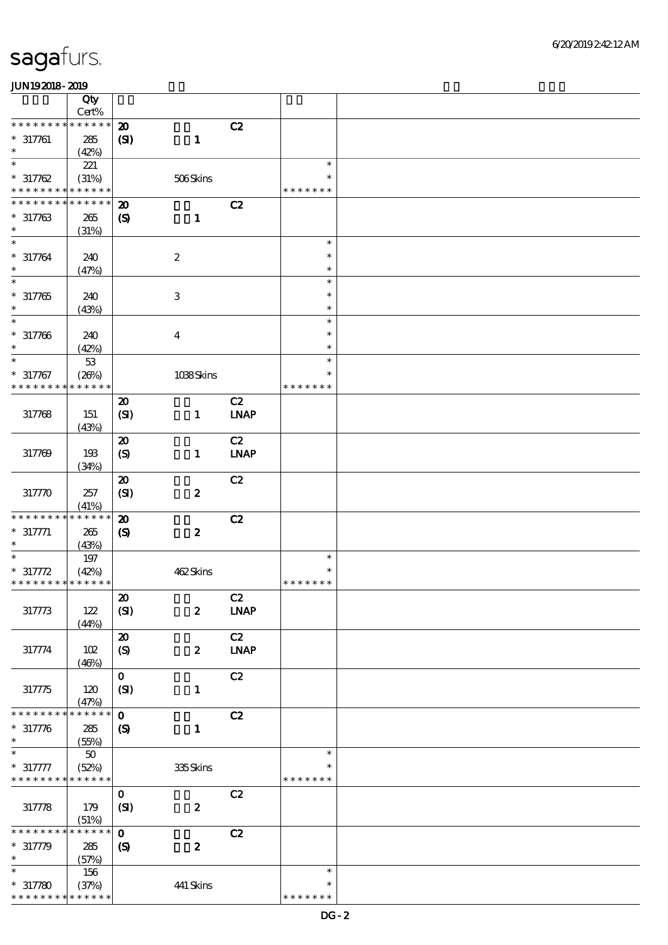|                                                     | Qty                                |                                                          |                           |                   |                                   |  |
|-----------------------------------------------------|------------------------------------|----------------------------------------------------------|---------------------------|-------------------|-----------------------------------|--|
| * * * * * * * *                                     | Cert%<br>* * * * * *               |                                                          |                           |                   |                                   |  |
| $* 317761$<br>$\ast$                                | 285<br>(42%)                       | $\boldsymbol{\mathbf{z}}$<br>(S)                         | $\mathbf{1}$              | C2                |                                   |  |
| $\overline{\ast}$<br>$* 317762$                     | 221<br>(31%)                       |                                                          | 506Skins                  |                   | $\ast$<br>$\ast$                  |  |
| * * * * * * * *                                     | * * * * * *                        |                                                          |                           |                   | * * * * * * *                     |  |
| * * * * * * *<br>$* 317763$<br>$\ast$               | * * * * * *<br>265<br>(31%)        | $\boldsymbol{\mathbf{z}}$<br>$\boldsymbol{\mathcal{S}}$  | $\mathbf{1}$              | C2                |                                   |  |
| $\ast$<br>$* 317764$<br>$\ast$                      | 240<br>(47%)                       |                                                          | $\boldsymbol{2}$          |                   | $\ast$<br>$\ast$<br>$\ast$        |  |
| $\overline{\ast}$<br>$* 317765$<br>$\ast$           | 240<br>(43%)                       |                                                          | $\ensuremath{\mathbf{3}}$ |                   | $\ast$<br>$\ast$<br>$\ast$        |  |
| $\ast$<br>$* 317766$<br>$\ast$                      | 240<br>(42%)                       |                                                          | $\bf{4}$                  |                   | $\ast$<br>$\ast$<br>$\ast$        |  |
| $\ast$<br>$* 317767$<br>* * * * * * * *             | $5\!3$<br>(20%)<br>* * * * * *     |                                                          | 1038Skins                 |                   | $\ast$<br>$\ast$<br>* * * * * * * |  |
| 317768                                              | 151<br>(43%)                       | $\boldsymbol{\mathfrak{D}}$<br>(SI)                      | $\mathbf{1}$              | C2<br><b>LNAP</b> |                                   |  |
| 317769                                              | 193<br>(34%)                       | $\boldsymbol{\mathsf{20}}$<br>$\boldsymbol{S}$           | $\mathbf{1}$              | C2<br><b>LNAP</b> |                                   |  |
| 317770                                              | 257<br>(41%)                       | $\boldsymbol{\mathfrak{D}}$<br>(SI)                      | $\pmb{2}$                 | C2                |                                   |  |
| * * * * * * * *<br>$* 317771$<br>$\ast$             | * * * * * *<br>265<br>(43%)        | $\boldsymbol{\mathbf{z}}$<br>$\boldsymbol{\mathrm{(S)}}$ | $\boldsymbol{2}$          | C2                |                                   |  |
| $\ast$<br>$* 317772$<br>* * * * * * * * * * * * * * | 197<br>(42%)                       |                                                          | 462Skins                  |                   | $\ast$<br>$\ast$<br>* * * * * * * |  |
| 317773                                              | $122$<br>(44%)                     | $\pmb{\mathcal{Z}}$<br>(SI)                              | $\boldsymbol{z}$          | C2<br><b>LNAP</b> |                                   |  |
| 317774                                              | 102<br>(46%)                       | $\boldsymbol{\mathfrak{D}}$<br>(S)                       | $\pmb{2}$                 | C2<br><b>LNAP</b> |                                   |  |
| 31775                                               | 120<br>(47%)                       | $\mathbf{o}$<br>(SI)                                     | $\mathbf{1}$              | C2                |                                   |  |
| * * * * * * *<br>$* 317776$<br>$\ast$               | * * * * * *<br>285<br>(55%)        | $\mathbf 0$<br>$\boldsymbol{S}$                          | $\mathbf{1}$              | C2                |                                   |  |
| $* 317777$<br>* * * * * * * *                       | ${\bf 50}$<br>(52%)<br>* * * * * * |                                                          | 335Skins                  |                   | $\ast$<br>$\ast$<br>* * * * * * * |  |
| 317778                                              | 179<br>(51%)                       | $\mathbf{o}$<br>(SI)                                     | $\pmb{2}$                 | C2                |                                   |  |
| * * * * * * *<br>$* 317779$<br>$\ast$               | * * * * * *<br>285<br>(57%)        | $\mathbf{o}$<br>$\boldsymbol{S}$                         | $\boldsymbol{2}$          | C2                |                                   |  |
| $\ast$<br>$* 317780$<br>* * * * * * * *             | 156<br>(37%)<br>* * * * * *        |                                                          | 441 Skins                 |                   | $\ast$<br>$\ast$<br>* * * * * * * |  |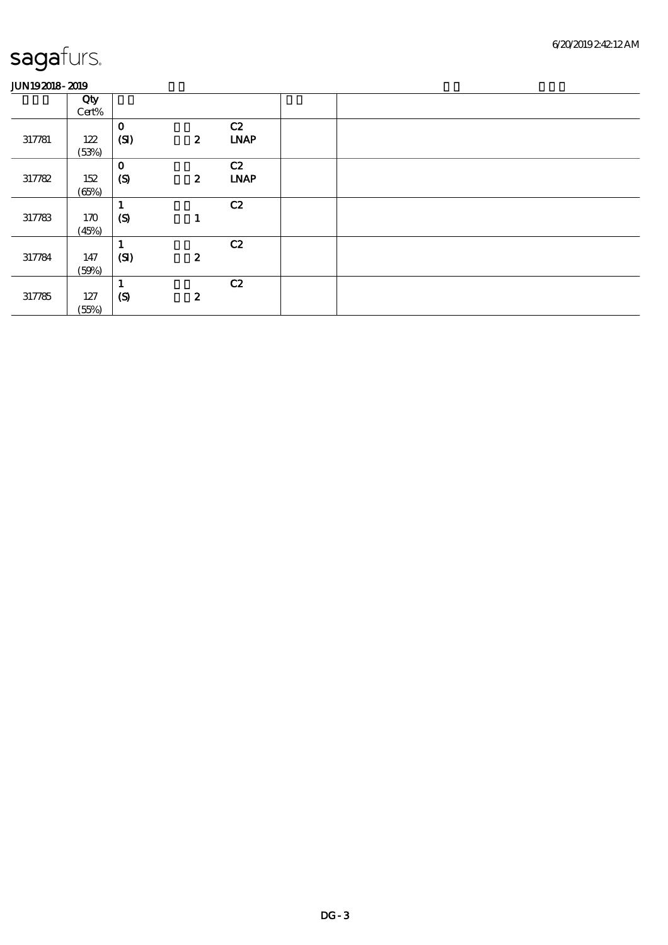|        | Qty   |                  |                  |             |  |
|--------|-------|------------------|------------------|-------------|--|
|        | Cert% |                  |                  |             |  |
|        |       | $\mathbf{o}$     |                  | C2          |  |
| 317781 | 122   | (SI)             | $\boldsymbol{z}$ | <b>LNAP</b> |  |
|        | (53%) |                  |                  |             |  |
|        |       | $\bf{0}$         |                  | C2          |  |
| 317782 | 152   | (S)              | $\boldsymbol{z}$ | <b>LNAP</b> |  |
|        | (65%) |                  |                  |             |  |
|        |       | L.               |                  | C2          |  |
| 317783 | 170   | $\boldsymbol{S}$ |                  |             |  |
|        | (45%) |                  |                  |             |  |
|        |       |                  |                  | C2          |  |
| 317784 | 147   | (SI)             | $\boldsymbol{z}$ |             |  |
|        | (50%) |                  |                  |             |  |
|        |       | <b>L</b>         |                  | C2          |  |
| 317785 | 127   | $\boldsymbol{S}$ | $\boldsymbol{z}$ |             |  |
|        | (55%) |                  |                  |             |  |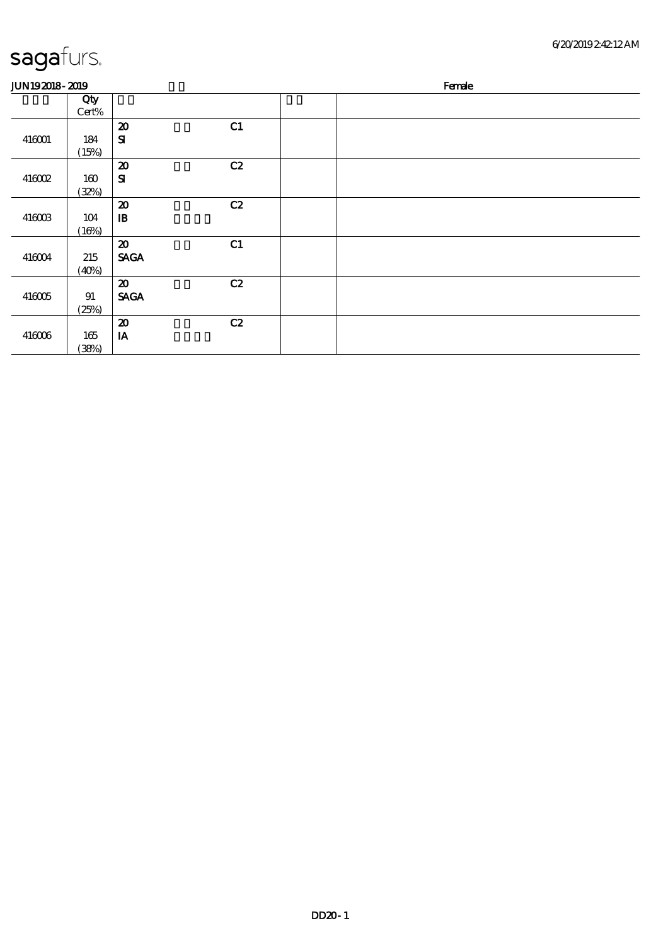#### 6/20/2019 2:42:12 AM

| <b>JUN192018-2019</b> |              |                                          |    | Female |
|-----------------------|--------------|------------------------------------------|----|--------|
|                       | Qty<br>Cert% |                                          |    |        |
|                       |              | $\boldsymbol{\mathbf{z}}$                | C1 |        |
| 416001                | 184          | ${\bf s}$                                |    |        |
|                       | (15%)        | $\boldsymbol{\mathfrak{D}}$              | C2 |        |
| 416002                | 160          | ${\bf s}$                                |    |        |
|                       | (32%)        |                                          |    |        |
|                       |              | $\boldsymbol{\mathfrak{D}}$              | C2 |        |
| $416003$              | 104          | $\mathbf{B}$                             |    |        |
|                       | (16%)        |                                          |    |        |
| 416004                | 215          | $\boldsymbol{\mathbf{z}}$<br><b>SAGA</b> | C1 |        |
|                       | (40%)        |                                          |    |        |
|                       |              | $\boldsymbol{\mathfrak{D}}$              | C2 |        |
| $416005$              | 91           | <b>SAGA</b>                              |    |        |
|                       | (25%)        |                                          |    |        |
|                       |              | $\boldsymbol{\mathfrak{D}}$              | C2 |        |
| 416006                | 165          | IA                                       |    |        |
|                       | (38%)        |                                          |    |        |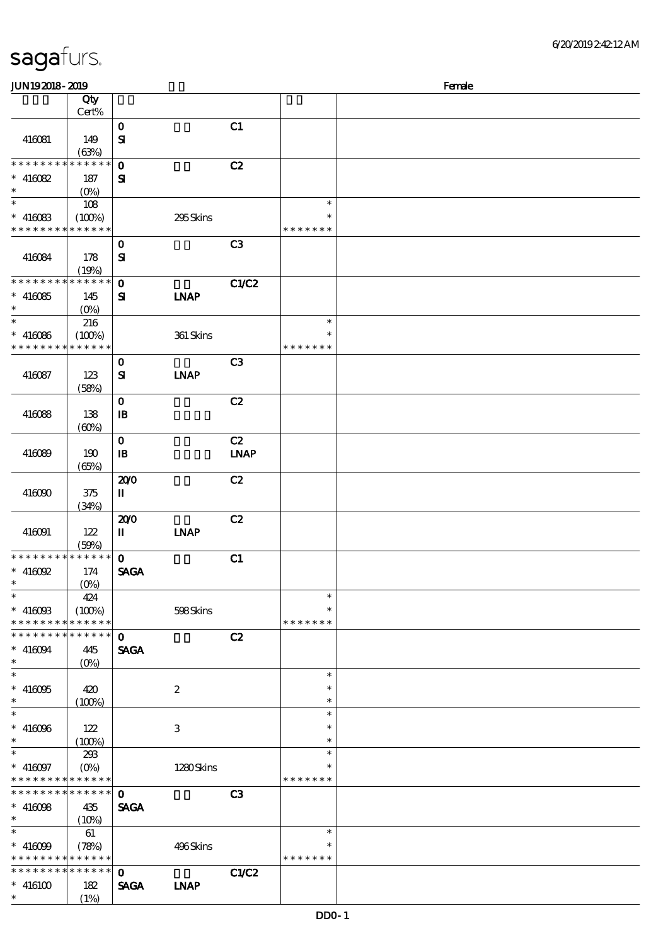| sagafurs. |  |
|-----------|--|
|           |  |

| <b>JUN192018-2019</b>                      |                           |              |                  |             |               | Female |
|--------------------------------------------|---------------------------|--------------|------------------|-------------|---------------|--------|
|                                            | Qty                       |              |                  |             |               |        |
|                                            | Cert%                     |              |                  |             |               |        |
|                                            |                           | $\mathbf 0$  |                  | C1          |               |        |
| 416081                                     | 149                       | $\mathbf{S}$ |                  |             |               |        |
|                                            | (63%)                     |              |                  |             |               |        |
| * * * * * * * *                            | $* * * * * * *$           | $\mathbf 0$  |                  | C2          |               |        |
| $* 416082$                                 | 187                       | ${\bf s}$    |                  |             |               |        |
| $\ast$                                     | $(0\%)$                   |              |                  |             |               |        |
| $\ast$                                     | 108                       |              |                  |             | $\ast$        |        |
| $* 416083$                                 | (100%)                    |              | 295Skins         |             | $\ast$        |        |
| * * * * * * * * * * * * * *                |                           |              |                  |             | * * * * * * * |        |
|                                            |                           | $\mathbf{o}$ |                  | C3          |               |        |
| 416084                                     | 178                       | ${\bf s}$    |                  |             |               |        |
|                                            | (19%)                     |              |                  |             |               |        |
| * * * * * * * *                            | * * * * * *               | $\mathbf 0$  |                  | C1/C2       |               |        |
| $* 416085$                                 | 145                       | ${\bf s}$    | <b>INAP</b>      |             |               |        |
| $\ast$                                     | $(O\%)$                   |              |                  |             |               |        |
| $\ast$                                     | 216                       |              |                  |             | $\ast$        |        |
| $* 416066$                                 |                           |              | 361 Skins        |             | $\ast$        |        |
| * * * * * * * *                            | (100%)<br>* * * * * *     |              |                  |             | * * * * * * * |        |
|                                            |                           |              |                  |             |               |        |
|                                            |                           | $\mathbf{o}$ |                  | C3          |               |        |
| 416087                                     | 123                       | ${\bf s}$    | <b>INAP</b>      |             |               |        |
|                                            | (58%)                     |              |                  |             |               |        |
|                                            |                           | $\mathbf 0$  |                  | C2          |               |        |
| 416088                                     | 138                       | $\mathbf{B}$ |                  |             |               |        |
|                                            | (60%)                     |              |                  |             |               |        |
|                                            |                           | $\mathbf{o}$ |                  | C2          |               |        |
| 416089                                     | 190                       | $\mathbf{B}$ |                  | <b>LNAP</b> |               |        |
|                                            | (65%)                     |              |                  |             |               |        |
|                                            |                           | 200          |                  | C2          |               |        |
| 416090                                     | 375                       | П            |                  |             |               |        |
|                                            | (34%)                     |              |                  |             |               |        |
|                                            |                           | 200          |                  | C2          |               |        |
| 416091                                     | 122                       | П            | <b>INAP</b>      |             |               |        |
|                                            | (50%)                     |              |                  |             |               |        |
| * * * * * * * *                            | $ ****** $                | $\mathbf{o}$ |                  | C1          |               |        |
| $\hspace{0.1cm}^*$ 416092                  | 174                       | <b>SAGA</b>  |                  |             |               |        |
| $*$                                        | (0%)                      |              |                  |             |               |        |
| $\ast$                                     | 424                       |              |                  |             | $\ast$        |        |
| $* 4160B$                                  | (100%)                    |              | 598Skins         |             | $\ast$        |        |
| * * * * * * * *                            | $* * * * * * *$           |              |                  |             | * * * * * * * |        |
| * * * * * * *<br>∗                         | ******                    | $\mathbf 0$  |                  | C2          |               |        |
| $\hspace{0.1cm}^*$ 416094                  | 445                       | <b>SAGA</b>  |                  |             |               |        |
| $\ast$                                     | $(O\%)$                   |              |                  |             |               |        |
| $\ast$                                     |                           |              |                  |             | $\ast$        |        |
| $* 416005$                                 | 420                       |              | $\boldsymbol{2}$ |             | ∗             |        |
| $\ast$                                     | (100%)                    |              |                  |             | $\ast$        |        |
| $\ast$                                     |                           |              |                  |             | $\ast$        |        |
| $* 416096$                                 | 122                       |              | 3                |             | $\ast$        |        |
| $\ast$                                     | (100%)                    |              |                  |             | $\ast$        |        |
| $\ast$                                     | 293                       |              |                  |             | $\ast$        |        |
| $* 416097$                                 | $(O\!\!\!\!\!\!\!/\,\!o)$ |              | 1280Skins        |             | ∗             |        |
| * * * * * * * * <mark>* * * * * *</mark>   |                           |              |                  |             | * * * * * * * |        |
| * * * * * * * * <mark>* * * * * * *</mark> |                           | $\mathbf{o}$ |                  | C3          |               |        |
| $* 416088$                                 | 435                       | <b>SAGA</b>  |                  |             |               |        |
| $\ast$                                     | $(10\%)$                  |              |                  |             |               |        |
| $\ast$                                     | 61                        |              |                  |             | $\ast$        |        |
| $* 416099$                                 | (78%)                     |              | 496Skins         |             | ∗             |        |
| * * * * * * * * <mark>* * * * * * *</mark> |                           |              |                  |             | * * * * * * * |        |
| * * * * * * * *                            | * * * * * *               | $\mathbf 0$  |                  | C1/C2       |               |        |
| $*$ 416100                                 | 182                       | <b>SAGA</b>  | <b>INAP</b>      |             |               |        |
| $\ast$                                     | (1%)                      |              |                  |             |               |        |
|                                            |                           |              |                  |             |               |        |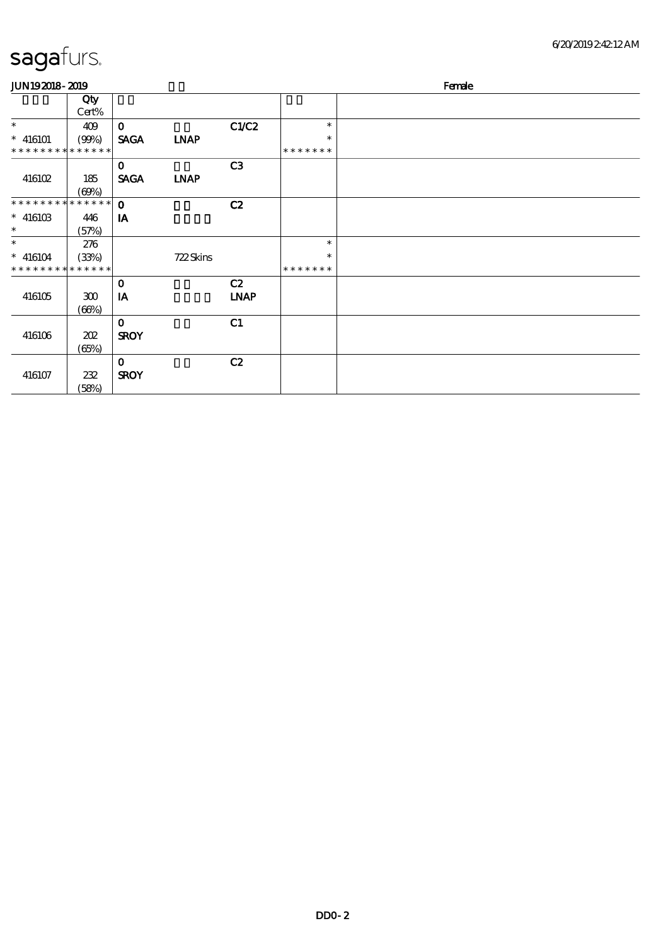#### 6/20/2019 2:42:12 AM

| <b>JUN192018-2019</b>       |            |              |             |             |         | Female |
|-----------------------------|------------|--------------|-------------|-------------|---------|--------|
|                             | Qty        |              |             |             |         |        |
|                             | Cert%      |              |             |             |         |        |
| $\ast$                      | 409        | $\mathbf{o}$ |             | C1/C2       | $\ast$  |        |
| $* 416101$                  | (90%)      | <b>SAGA</b>  | <b>INAP</b> |             | $\ast$  |        |
| * * * * * * * * * * * * * * |            |              |             |             | ******* |        |
|                             |            | $\mathbf 0$  |             | C3          |         |        |
| 416102                      | 185        | <b>SAGA</b>  | <b>LNAP</b> |             |         |        |
|                             | (60%)      |              |             |             |         |        |
| * * * * * * * * * * * * * * |            | $\mathbf 0$  |             | C2          |         |        |
| $* 41610B$                  | 446        | IA           |             |             |         |        |
| $\ast$                      | (57%)      |              |             |             |         |        |
| $\ast$                      | 276        |              |             |             | $\ast$  |        |
| $* 416104$                  | (33%)      |              | 722Skins    |             | $\ast$  |        |
| * * * * * * * * * * * * * * |            |              |             |             | ******* |        |
|                             |            | $\mathbf{o}$ |             | C2          |         |        |
| 416105                      | ${\bf 30}$ | IA           |             | <b>LNAP</b> |         |        |
|                             | (66%)      |              |             |             |         |        |
|                             |            | $\mathbf{o}$ |             | C1          |         |        |
| 416106                      | 202        | <b>SROY</b>  |             |             |         |        |
|                             | (65%)      |              |             |             |         |        |
|                             |            | $\mathbf 0$  |             | C2          |         |        |
| 416107                      | 232        | <b>SROY</b>  |             |             |         |        |
|                             | (58%)      |              |             |             |         |        |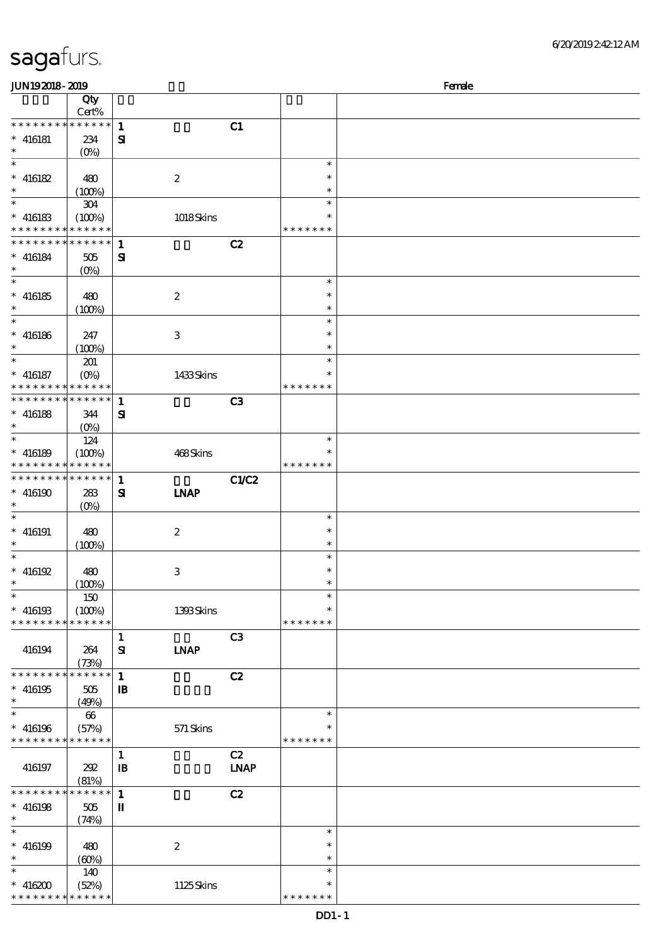| JUN192018-2019                             |             |              |                  |             |               | Female |
|--------------------------------------------|-------------|--------------|------------------|-------------|---------------|--------|
|                                            | Qty         |              |                  |             |               |        |
|                                            | Cert%       |              |                  |             |               |        |
| * * * * * * * *                            | ******      | $\mathbf{1}$ |                  | C1          |               |        |
| $* 416181$                                 | 234         | ${\bf s}$    |                  |             |               |        |
| $\ast$                                     | $(O\%)$     |              |                  |             |               |        |
| $\overline{\ast}$                          |             |              |                  |             | $\ast$        |        |
| $* 416182$                                 | 480         |              | $\boldsymbol{2}$ |             | $\ast$        |        |
| $\ast$                                     | (100%)      |              |                  |             | $\ast$        |        |
|                                            |             |              |                  |             | $\ast$        |        |
|                                            | 304         |              |                  |             |               |        |
| $* 416183$                                 | (100%)      |              | 1018Skins        |             |               |        |
| * * * * * * * *                            | * * * * * * |              |                  |             | * * * * * * * |        |
| * * * * * * * *                            | ******      | $\mathbf{1}$ |                  | C2          |               |        |
| $* 416184$                                 | 505         | ${\bf s}$    |                  |             |               |        |
| $\ast$                                     | $(O\%)$     |              |                  |             |               |        |
| $\overline{\ast}$                          |             |              |                  |             | $\ast$        |        |
| $* 416185$                                 | 480         |              | $\boldsymbol{2}$ |             | $\ast$        |        |
| $\ast$                                     | (100%)      |              |                  |             | $\ast$        |        |
| $\ast$                                     |             |              |                  |             | $\ast$        |        |
| $* 416186$                                 | 247         |              | 3                |             | $\ast$        |        |
| $\ast$                                     |             |              |                  |             | $\ast$        |        |
|                                            | (100%)      |              |                  |             |               |        |
| $\ast$                                     | 201         |              |                  |             | $\ast$        |        |
| $* 416187$                                 | $(O\%)$     |              | 1433Skins        |             | $\ast$        |        |
| * * * * * * * *                            | * * * * * * |              |                  |             | * * * * * * * |        |
| * * * * * * * * <mark>* * * * * * *</mark> |             | $\mathbf{1}$ |                  | C3          |               |        |
| $* 416188$                                 | 344         | ${\bf s}$    |                  |             |               |        |
| $\ast$                                     | $(0\%)$     |              |                  |             |               |        |
| $\overline{\phantom{0}}$                   | 124         |              |                  |             | $\ast$        |        |
| $* 416189$                                 | (100%)      |              | 468Skins         |             |               |        |
| * * * * * * * *                            | * * * * * * |              |                  |             | * * * * * * * |        |
|                                            |             |              |                  |             |               |        |
| * * * * * * * *                            | * * * * * * | $\mathbf{1}$ |                  | C1/C2       |               |        |
| $* 416190$                                 | 283         | ${\bf s}$    | <b>INAP</b>      |             |               |        |
| $\ast$                                     | $(0\%)$     |              |                  |             |               |        |
| $\ast$                                     |             |              |                  |             | $\ast$        |        |
| $* 416191$                                 | 480         |              | $\boldsymbol{2}$ |             | $\ast$        |        |
| $\ast$                                     | (100%)      |              |                  |             | $\ast$        |        |
| $\ast$                                     |             |              |                  |             | $\ast$        |        |
| $*$ 416192                                 | 480         |              | $\,3$            |             | $\ast$        |        |
| $\ast$                                     |             |              |                  |             | $\ast$        |        |
| *                                          | (100%)      |              |                  |             | $\ast$        |        |
|                                            | 150         |              |                  |             |               |        |
| $* 416193$                                 | (100%)      |              | 1393Skins        |             | $\ast$        |        |
| * * * * * * * *                            | * * * * * * |              |                  |             | * * * * * * * |        |
|                                            |             | $\mathbf{1}$ |                  | C3          |               |        |
| 416194                                     | 264         | ${\bf s}$    | <b>INAP</b>      |             |               |        |
|                                            | (73%)       |              |                  |             |               |        |
| * * * * * * * *                            | $*******$   | $\mathbf{1}$ |                  | C2          |               |        |
| $* 416195$                                 | 505         | $\mathbf{B}$ |                  |             |               |        |
| $\ast$                                     | (49%)       |              |                  |             |               |        |
| $\ast$                                     | 66          |              |                  |             | $\ast$        |        |
|                                            |             |              |                  |             |               |        |
| $* 416196$                                 | (57%)       |              | 571 Skins        |             |               |        |
| * * * * * * * *                            | * * * * * * |              |                  |             | * * * * * * * |        |
|                                            |             | $\mathbf{1}$ |                  | C2          |               |        |
| 416197                                     | 202         | $\mathbf{B}$ |                  | <b>LNAP</b> |               |        |
|                                            | (81%)       |              |                  |             |               |        |
| * * * * * * * *                            | $*******$   | $\mathbf{1}$ |                  | C2          |               |        |
| $* 416198$                                 | $505\,$     | П            |                  |             |               |        |
| $\ast$                                     | (74%)       |              |                  |             |               |        |
| $\ast$                                     |             |              |                  |             | $\ast$        |        |
|                                            |             |              |                  |             | $\ast$        |        |
| $* 416199$                                 | 480         |              | $\boldsymbol{2}$ |             | $\ast$        |        |
| $\ast$                                     | (60%)       |              |                  |             |               |        |
| $\ast$                                     | 140         |              |                  |             | $\ast$        |        |
| $* 416200$                                 | (52%)       |              | 1125Skins        |             | $\ast$        |        |
| * * * * * * * *                            | * * * * * * |              |                  |             | * * * * * * * |        |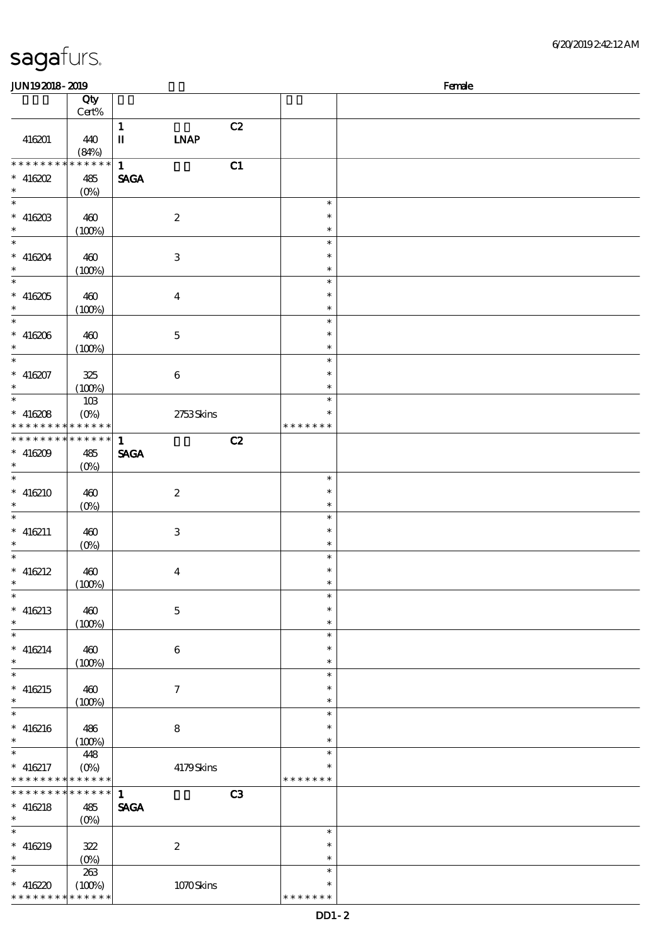\* \* \* \* \* \* \*

### 6/20/2019 2:42:12 AM

| JUN192018-2019                           |                  |                            |    |                  | Female |
|------------------------------------------|------------------|----------------------------|----|------------------|--------|
|                                          | Qty              |                            |    |                  |        |
|                                          | Cert%            |                            |    |                  |        |
|                                          |                  | $\mathbf{1}$               | C2 |                  |        |
| 416201                                   | 440<br>(84%)     | $\mathbf I$<br><b>INAP</b> |    |                  |        |
| * * * * * * * *                          | $******$         | $\mathbf{1}$               | C1 |                  |        |
| $*$ 416202                               | 485              | <b>SAGA</b>                |    |                  |        |
| $\ast$                                   | $(0\%)$          |                            |    |                  |        |
| $\ast$                                   |                  |                            |    | $\ast$           |        |
| $* 41620B$                               | 460              | $\boldsymbol{2}$           |    | $\ast$           |        |
| $\ast$                                   | (100%)           |                            |    | $\ast$           |        |
| $\ast$<br>$* 416204$                     |                  |                            |    | $\ast$<br>$\ast$ |        |
| $\ast$                                   | 460<br>(100%)    | $\,3$                      |    | $\ast$           |        |
| $\ast$                                   |                  |                            |    | $\ast$           |        |
| $* 416205$                               | 460              | $\boldsymbol{4}$           |    | $\ast$           |        |
| $\ast$                                   | (100%)           |                            |    | $\ast$           |        |
| $\ast$                                   |                  |                            |    | $\ast$           |        |
| $* 416206$                               | 460              | $\mathbf 5$                |    | $\ast$           |        |
| $\ast$<br>$\ast$                         | (100%)           |                            |    | $\ast$<br>$\ast$ |        |
| $* 416207$                               | 325              | $\,6\,$                    |    | $\ast$           |        |
| $\ast$                                   | (100%)           |                            |    | $\ast$           |        |
| $\ast$                                   | $10B$            |                            |    | $\ast$           |        |
| $* 416208$                               | $(O\!/\!\delta)$ | 2753Skins                  |    | $\ast$           |        |
| * * * * * * * * <mark>* * * * * *</mark> |                  |                            |    | * * * * * * *    |        |
| * * * * * * * *                          | * * * * * *      | $\mathbf{1}$               | C2 |                  |        |
| $* 416209$<br>$\ast$                     | 485<br>$(O\%)$   | <b>SAGA</b>                |    |                  |        |
| $\ast$                                   |                  |                            |    | $\ast$           |        |
| $* 416210$                               | 460              | $\boldsymbol{2}$           |    | $\ast$           |        |
|                                          | $(0\%)$          |                            |    | $\ast$           |        |
| $\ast$                                   |                  |                            |    | $\ast$           |        |
| $* 416211$<br>$\ast$                     | 460              | $\,3\,$                    |    | $\ast$<br>$\ast$ |        |
| $\ast$                                   | $(0\%)$          |                            |    | $\ast$           |        |
| $* 416212$                               | 460              | $\boldsymbol{4}$           |    | $\ast$           |        |
| $\ast$                                   | (100%)           |                            |    | $\ast$           |        |
| $\ast$                                   |                  |                            |    | $\ast$           |        |
| $* 416213$                               | 460              | $\mathbf 5$                |    | $\ast$           |        |
| $\ast$                                   | (100%)           |                            |    | $\ast$           |        |
| $\ast$<br>$* 416214$                     |                  | $\,6\,$                    |    | $\ast$<br>$\ast$ |        |
| $\ast$                                   | 460<br>(100%)    |                            |    | $\ast$           |        |
| $\ast$                                   |                  |                            |    | $\ast$           |        |
| $* 416215$                               | 460              | $\boldsymbol{7}$           |    | $\ast$           |        |
| $\ast$                                   | (100%)           |                            |    | $\ast$           |        |
| $\ast$                                   |                  |                            |    | $\ast$           |        |
| $* 416216$<br>$\ast$                     | 486              | $\bf 8$                    |    | $\ast$<br>$\ast$ |        |
| $\ast$                                   | (100%)<br>448    |                            |    | $\ast$           |        |
| $* 416217$                               | $(O\%)$          | 4179Skins                  |    | $\ast$           |        |
| * * * * * * * *                          | * * * * * *      |                            |    | * * * * * * *    |        |
| * * * * * * * *                          | * * * * * *      | $\mathbf{1}$               | C3 |                  |        |
| $* 416218$                               | 485              | <b>SAGA</b>                |    |                  |        |
| $\ast$<br>$\ast$                         | $(O\%)$          |                            |    | $\ast$           |        |
| $* 416219$                               | 322              | $\boldsymbol{2}$           |    | $\ast$           |        |
| $\ast$                                   | $(0\%)$          |                            |    | $\ast$           |        |
| $\ast$                                   | 263              |                            |    | $\ast$           |        |
| $* 416220$                               | (100%)           | $1070$ Skins               |    | $\ast$           |        |

# sagafurs.

\* \* \* \* \* \* \* \* <mark>\* \* \* \* \* \* \*</mark>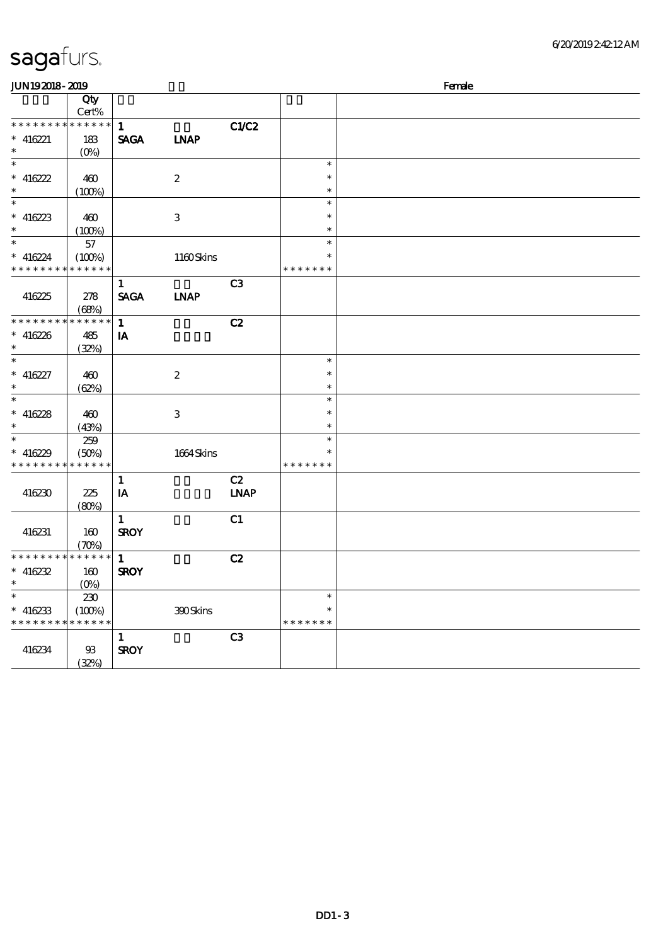| <b>JUN192018-2019</b>       |                            |              |                  |             |               | Female |
|-----------------------------|----------------------------|--------------|------------------|-------------|---------------|--------|
|                             | Qty                        |              |                  |             |               |        |
|                             | Cert%                      |              |                  |             |               |        |
| * * * * * * * * * * * * * * |                            | $\mathbf{1}$ |                  | C1/C2       |               |        |
| $* 416221$                  | 183                        | <b>SAGA</b>  | <b>INAP</b>      |             |               |        |
| $\ast$                      | $(O\!/\!\delta)$           |              |                  |             |               |        |
| $\ast$                      |                            |              |                  |             | $\ast$        |        |
| $* 416222$                  | 460                        |              | $\boldsymbol{2}$ |             | $\ast$        |        |
| $\ast$                      | (100%)                     |              |                  |             | $\ast$        |        |
| $\ast$                      |                            |              |                  |             | $\ast$        |        |
| $* 416223$                  | 460                        |              | $\,3\,$          |             | $\ast$        |        |
| $\ast$                      | (100%)                     |              |                  |             | $\ast$        |        |
| $\ast$                      | 57                         |              |                  |             | $\ast$        |        |
| $* 416224$                  | (100%)                     |              | 1160Skins        |             | *             |        |
| $*********$                 | * * * * * *                |              |                  |             | * * * * * * * |        |
|                             |                            |              |                  | C3          |               |        |
|                             |                            | $\mathbf{1}$ |                  |             |               |        |
| 416225                      | 278                        | <b>SAGA</b>  | <b>LNAP</b>      |             |               |        |
| * * * * * * * *             | (68%)<br>$* * * * * * *$   |              |                  |             |               |        |
|                             |                            | $\mathbf{1}$ |                  | C2          |               |        |
| $* 416226$                  | 485                        | IA           |                  |             |               |        |
| $\ast$<br>$\overline{\ast}$ | (32%)                      |              |                  |             |               |        |
|                             |                            |              |                  |             | $\ast$        |        |
| $* 416227$                  | 460                        |              | $\boldsymbol{2}$ |             | $\ast$        |        |
| $\ast$                      | (62%)                      |              |                  |             | $\ast$        |        |
| $\overline{\ast}$           |                            |              |                  |             | $\ast$        |        |
| $* 416228$                  | 460                        |              | 3                |             | $\ast$        |        |
| $\ast$                      | (43%)                      |              |                  |             | $\ast$        |        |
| $\ast$                      | 259                        |              |                  |             | $\ast$        |        |
| $* 416229$                  | (50%)                      |              | 1664 Skins       |             | $\ast$        |        |
| * * * * * * * *             | * * * * * *                |              |                  |             | * * * * * * * |        |
|                             |                            | $\mathbf{1}$ |                  | C2          |               |        |
| 416230                      | 225                        | IA           |                  | <b>LNAP</b> |               |        |
|                             | (80%)                      |              |                  |             |               |        |
|                             |                            | $\mathbf{1}$ |                  | C1          |               |        |
| 416231                      | 160                        | <b>SROY</b>  |                  |             |               |        |
|                             | $(\mathcal{X}\mathcal{Y})$ |              |                  |             |               |        |
| * * * * * * * *             | * * * * * *                | $\mathbf{1}$ |                  | C2          |               |        |
| $* 416232$                  | 160                        | <b>SROY</b>  |                  |             |               |        |
| $*$                         | (O <sub>6</sub> )          |              |                  |             |               |        |
| $\overline{\phantom{a}}$    | 230                        |              |                  |             | $\ast$        |        |
| $* 416233$                  | (100%)                     |              | 390Skins         |             | $\ast$        |        |
| * * * * * * * *             | * * * * * *                |              |                  |             | * * * * * * * |        |
|                             |                            | $\mathbf{1}$ |                  | C3          |               |        |
|                             |                            |              |                  |             |               |        |
| 416234                      | $93$                       | <b>SROY</b>  |                  |             |               |        |
|                             | (32%)                      |              |                  |             |               |        |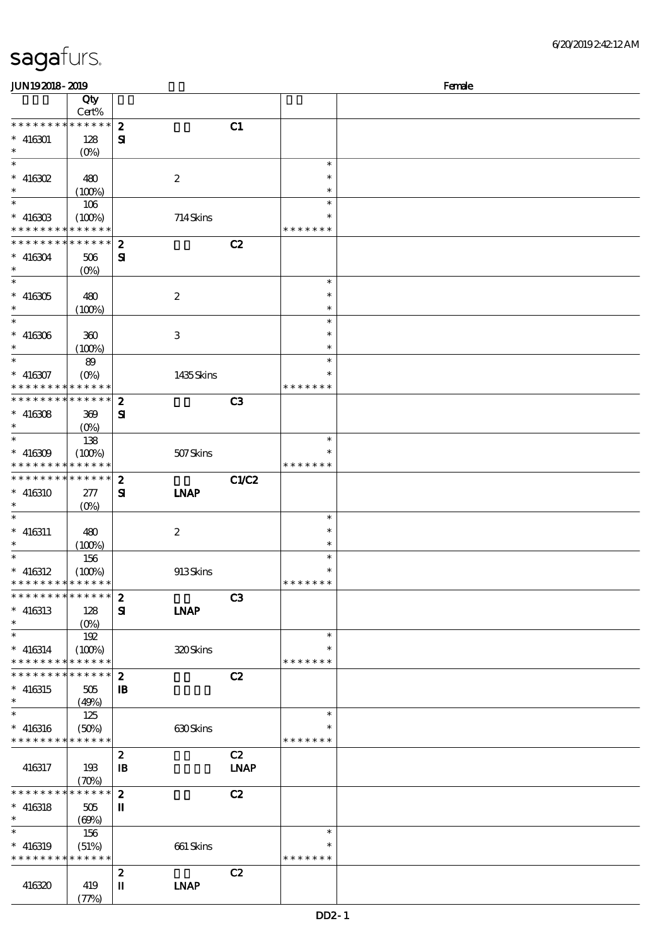| JUN192018-2019                           |                            |                  |                  |             |               | Female |
|------------------------------------------|----------------------------|------------------|------------------|-------------|---------------|--------|
|                                          | Qty                        |                  |                  |             |               |        |
|                                          | Cert%                      |                  |                  |             |               |        |
| * * * * * * * *                          | $*******$                  | $\boldsymbol{z}$ |                  | C1          |               |        |
| $* 416301$                               | 128                        | ${\bf s}$        |                  |             |               |        |
| $\ast$                                   | $(O\%)$                    |                  |                  |             |               |        |
| $\overline{\ast}$                        |                            |                  |                  |             | $\ast$        |        |
|                                          |                            |                  |                  |             | $\ast$        |        |
| $*$ 416302                               | 480                        |                  | $\boldsymbol{2}$ |             |               |        |
| $\ast$                                   | (100%)                     |                  |                  |             | $\ast$        |        |
|                                          | 106                        |                  |                  |             | $\ast$        |        |
| $* 416303$                               | (100%)                     |                  | 714Skins         |             |               |        |
| * * * * * * * *                          | * * * * * *                |                  |                  |             | * * * * * * * |        |
| * * * * * * * *                          | * * * * * *                | $\boldsymbol{z}$ |                  | C2          |               |        |
| $* 416304$                               | 506                        | ${\bf s}$        |                  |             |               |        |
| $\ast$                                   | $(O\%)$                    |                  |                  |             |               |        |
| $\overline{\ast}$                        |                            |                  |                  |             | $\ast$        |        |
| $* 416305$                               | 480                        |                  | $\boldsymbol{2}$ |             | $\ast$        |        |
| $\ast$                                   | (100%)                     |                  |                  |             | $\ast$        |        |
| $\ast$                                   |                            |                  |                  |             | $\ast$        |        |
|                                          |                            |                  |                  |             |               |        |
| $* 416306$                               | 300                        |                  | 3                |             | $\ast$        |        |
| $\ast$                                   | (100%)                     |                  |                  |             | $\ast$        |        |
| $\ast$                                   | 89                         |                  |                  |             | $\ast$        |        |
| $* 416307$                               | $(O\%)$                    |                  | 1435Skins        |             | $\ast$        |        |
| * * * * * * * *                          | * * * * * *                |                  |                  |             | * * * * * * * |        |
| * * * * * * * * <mark>* * * * * *</mark> |                            | $\boldsymbol{z}$ |                  | C3          |               |        |
| $* 416308$                               | 369                        | Я                |                  |             |               |        |
| $\ast$                                   | (O <sub>0</sub> )          |                  |                  |             |               |        |
|                                          | 138                        |                  |                  |             | $\ast$        |        |
| $* 416309$                               | (100%)                     |                  | 507Skins         |             |               |        |
| * * * * * * * *                          | * * * * * *                |                  |                  |             | * * * * * * * |        |
| * * * * * * * *                          | * * * * * *                |                  |                  |             |               |        |
|                                          |                            | $\boldsymbol{z}$ |                  | C1/C2       |               |        |
| $* 416310$                               | 277                        | ${\bf s}$        | <b>INAP</b>      |             |               |        |
| $\ast$                                   | $(0\%)$                    |                  |                  |             |               |        |
| $\ast$                                   |                            |                  |                  |             | $\ast$        |        |
| $* 416311$                               | 480                        |                  | $\boldsymbol{2}$ |             | $\ast$        |        |
| $\ast$                                   | (100%)                     |                  |                  |             | $\ast$        |        |
| $\ast$                                   | 156                        |                  |                  |             | $\ast$        |        |
| $* 416312$                               | (100%)                     |                  | 913Skins         |             | $\ast$        |        |
| * * * * * * * * * * * * * *              |                            |                  |                  |             | *******       |        |
| * * * * * * * *                          | ******                     | $\boldsymbol{z}$ |                  | C3          |               |        |
| $*$ 416313                               | 128                        | ${\bf s}$        | <b>INAP</b>      |             |               |        |
| $\ast$                                   | $(O\% )$                   |                  |                  |             |               |        |
| $\ast$                                   | 192                        |                  |                  |             | $\ast$        |        |
|                                          |                            |                  |                  |             | $\ast$        |        |
| $* 416314$<br>* * * * * * * *            | (100%)<br>* * * * * *      |                  | 320Skins         |             | * * * * * * * |        |
| * * * * * * * *                          | * * * * * *                |                  |                  |             |               |        |
|                                          |                            | $\boldsymbol{z}$ |                  | C2          |               |        |
| $* 416315$                               | 505                        | $\mathbf{B}$     |                  |             |               |        |
| $\ast$                                   | (49%)                      |                  |                  |             |               |        |
| $\ast$                                   | 125                        |                  |                  |             | $\ast$        |        |
| $* 416316$                               | (50%)                      |                  | 630Skins         |             |               |        |
| * * * * * * * *                          | $***$ * * * *              |                  |                  |             | * * * * * * * |        |
|                                          |                            | $\boldsymbol{z}$ |                  | C2          |               |        |
| 416317                                   | 193                        | $\mathbf{B}$     |                  | <b>LNAP</b> |               |        |
|                                          | $(\mathcal{X}\mathcal{Y})$ |                  |                  |             |               |        |
| * * * * * * * *                          | $******$                   | $\boldsymbol{z}$ |                  | C2          |               |        |
| $* 416318$                               | 505                        | $\mathbf{I}$     |                  |             |               |        |
| $\ast$                                   |                            |                  |                  |             |               |        |
| $\ast$                                   | (60%)                      |                  |                  |             | $\ast$        |        |
|                                          | 156                        |                  |                  |             |               |        |
| $* 416319$                               | (51%)                      |                  | 661 Skins        |             |               |        |
| * * * * * * * *                          | * * * * * *                |                  |                  |             | * * * * * * * |        |
|                                          |                            | $\boldsymbol{z}$ |                  | C2          |               |        |
| 416320                                   | 419                        | п                | <b>LNAP</b>      |             |               |        |
|                                          | (77%)                      |                  |                  |             |               |        |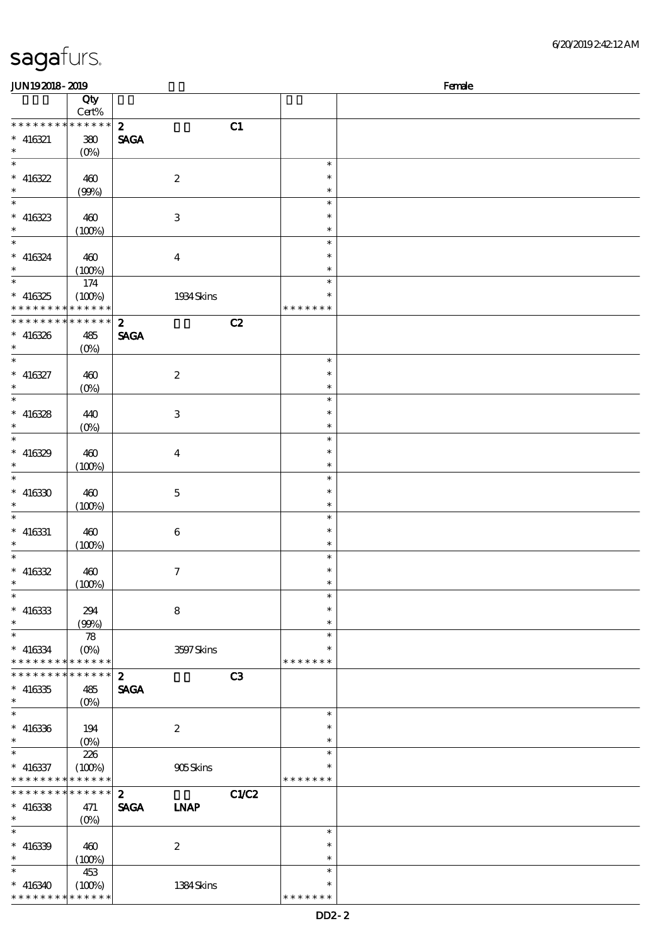| 6/20/201924212AM |
|------------------|
|------------------|

| <b>JUN192018-2019</b>                                    |                       |                            |       |                         | Female |
|----------------------------------------------------------|-----------------------|----------------------------|-------|-------------------------|--------|
|                                                          | Qty                   |                            |       |                         |        |
| * * * * * * * * * * * * * *                              | Cert%                 | $\mathbf{z}$               |       |                         |        |
| $* 416321$                                               | $380\,$               | <b>SAGA</b>                | C1    |                         |        |
| $\ast$                                                   | $(O\%)$               |                            |       |                         |        |
| $\ast$                                                   |                       |                            |       | $\ast$                  |        |
| $* 416322$                                               | 460                   | $\boldsymbol{z}$           |       | $\ast$                  |        |
| $\ast$                                                   | (90%)                 |                            |       | $\ast$                  |        |
| $\overline{\phantom{0}}$                                 |                       |                            |       | $\ast$                  |        |
| $* 416323$                                               | 460                   | $\ensuremath{\mathsf{3}}$  |       | $\ast$                  |        |
| $\ast$<br>$\ast$                                         | (100%)                |                            |       | $\ast$<br>$\ast$        |        |
| $* 416324$                                               | 460                   | $\boldsymbol{4}$           |       | $\ast$                  |        |
| $\ast$                                                   | (100%)                |                            |       | $\ast$                  |        |
| $\ast$                                                   | 174                   |                            |       | $\ast$                  |        |
| $* 416325$                                               | (100%)                | 1934 Skins                 |       | $\ast$                  |        |
| * * * * * * * * <mark>* * * * * * *</mark>               |                       |                            |       | * * * * * * *           |        |
| * * * * * * * * * * * * * *                              |                       | $\boldsymbol{z}$           | C2    |                         |        |
| $* 416326$                                               | 485                   | <b>SAGA</b>                |       |                         |        |
| $\ast$<br>$\overline{\phantom{a}^*}$                     | $(O\%)$               |                            |       |                         |        |
|                                                          |                       |                            |       | $\ast$<br>$\ast$        |        |
| $* 416327$<br>$\ast$                                     | 460                   | $\boldsymbol{2}$           |       | $\ast$                  |        |
| $_{*}^{-}$                                               | $(0\%)$               |                            |       | $\ast$                  |        |
| $* 416328$                                               | 440                   | $\ensuremath{\mathsf{3}}$  |       | $\ast$                  |        |
| $\ast$                                                   | (0%)                  |                            |       | $\ast$                  |        |
| $\overline{\ast}$                                        |                       |                            |       | $\ast$                  |        |
| $* 416329$                                               | 460                   | $\boldsymbol{4}$           |       | $\ast$                  |        |
| $\ast$                                                   | (100%)                |                            |       | $\ast$                  |        |
| $\overline{\ast}$                                        |                       |                            |       | $\ast$                  |        |
| $* 416330$                                               | 460                   | $\bf 5$                    |       | $\ast$                  |        |
| $\ast$<br>$\ast$                                         | (100%)                |                            |       | $\ast$<br>$\ast$        |        |
|                                                          |                       |                            |       | $\ast$                  |        |
| $* 416331$<br>$\ast$                                     | 460<br>(100%)         | $\bf 6$                    |       | $\ast$                  |        |
| $\overline{\phantom{0}}$                                 |                       |                            |       | $\ast$                  |        |
| $* 416332$                                               | 460                   | $\tau$                     |       | $\ast$                  |        |
| $\ast$                                                   | (100%)                |                            |       | $\ast$                  |        |
| $\overline{\phantom{a}}$                                 |                       |                            |       | $\ast$                  |        |
| $*$ 416333                                               | 294                   | $\bf8$                     |       | $\ast$                  |        |
| $\ast$<br>$\overline{\phantom{a}^*}$                     | (90%)                 |                            |       | $\ast$                  |        |
|                                                          | 78                    |                            |       | $\ast$<br>$\ast$        |        |
| $* 416334$<br>* * * * * * * * <mark>* * * * * * *</mark> | $(O\%)$               | 3597Skins                  |       | * * * * * * *           |        |
| * * * * * * * * * * * * * *                              |                       | $\boldsymbol{z}$           | C3    |                         |        |
| $* 416335$                                               | 485                   | <b>SAGA</b>                |       |                         |        |
| $\ast$                                                   | $(O\%)$               |                            |       |                         |        |
| $\overline{\phantom{1}}$                                 |                       |                            |       | $\ast$                  |        |
| $* 416336$                                               | 194                   | $\boldsymbol{2}$           |       | *                       |        |
| $\ast$                                                   | $(0\%)$               |                            |       | $\ast$                  |        |
| $\ast$                                                   | 226                   |                            |       | $\ast$                  |        |
| $* 416337$<br>* * * * * * * *                            | (100%)<br>* * * * * * | 905Skins                   |       | $\ast$<br>* * * * * * * |        |
| * * * * * * * * * * * * * *                              |                       | $\boldsymbol{z}$           | C1/C2 |                         |        |
| $* 416338$                                               | 471                   | <b>SAGA</b><br><b>INAP</b> |       |                         |        |
| $\ast$                                                   | $(O_0)$               |                            |       |                         |        |
| $\ast$                                                   |                       |                            |       | $\ast$                  |        |
| $* 416339$                                               | 460                   | $\boldsymbol{2}$           |       | *                       |        |
| $\ast$                                                   | (100%)                |                            |       | $\ast$                  |        |
| $\ast$                                                   | 453                   |                            |       | $\ast$                  |        |
| $* 416340$                                               | (100%)                | 1384Skins                  |       | $\ast$                  |        |
| * * * * * * * * * * * * * *                              |                       |                            |       | * * * * * * *           |        |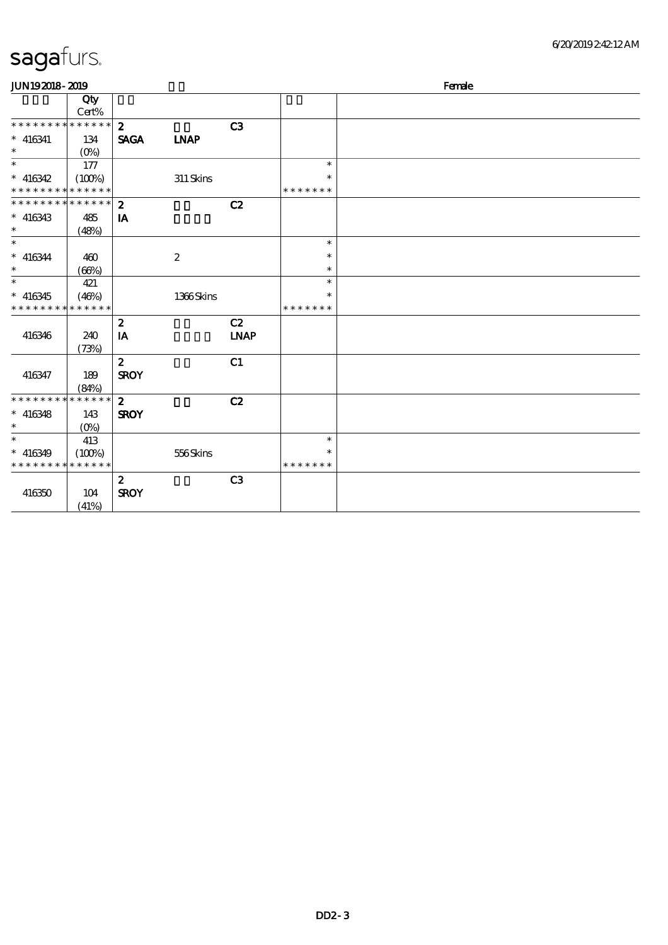| <b>JUN192018-2019</b>                    |                 |                  |                  |             |               | Female |
|------------------------------------------|-----------------|------------------|------------------|-------------|---------------|--------|
|                                          | Qty<br>$Cert\%$ |                  |                  |             |               |        |
| * * * * * * * * * * * * * *              |                 | $\boldsymbol{z}$ |                  | C3          |               |        |
| $* 416341$                               | 134             | <b>SAGA</b>      | <b>INAP</b>      |             |               |        |
| $\ast$                                   | $(O\%)$         |                  |                  |             |               |        |
| $\overline{\ast}$                        | 177             |                  |                  |             | $\ast$        |        |
| $* 416342$                               | (100%)          |                  | $311$ Skins      |             | *             |        |
| * * * * * * * * <mark>* * * * * *</mark> |                 |                  |                  |             | * * * * * * * |        |
| * * * * * * * * * * * * * *              |                 | $\boldsymbol{z}$ |                  | C2          |               |        |
| $* 416343$                               | 485             | IA               |                  |             |               |        |
| $\ast$                                   | (48%)           |                  |                  |             |               |        |
| $\ast$                                   |                 |                  |                  |             | $\ast$        |        |
| $* 416344$                               | 460             |                  | $\boldsymbol{2}$ |             | $\ast$        |        |
| $\ast$                                   | (66%)           |                  |                  |             | $\ast$        |        |
| $\ast$                                   | 421             |                  |                  |             | $\ast$        |        |
| $* 416345$                               | (46%)           |                  | 1366Skins        |             | $\ast$        |        |
| * * * * * * * *                          | * * * * * *     |                  |                  |             | * * * * * * * |        |
|                                          |                 | $\boldsymbol{z}$ |                  | C2          |               |        |
| 416346                                   | 240             | IA               |                  | <b>INAP</b> |               |        |
|                                          | (73%)           |                  |                  |             |               |        |
|                                          |                 | $\boldsymbol{z}$ |                  | C1          |               |        |
| 416347                                   | 189             | <b>SROY</b>      |                  |             |               |        |
|                                          | (84%)           |                  |                  |             |               |        |
| * * * * * * * * * * * * * *              |                 | $\mathbf{z}$     |                  | C2          |               |        |
| $* 416348$                               | 143             | <b>SROY</b>      |                  |             |               |        |
| $\ast$                                   | $(O\%)$         |                  |                  |             |               |        |
| $\ast$                                   | 413             |                  |                  |             | $\ast$        |        |
| $* 416349$                               | (100%)          |                  | 556Skins         |             | $\ast$        |        |
| * * * * * * * * * * * * * *              |                 |                  |                  |             | * * * * * * * |        |
|                                          |                 | $\boldsymbol{z}$ |                  | C3          |               |        |
| 416350                                   | 104             | <b>SROY</b>      |                  |             |               |        |
|                                          | (41%)           |                  |                  |             |               |        |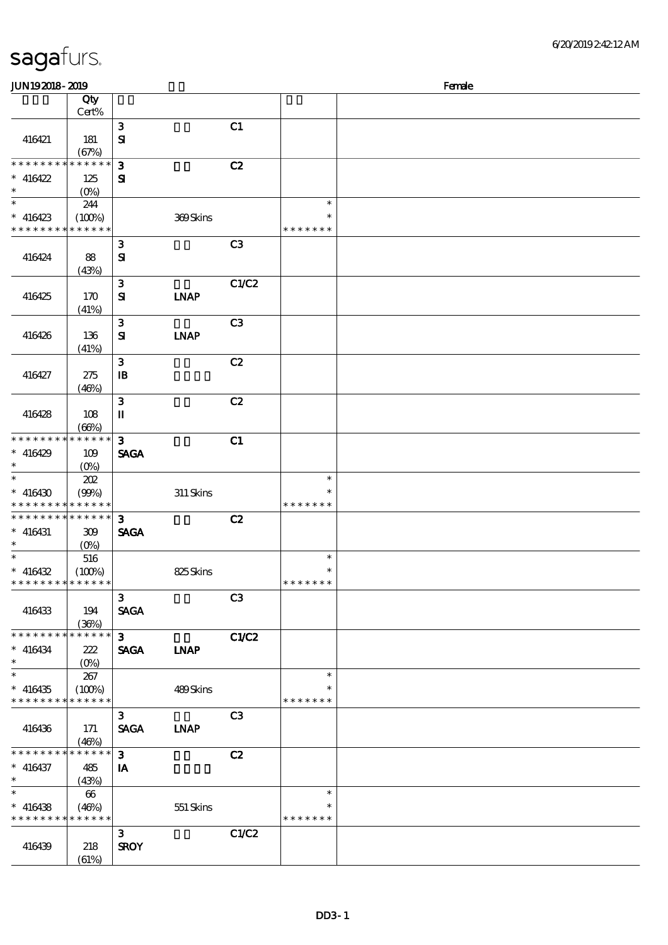| sagafurs. |
|-----------|
|-----------|

| <b>JUN192018-2019</b>       |                      |                |             |                |               | Female |
|-----------------------------|----------------------|----------------|-------------|----------------|---------------|--------|
|                             | Qty                  |                |             |                |               |        |
|                             | Cert%                |                |             |                |               |        |
|                             |                      | ${\bf 3}$      |             | C1             |               |        |
| 416421                      | 181                  | $\mathbf{S}$   |             |                |               |        |
|                             | (67%)                |                |             |                |               |        |
| * * * * * * * *             | $* * * * * * *$      | $\mathbf{3}$   |             | C2             |               |        |
| $* 416422$                  | 125                  | ${\bf s}$      |             |                |               |        |
| $\ast$                      | $(0\%)$              |                |             |                |               |        |
| $\ast$                      | 244                  |                |             |                | $\ast$        |        |
| $* 416423$                  |                      |                |             |                | $\ast$        |        |
| * * * * * * * * * * * * * * | (100%)               |                | 369Skins    |                | * * * * * * * |        |
|                             |                      |                |             |                |               |        |
|                             |                      | $\mathbf{3}$   |             | C <sub>3</sub> |               |        |
| 416424                      | 88                   | $\mathbf{S}$   |             |                |               |        |
|                             | (43%)                |                |             |                |               |        |
|                             |                      | $\mathbf{3}$   |             | C1/C2          |               |        |
| 416425                      | 170                  | ${\bf s}$      | <b>LNAP</b> |                |               |        |
|                             | (41%)                |                |             |                |               |        |
|                             |                      | $\mathbf{3}$   |             | C <sub>3</sub> |               |        |
| 416426                      | 136                  | $\mathbf{S}$   | <b>INAP</b> |                |               |        |
|                             | (41%)                |                |             |                |               |        |
|                             |                      | $\mathbf{3}$   |             | C2             |               |        |
| 416427                      | 275                  | $\mathbf{B}$   |             |                |               |        |
|                             | (46%)                |                |             |                |               |        |
|                             |                      | $\mathbf{3}$   |             | C2             |               |        |
| 416428                      | 108                  | $\mathbf I$    |             |                |               |        |
|                             |                      |                |             |                |               |        |
| * * * * * * * *             | (66%)<br>* * * * * * | $\mathbf{3}$   |             |                |               |        |
|                             |                      |                |             | C1             |               |        |
| $* 416429$<br>$\ast$        | 109                  | <b>SAGA</b>    |             |                |               |        |
|                             | $(0\%)$              |                |             |                |               |        |
| $\ast$                      | 202                  |                |             |                | $\ast$        |        |
| $* 416430$                  | (90%)                |                | 311 Skins   |                | $\ast$        |        |
| * * * * * * * * * * * * * * |                      |                |             |                | * * * * * * * |        |
| * * * * * * * *             | * * * * * *          | $\mathbf{3}$   |             | C2             |               |        |
| $* 416431$                  | 309                  | <b>SAGA</b>    |             |                |               |        |
| $\ast$                      | (0%)                 |                |             |                |               |        |
| $\ast$                      | 516                  |                |             |                | $\ast$        |        |
| $* 416432$                  | (100%)               |                | 825Skins    |                | $\ast$        |        |
| * * * * * * * * * * * * * * |                      |                |             |                | * * * * * * * |        |
|                             |                      | $\mathbf{3}$   |             | C <sub>3</sub> |               |        |
| 416433                      | 194                  | <b>SAGA</b>    |             |                |               |        |
|                             | (36%)                |                |             |                |               |        |
| * * * * * * * *             | * * * * * *          | 3 <sup>1</sup> |             | C1/C2          |               |        |
| $* 416434$                  | 222                  | <b>SAGA</b>    | <b>INAP</b> |                |               |        |
| $\ast$                      |                      |                |             |                |               |        |
| $\ast$                      | 267                  |                |             |                | $\ast$        |        |
| $* 416435$                  | (100%)               |                | 489Skins    |                | ∗             |        |
| * * * * * * * * * * * * * * |                      |                |             |                | * * * * * * * |        |
|                             |                      |                |             |                |               |        |
|                             |                      | $\mathbf{3}$   |             | C <sub>3</sub> |               |        |
| 416436                      | 171                  | <b>SAGA</b>    | <b>LNAP</b> |                |               |        |
|                             | (46%)                |                |             |                |               |        |
| * * * * * * *               | * * * * * *          | $\mathbf{3}$   |             | C2             |               |        |
| $* 416437$                  | 485                  | IA             |             |                |               |        |
| $*$                         | (43%)                |                |             |                |               |        |
| $\overline{\ast}$           | 66                   |                |             |                | $\ast$        |        |
| $* 416438$                  | (46%)                |                | 551 Skins   |                | ∗             |        |
| * * * * * * * * * * * * * * |                      |                |             |                | * * * * * * * |        |
|                             |                      | $\mathbf{3}$   |             | C1/C2          |               |        |
| 416439                      | 218                  | <b>SROY</b>    |             |                |               |        |
|                             | (61%)                |                |             |                |               |        |
|                             |                      |                |             |                |               |        |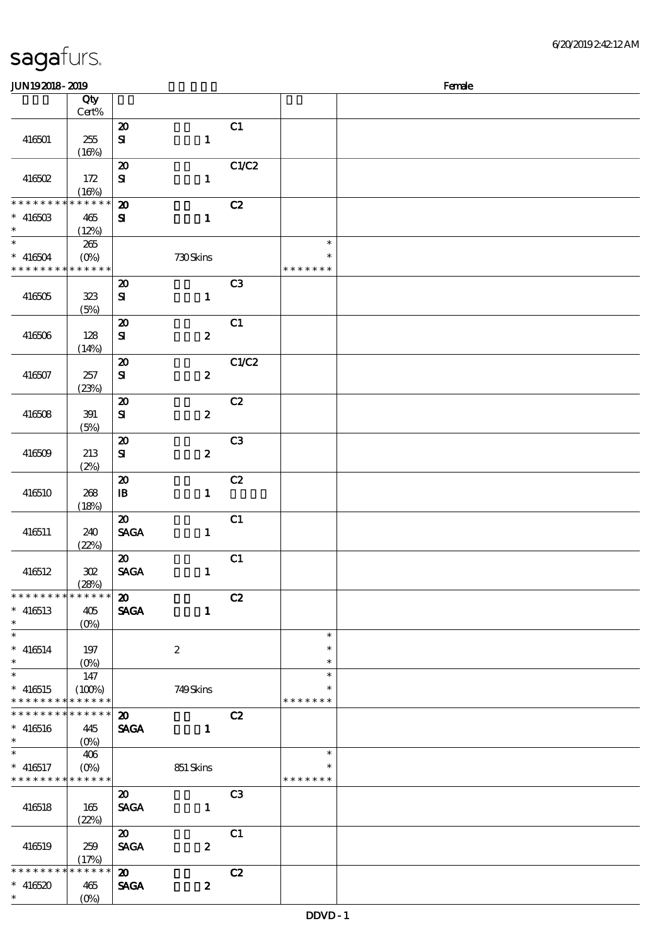| <b>JUN192018-2019</b>                      |                                                   |                             |                  |                |                  | Female |
|--------------------------------------------|---------------------------------------------------|-----------------------------|------------------|----------------|------------------|--------|
|                                            | Qty                                               |                             |                  |                |                  |        |
|                                            | $Cert\%$                                          |                             |                  |                |                  |        |
|                                            |                                                   | $\boldsymbol{\mathsf{20}}$  |                  | C1             |                  |        |
| 416501                                     | 255                                               | ${\bf s}$                   | $\mathbf 1$      |                |                  |        |
|                                            | (16%)                                             |                             |                  |                |                  |        |
|                                            |                                                   | $\boldsymbol{\mathfrak{D}}$ |                  | C1/C2          |                  |        |
| 416502                                     | 172                                               | ${\bf S}$                   | $\mathbf{1}$     |                |                  |        |
|                                            | (16%)                                             |                             |                  |                |                  |        |
| * * * * * * * *                            | * * * * * *                                       | $\boldsymbol{\mathbf{z}}$   |                  | C2             |                  |        |
| $* 41650B$                                 | 465                                               | ${\bf s}$                   | $\mathbf{1}$     |                |                  |        |
| $\ast$                                     | (12%)                                             |                             |                  |                |                  |        |
| $\overline{\ast}$                          | 265                                               |                             |                  |                | $\ast$           |        |
| $* 416504$                                 | $(O\%)$                                           |                             | 730Skins         |                |                  |        |
| * * * * * * * * * * * * * *                |                                                   |                             |                  |                | * * * * * * *    |        |
|                                            |                                                   | $\boldsymbol{\mathfrak{D}}$ |                  | C3             |                  |        |
| 416505                                     | 323                                               | ${\bf s}$                   | $\mathbf{1}$     |                |                  |        |
|                                            | (5%)                                              |                             |                  |                |                  |        |
|                                            |                                                   | $\boldsymbol{\mathbf{z}}$   |                  | C1             |                  |        |
| 416506                                     | 128                                               | $\bf S\!I$                  | $\boldsymbol{z}$ |                |                  |        |
|                                            | (14%)                                             |                             |                  |                |                  |        |
|                                            |                                                   | $\boldsymbol{\mathbf{z}}$   |                  | C1/C2          |                  |        |
| 416507                                     | 257                                               | $\bf S\!I$                  | $\boldsymbol{z}$ |                |                  |        |
|                                            | (23%)                                             |                             |                  |                |                  |        |
|                                            |                                                   | $\boldsymbol{\mathfrak{D}}$ |                  | C2             |                  |        |
| 416508                                     | 391                                               | ${\bf S}$                   | $\boldsymbol{z}$ |                |                  |        |
|                                            | (5%)                                              |                             |                  |                |                  |        |
|                                            |                                                   | $\boldsymbol{\mathbf{z}}$   |                  | C <sub>3</sub> |                  |        |
| 416509                                     | 213                                               | ${\bf S\hspace{-.075ex}I}$  | $\boldsymbol{z}$ |                |                  |        |
|                                            | (2%)                                              |                             |                  |                |                  |        |
|                                            |                                                   | $\boldsymbol{\mathsf{20}}$  |                  | C2             |                  |        |
| 416510                                     | 268                                               | $\mathbf{B}$                | $\mathbf{1}$     |                |                  |        |
|                                            | (18%)                                             |                             |                  |                |                  |        |
|                                            |                                                   | $\boldsymbol{\mathfrak{D}}$ |                  | C1             |                  |        |
| 416511                                     | 240                                               | <b>SAGA</b>                 | $\mathbf{1}$     |                |                  |        |
|                                            | (22%)                                             |                             |                  |                |                  |        |
|                                            |                                                   | $\boldsymbol{\mathfrak{D}}$ |                  | C1             |                  |        |
| 416512                                     | 302                                               | <b>SAGA</b>                 | $\mathbf{1}$     |                |                  |        |
| * * * * * * * * * * * * * *                | (28%)                                             |                             |                  |                |                  |        |
|                                            |                                                   | $\boldsymbol{\mathfrak{D}}$ |                  | C2             |                  |        |
| $* 416513$                                 | 405                                               | <b>SAGA</b>                 | $\mathbf{1}$     |                |                  |        |
| $\ast$<br>$\ast$                           | $(O\%)$                                           |                             |                  |                |                  |        |
|                                            |                                                   |                             |                  |                | $\ast$<br>$\ast$ |        |
| $* 416514$<br>$\ast$                       | 197                                               |                             | $\boldsymbol{z}$ |                | $\ast$           |        |
| $\ast$                                     | 147                                               |                             |                  |                | $\ast$           |        |
|                                            |                                                   |                             |                  |                | $\ast$           |        |
| $* 416515$<br>* * * * * * * * * * * * * *  | (100%)                                            |                             | 749Skins         |                | * * * * * * *    |        |
| * * * * * * * * <mark>* * * * * * *</mark> |                                                   | $\boldsymbol{\mathfrak{D}}$ |                  | C2             |                  |        |
| $* 416516$                                 | 445                                               | <b>SAGA</b>                 | $\mathbf{1}$     |                |                  |        |
| $\ast$                                     | $(O\!\!\!\!\!\!\!\backslash \!\!\!\!\!\backslash$ |                             |                  |                |                  |        |
| $\ast$                                     | 406                                               |                             |                  |                | $\ast$           |        |
| $* 416517$                                 | $(O\!\!\!\!\!\!/\,\!o)$                           |                             | 851 Skins        |                | ∗                |        |
| * * * * * * * * * * * * * *                |                                                   |                             |                  |                | * * * * * * *    |        |
|                                            |                                                   | $\boldsymbol{\mathfrak{D}}$ |                  | C <sub>3</sub> |                  |        |
| 416518                                     | 165                                               | <b>SAGA</b>                 | $\mathbf{1}$     |                |                  |        |
|                                            | (22%)                                             |                             |                  |                |                  |        |
|                                            |                                                   | $\boldsymbol{\mathfrak{D}}$ |                  | C1             |                  |        |
| 416519                                     | 259                                               | <b>SAGA</b>                 | $\boldsymbol{z}$ |                |                  |        |
|                                            | (17%)                                             |                             |                  |                |                  |        |
| * * * * * * * *                            | * * * * * *                                       | $\boldsymbol{\omega}$       |                  | C2             |                  |        |
| $* 416520$                                 | 465                                               | <b>SAGA</b>                 | $\boldsymbol{z}$ |                |                  |        |
| $*$                                        | $(O\%)$                                           |                             |                  |                |                  |        |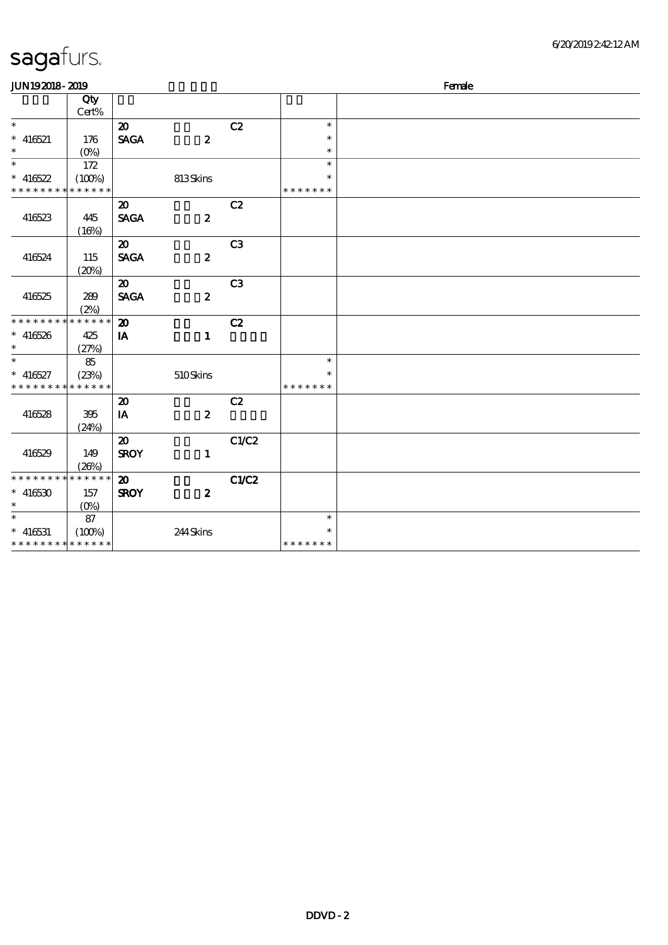| <b>JUN192018-2019</b>       |             |                             |                  |                |               | Female |
|-----------------------------|-------------|-----------------------------|------------------|----------------|---------------|--------|
|                             | Qty         |                             |                  |                |               |        |
|                             | Cert%       |                             |                  |                |               |        |
| $\ast$                      |             | $\boldsymbol{\mathfrak{D}}$ |                  | C2             | $\ast$        |        |
| $* 416521$                  | 176         | <b>SAGA</b>                 | $\boldsymbol{z}$ |                | $\ast$        |        |
| $\ast$                      | $(O\%)$     |                             |                  |                | $\ast$        |        |
| $\ast$                      | 172         |                             |                  |                | $\ast$        |        |
| $* 416522$                  | (100%)      |                             | 813Skins         |                | $\ast$        |        |
| * * * * * * * * * * * * * * |             |                             |                  |                | * * * * * * * |        |
|                             |             | $\boldsymbol{\mathfrak{D}}$ |                  | C2             |               |        |
| 416523                      | 445         | <b>SAGA</b>                 | $\boldsymbol{z}$ |                |               |        |
|                             | (16%)       |                             |                  |                |               |        |
|                             |             | $\boldsymbol{\mathfrak{D}}$ |                  | C <sub>3</sub> |               |        |
| 416524                      | 115         | <b>SAGA</b>                 | $\boldsymbol{z}$ |                |               |        |
|                             | (20%)       |                             |                  |                |               |        |
|                             |             | $\boldsymbol{\mathfrak{D}}$ |                  | C <sub>3</sub> |               |        |
| 416525                      | 289         | <b>SAGA</b>                 | $\boldsymbol{z}$ |                |               |        |
|                             | (2%)        |                             |                  |                |               |        |
| * * * * * * * *             | * * * * * * | $\boldsymbol{\mathbf{z}}$   |                  | C2             |               |        |
| $* 416526$                  | 425         | IA                          | $\mathbf{1}$     |                |               |        |
| $\ast$                      | (27%)       |                             |                  |                |               |        |
| $\ast$                      | 85          |                             |                  |                | $\ast$        |        |
| $* 416527$                  | (23%)       |                             | 510Skins         |                | $\ast$        |        |
| * * * * * * * * * * * * * * |             |                             |                  |                | * * * * * * * |        |
|                             |             | $\boldsymbol{\mathfrak{D}}$ |                  | C2             |               |        |
| 416528                      | 395         | IA                          | $\boldsymbol{z}$ |                |               |        |
|                             | (24%)       |                             |                  |                |               |        |
|                             |             | $\boldsymbol{\mathfrak{D}}$ |                  | C1/C2          |               |        |
| 416529                      | 149         | <b>SROY</b>                 | $\mathbf{1}$     |                |               |        |
|                             | (20%)       |                             |                  |                |               |        |
| * * * * * * * * * * * * * * |             | $\boldsymbol{\mathfrak{D}}$ |                  | C1/C2          |               |        |
| $* 416530$                  | 157         | <b>SROY</b>                 | $\boldsymbol{z}$ |                |               |        |
| $\ast$                      | $(O\%)$     |                             |                  |                |               |        |
| $\ast$                      | 87          |                             |                  |                | $\ast$        |        |
| $* 416531$                  | (100%)      |                             | 244Skins         |                | $\ast$        |        |
| * * * * * * * * * * * * * * |             |                             |                  |                | * * * * * * * |        |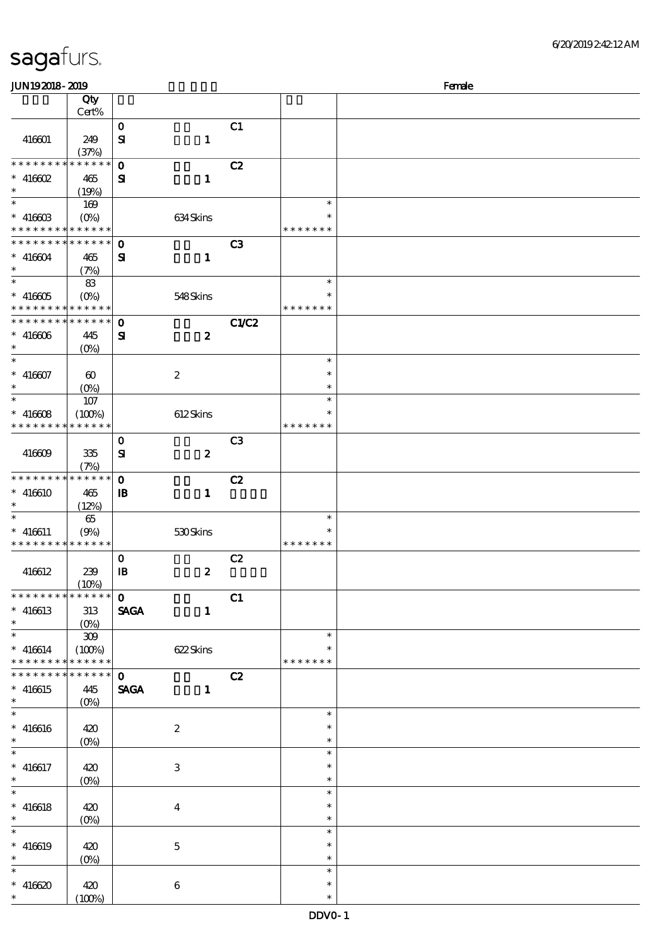| sagafurs. |  |
|-----------|--|
|           |  |

| <b>JUN192018-2019</b>                      |                                 |              |                  |                |               | Female |
|--------------------------------------------|---------------------------------|--------------|------------------|----------------|---------------|--------|
|                                            | Qty                             |              |                  |                |               |        |
|                                            | Cert%                           |              |                  |                |               |        |
|                                            |                                 | $\mathbf O$  |                  | C1             |               |        |
| 416601                                     | 249                             | ${\bf s}$    | $\mathbf{1}$     |                |               |        |
|                                            | (37%)                           |              |                  |                |               |        |
| * * * * * * * *                            | * * * * * *                     |              |                  |                |               |        |
|                                            |                                 | $\mathbf 0$  |                  | C2             |               |        |
| $*$ 416602                                 | 465                             | ${\bf s}$    | $\mathbf{1}$     |                |               |        |
| $\ast$                                     | (19%)                           |              |                  |                |               |        |
| $\ast$                                     | 169                             |              |                  |                | $\ast$        |        |
| $* 41660B$                                 | $(O\!/\!\!\delta)$              |              | 634 Skins        |                | ∗             |        |
| * * * * * * * * <mark>* * * * * *</mark>   |                                 |              |                  |                | * * * * * * * |        |
| * * * * * * * * <mark>* * * * * * *</mark> |                                 | $\mathbf 0$  |                  | C <sub>3</sub> |               |        |
| $* 416604$                                 | 465                             | ${\bf s}$    | $\mathbf{1}$     |                |               |        |
| $\ast$                                     |                                 |              |                  |                |               |        |
| $\overline{\ast}$                          | (7%)                            |              |                  |                |               |        |
|                                            | 83                              |              |                  |                | $\ast$        |        |
| $^*$ 416605 $\,$                           | $(O_0)$                         |              | 548Skins         |                | $\ast$        |        |
| * * * * * * * * * * * * * *                |                                 |              |                  |                | * * * * * * * |        |
| * * * * * * * * * * * * * * *              |                                 | $\mathbf{o}$ |                  | C1/C2          |               |        |
| $\hspace{0.1cm}^*$ 416606                  | 445                             | ${\bf s}$    | $\boldsymbol{z}$ |                |               |        |
| $\ast$                                     | $(O\% )$                        |              |                  |                |               |        |
| $\ast$                                     |                                 |              |                  |                | $\ast$        |        |
|                                            |                                 |              |                  |                | $\ast$        |        |
| $* 416607$                                 | $\boldsymbol{\omega}$           |              | $\boldsymbol{2}$ |                |               |        |
| $\ast$                                     | $(0\%)$                         |              |                  |                | $\ast$        |        |
| $\ast$                                     | 107                             |              |                  |                | $\ast$        |        |
| $* 41660B$                                 | (100%)                          |              | 612Skins         |                | $\ast$        |        |
| * * * * * * * *                            | * * * * * *                     |              |                  |                | * * * * * * * |        |
|                                            |                                 | $\mathbf{o}$ |                  | C <sub>3</sub> |               |        |
| 416609                                     | 335                             | ${\bf s}$    | $\boldsymbol{z}$ |                |               |        |
|                                            |                                 |              |                  |                |               |        |
|                                            | (7%)                            |              |                  |                |               |        |
| * * * * * * * *                            | $\ast\ast\ast\ast\ast\ast$      | $\mathbf{o}$ |                  | C2             |               |        |
| $* 416610$                                 | 465                             | $\mathbf{B}$ | $\mathbf{1}$     |                |               |        |
| $\ast$                                     | (12%)                           |              |                  |                |               |        |
| $\ast$                                     | 65                              |              |                  |                | $\ast$        |        |
| $* 416611$                                 | (9%)                            |              | 530Skins         |                | $\ast$        |        |
| * * * * * * * * <mark>* * * * * *</mark>   |                                 |              |                  |                | * * * * * * * |        |
|                                            |                                 | $\mathbf O$  |                  | C2             |               |        |
|                                            |                                 | $\mathbf{B}$ | $\boldsymbol{2}$ |                |               |        |
| 416612                                     | 239                             |              |                  |                |               |        |
| * * * * * * * *                            | (10%)<br>$\boxed{*******}$      |              |                  |                |               |        |
|                                            |                                 | $\mathbf{o}$ |                  | C1             |               |        |
| $* 416613$                                 | 313                             | <b>SAGA</b>  | $\mathbf{1}$     |                |               |        |
| $\ast$                                     |                                 |              |                  |                |               |        |
| $\ast$                                     | $309$                           |              |                  |                | $\ast$        |        |
| $* 416614$                                 | (100%)                          |              | 622Skins         |                | $\ast$        |        |
| * * * * * * * *                            | * * * * * *                     |              |                  |                | * * * * * * * |        |
| * * * * * * *                              | $* * * * * *$                   | $\mathbf{o}$ |                  | C2             |               |        |
|                                            |                                 |              |                  |                |               |        |
| $* 416615$<br>$\ast$                       | 445                             | <b>SAGA</b>  | $\mathbf{1}$     |                |               |        |
|                                            | $(O\!\!\!\!\!\!\backslash\rho)$ |              |                  |                |               |        |
| $\overline{\ast}$                          |                                 |              |                  |                | $\ast$        |        |
| $* 416616$                                 | 420                             |              | $\boldsymbol{2}$ |                | $\ast$        |        |
| $\ast$                                     | $(O\%)$                         |              |                  |                | $\ast$        |        |
| $\overline{\ast}$                          |                                 |              |                  |                | $\ast$        |        |
| $* 416617$                                 | 420                             |              | $\,3\,$          |                | $\ast$        |        |
| $*$                                        | $(O\!/\!\!\delta)$              |              |                  |                | $\ast$        |        |
| $\overline{\ast}$                          |                                 |              |                  |                | $\ast$        |        |
|                                            |                                 |              |                  |                |               |        |
| $* 416618$                                 | 420                             |              | $\boldsymbol{4}$ |                | $\ast$        |        |
| $\ast$                                     | $(O\!/\!\delta)$                |              |                  |                | $\ast$        |        |
| $\ast$                                     |                                 |              |                  |                | $\ast$        |        |
| $* 416619$                                 | 420                             |              | $\mathbf 5$      |                | $\ast$        |        |
| $\ast$                                     | $(O\!/\!o)$                     |              |                  |                | $\ast$        |        |
| $\ast$                                     |                                 |              |                  |                | $\ast$        |        |
| $* 416620$                                 | 420                             |              | 6                |                | $\ast$        |        |
| $\ast$                                     |                                 |              |                  |                | $\ast$        |        |
|                                            | (100%)                          |              |                  |                |               |        |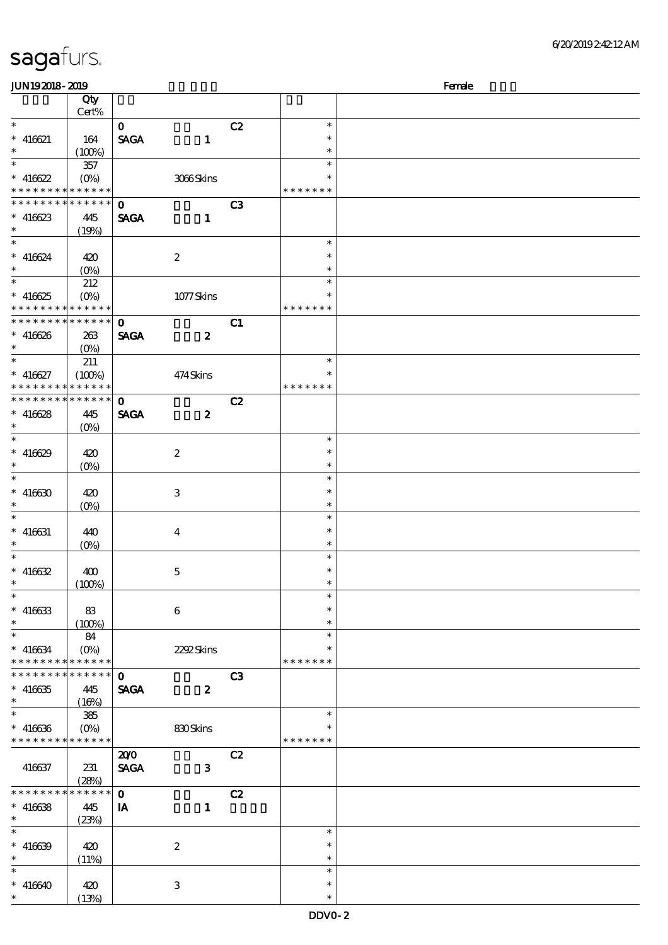| <b>JUN192018-2019</b>         |                             |              |                  |                |               | Female |
|-------------------------------|-----------------------------|--------------|------------------|----------------|---------------|--------|
|                               | Qty                         |              |                  |                |               |        |
|                               | Cert%                       |              |                  |                |               |        |
| $\ast$                        |                             | $\mathbf{O}$ |                  | C2             | $\ast$        |        |
| $* 416621$                    | 164                         | <b>SAGA</b>  | $\mathbf{1}$     |                | $\ast$        |        |
| $\ast$                        | (100%)                      |              |                  |                | $\ast$        |        |
| $\overline{\ast}$             |                             |              |                  |                | $\ast$        |        |
|                               | 357                         |              |                  |                |               |        |
| $* 416622$                    | $(O\!\!\!\!\!\!\!\!/\,\!o)$ |              | 3066Skins        |                | $\ast$        |        |
| * * * * * * * *               | $******$                    |              |                  |                | * * * * * * * |        |
| * * * * * * * *               | $* * * * * * *$             | $\mathbf{o}$ |                  | C <sub>3</sub> |               |        |
| $* 416623$                    | 445                         | <b>SAGA</b>  | $\mathbf{1}$     |                |               |        |
| $\ast$                        | (19%)                       |              |                  |                |               |        |
| $\overline{\ast}$             |                             |              |                  |                | $\ast$        |        |
| $* 416624$                    | 420                         |              | $\boldsymbol{2}$ |                | $\ast$        |        |
| $\ast$                        |                             |              |                  |                | $\ast$        |        |
|                               | $(O\%)$                     |              |                  |                |               |        |
|                               | 212                         |              |                  |                | $\ast$        |        |
| $* 416625$                    | $(O\%)$                     |              | 1077Skins        |                | $\ast$        |        |
| * * * * * * * *               | * * * * * *                 |              |                  |                | * * * * * * * |        |
| * * * * * * * * * * * * * * * |                             | $\mathbf{o}$ |                  | C1             |               |        |
| $* 416626$                    | 263                         | <b>SAGA</b>  | $\boldsymbol{z}$ |                |               |        |
| $\ast$                        | $(O\%)$                     |              |                  |                |               |        |
| $*$                           | 211                         |              |                  |                | $\ast$        |        |
|                               |                             |              |                  |                | $\ast$        |        |
| $* 416627$                    | (100%)                      |              | 474Skins         |                |               |        |
| * * * * * * * *               | $******$                    |              |                  |                | * * * * * * * |        |
| * * * * * * * * * * * * * *   |                             | $\mathbf{O}$ |                  | C2             |               |        |
| $* 416628$                    | 445                         | <b>SAGA</b>  | $\boldsymbol{z}$ |                |               |        |
| $\ast$                        | (O <sub>0</sub> )           |              |                  |                |               |        |
|                               |                             |              |                  |                | $\ast$        |        |
| $* 416629$                    | 420                         |              | $\boldsymbol{z}$ |                | $\ast$        |        |
| $\ast$                        |                             |              |                  |                | $\ast$        |        |
| $\ast$                        | $(O\!/\!o)$                 |              |                  |                | $\ast$        |        |
|                               |                             |              |                  |                |               |        |
| $* 416630$                    | 420                         |              | $\,3$            |                | $\ast$        |        |
| $\ast$                        | $(O\%)$                     |              |                  |                | $\ast$        |        |
| $\ast$                        |                             |              |                  |                | $\ast$        |        |
| $* 416631$                    | 440                         |              | $\boldsymbol{4}$ |                | $\ast$        |        |
| $*$                           | $(O\!/\!o)$                 |              |                  |                | $\ast$        |        |
| $\ast$                        |                             |              |                  |                | $\ast$        |        |
| $* 416632$                    | 400                         |              | $\mathbf 5$      |                | $\ast$        |        |
| $*$ $*$                       |                             |              |                  |                | $\ast$        |        |
|                               | (100%)                      |              |                  |                |               |        |
| $\ast$                        |                             |              |                  |                | $\ast$        |        |
| $* 416633$                    | 83                          |              | $\bf 6$          |                | $\ast$        |        |
| $\ast$                        | (100%)                      |              |                  |                | $\ast$        |        |
| $\ast$                        | 84                          |              |                  |                | $\ast$        |        |
| $* 416634$                    | $(O\%)$                     |              | 2292Skins        |                | $\ast$        |        |
| * * * * * * * *               | * * * * * *                 |              |                  |                | * * * * * * * |        |
| * * * * * * *                 | * * * * * *                 | $\mathbf 0$  |                  | C3             |               |        |
| $* 416635$                    | 445                         | <b>SAGA</b>  | $\boldsymbol{z}$ |                |               |        |
| $\ast$                        |                             |              |                  |                |               |        |
| $\overline{\ast}$             | (16%)                       |              |                  |                |               |        |
|                               | 385                         |              |                  |                | $\ast$        |        |
| $* 416636$                    | $(O\!/\!o)$                 |              | 830Skins         |                | $\ast$        |        |
| * * * * * * * *               | * * * * * *                 |              |                  |                | * * * * * * * |        |
|                               |                             | 200          |                  | C2             |               |        |
| 416637                        | 231                         | <b>SAGA</b>  | ${\bf 3}$        |                |               |        |
|                               | (28%)                       |              |                  |                |               |        |
| * * * * * * *                 | * * * * * *                 | $\mathbf 0$  |                  | C2             |               |        |
|                               |                             |              |                  |                |               |        |
| $* 416638$                    | 445                         | IA           | $\mathbf{1}$     |                |               |        |
| $\ast$                        | (23%)                       |              |                  |                |               |        |
| $\ast$                        |                             |              |                  |                | $\ast$        |        |
| $* 416639$                    | 420                         |              | $\boldsymbol{2}$ |                | $\ast$        |        |
| $\ast$                        | (11%)                       |              |                  |                | $\ast$        |        |
| $\ast$                        |                             |              |                  |                | $\ast$        |        |
| $* 416640$                    | 420                         |              | 3                |                | $\ast$        |        |
| $\ast$                        | (13%)                       |              |                  |                | $\ast$        |        |
|                               |                             |              |                  |                |               |        |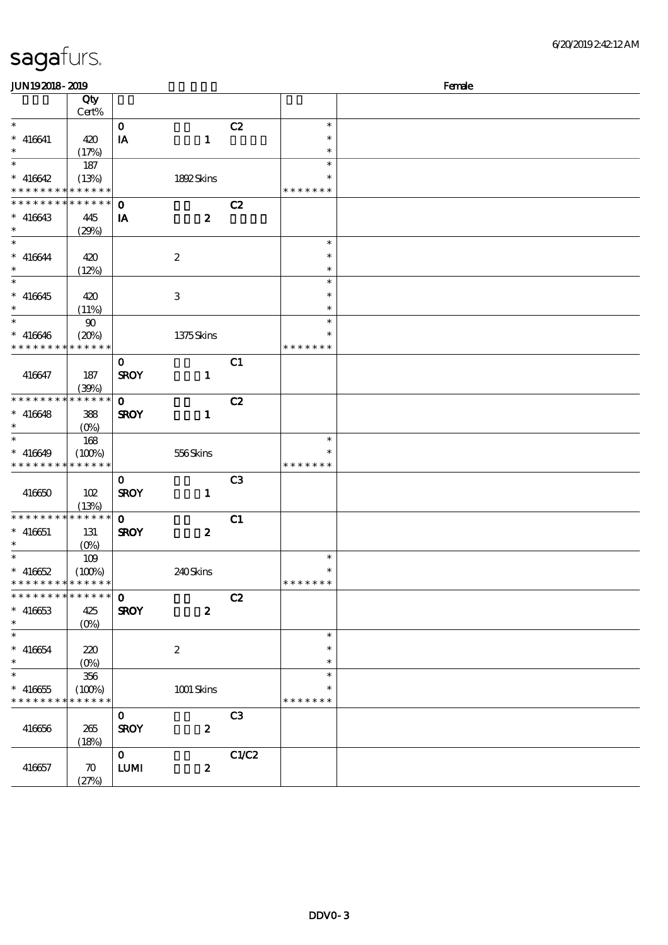| Female<br><b>JUN192018-2019</b> |                    |                                  |                  |                |               |  |  |
|---------------------------------|--------------------|----------------------------------|------------------|----------------|---------------|--|--|
|                                 | Qty<br>Cert%       |                                  |                  |                |               |  |  |
| $\ast$                          |                    | $\mathbf{o}$                     |                  | C2             | $\ast$        |  |  |
| $* 416641$                      | 420                | IA                               | $\mathbf{1}$     |                | $\ast$        |  |  |
| $\ast$                          | (17%)              |                                  |                  |                | $\ast$        |  |  |
| $\ast$                          | 187                |                                  |                  |                | $\ast$        |  |  |
| $* 416642$                      | (13%)              |                                  | 1892Skins        |                | $\ast$        |  |  |
| * * * * * * * *                 | * * * * * *        |                                  |                  |                | * * * * * * * |  |  |
| * * * * * * * *                 | * * * * * *        | $\mathbf 0$                      |                  | C2             |               |  |  |
| $* 416643$                      | 445                | IA                               | $\boldsymbol{z}$ |                |               |  |  |
| $\ast$                          | (29%)              |                                  |                  |                |               |  |  |
| $\ast$                          |                    |                                  |                  |                | $\ast$        |  |  |
| $* 416644$                      | 420                |                                  | $\boldsymbol{2}$ |                | $\ast$        |  |  |
| $\ast$                          | (12%)              |                                  |                  |                | $\ast$        |  |  |
| $\overline{\ast}$               |                    |                                  |                  |                | $\ast$        |  |  |
| $* 416645$                      |                    |                                  |                  |                | $\ast$        |  |  |
| $\ast$                          | 420                |                                  | $\,3$            |                | $\ast$        |  |  |
| $\ast$                          | (11%)              |                                  |                  |                | $\ast$        |  |  |
|                                 | $90\,$             |                                  |                  |                | $\ast$        |  |  |
| $* 416646$<br>* * * * * * * *   | (20%)              |                                  | 1375Skins        |                |               |  |  |
|                                 | * * * * * *        |                                  |                  |                | * * * * * * * |  |  |
|                                 |                    | $\mathbf{O}$                     |                  | C1             |               |  |  |
| 416647                          | 187                | <b>SROY</b>                      | $\mathbf{1}$     |                |               |  |  |
|                                 | (30%)              |                                  |                  |                |               |  |  |
| * * * * * * * *                 | * * * * * *        | $\mathbf{o}$                     |                  | C2             |               |  |  |
| $* 416648$                      | 388                | <b>SROY</b>                      | $\mathbf{1}$     |                |               |  |  |
| $\ast$                          | $(O\%)$            |                                  |                  |                |               |  |  |
| $\ast$                          | 168                |                                  |                  |                | $\ast$        |  |  |
| $* 416649$                      | (100%)             |                                  | 556Skins         |                |               |  |  |
| * * * * * * * * * * * * * *     |                    |                                  |                  |                | * * * * * * * |  |  |
|                                 |                    | $\mathbf{O}$                     |                  | C <sub>3</sub> |               |  |  |
| 416650                          | 102                | <b>SROY</b>                      | $\mathbf{1}$     |                |               |  |  |
|                                 | (13%)              |                                  |                  |                |               |  |  |
| * * * * * * * *                 | * * * * * *        | $\mathbf{o}$                     |                  | C1             |               |  |  |
| $* 416651$                      | 131                | <b>SROY</b>                      | $\boldsymbol{z}$ |                |               |  |  |
| $\ast$                          | $(O\%)$            |                                  |                  |                |               |  |  |
| $\ast$                          | 109                |                                  |                  |                | $\ast$        |  |  |
| $* 416652$                      | (100%)             |                                  | 240Skins         |                | $\ast$        |  |  |
| * * * * * * * * * * * * * *     |                    |                                  |                  |                | *******       |  |  |
| * * * * * * * *                 | * * * * * *        | $\mathbf{O}$                     |                  | C2             |               |  |  |
| $* 416653$                      | 425                | <b>SROY</b>                      | $\boldsymbol{z}$ |                |               |  |  |
| $\ast$                          | $(0\%)$            |                                  |                  |                |               |  |  |
| $\ast$                          |                    |                                  |                  |                | $\ast$        |  |  |
| $* 416654$                      | 220                |                                  | $\boldsymbol{2}$ |                | $\ast$        |  |  |
| $\ast$                          | $(O\% )$           |                                  |                  |                | $\ast$        |  |  |
| $\ast$                          | 356                |                                  |                  |                | $\ast$        |  |  |
| $* 416655$                      | (100%)             |                                  | 1001 Skins       |                |               |  |  |
| * * * * * * * *                 | * * * * * *        |                                  |                  |                | * * * * * * * |  |  |
|                                 |                    | $\mathbf{O}$                     |                  | C <sub>3</sub> |               |  |  |
| 416656                          | 265                | <b>SROY</b>                      | $\boldsymbol{z}$ |                |               |  |  |
|                                 | (18%)              |                                  |                  |                |               |  |  |
|                                 |                    | $\mathbf{0}$                     |                  | C1/C2          |               |  |  |
| 416657                          | $\boldsymbol{\pi}$ | $\textbf{L}\textbf{U}\textbf{M}$ | $\boldsymbol{z}$ |                |               |  |  |
|                                 | (27%)              |                                  |                  |                |               |  |  |
|                                 |                    |                                  |                  |                |               |  |  |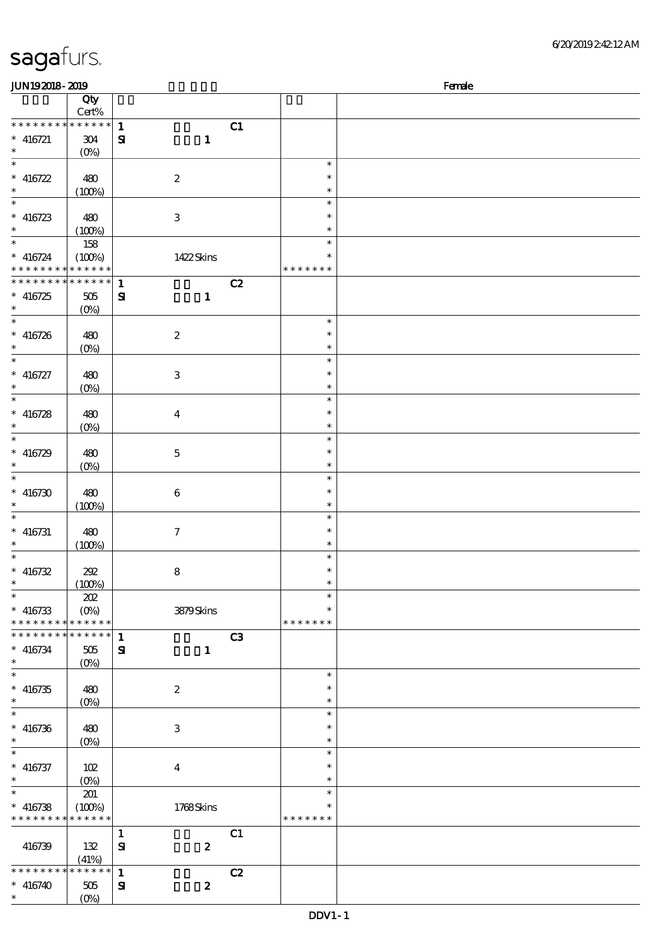| JUN192018-2019                                         |                       |                              |                  | Female         |                            |  |
|--------------------------------------------------------|-----------------------|------------------------------|------------------|----------------|----------------------------|--|
|                                                        | Qty<br>Cert%          |                              |                  |                |                            |  |
| * * * * * * * *<br>$* 416721$                          | $******$<br>$304\,$   | $\mathbf{1}$<br>$\mathbf{S}$ | $\mathbf{1}$     | C1             |                            |  |
| $\ast$<br>$\ast$                                       | $(0\%)$               |                              |                  |                | $\ast$                     |  |
| * 416722<br>$\ast$                                     | 480<br>(100%)         | $\boldsymbol{2}$             |                  |                | $\ast$<br>$\ast$           |  |
| $\ast$<br>$* 416723$                                   | 480                   | $\,3$                        |                  |                | $\ast$<br>$\ast$           |  |
| $\ast$<br>$\ast$                                       | (100%)<br>158         |                              |                  |                | $\ast$<br>$\ast$           |  |
| $* 416724$<br>* * * * * * * * <mark>* * * * * *</mark> | (100%)                |                              | 1422Skins        |                | $\ast$<br>* * * * * * *    |  |
| * * * * * * * *                                        | * * * * * *           | $\mathbf{1}$                 |                  | C2             |                            |  |
| $* 416725$<br>$\ast$                                   | 505<br>$(0\%)$        | $\mathbf{S}$                 | $\mathbf{1}$     |                |                            |  |
| $\ast$                                                 |                       |                              |                  |                | $\ast$                     |  |
| $* 416726$<br>$\ast$<br>$\ast$                         | 480<br>$(0\%)$        | $\boldsymbol{2}$             |                  |                | $\ast$<br>$\ast$           |  |
| $* 416727$                                             | 480                   | $\ensuremath{\mathbf{3}}$    |                  |                | $\ast$<br>$\ast$           |  |
| $\ast$                                                 | $(0\%)$               |                              |                  |                | $\ast$                     |  |
| $\ast$                                                 |                       |                              |                  |                | $\ast$                     |  |
| $* 416728$<br>$\ast$                                   | 480<br>$(0\%)$        | $\boldsymbol{4}$             |                  |                | $\ast$<br>$\ast$           |  |
| $\ast$                                                 |                       |                              |                  |                | $\ast$                     |  |
| $* 416729$<br>$\ast$<br>$\ast$                         | 480<br>$(0\%)$        | $\mathbf 5$                  |                  |                | $\ast$<br>$\ast$           |  |
| $* 416730$                                             | 480                   | $\,6$                        |                  |                | $\ast$<br>$\ast$           |  |
| $\ast$<br>$\ast$                                       | (100%)                |                              |                  |                | $\ast$<br>$\ast$           |  |
| $* 416731$<br>$\ast$                                   | 480<br>(100%)         | $\boldsymbol{\tau}$          |                  |                | $\ast$<br>$\ast$           |  |
| $\ast$                                                 |                       |                              |                  |                | $\ast$                     |  |
| $* 416732$<br>$\ast$                                   | 202<br>(100%)         | $\bf 8$                      |                  |                | $\ast$<br>$\ast$           |  |
| $\overline{\ast}$                                      | 202                   |                              |                  |                | $\ast$                     |  |
| $* 416733$<br>* * * * * * * * * * * * * *              | $(O\!/\!o)$           |                              | 3879Skins        |                | $\ast$<br>* * * * * * *    |  |
| * * * * * * * * * * * * * *                            |                       | $\mathbf{1}$                 |                  | C <sub>3</sub> |                            |  |
| $* 416734$<br>$\ast$<br>$\ast$                         | 505<br>$(0\%)$        | ${\bf s}$                    | $\mathbf{1}$     |                |                            |  |
| $* 416735$<br>$\ast$                                   | 480                   | $\boldsymbol{2}$             |                  |                | $\ast$<br>$\ast$<br>$\ast$ |  |
| $\ast$                                                 | (0%)                  |                              |                  |                | $\ast$                     |  |
| $* 416736$<br>$\ast$                                   | 480<br>$(0\%)$        | $\,3$                        |                  |                | $\ast$<br>$\ast$           |  |
| $\ast$                                                 |                       |                              |                  |                | $\ast$                     |  |
| $* 416737$<br>$\ast$                                   | 102                   | $\boldsymbol{4}$             |                  |                | $\ast$<br>$\ast$           |  |
| $\ast$                                                 | $(0\%)$<br>201        |                              |                  |                | $\ast$                     |  |
| $* 416738$<br>* * * * * * * *                          | (100%)<br>* * * * * * |                              | 1768Skins        |                | $\ast$<br>* * * * * * *    |  |
|                                                        |                       | $\mathbf{1}$                 |                  | C1             |                            |  |
| 416739                                                 | 132<br>(41%)          | ${\bf S}$                    | $\boldsymbol{z}$ |                |                            |  |
| * * * * * * * *                                        | * * * * * *           | $\mathbf{1}$                 |                  | C2             |                            |  |
| $* 416740$<br>$\ast$                                   | 505<br>$(0\%)$        | $\mathbf{S}$                 | $\boldsymbol{z}$ |                |                            |  |
|                                                        |                       |                              |                  |                |                            |  |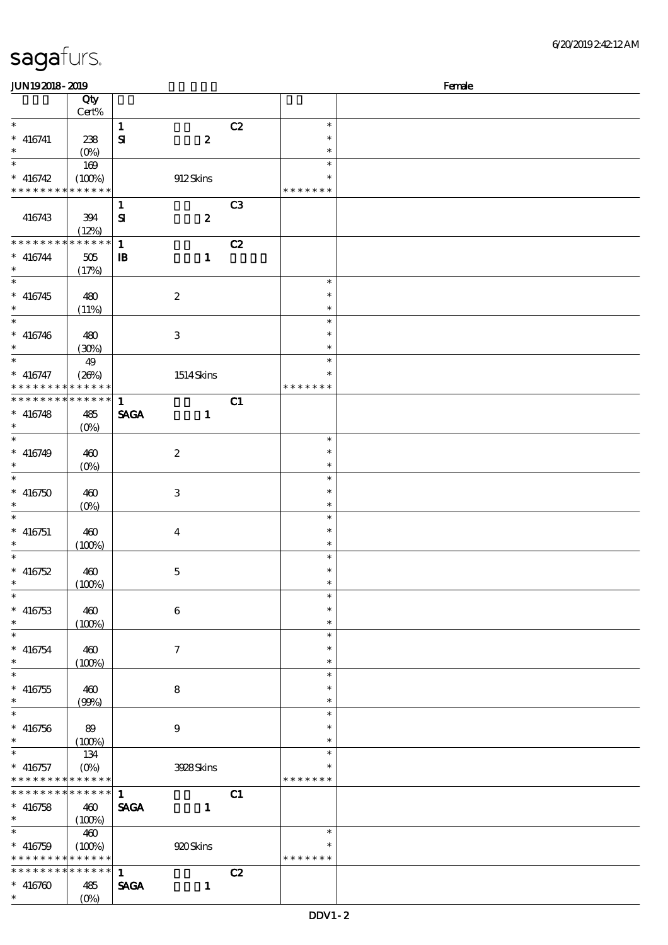| sagafurs. |
|-----------|
|-----------|

| Female<br><b>JUN192018-2019</b>            |                                   |              |                           |                |                  |  |  |
|--------------------------------------------|-----------------------------------|--------------|---------------------------|----------------|------------------|--|--|
|                                            | Qty                               |              |                           |                |                  |  |  |
|                                            | $Cert\%$                          |              |                           |                |                  |  |  |
| $\ast$                                     |                                   | $\mathbf{1}$ |                           | C2             | $\ast$           |  |  |
| $*$ 416741                                 | 238                               | $\mathbf{S}$ | $\boldsymbol{z}$          |                | $\ast$           |  |  |
| $\ast$                                     | $(0\%)$                           |              |                           |                | $\ast$           |  |  |
| $\ast$                                     |                                   |              |                           |                | $\ast$           |  |  |
|                                            | 169                               |              |                           |                | $\ast$           |  |  |
| $* 416742$                                 | (100%)                            |              | 912Skins                  |                |                  |  |  |
| * * * * * * * * * * * * * *                |                                   |              |                           |                | * * * * * * *    |  |  |
|                                            |                                   | $\mathbf{1}$ |                           | C <sub>3</sub> |                  |  |  |
| 416743                                     | 394                               | ${\bf s}$    | $\boldsymbol{z}$          |                |                  |  |  |
|                                            | (12%)                             |              |                           |                |                  |  |  |
| * * * * * * * * * * * * * *                |                                   | $\mathbf 1$  |                           | C2             |                  |  |  |
| $* 416744$                                 | 505                               | $\mathbf{B}$ | $\mathbf{1}$              |                |                  |  |  |
| $\ast$                                     | (17%)                             |              |                           |                |                  |  |  |
| $\overline{\phantom{0}}$                   |                                   |              |                           |                | $\ast$           |  |  |
| $* 416745$                                 | 480                               |              | $\boldsymbol{2}$          |                | $\ast$           |  |  |
|                                            | (11%)                             |              |                           |                | $\ast$           |  |  |
| $\ast$                                     |                                   |              |                           |                | $\ast$           |  |  |
| $* 416746$                                 | 480                               |              | $\ensuremath{\mathsf{3}}$ |                | $\ast$           |  |  |
| $\ast$                                     |                                   |              |                           |                | $\ast$           |  |  |
| $\ast$                                     | (30%)                             |              |                           |                | $\ast$           |  |  |
|                                            | 49                                |              |                           |                | $\ast$           |  |  |
| $* 416747$<br>* * * * * * * *              | (20%)<br>* * * * * *              |              | 1514Skins                 |                | * * * * * * *    |  |  |
| * * * * * * * * * * * * * *                |                                   |              |                           |                |                  |  |  |
|                                            |                                   | $\mathbf{1}$ |                           | C1             |                  |  |  |
| $* 416748$                                 | 485                               | <b>SAGA</b>  | $\mathbf{1}$              |                |                  |  |  |
| $\ast$                                     | $(O\%)$                           |              |                           |                |                  |  |  |
| $\ast$                                     |                                   |              |                           |                | $\ast$           |  |  |
| $* 416749$                                 | 460                               |              | $\boldsymbol{2}$          |                | $\ast$           |  |  |
| $\ast$                                     | $(O\%)$                           |              |                           |                | $\ast$           |  |  |
| $\ast$                                     |                                   |              |                           |                | $\ast$           |  |  |
| $* 416750$                                 | 460                               |              | $\,3$                     |                | $\ast$           |  |  |
| $\ast$                                     | $(0\%)$                           |              |                           |                | $\ast$           |  |  |
| $\ast$                                     |                                   |              |                           |                | $\ast$           |  |  |
| $* 416751$                                 | 460                               |              | $\bf{4}$                  |                | $\ast$           |  |  |
|                                            | (100%)                            |              |                           |                | $\ast$           |  |  |
| $\ast$                                     |                                   |              |                           |                | $\ast$           |  |  |
| $* 416752$                                 | 460                               |              | $\mathbf 5$               |                | $\ast$           |  |  |
| $*$                                        | (100%)                            |              |                           |                | $\ast$           |  |  |
| $\ast$                                     |                                   |              |                           |                | $\ast$           |  |  |
| $* 416753$                                 | 460                               |              | $\bf 6$                   |                | $\ast$           |  |  |
| $\ast$                                     | (100%)                            |              |                           |                | $\ast$           |  |  |
| $\ast$                                     |                                   |              |                           |                | $\ast$           |  |  |
| $* 416754$                                 | 460                               |              | $\tau$                    |                | $\ast$           |  |  |
| $\ast$                                     | (100%)                            |              |                           |                | $\ast$           |  |  |
| $\ast$                                     |                                   |              |                           |                | $\ast$           |  |  |
| $* 416755$                                 | 460                               |              | 8                         |                | $\ast$           |  |  |
| $\ast$                                     | (90%)                             |              |                           |                | $\ast$           |  |  |
| $\ast$                                     |                                   |              |                           |                | $\ast$           |  |  |
| $* 416756$                                 |                                   |              |                           |                | $\ast$           |  |  |
| $\ast$                                     | 89                                |              | 9                         |                | $\ast$           |  |  |
| $\ast$                                     | (100%)                            |              |                           |                |                  |  |  |
|                                            | 134                               |              |                           |                | $\ast$<br>$\ast$ |  |  |
| $* 416757$                                 | $(O\!\!\!\!\!\!/\,\!\!\!\!\!/\,)$ |              | 3928Skins                 |                |                  |  |  |
| * * * * * * * * <mark>* * * * * *</mark> * |                                   |              |                           |                | * * * * * * *    |  |  |
| * * * * * * * * * * * * * * *              |                                   | $\mathbf{1}$ |                           | C1             |                  |  |  |
| $* 416758$                                 | 460                               | <b>SAGA</b>  | $\mathbf{1}$              |                |                  |  |  |
| $\ast$                                     | (100%)                            |              |                           |                |                  |  |  |
| $\ast$                                     | 460                               |              |                           |                | $\ast$           |  |  |
| $* 416759$                                 | (100%)                            |              | 920 Skins                 |                | $\ast$           |  |  |
| * * * * * * * * * * * * * *                |                                   |              |                           |                | * * * * * * *    |  |  |
| * * * * * * * * * * * * * *                |                                   | $\mathbf{1}$ |                           | C2             |                  |  |  |
| $* 416760$                                 | 485                               | <b>SAGA</b>  | $\mathbf{1}$              |                |                  |  |  |
| $*$                                        | $(O\%)$                           |              |                           |                |                  |  |  |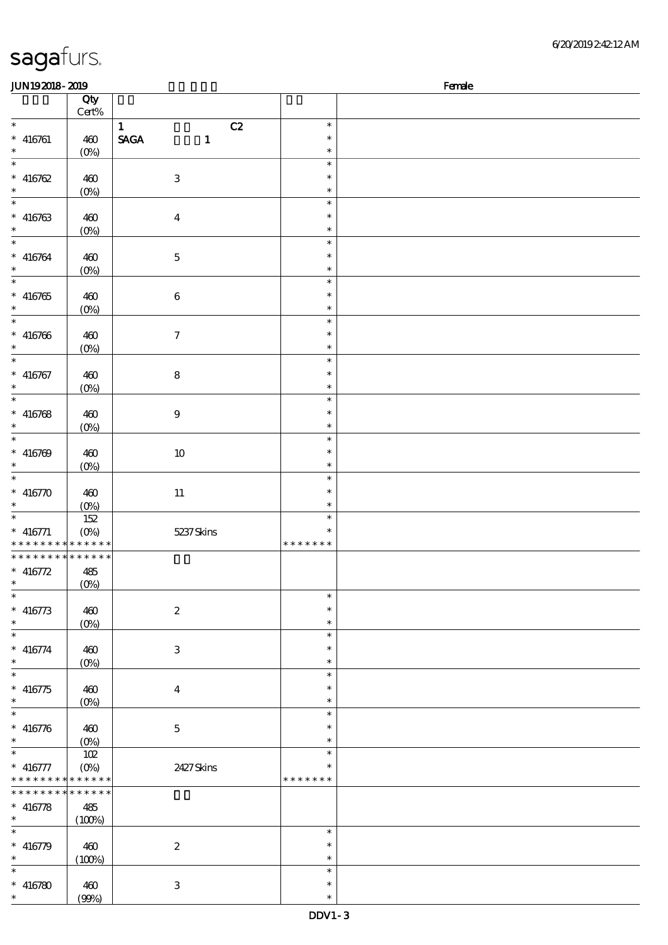| 6/20/201924212AM |
|------------------|
|------------------|

| <b>JUN192018-2019</b>                      |                  |                             |               | Female |
|--------------------------------------------|------------------|-----------------------------|---------------|--------|
|                                            | Qty              |                             |               |        |
|                                            | Cert%            |                             |               |        |
| $\ast$                                     |                  | $\mathbf{1}$<br>C2          | $\ast$        |        |
| $* 416761$                                 | 460              | <b>SAGA</b><br>$\mathbf{1}$ | $\ast$        |        |
| $\ast$                                     | $(0\%)$          |                             | $\ast$        |        |
| $\overline{\phantom{a}^*}$                 |                  |                             | $\ast$        |        |
| $* 416762$                                 | 460              | $\ensuremath{\mathbf{3}}$   | $\ast$        |        |
| $\ast$                                     | $(0\%)$          |                             | $\ast$        |        |
| $\overline{\phantom{a}^*}$                 |                  |                             | $\ast$        |        |
|                                            |                  |                             |               |        |
| $* 416763$                                 | 460              | $\bf{4}$                    | $\ast$        |        |
| $\ast$<br>$_{*}$                           | $(0\%)$          |                             | $\ast$        |        |
|                                            |                  |                             | $\ast$        |        |
| $* 416764$                                 | 460              | $\bf 5$                     | $\ast$        |        |
| $\ast$                                     | $(0\%)$          |                             | $\ast$        |        |
| $_{*}^{-}$                                 |                  |                             | $\ast$        |        |
| $* 416765$                                 | 460              | $\bf 6$                     | $\ast$        |        |
| $\ast$                                     | $(0\%)$          |                             | $\ast$        |        |
| $\overline{\phantom{a}}$                   |                  |                             | $\ast$        |        |
| $* 416766$                                 | 460              | $\boldsymbol{7}$            | $\ast$        |        |
| $\ast$                                     |                  |                             | $\ast$        |        |
| $\ast$                                     | $(O\!/\!\delta)$ |                             | $\ast$        |        |
|                                            |                  |                             | $\ast$        |        |
| $* 416767$                                 | 460              | ${\bf 8}$                   |               |        |
| $\ast$                                     | (0%)             |                             | $\ast$        |        |
| $\overline{\ast}$                          |                  |                             | $\ast$        |        |
| $* 416768$                                 | 460              | $\boldsymbol{9}$            | $\ast$        |        |
| $\ast$                                     | $(0\%)$          |                             | $\ast$        |        |
| $\overline{\phantom{a}^*}$                 |                  |                             | $\ast$        |        |
| $* 416769$                                 | 460              | $10\,$                      | $\ast$        |        |
| $\ast$                                     | $(0\%)$          |                             | $\ast$        |        |
| $\ast$                                     |                  |                             | $\ast$        |        |
| $* 416770$                                 | 460              | $11\,$                      | $\ast$        |        |
| $\ast$                                     |                  |                             | $\ast$        |        |
| $\overline{\phantom{0}}$                   | $(0\%)$          |                             | $\ast$        |        |
|                                            | 152              |                             |               |        |
| $*$ 416771                                 | $(O\%)$          | 5237Skins                   | $\ast$        |        |
| * * * * * * * * <mark>* * * * * *</mark> * |                  |                             | * * * * * * * |        |
| * * * * * * * * * * * * * *                |                  |                             |               |        |
| $* 416772$                                 | 485              |                             |               |        |
| $*$                                        | $(0\%)$          |                             |               |        |
| $\ast$                                     |                  |                             | $\ast$        |        |
| $* 416773$                                 | 460              | $\boldsymbol{2}$            | $\ast$        |        |
| $\ast$                                     | $(0\%)$          |                             | $\ast$        |        |
| $\ast$                                     |                  |                             | $\ast$        |        |
| $* 416774$                                 | 460              | $\ensuremath{\mathbf{3}}$   | $\ast$        |        |
| $\ast$                                     |                  |                             | $\ast$        |        |
| $\ast$                                     | $(0\%)$          |                             | $\ast$        |        |
|                                            |                  |                             |               |        |
| $* 416775$                                 | 460              | $\bf{4}$                    | $\ast$        |        |
| $\ast$<br>$\overline{\phantom{0}}$         | $(O\!/\!\delta)$ |                             | $\ast$        |        |
|                                            |                  |                             | $\ast$        |        |
| $* 416776$                                 | 460              | $\mathbf 5$                 | $\ast$        |        |
| $\ast$                                     | $(O\%)$          |                             | $\ast$        |        |
| $\overline{\phantom{0}}$                   | 102              |                             | $\ast$        |        |
| $* 416777$                                 | $(O\%)$          | 2427Skins                   | $\ast$        |        |
| * * * * * * * * <mark>* * * * * *</mark>   |                  |                             | * * * * * * * |        |
| * * * * * * * *                            | $* * * * * * *$  |                             |               |        |
| $* 416778$                                 | 485              |                             |               |        |
| $\ast$                                     |                  |                             |               |        |
| $\ast$                                     | (100%)           |                             |               |        |
|                                            |                  |                             | $\ast$        |        |
| $* 416779$                                 | 460              | $\boldsymbol{2}$            | $\ast$        |        |
| $\ast$                                     | (100%)           |                             | $\ast$        |        |
| $\ast$                                     |                  |                             | $\ast$        |        |
| $* 416780$                                 | 460              | $\ensuremath{\mathbf{3}}$   | $\ast$        |        |
| $\ast$                                     | (90%)            |                             | $\ast$        |        |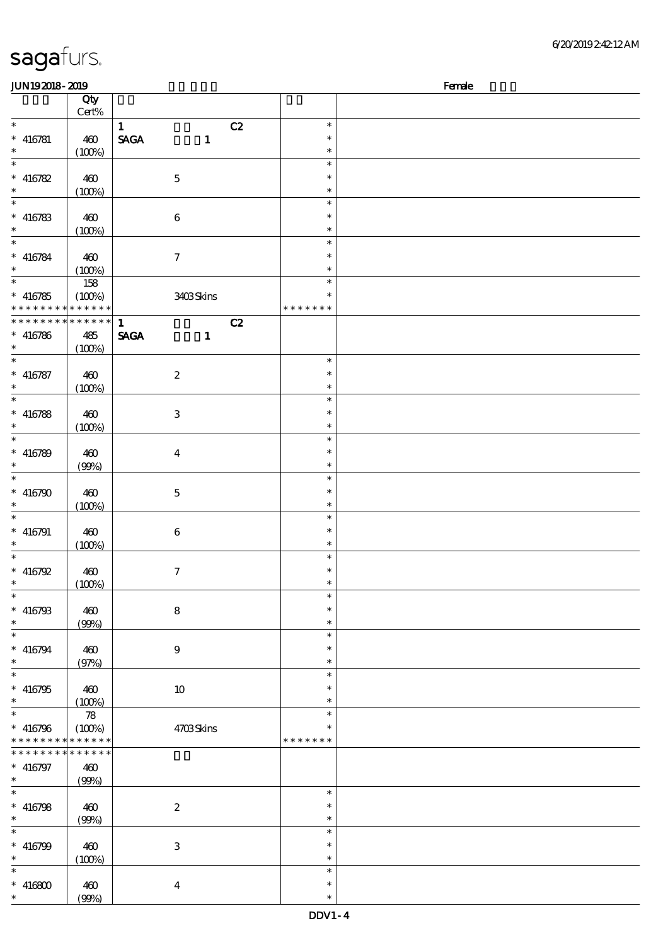| 6/20/201924212AM |
|------------------|
|------------------|

| <b>JUN192018-2019</b>                      |                            |                             |               | Female |
|--------------------------------------------|----------------------------|-----------------------------|---------------|--------|
|                                            | Qty                        |                             |               |        |
|                                            | Cert%                      |                             |               |        |
| $\ast$                                     |                            | $\mathbf{1}$                | C2<br>$\ast$  |        |
| $* 416781$                                 | 460                        | <b>SAGA</b><br>$\mathbf{1}$ | $\ast$        |        |
| $\ast$                                     | (100%)                     |                             | $\ast$        |        |
| $\overline{\phantom{0}}$                   |                            |                             | $\ast$        |        |
|                                            |                            |                             | $\ast$        |        |
| $* 416782$                                 | 460                        | $\mathbf 5$                 |               |        |
| $\ast$                                     | (100%)                     |                             | $\ast$        |        |
| $\overline{\phantom{a}^*}$                 |                            |                             | $\ast$        |        |
| $* 416783$                                 | 460                        | $\bf 6$                     | $\ast$        |        |
| $\ast$                                     | (100%)                     |                             | $\ast$        |        |
| $_{*}$                                     |                            |                             | $\ast$        |        |
| $* 416784$                                 | 460                        | $\tau$                      | $\ast$        |        |
| $\ast$                                     | (100%)                     |                             | $\ast$        |        |
| $\overline{\phantom{0}}$                   |                            |                             | $\ast$        |        |
|                                            | 158                        |                             |               |        |
| $* 416785$                                 | (100%)                     | 3403Skins                   | $\ast$        |        |
| * * * * * * * * <mark>* * * * * * *</mark> |                            |                             | * * * * * * * |        |
| * * * * * * * * * * * * * *                |                            | $\mathbf{1}$                | C2            |        |
| $* 416786$                                 | 485                        | <b>SAGA</b><br>$\mathbf{1}$ |               |        |
| $\ast$                                     | (100%)                     |                             |               |        |
| $\ast$                                     |                            |                             | $\ast$        |        |
| $* 416787$                                 | 460                        | $\boldsymbol{2}$            | $\ast$        |        |
| $\ast$                                     |                            |                             | $\ast$        |        |
| $\overline{\ast}$                          | (100%)                     |                             |               |        |
|                                            |                            |                             | $\ast$        |        |
| $* 416788$                                 | 460                        | $\ensuremath{\mathbf{3}}$   | $\ast$        |        |
| $\ast$                                     | (100%)                     |                             | $\ast$        |        |
| $\overline{\phantom{a}^*}$                 |                            |                             | $\ast$        |        |
| $* 416789$                                 | 460                        | $\bf{4}$                    | $\ast$        |        |
| $\ast$                                     | (90%)                      |                             | $\ast$        |        |
| $\ast$                                     |                            |                             | $\ast$        |        |
|                                            |                            |                             | $\ast$        |        |
| $* 416790$                                 | 460                        | $\mathbf 5$                 |               |        |
| $\ast$                                     | (100%)                     |                             | $\ast$        |        |
| $\ast$                                     |                            |                             | $\ast$        |        |
| $* 416791$                                 | 460                        | $\bf 6$                     | $\ast$        |        |
| $\ast$                                     | (100%)                     |                             | $\ast$        |        |
| $\ast$                                     |                            |                             | $\ast$        |        |
| $* 416792$                                 | 460                        | $\tau$                      | $\ast$        |        |
| $*$                                        | (100%)                     |                             | $\ast$        |        |
| $\ast$                                     |                            |                             | $\ast$        |        |
| $* 416793$                                 |                            |                             | $\ast$        |        |
|                                            | 460                        | ${\bf 8}$                   |               |        |
| $\ast$                                     | (90%)                      |                             | $\ast$        |        |
| $\ast$                                     |                            |                             | $\ast$        |        |
| $* 416794$                                 | 460                        | $\boldsymbol{9}$            | $\ast$        |        |
| $\ast$                                     | (97%)                      |                             | $\ast$        |        |
| $*$                                        |                            |                             | $\ast$        |        |
| $* 416795$                                 | 460                        | $10\,$                      | *             |        |
| $\ast$                                     | (100%)                     |                             | $\ast$        |        |
| $\ast$                                     | $\boldsymbol{\mathcal{R}}$ |                             | $\ast$        |        |
|                                            |                            |                             |               |        |
| $* 416796$                                 | (100%)                     | 4703Skins                   |               |        |
| * * * * * * * * <mark>* * * * * *</mark>   |                            |                             | * * * * * * * |        |
| * * * * * * *<br>$\ast$                    | * * * * * *                |                             |               |        |
| $* 416797$                                 | 460                        |                             |               |        |
| $\ast$                                     | (90%)                      |                             |               |        |
| $\ast$                                     |                            |                             | $\ast$        |        |
| $* 416798$                                 | 460                        | $\boldsymbol{2}$            | $\ast$        |        |
| $\ast$                                     | (90%)                      |                             | $\ast$        |        |
| $\ast$                                     |                            |                             | $\ast$        |        |
|                                            |                            |                             | $\ast$        |        |
| $* 416799$                                 | 460                        | $\,3$                       |               |        |
| $\ast$                                     | (100%)                     |                             | $\ast$        |        |
| $\ast$                                     |                            |                             | $\ast$        |        |
| $* 416800$                                 | 460                        | $\bf{4}$                    | $\ast$        |        |
| $\ast$                                     | (90%)                      |                             | $\ast$        |        |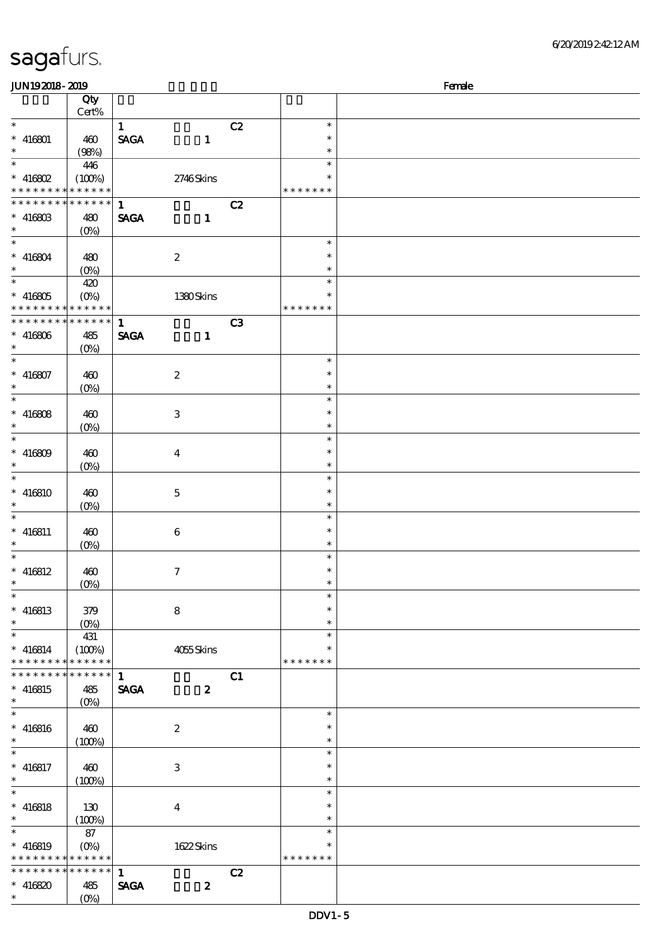| <b>JUN192018-2019</b><br>Female            |                                 |                                |                     |                |               |  |
|--------------------------------------------|---------------------------------|--------------------------------|---------------------|----------------|---------------|--|
|                                            | Qty                             |                                |                     |                |               |  |
|                                            | Cert%                           |                                |                     |                |               |  |
| $\ast$                                     |                                 | $\mathbf{1}$                   |                     | C2             | $\ast$        |  |
| $* 416801$                                 | 460                             | $\operatorname{\mathsf{SAGA}}$ | $\mathbf{1}$        |                | $\ast$        |  |
| $\ast$                                     | (98%)                           |                                |                     |                | $\ast$        |  |
|                                            | 446                             |                                |                     |                | $\ast$        |  |
| $*$ 416802 $\,$                            | (100%)                          |                                | 2746Skins           |                | $\ast$        |  |
| * * * * * * * * <mark>* * * * * * *</mark> |                                 |                                |                     |                | * * * * * * * |  |
| * * * * * * * * * * * * * * *              |                                 | $\mathbf{1}$                   |                     | C2             |               |  |
| $* 41680B$                                 | 480                             | <b>SAGA</b>                    | $\mathbf{1}$        |                |               |  |
| $*$                                        | $(O\%)$                         |                                |                     |                |               |  |
| $\overline{\ast}$                          |                                 |                                |                     |                | $\ast$        |  |
| $* 416804$                                 | 480                             |                                | $\boldsymbol{2}$    |                | $\ast$        |  |
| $\ast$                                     |                                 |                                |                     |                | $\ast$        |  |
| $\ast$                                     | $(O_0)$                         |                                |                     |                | $\ast$        |  |
|                                            | 420                             |                                |                     |                |               |  |
| $* 416805$                                 |                                 |                                | 1380Skins           |                | $\ast$        |  |
| * * * * * * * *                            | $* * * * * * *$                 |                                |                     |                | * * * * * * * |  |
| * * * * * * * *                            | $* * * * * * *$                 | $\mathbf{1}$                   |                     | C <sub>3</sub> |               |  |
| $* 416806$                                 | 485                             | <b>SAGA</b>                    | $\mathbf{1}$        |                |               |  |
| $\ast$                                     | (O <sub>0</sub> )               |                                |                     |                |               |  |
| $\overline{\ast}$                          |                                 |                                |                     |                | $\ast$        |  |
| $* 416807$                                 | 460                             |                                | $\boldsymbol{2}$    |                | $\ast$        |  |
| $\ast$                                     | $(0\%)$                         |                                |                     |                | $\ast$        |  |
| $\overline{\ast}$                          |                                 |                                |                     |                | $\ast$        |  |
| $* 416808$                                 | 460                             |                                | $\,3\,$             |                | $\ast$        |  |
| $\ast$                                     | $(0\%)$                         |                                |                     |                | $\ast$        |  |
| $\overline{\phantom{0}}$                   |                                 |                                |                     |                | $\ast$        |  |
| $* 416809$                                 | 460                             |                                | $\boldsymbol{4}$    |                | $\ast$        |  |
| $\ast$                                     | $(0\%)$                         |                                |                     |                | $\ast$        |  |
| $\ast$                                     |                                 |                                |                     |                | $\ast$        |  |
| $* 416810$                                 | 460                             |                                | $\mathbf 5$         |                | $\ast$        |  |
| $\ast$                                     | $(0\%)$                         |                                |                     |                | $\ast$        |  |
| $\ast$                                     |                                 |                                |                     |                | $\ast$        |  |
| $* 416811$                                 | 460                             |                                | 6                   |                | $\ast$        |  |
| $\ast$                                     |                                 |                                |                     |                | $\ast$        |  |
| $\ast$                                     | $(O\!\!\!\!\!\!\backslash\rho)$ |                                |                     |                | $\ast$        |  |
|                                            |                                 |                                |                     |                | $\ast$        |  |
| $* 416812$<br>$\ast$                       | 460                             |                                | $\boldsymbol{\tau}$ |                | $\ast$        |  |
| $\ast$                                     | $(0\%)$                         |                                |                     |                | $\ast$        |  |
|                                            |                                 |                                |                     |                |               |  |
| $* 416813$<br>$\ast$                       | 379                             |                                | $\bf8$              |                | $\ast$        |  |
|                                            | $(0\%)$                         |                                |                     |                | $\ast$        |  |
| $\ast$                                     | 431                             |                                |                     |                | $\ast$        |  |
| $* 416814$                                 | (100%)                          |                                | 4055Skins           |                | $\ast$        |  |
| * * * * * * * *                            | * * * * * *                     |                                |                     |                | * * * * * * * |  |
| * * * * * * * * * * * * * * *              |                                 | $\mathbf{1}$                   |                     | C1             |               |  |
| $* 416815$                                 | 485                             | <b>SAGA</b>                    | $\boldsymbol{z}$    |                |               |  |
| $\ast$                                     | $(O\%)$                         |                                |                     |                |               |  |
| $\overline{\phantom{0}}$                   |                                 |                                |                     |                | $\ast$        |  |
| $* 416816$                                 | 460                             |                                | $\boldsymbol{z}$    |                | $\ast$        |  |
| $\ast$                                     | (100%)                          |                                |                     |                | $\ast$        |  |
| $\ast$                                     |                                 |                                |                     |                | $\ast$        |  |
| $* 416817$                                 | 460                             |                                | $\,3$               |                | $\ast$        |  |
| $\ast$                                     | (100%)                          |                                |                     |                | $\ast$        |  |
| $\overline{\ast}$                          |                                 |                                |                     |                | $\ast$        |  |
| $* 416818$                                 | 130                             |                                | $\boldsymbol{4}$    |                | $\ast$        |  |
| $\ast$                                     | (100%)                          |                                |                     |                | $\ast$        |  |
| $\ast$                                     | 87                              |                                |                     |                | $\ast$        |  |
| $* 416819$                                 | $(O_0)$                         |                                | 1622Skins           |                | $\ast$        |  |
| * * * * * * * * <mark>* * * * * * *</mark> |                                 |                                |                     |                | * * * * * * * |  |
| * * * * * * * *                            | ******                          | $\mathbf{1}$                   |                     | C2             |               |  |
| $* 416820$                                 | 485                             | <b>SAGA</b>                    | $\boldsymbol{z}$    |                |               |  |
| $\ast$                                     |                                 |                                |                     |                |               |  |
|                                            | $(O\%)$                         |                                |                     |                |               |  |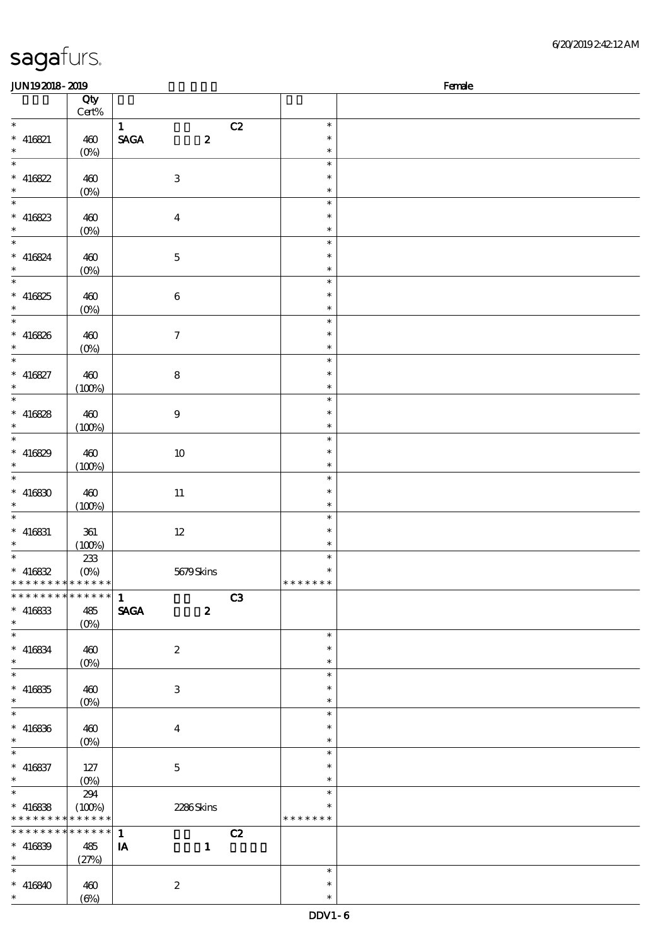| JUN192018-2019              |                           |                                                    |                | Female |
|-----------------------------|---------------------------|----------------------------------------------------|----------------|--------|
|                             | Qty                       |                                                    |                |        |
|                             | $Cert\%$                  |                                                    |                |        |
| $\ast$                      |                           | $\mathbf{1}$                                       | C2<br>$\ast$   |        |
| $* 416821$                  | 460                       | $\operatorname{\mathsf{SAGA}}$<br>$\boldsymbol{z}$ | $\ast$         |        |
| $\ast$                      | $(0\%)$                   |                                                    | $\ast$         |        |
| $\overline{\phantom{a}^*}$  |                           |                                                    | $\ast$         |        |
| $* 416822$                  | 460                       | $\ensuremath{\mathbf{3}}$                          | $\ast$         |        |
| $\ast$                      | $(0\%)$                   |                                                    | $\ast$         |        |
| $\overline{\phantom{0}}$    |                           |                                                    | $\ast$         |        |
| $* 416823$                  | 460                       | $\boldsymbol{4}$                                   | $\ast$         |        |
| $\ast$                      | $(0\%)$                   |                                                    | $\ast$         |        |
| $\overline{\ast}$           |                           |                                                    | $\ast$         |        |
| $* 416824$                  | 460                       | $\mathbf 5$                                        | $\ast$         |        |
| $\ast$                      |                           |                                                    | $\ast$         |        |
| $_{*}^{-}$                  | $(0\%)$                   |                                                    | $\ast$         |        |
|                             |                           |                                                    | $\ast$         |        |
| $* 416825$<br>$\ast$        | 460                       | $\bf 6$                                            |                |        |
| $\overline{\ast}$           | $(0\%)$                   |                                                    | $\ast$         |        |
|                             |                           |                                                    | $\ast$         |        |
| $* 416826$                  | 460                       | $\boldsymbol{\tau}$                                | $\ast$         |        |
| $\ast$                      | $(0\%)$                   |                                                    | $\ast$         |        |
| $\overline{\phantom{1}}$    |                           |                                                    | $\ast$         |        |
| $* 416827$                  | 460                       | ${\bf 8}$                                          | $\ast$         |        |
| $\ast$                      | (100%)                    |                                                    | $\ast$         |        |
| $\overline{\ast}$           |                           |                                                    | $\ast$         |        |
| $* 416828$                  | 460                       | $\boldsymbol{9}$                                   | $\ast$         |        |
| $\ast$                      | (100%)                    |                                                    | $\ast$         |        |
| $\overline{\phantom{0}}$    |                           |                                                    | $\ast$         |        |
| $* 416829$                  | 460                       | $10\,$                                             | $\ast$         |        |
| $\ast$                      | (100%)                    |                                                    | $\ast$         |        |
| $\ast$                      |                           |                                                    | $\ast$         |        |
| $* 416830$                  | 460                       | $11\,$                                             | $\ast$         |        |
| $\ast$                      | (100%)                    |                                                    | $\ast$         |        |
| $\ast$                      |                           |                                                    | $\ast$         |        |
| $* 416831$                  | 361                       | $12\,$                                             | $\ast$         |        |
| $\ast$                      | (100%)                    |                                                    | $\ast$         |        |
| $\overline{\ast}$           | 233                       |                                                    | $\ast$         |        |
| $* 416832$                  | $(0\%)$                   | 5679Skins                                          | $\ast$         |        |
| * * * * * * * * * * * * * * |                           |                                                    | * * * * * * *  |        |
| * * * * * * * * * * * * * * |                           | $\mathbf{1}$                                       | C <sub>3</sub> |        |
| $* 416833$                  | 485                       | <b>SAGA</b><br>$\boldsymbol{z}$                    |                |        |
| $\ast$                      |                           |                                                    |                |        |
| $\overline{\phantom{0}}$    | $(O\%)$                   |                                                    | $\ast$         |        |
|                             |                           |                                                    | $\ast$         |        |
| $* 416834$<br>$\ast$        | 460                       | $\boldsymbol{2}$                                   | $\ast$         |        |
| $\overline{\phantom{0}}$    | $(0\%)$                   |                                                    |                |        |
|                             |                           |                                                    | $\ast$         |        |
| $* 416835$                  | 460                       | 3                                                  | *              |        |
| $\ast$                      | $(O\%)$                   |                                                    | $\ast$         |        |
| $\ast$                      |                           |                                                    | $\ast$         |        |
| $* 416836$                  | 460                       | $\overline{\mathbf{4}}$                            | $\ast$         |        |
| $\ast$                      | $(0\%)$                   |                                                    | $\ast$         |        |
| $\overline{\phantom{a}^*}$  |                           |                                                    | $\ast$         |        |
| $* 416837$                  | 127                       | $\mathbf{5}$                                       | $\ast$         |        |
| $\ast$                      | $(O\!\!\!\!\!\!\!/\,\!o)$ |                                                    | $\ast$         |        |
| $\ast$                      | 294                       |                                                    | $\ast$         |        |
| $* 416838$                  | (100%)                    | 2286Skins                                          |                |        |
| * * * * * * * *             | * * * * * *               |                                                    | * * * * * * *  |        |
| * * * * * * *<br>$\ast$     | * * * * * *               | $\mathbf{1}$                                       | C2             |        |
| $* 416839$                  | 485                       | $\mathbf{1}$<br>IA                                 |                |        |
| $\ast$                      | (27%)                     |                                                    |                |        |
| $\ast$                      |                           |                                                    | $\ast$         |        |
| $* 416840$                  | 460                       | $\boldsymbol{2}$                                   | $\ast$         |        |
| $\ast$                      | $(\Theta)$                |                                                    | $\ast$         |        |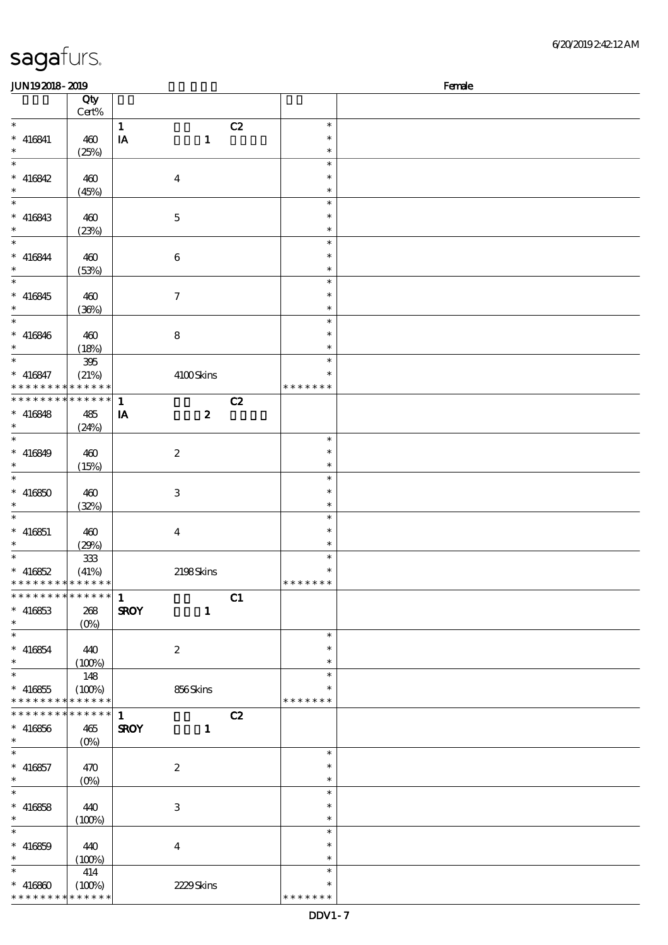| 6/20/201924212AM |
|------------------|
|------------------|

| JUN192018-2019              |             |                             |    |               | Female |
|-----------------------------|-------------|-----------------------------|----|---------------|--------|
|                             | Qty         |                             |    |               |        |
|                             | Cert%       |                             |    |               |        |
| $\ast$                      |             | $\mathbf{1}$                | C2 | $\ast$        |        |
| $* 416841$                  | 460         | IA<br>$\mathbf{1}$          |    | $\ast$        |        |
| $\ast$                      | (25%)       |                             |    | $\ast$        |        |
| $\ast$                      |             |                             |    | $\ast$        |        |
|                             |             |                             |    |               |        |
| $* 416842$                  | 460         | $\boldsymbol{4}$            |    | $\ast$        |        |
| $\ast$                      | (45%)       |                             |    | $\ast$        |        |
| $\overline{\ast}$           |             |                             |    | $\ast$        |        |
| $* 416843$                  | 460         | $\mathbf 5$                 |    | $\ast$        |        |
| $\ast$                      | (23%)       |                             |    | $\ast$        |        |
| $\ast$                      |             |                             |    | $\ast$        |        |
| $* 416844$                  | 460         | $\bf 6$                     |    | $\ast$        |        |
| $\ast$                      |             |                             |    | $\ast$        |        |
| $\overline{\phantom{a}^*}$  | (53%)       |                             |    | $\ast$        |        |
|                             |             |                             |    |               |        |
| $* 416845$                  | 460         | $\boldsymbol{7}$            |    | $\ast$        |        |
| $\ast$                      | (36%)       |                             |    | $\ast$        |        |
| $\overline{\ast}$           |             |                             |    | $\ast$        |        |
| $* 416846$                  | 460         | 8                           |    | $\ast$        |        |
| $\ast$                      | (18%)       |                             |    | $\ast$        |        |
| $\ast$                      | 395         |                             |    | $\ast$        |        |
| $* 416847$                  | (21%)       | 4100Skins                   |    | $\ast$        |        |
| * * * * * * * *             | * * * * * * |                             |    | * * * * * * * |        |
|                             |             |                             |    |               |        |
| ********                    | * * * * * * | $\mathbf{1}$                | C2 |               |        |
| $* 416848$                  | 485         | $\boldsymbol{z}$<br>IA      |    |               |        |
| $\ast$                      | (24%)       |                             |    |               |        |
| $\ast$                      |             |                             |    | $\ast$        |        |
| $* 416849$                  | 460         | $\boldsymbol{z}$            |    | $\ast$        |        |
| $\ast$                      | (15%)       |                             |    | $\ast$        |        |
| $\ast$                      |             |                             |    | $\ast$        |        |
| $* 416850$                  | 460         | 3                           |    | $\ast$        |        |
| $\ast$                      |             |                             |    |               |        |
|                             | (32%)       |                             |    | $\ast$        |        |
| $\ast$                      |             |                             |    | $\ast$        |        |
| $* 416851$                  | 460         | $\boldsymbol{4}$            |    | $\ast$        |        |
| $\ast$                      | (29%)       |                             |    | $\ast$        |        |
| $\ast$                      | $333\,$     |                             |    | $\ast$        |        |
| $* 416852$                  | (41%)       | 2198Skins                   |    | $\ast$        |        |
| * * * * * * * * * * * * * * |             |                             |    | * * * * * * * |        |
| * * * * * * * * * * * * * * |             | $\mathbf{1}$                | C1 |               |        |
| $* 416853$                  | 268         | <b>SROY</b><br>$\mathbf{1}$ |    |               |        |
| $\ast$                      |             |                             |    |               |        |
| $\ast$                      | $(0\%)$     |                             |    |               |        |
|                             |             |                             |    | $\ast$        |        |
| $* 416854$                  | 440         | $\boldsymbol{z}$            |    | $\ast$        |        |
| $\ast$                      | (100%)      |                             |    | $\ast$        |        |
| $\ast$                      | 148         |                             |    | $\ast$        |        |
| $* 416855$                  | (100%)      | 856Skins                    |    |               |        |
| * * * * * * * *             | * * * * * * |                             |    | * * * * * * * |        |
| * * * * * * * * * * * * * * |             | $\mathbf{1}$                | C2 |               |        |
| $* 416856$                  | 465         | <b>SROY</b><br>$\mathbf{1}$ |    |               |        |
| $\ast$                      | $(O\%)$     |                             |    |               |        |
| $\ast$                      |             |                             |    | $\ast$        |        |
|                             |             |                             |    | $\ast$        |        |
| $* 416857$                  | 470         | $\boldsymbol{2}$            |    |               |        |
| $\ast$                      | $(O\!/\!o)$ |                             |    | $\ast$        |        |
| $\ast$                      |             |                             |    | $\ast$        |        |
| $* 416858$                  | 440         | 3                           |    | $\ast$        |        |
| $\ast$                      | (100%)      |                             |    | $\ast$        |        |
| $\ast$                      |             |                             |    | $\ast$        |        |
| $* 416859$                  | 440         | $\boldsymbol{4}$            |    | $\ast$        |        |
| $\ast$                      | (100%)      |                             |    | $\ast$        |        |
| $\ast$                      | 414         |                             |    | $\ast$        |        |
|                             |             |                             |    | $\ast$        |        |
| $* 416800$                  | (100%)      | 2229Skins                   |    |               |        |
| * * * * * * * *             | * * * * * * |                             |    | * * * * * * * |        |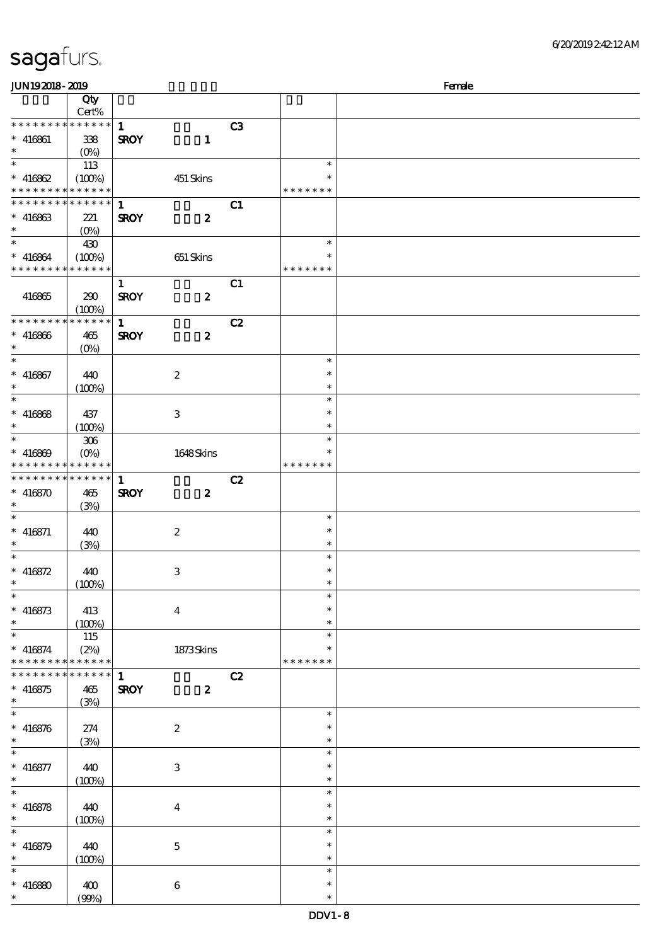| <b>JUN192018-2019</b>                     |                 |              |                           | Female |               |  |
|-------------------------------------------|-----------------|--------------|---------------------------|--------|---------------|--|
|                                           | Qty             |              |                           |        |               |  |
|                                           | Cert%           |              |                           |        |               |  |
| * * * * * * * * * * * * * * *             |                 | 1            |                           | C3     |               |  |
| $* 416861$                                | 338             | <b>SROY</b>  | $\mathbf{1}$              |        |               |  |
| $\ast$                                    | $(O_0)$         |              |                           |        |               |  |
| $\ast$                                    | 113             |              |                           |        | $\ast$        |  |
| $* 416862$                                | (100%)          |              | 451 Skins                 |        | $\ast$        |  |
| * * * * * * * * * * * * * *               |                 |              |                           |        | * * * * * * * |  |
| * * * * * * * * * * * * * * *             |                 | $\mathbf{1}$ |                           | C1     |               |  |
| $* 416863$                                | 221             | <b>SROY</b>  | $\boldsymbol{z}$          |        |               |  |
| $\ast$                                    | $(O\% )$        |              |                           |        |               |  |
| $\ast$                                    | 430             |              |                           |        | $\ast$        |  |
|                                           |                 |              |                           |        | *             |  |
| $* 416864$<br>* * * * * * * * * * * * * * | (100%)          |              | $651\,$ Skins             |        | * * * * * * * |  |
|                                           |                 |              |                           |        |               |  |
|                                           |                 | $\mathbf{1}$ |                           | C1     |               |  |
| 416865                                    | 290             | <b>SROY</b>  | $\boldsymbol{z}$          |        |               |  |
|                                           | (100%)          |              |                           |        |               |  |
| * * * * * * * *                           | $* * * * * * *$ | $\mathbf{1}$ |                           | C2     |               |  |
| $* 416866$                                | 465             | <b>SROY</b>  | $\boldsymbol{z}$          |        |               |  |
| $\ast$                                    | $(0\%)$         |              |                           |        |               |  |
| $\ast$                                    |                 |              |                           |        | $\ast$        |  |
| $* 416867$                                | 440             |              | $\boldsymbol{2}$          |        | $\ast$        |  |
| $\ast$                                    | (100%)          |              |                           |        | $\ast$        |  |
| $\ast$                                    |                 |              |                           |        | $\ast$        |  |
| $* 416868$                                | 437             |              | 3                         |        | $\ast$        |  |
| $\ast$                                    | (100%)          |              |                           |        | $\ast$        |  |
| $\ast$                                    | $306\,$         |              |                           |        | $\ast$        |  |
| $* 416869$                                | $(O\%)$         |              | 1648Skins                 |        | $\ast$        |  |
| * * * * * * * *                           | * * * * * *     |              |                           |        | * * * * * * * |  |
| ******** <mark>******</mark>              |                 | $\mathbf{1}$ |                           | C2     |               |  |
|                                           |                 |              |                           |        |               |  |
| $* 416870$                                | 465             | <b>SROY</b>  | $\boldsymbol{z}$          |        |               |  |
| $\ast$<br>$\ast$                          | (3%)            |              |                           |        |               |  |
|                                           |                 |              |                           |        | $\ast$        |  |
| $* 416871$                                | 440             |              | $\boldsymbol{2}$          |        | $\ast$        |  |
| $\ast$                                    | (3%)            |              |                           |        | $\ast$        |  |
| $\ast$                                    |                 |              |                           |        | $\ast$        |  |
| $* 416872$                                | 440             |              | $\,3$                     |        | $\ast$        |  |
| $\ast$                                    | (100%)          |              |                           |        | $\ast$        |  |
| $\ast$                                    |                 |              |                           |        | $\ast$        |  |
| $* 416873$                                | 413             |              | $\boldsymbol{4}$          |        | $\ast$        |  |
| $\ast$                                    | (100%)          |              |                           |        | $\ast$        |  |
| $\ast$                                    | 115             |              |                           |        | $\ast$        |  |
| $* 416874$                                | (2%)            |              | 1873Skins                 |        | $\ast$        |  |
| * * * * * * * * * * * * * *               |                 |              |                           |        | * * * * * * * |  |
| * * * * * * * *                           | $* * * * * * *$ | $\mathbf{1}$ |                           | C2     |               |  |
| $* 416875$                                | 465             | <b>SROY</b>  | $\boldsymbol{z}$          |        |               |  |
| $\ast$                                    | (3%)            |              |                           |        |               |  |
| $\ast$                                    |                 |              |                           |        | $\ast$        |  |
| $* 416876$                                | 274             |              | $\boldsymbol{2}$          |        | $\ast$        |  |
| $\ast$                                    | (3%)            |              |                           |        | $\ast$        |  |
| $\ast$                                    |                 |              |                           |        | $\ast$        |  |
| $* 416877$                                | 440             |              | $\ensuremath{\mathbf{3}}$ |        | $\ast$        |  |
| $\ast$                                    | (100%)          |              |                           |        | $\ast$        |  |
| $\ast$                                    |                 |              |                           |        | $\ast$        |  |
|                                           |                 |              |                           |        | $\ast$        |  |
| $* 416878$                                | 440             |              | $\boldsymbol{4}$          |        |               |  |
| $\ast$                                    | (100%)          |              |                           |        | $\ast$        |  |
| $\ast$                                    |                 |              |                           |        | $\ast$        |  |
| $* 416879$                                | 440             |              | $\mathbf 5$               |        | $\ast$        |  |
| $\ast$                                    | (100%)          |              |                           |        | $\ast$        |  |
|                                           |                 |              |                           |        | $\ast$        |  |
| $* 416800$                                | 400             |              | $\,6\,$                   |        | $\ast$        |  |
| $\ast$                                    | (90%)           |              |                           |        | $\ast$        |  |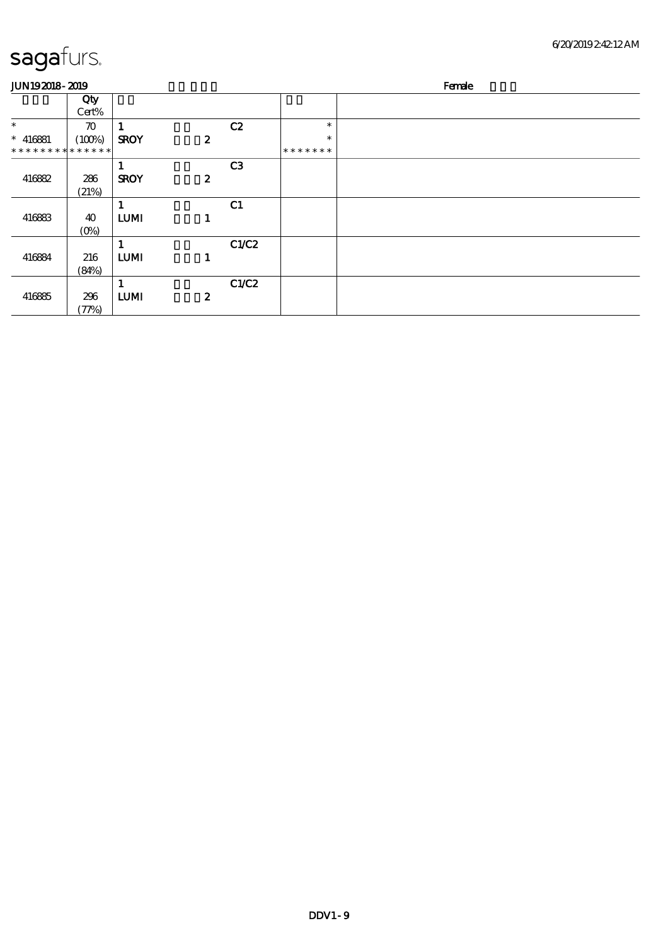| <b>JUN192018-2019</b>       |                    |             |                  |                |         | Female |
|-----------------------------|--------------------|-------------|------------------|----------------|---------|--------|
|                             | Qty<br>Cert%       |             |                  |                |         |        |
| $\ast$                      | $\boldsymbol{\pi}$ |             |                  | C2             | $\ast$  |        |
| $* 416881$                  | (100%)             | <b>SROY</b> | $\boldsymbol{z}$ |                | $\ast$  |        |
| * * * * * * * * * * * * * * |                    |             |                  |                | ******* |        |
|                             |                    |             |                  | C <sub>3</sub> |         |        |
| 416882                      | 286                | <b>SROY</b> | $\boldsymbol{z}$ |                |         |        |
|                             | (21%)              |             |                  |                |         |        |
|                             |                    |             |                  | C1             |         |        |
| 416883                      | 40                 | <b>LUMI</b> | 1                |                |         |        |
|                             | $(O\%)$            |             |                  |                |         |        |
|                             |                    |             |                  | C1/C2          |         |        |
| 416884                      | 216                | <b>LUMI</b> | 1                |                |         |        |
|                             | (84%)              |             |                  |                |         |        |
|                             |                    |             |                  | C1/C2          |         |        |
| 416885                      | 296                | <b>LUMI</b> | $\boldsymbol{z}$ |                |         |        |
|                             | (77%)              |             |                  |                |         |        |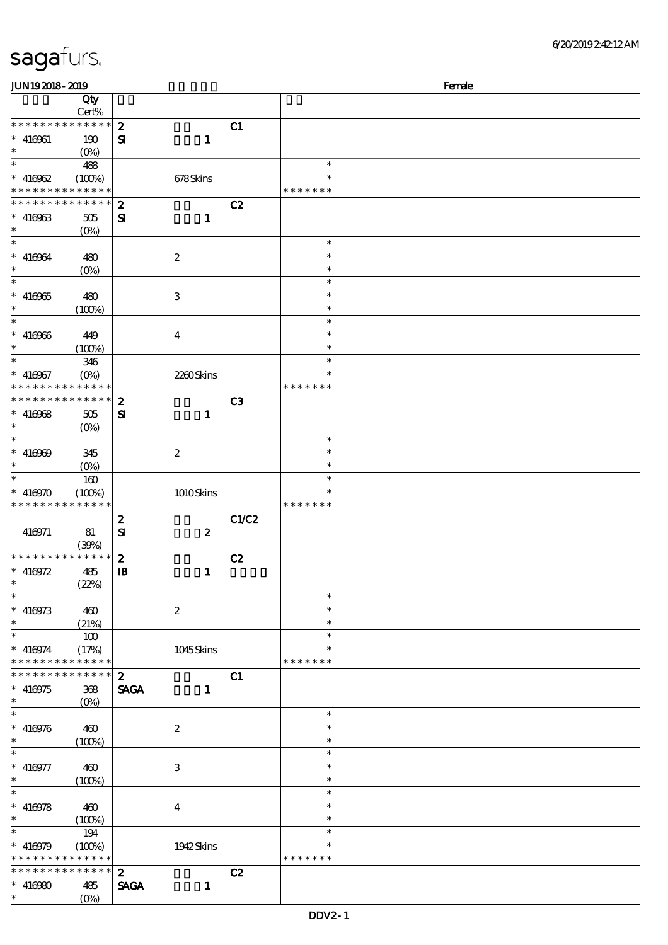| JUN192018-2019<br>Female                   |                    |                  |                           |       |               |  |
|--------------------------------------------|--------------------|------------------|---------------------------|-------|---------------|--|
|                                            | Qty                |                  |                           |       |               |  |
|                                            | $Cert\%$           |                  |                           |       |               |  |
| * * * * * * * *                            | ******             | $\boldsymbol{2}$ |                           | C1    |               |  |
| $* 416961$                                 | 190                | ${\bf s}$        | $\mathbf{1}$              |       |               |  |
| $\ast$                                     | $(0\%)$            |                  |                           |       |               |  |
| $\ast$                                     | 488                |                  |                           |       | $\ast$        |  |
| $* 416962$                                 |                    |                  |                           |       | $\ast$        |  |
| * * * * * * * * <mark>* * * * * * *</mark> | (100%)             |                  | 678Skins                  |       | * * * * * * * |  |
| * * * * * * * *                            |                    |                  |                           |       |               |  |
|                                            | * * * * * * *      | $\boldsymbol{z}$ |                           | C2    |               |  |
| $* 416963$                                 | $505\,$            | ${\bf s}$        | $\mathbf{1}$              |       |               |  |
| $\ast$                                     | $(O\%)$            |                  |                           |       |               |  |
| $\ast$                                     |                    |                  |                           |       | $\ast$        |  |
| $* 416964$                                 | 480                |                  | $\boldsymbol{2}$          |       | $\ast$        |  |
| $\ast$                                     | $(O\%)$            |                  |                           |       | $\ast$        |  |
| $\ast$                                     |                    |                  |                           |       | $\ast$        |  |
| $* 416965$                                 | 480                |                  | $\ensuremath{\mathbf{3}}$ |       | $\ast$        |  |
| $\ast$                                     | (100%)             |                  |                           |       | $\ast$        |  |
|                                            |                    |                  |                           |       | $\ast$        |  |
| $* 416966$                                 | 449                |                  |                           |       | $\ast$        |  |
| $\ast$                                     |                    |                  | $\overline{\mathbf{4}}$   |       | $\ast$        |  |
| $\overline{\ast}$                          | (100%)             |                  |                           |       | $\ast$        |  |
|                                            | 346                |                  |                           |       |               |  |
| $* 416967$                                 | $(O\!/\!\!\delta)$ |                  | 2260Skins                 |       | $\ast$        |  |
| * * * * * * * *                            | * * * * * *        |                  |                           |       | * * * * *     |  |
| * * * * * * * *                            | * * * * * *        | $\boldsymbol{z}$ |                           | C3    |               |  |
| $* 416968$                                 | 505                | ${\bf s}$        | $\mathbf{1}$              |       |               |  |
| $\ast$                                     | $(0\%)$            |                  |                           |       |               |  |
| $\ast$                                     |                    |                  |                           |       | $\ast$        |  |
| $* 416969$                                 | 345                |                  | $\boldsymbol{2}$          |       | $\ast$        |  |
| $\ast$                                     | $(0\%)$            |                  |                           |       | $\ast$        |  |
| $\ast$                                     | 160                |                  |                           |       | $\ast$        |  |
| $* 416970$                                 | (100%)             |                  | $1010$ Skins              |       | $\ast$        |  |
| * * * * * * * *                            | * * * * * *        |                  |                           |       | * * * * * * * |  |
|                                            |                    |                  |                           |       |               |  |
|                                            |                    | $\boldsymbol{z}$ |                           | C1/C2 |               |  |
| 416971                                     | 81                 | ${\bf s}$        | $\pmb{2}$                 |       |               |  |
|                                            | (30%)              |                  |                           |       |               |  |
| * * * * * * * *                            | * * * * * *        | $\boldsymbol{z}$ |                           | C2    |               |  |
| $* 416972$                                 | 485                | $\mathbf{B}$     | $\mathbf{1}$              |       |               |  |
| $\ast$                                     | (22%)              |                  |                           |       |               |  |
| $\overline{\ast}$                          |                    |                  |                           |       | $\ast$        |  |
| $* 416973$                                 | 460                |                  | $\boldsymbol{2}$          |       | $\ast$        |  |
| $\ast$                                     | (21%)              |                  |                           |       | $\ast$        |  |
| $\ast$                                     | 100                |                  |                           |       | $\ast$        |  |
| $* 416974$                                 | (17%)              |                  | 1045Skins                 |       | $\ast$        |  |
| * * * * * * * *                            | * * * * * *        |                  |                           |       | * * * * * * * |  |
| * * * * * * * *                            | ******             | $\mathbf{z}$     |                           | C1    |               |  |
| $* 416975$                                 | 368                | <b>SAGA</b>      | $\mathbf{1}$              |       |               |  |
| $\ast$                                     | $(O\%)$            |                  |                           |       |               |  |
| $\ast$                                     |                    |                  |                           |       | $\ast$        |  |
|                                            |                    |                  |                           |       | $\ast$        |  |
| $* 416976$                                 | 460                |                  | $\boldsymbol{2}$          |       |               |  |
| $\ast$                                     | (100%)             |                  |                           |       | $\ast$        |  |
| $\ast$                                     |                    |                  |                           |       | $\ast$        |  |
| $* 416977$                                 | 460                |                  | 3                         |       | $\ast$        |  |
| $\ast$                                     | (100%)             |                  |                           |       | $\ast$        |  |
| $\ast$                                     |                    |                  |                           |       | $\ast$        |  |
| $* 416978$                                 | 460                |                  | $\bf{4}$                  |       | $\ast$        |  |
| $\ast$                                     | (100%)             |                  |                           |       | $\ast$        |  |
| $\ast$                                     | 194                |                  |                           |       | $\ast$        |  |
| $* 416979$                                 | (100%)             |                  | 1942Skins                 |       | $\ast$        |  |
| * * * * * * * *                            | * * * * * *        |                  |                           |       | * * * * * * * |  |
| * * * * * * * *                            | * * * * * *        | $\boldsymbol{z}$ |                           | C2    |               |  |
|                                            |                    |                  |                           |       |               |  |
| $* 416980$                                 | 485                | <b>SAGA</b>      | $\mathbf{1}$              |       |               |  |
| $\ast$                                     | (O <sub>0</sub> )  |                  |                           |       |               |  |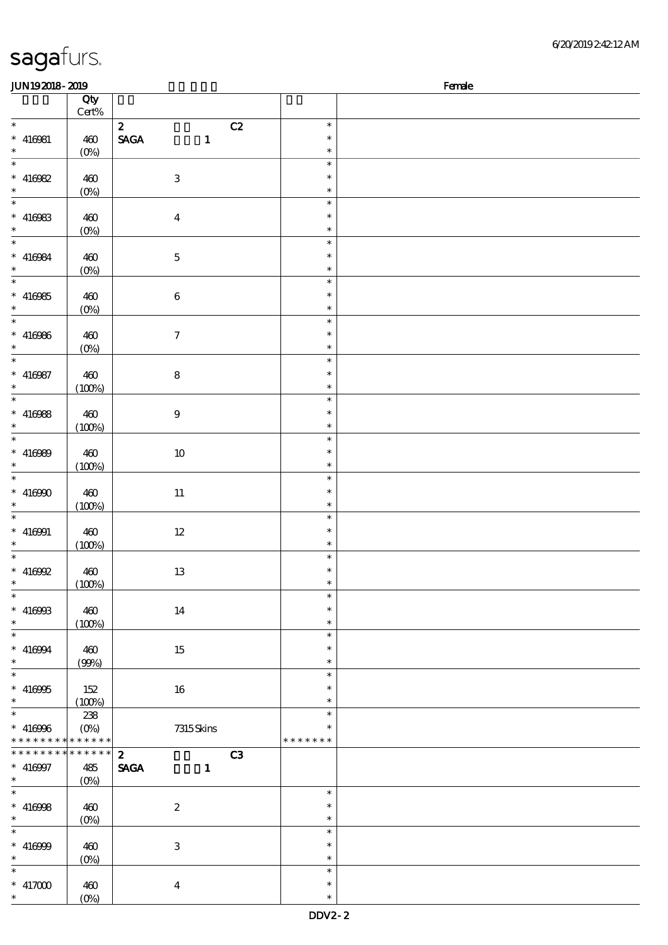| 6/20/201924212AM |
|------------------|
|------------------|

| JUN192018-2019              |                    |                                                |               | Female |
|-----------------------------|--------------------|------------------------------------------------|---------------|--------|
|                             | Qty                |                                                |               |        |
|                             | Cert%              |                                                |               |        |
| $\ast$                      |                    | $\mathbf{z}$<br>C2                             | $\ast$        |        |
| $* 416081$                  | 460                | $\operatorname{\mathsf{SAGA}}$<br>$\mathbf{1}$ | $\ast$        |        |
| $\ast$                      | $(0\%)$            |                                                | $\ast$        |        |
| $\overline{\phantom{a}^*}$  |                    |                                                | $\ast$        |        |
| $* 416982$                  | 460                | $\,3\,$                                        | $\ast$        |        |
| $\ast$                      | $(0\%)$            |                                                | $\ast$        |        |
| $\overline{\phantom{0}}$    |                    |                                                | $\ast$        |        |
| $* 416983$                  | 460                | $\boldsymbol{4}$                               | $\ast$        |        |
| $\ast$                      | $(0\%)$            |                                                | $\ast$        |        |
| $\overline{\ast}$           |                    |                                                | $\ast$        |        |
| $* 416984$                  | 460                | $\mathbf 5$                                    | $\ast$        |        |
| $\ast$                      | $(0\%)$            |                                                | $\ast$        |        |
| $\overline{\phantom{a}^*}$  |                    |                                                | $\ast$        |        |
| $* 416985$                  | 460                | $\bf 6$                                        | $\ast$        |        |
| $\ast$                      | $(0\%)$            |                                                | $\ast$        |        |
| $\overline{\ast}$           |                    |                                                | $\ast$        |        |
| $* 416966$                  | 460                | $\boldsymbol{\tau}$                            | $\ast$        |        |
| $\ast$                      | $(0\%)$            |                                                | $\ast$        |        |
| $\overline{\ast}$           |                    |                                                | $\ast$        |        |
| $* 416987$                  | 460                | ${\bf 8}$                                      | $\ast$        |        |
| $\ast$                      | (100%)             |                                                | $\ast$        |        |
| $\overline{\ast}$           |                    |                                                | $\ast$        |        |
| $* 416988$                  | 460                | $\boldsymbol{9}$                               | $\ast$        |        |
| $\ast$                      | (100%)             |                                                | $\ast$        |        |
| $\overline{\phantom{0}}$    |                    |                                                | $\ast$        |        |
| $* 416989$                  | 460                | $10\,$                                         | $\ast$        |        |
| $\ast$                      | (100%)             |                                                | $\ast$        |        |
| $\ast$                      |                    |                                                | $\ast$        |        |
| $* 416900$                  | 460                | $11\,$                                         | $\ast$        |        |
| $\ast$                      | (100%)             |                                                | $\ast$        |        |
| $\overline{\phantom{1}}$    |                    |                                                | $\ast$        |        |
| $* 416001$                  | 460                | $12\,$                                         | $\ast$        |        |
| $\ast$                      | (100%)             |                                                | $\ast$        |        |
| $\ast$                      |                    |                                                | $\ast$        |        |
| $* 416992$                  | 460                | $13\,$                                         | $\ast$        |        |
| $*$                         | (100%)             |                                                | $\ast$        |        |
| $\ast$                      |                    |                                                | $\ast$        |        |
| $* 416988$                  | 460                | 14                                             | $\ast$        |        |
| $\ast$                      | (100%)             |                                                | $\ast$        |        |
| $\overline{\phantom{a}}$    |                    |                                                | $\ast$        |        |
| $* 416994$                  | 460                | 15                                             | $\ast$        |        |
| $\ast$                      | (90%)              |                                                | $\ast$        |        |
| $\overline{\ast}$           |                    |                                                | $\ast$        |        |
| $* 416955$                  | 152                | 16                                             | *             |        |
| $\ast$                      | (100%)             |                                                | $\ast$        |        |
| $_{*}^{-}$                  | 238                |                                                | $\ast$        |        |
| $* 416966$                  | $(O\%)$            | 7315Skins                                      |               |        |
| * * * * * * * * * * * * * * |                    |                                                | * * * * * * * |        |
| * * * * * * *<br>$\ast$     | * * * * * *        | $\mathbf{2}$<br>C3                             |               |        |
| $* 416997$                  | 485                | <b>SAGA</b><br>$\mathbf{1}$                    |               |        |
| $\ast$                      | $(0\%)$            |                                                |               |        |
| $\overline{\ast}$           |                    |                                                | $\ast$        |        |
| $* 416998$                  | 460                | $\boldsymbol{2}$                               | $\ast$        |        |
| $\ast$                      | $(0\%)$            |                                                | $\ast$        |        |
| $\ast$                      |                    |                                                | $\ast$        |        |
| $* 416999$                  | 460                | 3                                              | $\ast$        |        |
| $\ast$                      | $(0\%)$            |                                                | $\ast$        |        |
| $\ast$                      |                    |                                                | $\ast$        |        |
| $^*$ 417000 $^{\circ}\,$    | 460                | $\bf{4}$                                       | $\ast$        |        |
| $\ast$                      | $(O\!/\!\!\delta)$ |                                                | $\ast$        |        |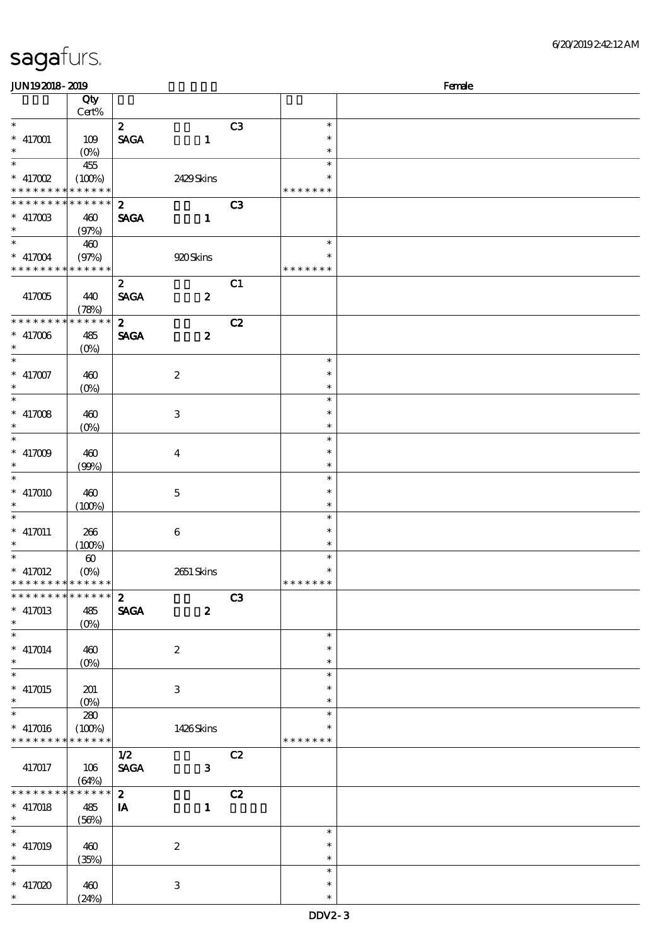| JUN192018-2019                           |                       |                  |                           |                |               | Female |
|------------------------------------------|-----------------------|------------------|---------------------------|----------------|---------------|--------|
|                                          | Qty                   |                  |                           |                |               |        |
|                                          | Cert%                 |                  |                           |                |               |        |
| $\ast$                                   |                       | $\boldsymbol{z}$ |                           | C <sub>3</sub> | $\ast$        |        |
| $* 417001$                               | 109                   | <b>SAGA</b>      | $\mathbf{1}$              |                | $\ast$        |        |
| $\ast$                                   | $(O_0)$               |                  |                           |                | $\ast$        |        |
| $\ast$                                   | 455                   |                  |                           |                | $\ast$        |        |
| $*$ 417002                               | (100%)                |                  | 2429Skins                 |                | ∗             |        |
| * * * * * * * * <mark>* * * * * *</mark> |                       |                  |                           |                | * * * * * * * |        |
| * * * * * * * *                          | * * * * * *           | $\mathbf{z}$     |                           | C3             |               |        |
| $* 41700B$                               | 460                   | <b>SAGA</b>      | $\mathbf{1}$              |                |               |        |
| $*$                                      | (97%)                 |                  |                           |                |               |        |
| $\ast$                                   | 460                   |                  |                           |                | $\ast$        |        |
| $* 417004$                               | (97%)                 |                  | 920 Skins                 |                | ∗             |        |
| * * * * * * * * * * * * * *              |                       |                  |                           |                | * * * * * * * |        |
|                                          |                       | $\boldsymbol{z}$ |                           | C1             |               |        |
| 417005                                   | 440                   | <b>SAGA</b>      | $\boldsymbol{z}$          |                |               |        |
|                                          | (78%)                 |                  |                           |                |               |        |
| * * * * * * * *                          | * * * * * *           | $\boldsymbol{z}$ |                           | C2             |               |        |
| $* 417006$                               | 485                   | <b>SAGA</b>      | $\boldsymbol{z}$          |                |               |        |
| $\ast$                                   | (O <sub>0</sub> )     |                  |                           |                |               |        |
| $\overline{\ast}$                        |                       |                  |                           |                | $\ast$        |        |
| $* 417007$                               | 460                   |                  | $\boldsymbol{2}$          |                | $\ast$        |        |
| $\ast$                                   | $(0\%)$               |                  |                           |                | $\ast$        |        |
| $\ast$                                   |                       |                  |                           |                | $\ast$        |        |
| $* 417008$                               |                       |                  |                           |                | $\ast$        |        |
| $\ast$                                   | 460                   |                  | $\,3$                     |                | $\ast$        |        |
| $\overline{\ast}$                        | $(0\%)$               |                  |                           |                | $\ast$        |        |
|                                          |                       |                  |                           |                | $\ast$        |        |
| $^*$ 417009 $\,$                         | 460                   |                  | $\boldsymbol{4}$          |                |               |        |
| $\ast$<br>$\ast$                         | (90%)                 |                  |                           |                | $\ast$        |        |
|                                          |                       |                  |                           |                | $\ast$        |        |
| $* 417010$                               | 460                   |                  | $\mathbf 5$               |                | $\ast$        |        |
| $\ast$<br>$\ast$                         | (100%)                |                  |                           |                | $\ast$        |        |
|                                          |                       |                  |                           |                | $\ast$        |        |
| $* 417011$                               | 266                   |                  | $\boldsymbol{6}$          |                | $\ast$        |        |
| $\ast$                                   | (100%)                |                  |                           |                | $\ast$        |        |
| $\ast$                                   | $\boldsymbol{\omega}$ |                  |                           |                | $\ast$        |        |
| $* 417012$                               | $(0\%)$               |                  | 2651 Skins                |                | $\ast$        |        |
| * * * * * * * * * * * * * *              |                       |                  |                           |                | * * * * * * * |        |
| * * * * * * * * * * * * * *              |                       | $\boldsymbol{z}$ |                           | C <sub>3</sub> |               |        |
| $* 417013$                               | 485                   | <b>SAGA</b>      | $\boldsymbol{z}$          |                |               |        |
| $\ast$<br>$\overline{\phantom{0}}$       | (O <sub>0</sub> )     |                  |                           |                |               |        |
|                                          |                       |                  |                           |                | $\ast$        |        |
| $* 417014$                               | 460                   |                  | $\boldsymbol{2}$          |                | $\ast$        |        |
| $\ast$                                   | $(0\%)$               |                  |                           |                | $\ast$        |        |
| $\overline{\ast}$                        |                       |                  |                           |                | $\ast$        |        |
| $* 417015$                               | 201                   |                  | $\ensuremath{\mathsf{3}}$ |                | $\ast$        |        |
| $\ast$                                   | $(O\!/\!\!\delta)$    |                  |                           |                | $\ast$        |        |
| $\ast$                                   | 280                   |                  |                           |                | $\ast$        |        |
| $* 417016$                               | (100%)                |                  | 1426Skins                 |                | $\ast$        |        |
| * * * * * * * *                          | * * * * * *           |                  |                           |                | * * * * * * * |        |
|                                          |                       | 1/2              |                           | C2             |               |        |
| 417017                                   | 106                   | <b>SAGA</b>      | $\mathbf{3}$              |                |               |        |
|                                          | (64%)                 |                  |                           |                |               |        |
| * * * * * * *                            | * * * * * *           | $\boldsymbol{z}$ |                           | C2             |               |        |
| $* 417018$                               | 485                   | IA               | $\mathbf{1}$              |                |               |        |
| $\ast$                                   | (56%)                 |                  |                           |                |               |        |
| $\ast$                                   |                       |                  |                           |                | $\ast$        |        |
| $* 417019$                               | 460                   |                  | $\boldsymbol{2}$          |                | $\ast$        |        |
| $\ast$                                   | (35%)                 |                  |                           |                | $\ast$        |        |
|                                          |                       |                  |                           |                | $\ast$        |        |
| $*$ 417020                               | 460                   |                  | $\,3$                     |                | $\ast$        |        |
| $\ast$                                   | (24%)                 |                  |                           |                | $\ast$        |        |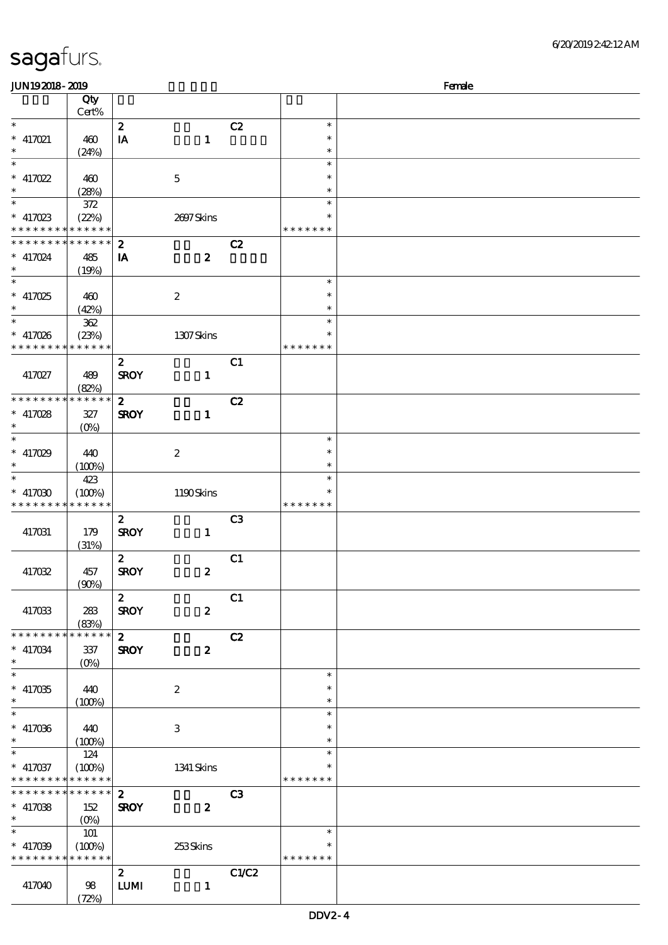| <b>saga</b> furs. |  |
|-------------------|--|
|                   |  |

| JUN192018-2019                            |                            |                  |                  |                |                  | Female |
|-------------------------------------------|----------------------------|------------------|------------------|----------------|------------------|--------|
|                                           | Qty                        |                  |                  |                |                  |        |
|                                           | Cert%                      |                  |                  |                |                  |        |
| $\ast$                                    |                            | $\boldsymbol{2}$ |                  | C2             | $\ast$           |        |
| $* 417021$                                | 460                        | IA               | $\mathbf{1}$     |                | $\ast$           |        |
| $\ast$                                    | (24%)                      |                  |                  |                | $\ast$           |        |
| $\ast$                                    |                            |                  |                  |                | $\ast$           |        |
| $* 417022$                                | 460                        |                  | $\mathbf 5$      |                | $\ast$           |        |
|                                           | (28%)                      |                  |                  |                | $\ast$           |        |
| $\ast$                                    | $372\,$                    |                  |                  |                | $\ast$           |        |
| $* 417023$                                | (22%)                      |                  | 2697Skins        |                | $\ast$           |        |
| * * * * * * * * * * * * * *               |                            |                  |                  |                | * * * * * * *    |        |
| * * * * * * * *                           | $\ast\ast\ast\ast\ast\ast$ | $\boldsymbol{z}$ |                  | C2             |                  |        |
| $* 417024$                                | 485                        | IA               | $\boldsymbol{z}$ |                |                  |        |
| $\ast$                                    | (19%)                      |                  |                  |                |                  |        |
| $\ast$                                    |                            |                  |                  |                | $\ast$           |        |
| $* 417025$                                | 460                        |                  | $\boldsymbol{2}$ |                | $\ast$           |        |
| $\ast$                                    | (42%)                      |                  |                  |                | $\ast$           |        |
| $\overline{\phantom{0}}$                  | $362\,$                    |                  |                  |                | $\ast$           |        |
| $* 417026$                                | (23%)                      |                  | 1307Skins        |                | $\ast$           |        |
| * * * * * * * * * * * * * *               |                            |                  |                  |                | * * * * * * *    |        |
|                                           |                            | $\boldsymbol{z}$ |                  | C1             |                  |        |
| 417027                                    | 489                        | <b>SROY</b>      | $\mathbf{1}$     |                |                  |        |
|                                           | (82%)                      |                  |                  |                |                  |        |
| * * * * * * * * * * * * * *               |                            | $\mathbf{z}$     |                  | C2             |                  |        |
| $* 417028$                                | $327\,$                    | <b>SROY</b>      | $\mathbf{1}$     |                |                  |        |
|                                           | $(0\%)$                    |                  |                  |                |                  |        |
| $\ast$                                    |                            |                  |                  |                | $\ast$           |        |
| $* 417029$                                | 440                        |                  | $\boldsymbol{2}$ |                | $\ast$           |        |
|                                           | (100%)                     |                  |                  |                | $\ast$           |        |
| $\ast$                                    | 423                        |                  |                  |                | $\ast$           |        |
| $* 417030$                                | (100%)                     |                  | 1190Skins        |                | $\ast$           |        |
| * * * * * * * *                           | * * * * * *                |                  |                  |                | * * * * * * *    |        |
|                                           |                            | $\mathbf{z}$     |                  | C <sub>3</sub> |                  |        |
| 417031                                    | 179                        | <b>SROY</b>      | $\mathbf{1}$     |                |                  |        |
|                                           | (31%)                      |                  |                  |                |                  |        |
|                                           |                            | $\mathbf{z}$     |                  | C1             |                  |        |
| 417032                                    | 457                        | <b>SROY</b>      | $\boldsymbol{z}$ |                |                  |        |
|                                           | (90%)                      |                  |                  |                |                  |        |
|                                           |                            | $\boldsymbol{z}$ |                  | C1             |                  |        |
| 417033                                    | 283                        | <b>SROY</b>      | $\boldsymbol{z}$ |                |                  |        |
|                                           | (83%)                      |                  |                  |                |                  |        |
| * * * * * * * * * * * * * * *             |                            | $\mathbf{2}$     |                  | C2             |                  |        |
| $* 417034$                                | 337                        | <b>SROY</b>      | $\boldsymbol{z}$ |                |                  |        |
| $\ast$                                    | $(O\%)$                    |                  |                  |                |                  |        |
| $\ast$                                    |                            |                  |                  |                | $\ast$           |        |
| $* 417035$                                | 440                        |                  | $\boldsymbol{2}$ |                | $\ast$           |        |
| $\ast$<br>$\ast$                          | (100%)                     |                  |                  |                | $\ast$<br>$\ast$ |        |
|                                           |                            |                  |                  |                | $\ast$           |        |
| $* 417036$                                | 440                        |                  | 3                |                |                  |        |
| $\ast$<br>$\ast$                          | (100%)                     |                  |                  |                | $\ast$           |        |
|                                           | 124                        |                  |                  |                | $\ast$<br>$\ast$ |        |
| $* 417037$<br>* * * * * * * * * * * * * * | (100%)                     |                  | 1341 Skins       |                | * * * * * * *    |        |
| * * * * * * * * * * * * * * *             |                            | $\boldsymbol{2}$ |                  | C3             |                  |        |
|                                           |                            |                  |                  |                |                  |        |
| $* 417038$<br>$\ast$                      | 152                        | <b>SROY</b>      | $\boldsymbol{z}$ |                |                  |        |
|                                           | $(O\%)$                    |                  |                  |                | $\ast$           |        |
|                                           | 101                        |                  |                  |                | $\ast$           |        |
| $* 417039$<br>* * * * * * * * * * * * * * | (100%)                     |                  | 253Skins         |                | * * * * * * *    |        |
|                                           |                            |                  |                  |                |                  |        |
|                                           |                            | $\mathbf{2}$     |                  | C1/C2          |                  |        |
| 417040                                    | 98                         | ${\bf LUM}$      | $\mathbf{1}$     |                |                  |        |
|                                           | (72%)                      |                  |                  |                |                  |        |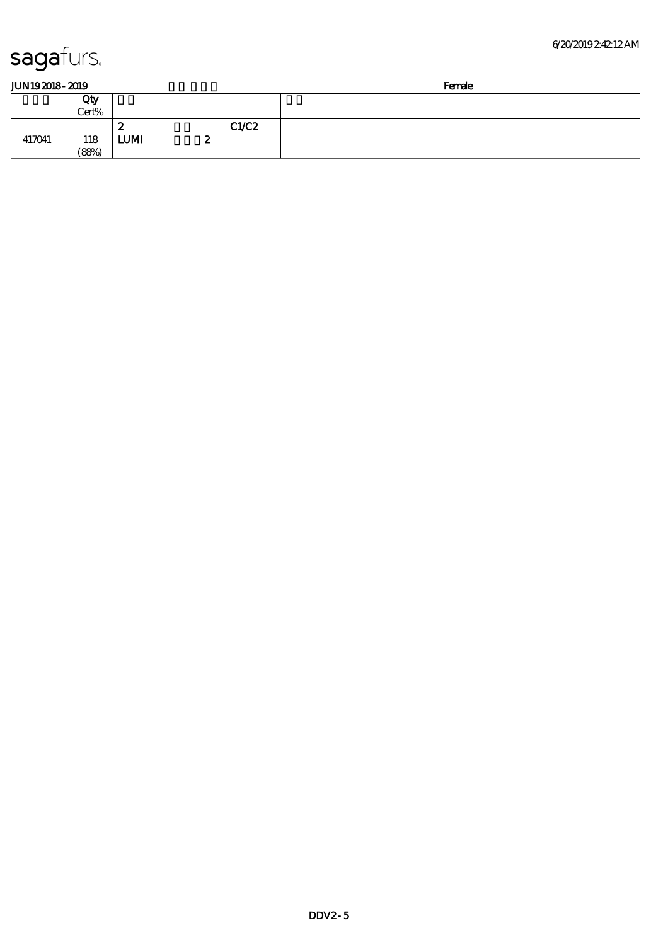417041 118

(88%)

LUMI  $2$ 

| JUN192018-2019 |  |
|----------------|--|
|                |  |

| JUN192018-2019 |              |        |       | Female |  |  |
|----------------|--------------|--------|-------|--------|--|--|
|                | Qty<br>Cert% |        |       |        |  |  |
|                |              | s<br>~ | C1/C2 |        |  |  |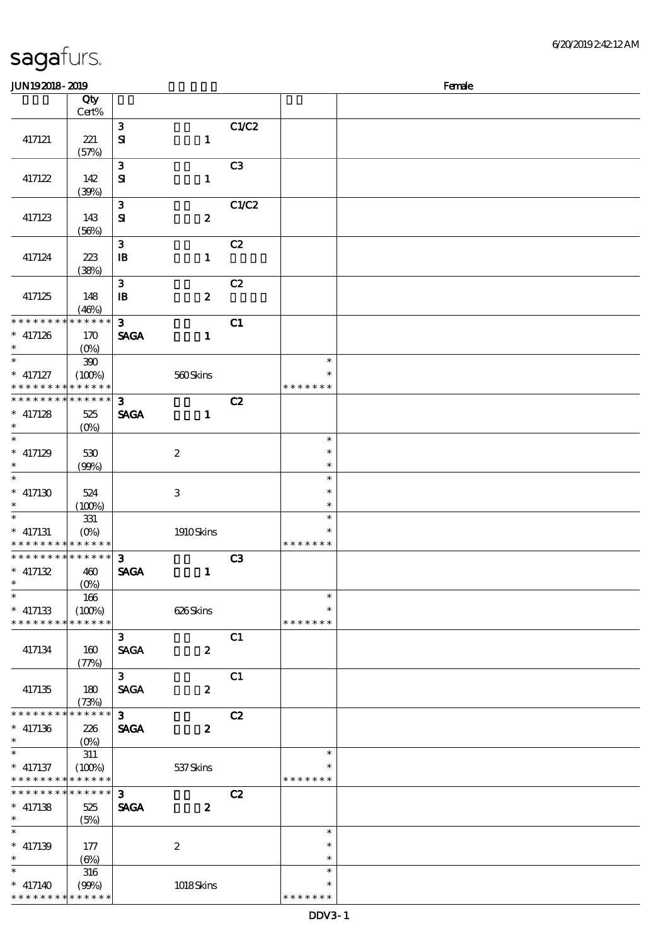| sagafurs. |  |
|-----------|--|
|           |  |

| JUN192018-2019                                           |                       |                              |                           |                |                         | Female |
|----------------------------------------------------------|-----------------------|------------------------------|---------------------------|----------------|-------------------------|--------|
|                                                          | Qty<br>Cert%          |                              |                           |                |                         |        |
|                                                          |                       | $\mathbf{3}$                 |                           | C1/C2          |                         |        |
| 417121                                                   | 221<br>(57%)          | $\mathbf{S}$                 | $\mathbf{1}$              |                |                         |        |
| 417122                                                   | 142<br>(30%)          | $\mathbf{3}$<br>${\bf s}$    | $\mathbf{1}$              | C <sub>3</sub> |                         |        |
|                                                          |                       | ${\bf 3}$                    |                           | C1/C2          |                         |        |
| 417123                                                   | 143<br>(56%)          | $\mathbf{S}$                 | $\boldsymbol{z}$          |                |                         |        |
| 417124                                                   | $223\,$<br>(38%)      | $\mathbf{3}$<br>$\mathbf{B}$ | $\mathbf{1}$              | C2             |                         |        |
|                                                          |                       | $\mathbf{3}$                 |                           | C2             |                         |        |
| 417125                                                   | 148<br>(46%)          | $\mathbf{B}$                 | $\boldsymbol{z}$          |                |                         |        |
| * * * * * * *                                            | * * * * * *           | $\mathbf{3}$                 |                           | C1             |                         |        |
| $*$ 417126<br>$\ast$                                     | 170<br>$(O_0)$        | <b>SAGA</b>                  | $\mathbf{1}$              |                |                         |        |
| $\overline{\ast}$                                        | $300$                 |                              |                           |                | $\ast$<br>$\ast$        |        |
| $*$ 417127<br>* * * * * * * * <mark>* * * * * *</mark> * | (100%)                |                              | 560Skins                  |                | * * * * * * *           |        |
| * * * * * * * * * * * * * *                              |                       | $\mathbf{3}$                 |                           | C2             |                         |        |
| $*$ 417128<br>$\ast$                                     | 525<br>$(0\%)$        | <b>SAGA</b>                  | $\mathbf{1}$              |                |                         |        |
| $\ast$                                                   |                       |                              |                           |                | $\ast$                  |        |
| $*$ 417129<br>$\ast$                                     | 530<br>(90%)          |                              | $\boldsymbol{2}$          |                | $\ast$<br>$\ast$        |        |
| $\overline{\ast}$<br>$* 417130$                          | 524                   |                              | $\ensuremath{\mathbf{3}}$ |                | $\ast$<br>$\ast$        |        |
| $\ast$                                                   | (100%)                |                              |                           |                | $\ast$                  |        |
| $\ast$                                                   | 331                   |                              |                           |                | $\ast$                  |        |
| $*$ 417131<br>* * * * * * * * * * * * * *                | $(O\%)$               |                              | 1910Skins                 |                | $\ast$<br>* * * * * * * |        |
| * * * * * * * * * * * * * *                              |                       | $\mathbf{3}$                 |                           | C3             |                         |        |
| $* 417132$<br>$\ast$                                     | 460<br>$(0\%)$        | <b>SAGA</b>                  | $\mathbf{1}$              |                |                         |        |
| $\overline{\phantom{0}}$                                 | 166                   |                              |                           |                | $\ast$<br>$\ast$        |        |
| $*$ 417133<br>* * * * * * * *                            | (100%)<br>* * * * * * |                              | 626Skins                  |                | * * * * * * *           |        |
| 417134                                                   | 160<br>(77%)          | $\mathbf{3}$<br><b>SAGA</b>  | $\boldsymbol{z}$          | C1             |                         |        |
| 417135                                                   | 180<br>(73%)          | $\mathbf{3}$<br><b>SAGA</b>  | $\boldsymbol{z}$          | C1             |                         |        |
| ********                                                 | * * * * * *           | $\overline{\mathbf{3}}$      |                           | C2             |                         |        |
| $*$ 417136<br>$\ast$                                     | 226<br>$(O\%)$        | <b>SAGA</b>                  | $\boldsymbol{z}$          |                |                         |        |
| $\ast$                                                   | $311\,$               |                              |                           |                | $\ast$                  |        |
| $*$ 417137<br>* * * * * * * * * * * * * *                | (100%)                |                              | $537\mathrm{S}$ kins      |                | $\ast$<br>* * * * * * * |        |
| * * * * * * * *                                          | * * * * * *           | $\mathbf{3}$                 |                           | C2             |                         |        |
| $*$ 417138<br>$\ast$                                     | 525<br>(5%)           | <b>SAGA</b>                  | $\boldsymbol{z}$          |                |                         |        |
| $\ast$                                                   |                       |                              |                           |                | $\ast$                  |        |
| $*$ 417139<br>$\ast$                                     | 177                   |                              | $\boldsymbol{2}$          |                | $\ast$<br>$\ast$        |        |
| $\ast$                                                   | $(\Theta)$<br>316     |                              |                           |                | $\ast$                  |        |
| $*$ 417140<br>* * * * * * * * * * * * * *                | (90%)                 |                              | 1018Skins                 |                | $\ast$<br>* * * * * * * |        |
|                                                          |                       |                              |                           |                |                         |        |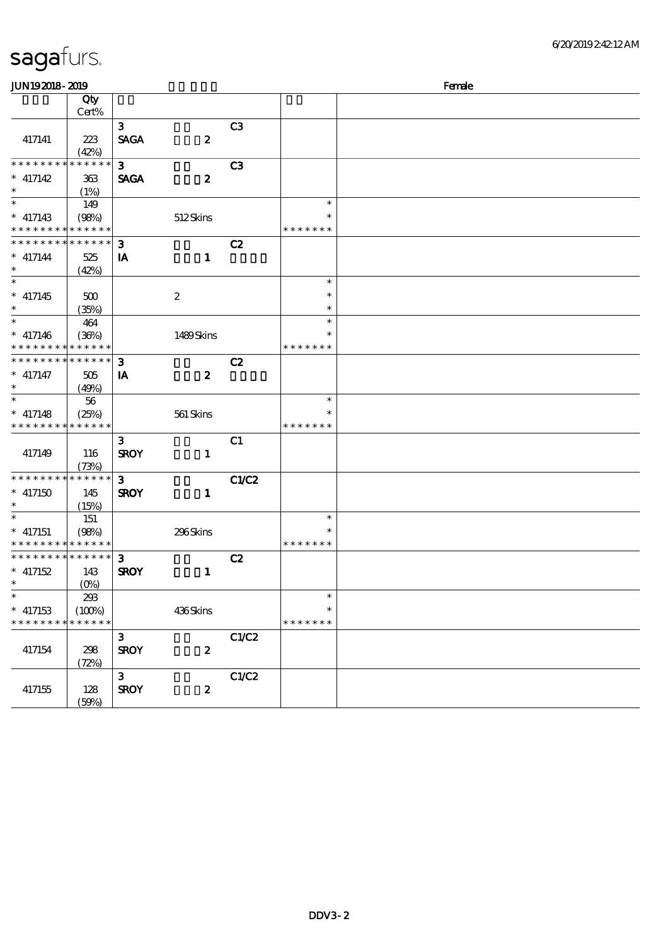| <b>JUN192018-2019</b>                      |                      |              |                  |                | Female        |  |  |  |  |
|--------------------------------------------|----------------------|--------------|------------------|----------------|---------------|--|--|--|--|
|                                            | Qty                  |              |                  |                |               |  |  |  |  |
|                                            | Cert%                |              |                  |                |               |  |  |  |  |
|                                            |                      | $\mathbf{3}$ |                  | C3             |               |  |  |  |  |
| 417141                                     | 223                  | <b>SAGA</b>  | $\boldsymbol{z}$ |                |               |  |  |  |  |
|                                            | (42%)                |              |                  |                |               |  |  |  |  |
| * * * * * * * *                            | * * * * * *          | $\mathbf{3}$ |                  | C <sub>3</sub> |               |  |  |  |  |
| $*$ 417142                                 | 363                  | <b>SAGA</b>  | $\boldsymbol{z}$ |                |               |  |  |  |  |
| $\ast$<br>$\ast$                           | (1%)                 |              |                  |                |               |  |  |  |  |
|                                            | 149                  |              |                  |                | $\ast$        |  |  |  |  |
| $*$ 417143<br>* * * * * * * *              | (98%)<br>* * * * * * |              | 512Skins         |                | * * * * * * * |  |  |  |  |
| * * * * * * * *                            | * * * * * *          |              |                  |                |               |  |  |  |  |
|                                            |                      | $\mathbf{3}$ |                  | C2             |               |  |  |  |  |
| $* 417144$<br>$\ast$                       | 525                  | IA           | $\mathbf{1}$     |                |               |  |  |  |  |
| $\overline{\phantom{0}}$                   | (42%)                |              |                  |                | $\ast$        |  |  |  |  |
|                                            |                      |              |                  |                | $\ast$        |  |  |  |  |
| $*$ 417145<br>$\ast$                       | 500                  |              | $\boldsymbol{2}$ |                | $\ast$        |  |  |  |  |
| $\ast$                                     | (35%)                |              |                  |                | $\ast$        |  |  |  |  |
|                                            | 464                  |              |                  |                | $\ast$        |  |  |  |  |
| $* 417146$<br>* * * * * * * *              | (36%)<br>* * * * * * |              | 1489Skins        |                | * * * * * * * |  |  |  |  |
| * * * * * * * *                            | * * * * * *          | $\mathbf{3}$ |                  |                |               |  |  |  |  |
|                                            |                      |              |                  | C2             |               |  |  |  |  |
| $*$ 417147<br>$\ast$                       | 505                  | IA           | $\boldsymbol{z}$ |                |               |  |  |  |  |
| $\ast$                                     | (49%)<br>56          |              |                  |                | $\ast$        |  |  |  |  |
|                                            |                      |              |                  |                | $\ast$        |  |  |  |  |
| $*$ 417148<br>* * * * * * * *              | (25%)<br>* * * * * * |              | 561 Skins        |                | * * * * * * * |  |  |  |  |
|                                            |                      | $\mathbf{3}$ |                  | C1             |               |  |  |  |  |
| 417149                                     | 116                  | <b>SROY</b>  | $\mathbf{1}$     |                |               |  |  |  |  |
|                                            | (73%)                |              |                  |                |               |  |  |  |  |
| * * * * * * * *                            | * * * * * *          | $\mathbf{3}$ |                  | C1/C2          |               |  |  |  |  |
| $*$ 417150                                 | 145                  | <b>SROY</b>  | $\mathbf{1}$     |                |               |  |  |  |  |
| $\ast$                                     | (15%)                |              |                  |                |               |  |  |  |  |
|                                            | 151                  |              |                  |                | $\ast$        |  |  |  |  |
| $*$ 417151                                 | (98%)                |              | 296Skins         |                | *             |  |  |  |  |
| * * * * * * * * <mark>* * * * * * *</mark> |                      |              |                  |                | * * * * * * * |  |  |  |  |
| * * * * * * * * * * * * * * *              |                      | $\mathbf{3}$ |                  | C2             |               |  |  |  |  |
| $*$ 417152                                 | 143                  | <b>SROY</b>  | $\mathbf{1}$     |                |               |  |  |  |  |
| $*$ $*$                                    | $(0\%)$              |              |                  |                |               |  |  |  |  |
| $\ast$                                     | 298                  |              |                  |                | $\ast$        |  |  |  |  |
| $*$ 417153                                 | (100%)               |              | 436Skins         |                | $\ast$        |  |  |  |  |
| * * * * * * * *                            | * * * * * *          |              |                  |                | * * * * * * * |  |  |  |  |
|                                            |                      | $\mathbf{3}$ |                  | C1/C2          |               |  |  |  |  |
| 417154                                     | 298                  | <b>SROY</b>  | $\boldsymbol{2}$ |                |               |  |  |  |  |
|                                            | (72%)                |              |                  |                |               |  |  |  |  |
|                                            |                      | $\mathbf{3}$ |                  | C1/C2          |               |  |  |  |  |
| 417155                                     | 128                  | <b>SROY</b>  | $\boldsymbol{z}$ |                |               |  |  |  |  |
|                                            | (50%)                |              |                  |                |               |  |  |  |  |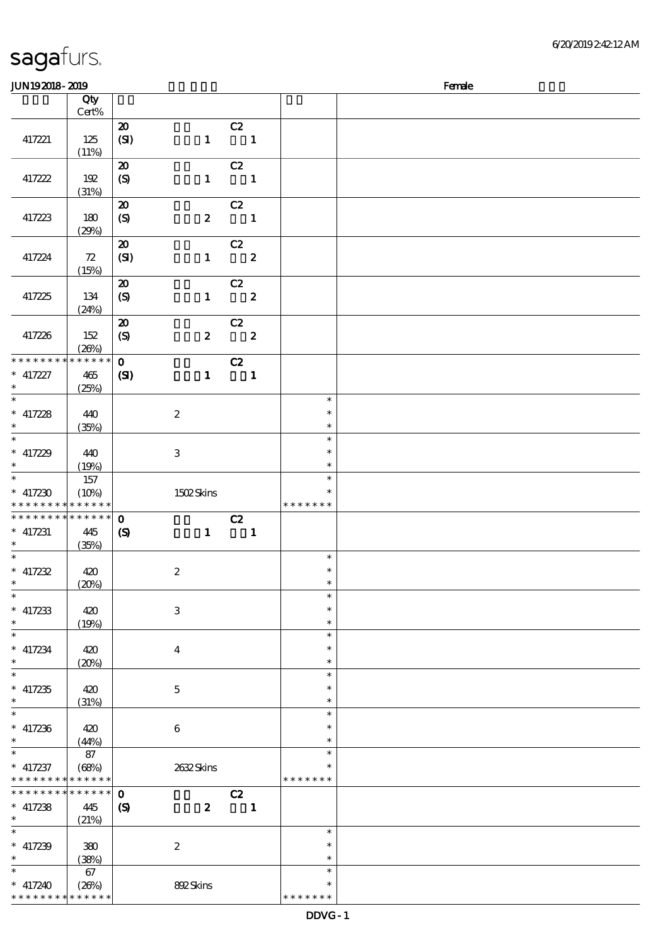| <b>JUN192018-2019</b>                                              |                             |                                                                   |                  |                                |                  |                                   | Female |
|--------------------------------------------------------------------|-----------------------------|-------------------------------------------------------------------|------------------|--------------------------------|------------------|-----------------------------------|--------|
|                                                                    | Qty<br>Cert%                |                                                                   |                  |                                |                  |                                   |        |
| 417221                                                             | 125<br>(11%)                | $\boldsymbol{\mathbf{z}}$<br>(SI)                                 | $\mathbf{1}$     | C2<br>$\blacksquare$           |                  |                                   |        |
| 417222                                                             | 192<br>(31%)                | $\boldsymbol{\mathfrak{D}}$<br>$\boldsymbol{S}$                   | $\mathbf{1}$     | C2<br>$\overline{\phantom{a}}$ |                  |                                   |        |
| 417223                                                             | 180<br>(29%)                | $\pmb{\mathcal{Z}}$<br>$\boldsymbol{S}$                           | $\boldsymbol{z}$ | C2<br>$\blacksquare$           |                  |                                   |        |
| 417224                                                             | 72<br>(15%)                 | ${\bf Z}$<br>(SI)                                                 | $\mathbf{1}$     | C2                             | $\boldsymbol{z}$ |                                   |        |
| 417225                                                             | 134<br>(24%)                | $\boldsymbol{\boldsymbol{\lambda}}$<br>$\boldsymbol{\mathcal{S}}$ | $\mathbf{1}$     | C2                             | $\boldsymbol{2}$ |                                   |        |
| 417226                                                             | 152<br>(20%)                | $\boldsymbol{\mathsf{20}}$<br>$\boldsymbol{S}$                    | $\boldsymbol{z}$ | C2<br>$\overline{\mathbf{2}}$  |                  |                                   |        |
| * * * * * * * *<br>$* 417227$<br>$\ast$                            | * * * * * *<br>465<br>(25%) | $\mathbf 0$<br>(S)                                                | $\mathbf{1}$     | C2<br>$\blacksquare$           |                  |                                   |        |
| $\ast$<br>$*$ 417228<br>$\ast$                                     | 440<br>(35%)                |                                                                   | $\boldsymbol{2}$ |                                |                  | $\ast$<br>$\ast$<br>$\ast$        |        |
| $\ast$<br>$*$ 417229<br>$\ast$                                     | 440<br>(19%)                |                                                                   | $\,3$            |                                |                  | $\ast$<br>$\ast$<br>$\ast$        |        |
| $\ast$<br>$*$ 417230<br>* * * * * * * * <mark>* * * * * * *</mark> | 157<br>(10%)                |                                                                   | 1502Skins        |                                |                  | $\ast$<br>$\ast$<br>* * * * * * * |        |
| * * * * * * * *<br>$*$ 417231<br>$\ast$                            | * * * * * *<br>445<br>(35%) | $\mathbf 0$<br>$\boldsymbol{\mathcal{S}}$                         | $\mathbf{1}$     | C2<br>$\overline{\phantom{a}}$ |                  |                                   |        |
| $\ast$<br>$*$ 417232<br>$\ast$                                     | 420<br>(20%)                |                                                                   | $\boldsymbol{2}$ |                                |                  | $\ast$<br>$\ast$<br>$\ast$        |        |
| $\overline{\phantom{0}}$<br>$*$ 417233<br>$\ast$                   | 420<br>(19%)                |                                                                   | $\,3$            |                                |                  | $\ast$<br>$\ast$<br>$\ast$        |        |
| $\ast$<br>$*$ 417234<br>$\ast$                                     | 420<br>(20%)                |                                                                   | $\boldsymbol{4}$ |                                |                  | $\ast$<br>$\ast$<br>$\ast$        |        |
| $\ast$<br>$*$ 417235<br>$\ast$                                     | 420<br>(31%)                |                                                                   | $\bf 5$          |                                |                  | $\ast$<br>$\ast$<br>$\ast$        |        |
| $\ast$<br>$* 417236$<br>$\ast$                                     | 420<br>(44%)                |                                                                   | $\,6\,$          |                                |                  | $\ast$<br>$\ast$<br>$\ast$        |        |
| $\ast$<br>$*$ 417237<br>* * * * * * * * * * * * * *                | 87<br>(68%)                 |                                                                   | 2632Skins        |                                |                  | $\ast$<br>$\ast$<br>* * * * * * * |        |
| * * * * * * * * * * * * * *<br>$*$ 417238<br>$\ast$                | 445<br>(21%)                | $\mathbf 0$<br>$\boldsymbol{S}$                                   | $\boldsymbol{2}$ | C2<br>$\blacksquare$           |                  |                                   |        |
| $\ast$<br>$*$ 417239<br>$\ast$                                     | 380<br>(38%)                |                                                                   | $\boldsymbol{2}$ |                                |                  | $\ast$<br>$\ast$<br>$\ast$        |        |
| $* 417240$<br>* * * * * * * * * * * * * *                          | 67<br>(20%)                 |                                                                   | 892Skins         |                                |                  | $\ast$<br>$\ast$<br>* * * * * * * |        |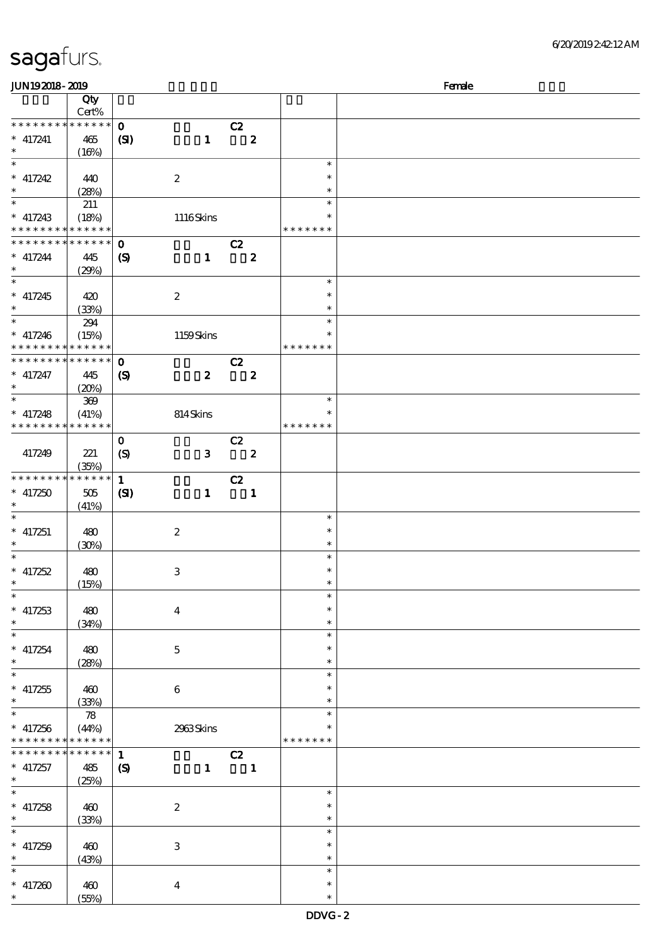| JUN192018-2019                                                                |                                           |                                            |                  |                               |                         | Female                            |  |  |  |
|-------------------------------------------------------------------------------|-------------------------------------------|--------------------------------------------|------------------|-------------------------------|-------------------------|-----------------------------------|--|--|--|
|                                                                               | Qty<br>Cert%                              |                                            |                  |                               |                         |                                   |  |  |  |
| * * * * * * * *<br>$*$ 417241<br>$\ast$                                       | * * * * * *<br>465<br>(16%)               | $\mathbf{o}$<br>(S)                        | $\mathbf{1}$     | C2<br>$\overline{\mathbf{2}}$ |                         |                                   |  |  |  |
| $\ast$<br>$* 417242$<br>$\ast$                                                | 440<br>(28%)                              |                                            | $\boldsymbol{2}$ |                               |                         | $\ast$<br>$\ast$<br>$\ast$        |  |  |  |
| $\ast$<br>$*$ 417243<br>* * * * * * * * * * * * * *                           | 211<br>(18%)                              |                                            | 1116Skins        |                               |                         | $\ast$<br>∗<br>* * * * * * *      |  |  |  |
| * * * * * * * *<br>$* 417244$<br>$\ast$                                       | $* * * * * * *$<br>445<br>(29%)           | $\mathbf{o}$<br>$\boldsymbol{S}$           | $\mathbf{1}$     | C2                            | $\boldsymbol{z}$        |                                   |  |  |  |
| $\ast$<br>$* 417245$<br>$\ast$                                                | 420<br>(33%)                              |                                            | $\boldsymbol{2}$ |                               |                         | $\ast$<br>$\ast$<br>$\ast$        |  |  |  |
| $\overline{\ast}$<br>$* 417246$<br>* * * * * * * * <mark>* * * * * *</mark> * | 294<br>(15%)                              |                                            | 1159Skins        |                               |                         | $\ast$<br>∗<br>* * * * * * *      |  |  |  |
| * * * * * * * * * * * * * * *<br>$*$ 417247<br>$\ast$                         | 445<br>(20%)                              | $\mathbf 0$<br>$\boldsymbol{\mathcal{S}}$  | $\boldsymbol{z}$ | C2                            | $\mathbf{2}$            |                                   |  |  |  |
| $\ast$<br>$*$ 417248<br>* * * * * * * * * * * * * *                           | 369<br>(41%)                              |                                            | 814Skins         |                               |                         | $\ast$<br>$\ast$<br>* * * * * * * |  |  |  |
| 417249                                                                        | 221<br>(35%)                              | $\mathbf{o}$<br>$\boldsymbol{S}$           | $\mathbf{3}$     | C2                            | $\overline{\mathbf{z}}$ |                                   |  |  |  |
| * * * * * * * *<br>$* 417250$<br>$\ast$                                       | * * * * * *<br>505<br>(41%)               | $\mathbf{1}$<br>(S)                        | $\mathbf{1}$     | C2                            | $\mathbf{1}$            |                                   |  |  |  |
| $\ast$<br>$*$ 417251<br>$\ast$                                                | 480<br>(30%)                              |                                            | $\boldsymbol{2}$ |                               |                         | $\ast$<br>$\ast$<br>$\ast$        |  |  |  |
| $\ast$<br>$* 417252$<br>$\ast$                                                | 480<br>(15%)                              |                                            | $\,3$            |                               |                         | $\ast$<br>$\ast$<br>$\ast$        |  |  |  |
| $\ast$<br>$* 417253$<br>$\ast$                                                | 480<br>(34%)                              |                                            | $\boldsymbol{4}$ |                               |                         | $\ast$<br>$\ast$<br>$\ast$        |  |  |  |
| $\overline{\phantom{0}}$<br>$* 417254$<br>$\ast$                              | 480<br>(28%)                              |                                            | $\mathbf 5$      |                               |                         | $\ast$<br>$\ast$<br>$\ast$        |  |  |  |
| $\ast$<br>$* 417255$<br>$\ast$                                                | 460<br>(33%)                              |                                            | $\bf 6$          |                               |                         | $\ast$<br>$\ast$<br>$\ast$        |  |  |  |
| $\overline{\ast}$<br>$* 417256$<br>* * * * * * * *                            | $\boldsymbol{78}$<br>(44%)<br>* * * * * * |                                            | 2963Skins        |                               |                         | $\ast$<br>$\ast$<br>* * * * * * * |  |  |  |
| * * * * * * * *<br>$* 417257$<br>$\ast$                                       | * * * * * *<br>485<br>(25%)               | $\mathbf{1}$<br>$\boldsymbol{\mathcal{S}}$ | $\mathbf{1}$     | C2                            | $\blacksquare$          |                                   |  |  |  |
| $\ast$<br>$* 417258$<br>$\ast$                                                | 460<br>(33%)                              |                                            | $\boldsymbol{2}$ |                               |                         | $\ast$<br>$\ast$<br>$\ast$        |  |  |  |
| $\ast$<br>$* 417259$<br>$\ast$                                                | 460<br>(43%)                              |                                            | $\,3$            |                               |                         | $\ast$<br>$\ast$<br>$\ast$        |  |  |  |
| $* 417200$<br>$\ast$                                                          | 460<br>(55%)                              |                                            | $\boldsymbol{4}$ |                               |                         | $\ast$<br>$\ast$<br>$\ast$        |  |  |  |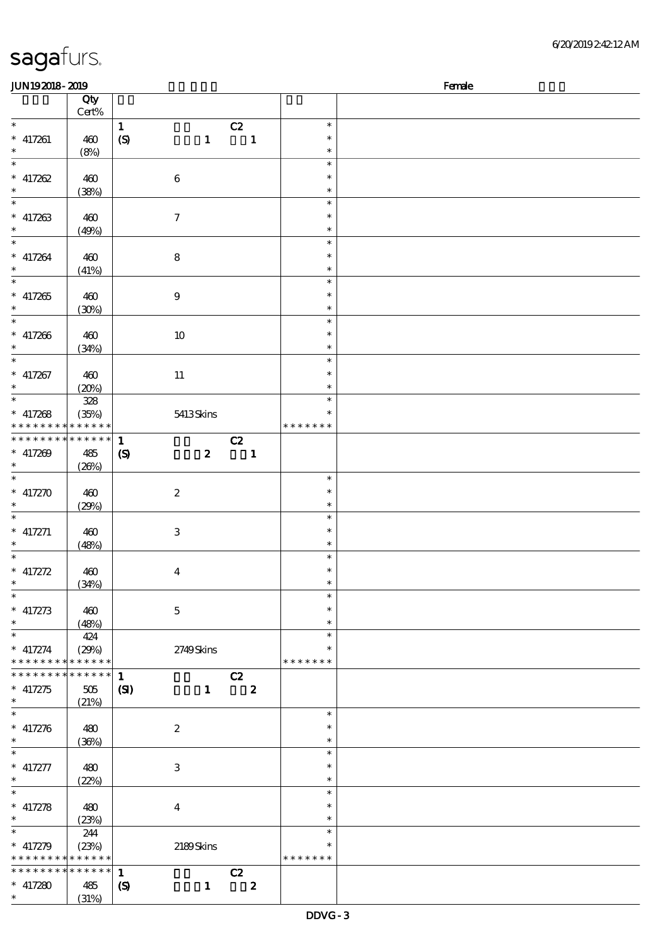| <b>JUN192018-2019</b>    |             |                             |                           |                         |               | Female |
|--------------------------|-------------|-----------------------------|---------------------------|-------------------------|---------------|--------|
|                          | Qty         |                             |                           |                         |               |        |
|                          | Cert%       |                             |                           |                         |               |        |
| $\ast$                   |             | $\mathbf{1}$                |                           | C2                      | $\ast$        |        |
| $*$ 417261               | 460         | $\boldsymbol{\mathrm{(S)}}$ | $\mathbf{1}$              | $\mathbf{1}$            | $\ast$        |        |
| $\ast$                   | (8%)        |                             |                           |                         | $\ast$        |        |
| $\overline{\ast}$        |             |                             |                           |                         | $\ast$        |        |
| $* 417262$               | 460         |                             | $\bf 6$                   |                         | $\ast$        |        |
| $\ast$                   |             |                             |                           |                         | $\ast$        |        |
| $\overline{\phantom{0}}$ | (38%)       |                             |                           |                         | $\ast$        |        |
|                          |             |                             |                           |                         |               |        |
| $*$ 417263               | 460         |                             | $\boldsymbol{7}$          |                         | $\ast$        |        |
| $\ast$                   | (49%)       |                             |                           |                         | $\ast$        |        |
| $\ast$                   |             |                             |                           |                         | $\ast$        |        |
| $* 417264$               | 460         |                             | 8                         |                         | $\ast$        |        |
| $\ast$                   | (41%)       |                             |                           |                         | $\ast$        |        |
| $\overline{\ast}$        |             |                             |                           |                         | $\ast$        |        |
| $* 417265$               | 460         |                             | $\boldsymbol{9}$          |                         | $\ast$        |        |
| $\ast$                   | (30%)       |                             |                           |                         | $\ast$        |        |
| $\overline{\phantom{0}}$ |             |                             |                           |                         | $\ast$        |        |
| $* 417266$               | 460         |                             | $10\,$                    |                         | $\ast$        |        |
| $\ast$                   |             |                             |                           |                         | $\ast$        |        |
| $\ast$                   | (34%)       |                             |                           |                         | $\ast$        |        |
|                          |             |                             |                           |                         |               |        |
| $* 417267$               | 460         |                             | $11\,$                    |                         | $\ast$        |        |
| $\ast$                   | (20%)       |                             |                           |                         | $\ast$        |        |
| $\overline{\phantom{0}}$ | 328         |                             |                           |                         | $\ast$        |        |
| $*$ 417268               | (35%)       |                             | 5413Skins                 |                         | $\ast$        |        |
| * * * * * * * *          | * * * * * * |                             |                           |                         | * * * * * * * |        |
| * * * * * * * *          | * * * * * * | $\mathbf{1}$                |                           | C2                      |               |        |
| $* 417209$               | 485         | $\boldsymbol{\mathcal{S}}$  | $\boldsymbol{z}$          | $\blacksquare$          |               |        |
| $\ast$                   | (20%)       |                             |                           |                         |               |        |
| $\ast$                   |             |                             |                           |                         | $\ast$        |        |
| $* 417270$               | 460         |                             | $\boldsymbol{2}$          |                         | $\ast$        |        |
| $\ast$                   |             |                             |                           |                         | $\ast$        |        |
| $\ast$                   | (29%)       |                             |                           |                         | $\ast$        |        |
|                          |             |                             |                           |                         |               |        |
| $* 417271$               | 460         |                             | $\ensuremath{\mathbf{3}}$ |                         | $\ast$        |        |
| $\ast$                   | (48%)       |                             |                           |                         | $\ast$        |        |
| $\ast$                   |             |                             |                           |                         | $\ast$        |        |
| * $417272$               | 460         |                             | $\overline{\mathbf{4}}$   |                         | $\ast$        |        |
| $*$                      | (34%)       |                             |                           |                         | $\ast$        |        |
| $\ast$                   |             |                             |                           |                         | $\ast$        |        |
| $* 417273$               | 460         |                             | $\mathbf{5}$              |                         | $\ast$        |        |
| $\ast$                   | (48%)       |                             |                           |                         | $\ast$        |        |
| $\ast$                   | 424         |                             |                           |                         | $\ast$        |        |
| $*$ 417274               | (29%)       |                             | 2749Skins                 |                         | $\ast$        |        |
| * * * * * * * *          | * * * * * * |                             |                           |                         | * * * * * * * |        |
| * * * * * * *            | * * * * * * |                             |                           |                         |               |        |
|                          |             | $\mathbf{1}$                |                           | C2                      |               |        |
| $* 417275$               | 505         | $\mathbf{C}$                | $\mathbf{1}$              | $\overline{\mathbf{2}}$ |               |        |
| $\ast$                   | (21%)       |                             |                           |                         |               |        |
| $\ast$                   |             |                             |                           |                         | $\ast$        |        |
| $* 417276$               | 480         |                             | $\boldsymbol{2}$          |                         | $\ast$        |        |
| $\ast$                   | (36%)       |                             |                           |                         | $\ast$        |        |
| $\overline{\phantom{0}}$ |             |                             |                           |                         | $\ast$        |        |
| * $417277$               | 480         |                             | 3                         |                         | $\ast$        |        |
| $\ast$                   | (22%)       |                             |                           |                         | $\ast$        |        |
| $\ast$                   |             |                             |                           |                         | $\ast$        |        |
| $* 417278$               | 480         |                             | $\bf{4}$                  |                         | $\ast$        |        |
| $\ast$                   |             |                             |                           |                         | $\ast$        |        |
| $\ast$                   | (23%)       |                             |                           |                         | $\ast$        |        |
|                          | 244         |                             |                           |                         |               |        |
| $* 417279$               | (23%)       |                             | 2189Skins                 |                         | $\ast$        |        |
| $*********$              | * * * * * * |                             |                           |                         | * * * * * * * |        |
| * * * * * * * *          | * * * * * * | $\mathbf{1}$                |                           | C2                      |               |        |
| $* 417280$               | 485         | $\boldsymbol{\mathcal{S}}$  | $\mathbf{1}$              | $\overline{\mathbf{z}}$ |               |        |
| $\ast$                   | (31%)       |                             |                           |                         |               |        |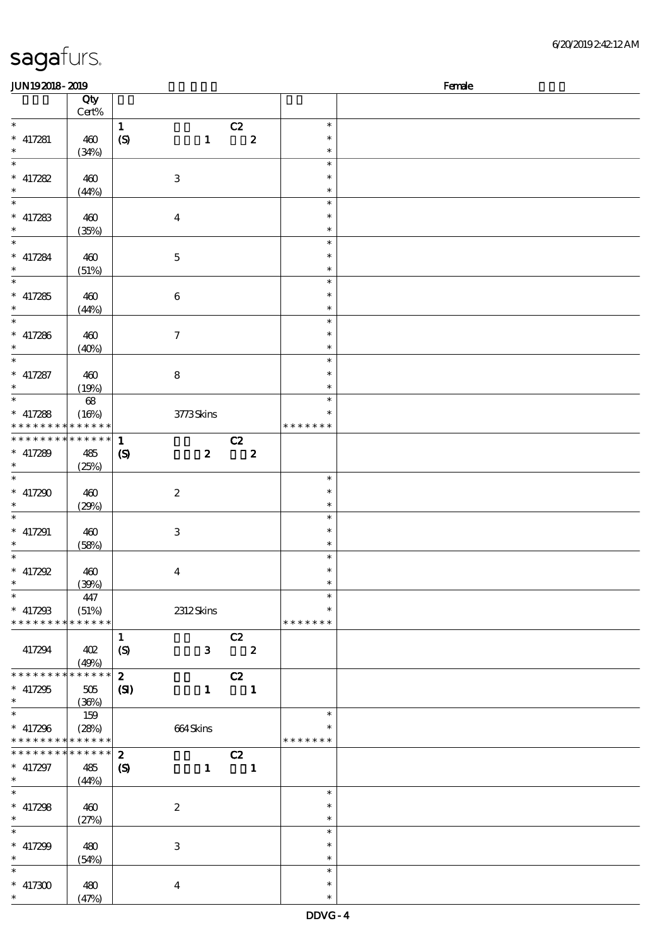| <b>JUN192018-2019</b>       |                            |                             |                         |                          |               | Female |
|-----------------------------|----------------------------|-----------------------------|-------------------------|--------------------------|---------------|--------|
|                             | Qty                        |                             |                         |                          |               |        |
|                             | Cert%                      |                             |                         |                          |               |        |
| $\ast$                      |                            | $\mathbf{1}$                |                         | C2                       | $\ast$        |        |
| $*$ 417281                  | 460                        | $\boldsymbol{\mathrm{(S)}}$ | $\mathbf{1}$            | $\overline{\mathbf{2}}$  | $\ast$        |        |
| $\ast$                      | (34%)                      |                             |                         |                          | $\ast$        |        |
| $\ast$                      |                            |                             |                         |                          | $\ast$        |        |
|                             |                            |                             |                         |                          |               |        |
| $* 417282$                  | 460                        |                             | $\,3$                   |                          | $\ast$        |        |
| $\ast$                      | (44%)                      |                             |                         |                          | $\ast$        |        |
| $\overline{\phantom{0}}$    |                            |                             |                         |                          | $\ast$        |        |
| $*$ 417283                  | 460                        |                             | $\boldsymbol{4}$        |                          | $\ast$        |        |
| $\ast$                      | (35%)                      |                             |                         |                          | $\ast$        |        |
| $\ast$                      |                            |                             |                         |                          | $\ast$        |        |
| $*$ 417284                  | 460                        |                             |                         |                          | $\ast$        |        |
| $\ast$                      |                            |                             | $\mathbf 5$             |                          | $\ast$        |        |
| $\overline{\phantom{0}}$    | (51%)                      |                             |                         |                          |               |        |
|                             |                            |                             |                         |                          | $\ast$        |        |
| $* 417285$                  | 460                        |                             | $\boldsymbol{6}$        |                          | $\ast$        |        |
| $\ast$                      | (44%)                      |                             |                         |                          | $\ast$        |        |
| $\overline{\ast}$           |                            |                             |                         |                          | $\ast$        |        |
| $* 417286$                  | 460                        |                             | $\tau$                  |                          | $\ast$        |        |
| $\ast$                      | (40%)                      |                             |                         |                          | $\ast$        |        |
| $\ast$                      |                            |                             |                         |                          | $\ast$        |        |
|                             |                            |                             |                         |                          | $\ast$        |        |
| * $417287$                  | 460                        |                             | 8                       |                          |               |        |
| $\ast$                      | (19%)                      |                             |                         |                          | $\ast$        |        |
| $\overline{\phantom{0}}$    | $68\,$                     |                             |                         |                          | $\ast$        |        |
| $*$ 417288                  | (16%)                      |                             | 3773Skins               |                          | $\ast$        |        |
| * * * * * * * *             | * * * * * *                |                             |                         |                          | * * * * * * * |        |
| * * * * * * * *             | $\ast\ast\ast\ast\ast\ast$ | $\mathbf{1}$                |                         | C2                       |               |        |
| $* 417289$                  | 485                        |                             | $\boldsymbol{z}$        | $\overline{\mathbf{2}}$  |               |        |
| $\ast$                      |                            | $\boldsymbol{\mathcal{S}}$  |                         |                          |               |        |
|                             | (25%)                      |                             |                         |                          |               |        |
| $\ast$                      |                            |                             |                         |                          | $\ast$        |        |
| $* 417290$                  | 460                        |                             | $\boldsymbol{2}$        |                          | $\ast$        |        |
| $\ast$                      | (29%)                      |                             |                         |                          | $\ast$        |        |
| $\ast$                      |                            |                             |                         |                          | $\ast$        |        |
| $*$ 417291                  | 460                        |                             | $\mathbf{3}$            |                          | $\ast$        |        |
| $\ast$                      | (58%)                      |                             |                         |                          | $\ast$        |        |
| $\ast$                      |                            |                             |                         |                          | $\ast$        |        |
|                             |                            |                             |                         |                          | $\ast$        |        |
| $* 417292$                  | 460                        |                             | $\boldsymbol{4}$        |                          |               |        |
| $*$                         | (30%)                      |                             |                         |                          | $\ast$        |        |
| $\ast$                      | 447                        |                             |                         |                          | $\ast$        |        |
| $*$ 417298                  | (51%)                      |                             | 2312Skins               |                          | $\ast$        |        |
| * * * * * * * *             | * * * * * *                |                             |                         |                          | * * * * * * * |        |
|                             |                            | $\mathbf{1}$                |                         | C2                       |               |        |
| 417294                      | 402                        | (S)                         | $\mathbf{3}$            | $\overline{\mathbf{2}}$  |               |        |
|                             | (49%)                      |                             |                         |                          |               |        |
| * * * * * * * *             | * * * * * *                |                             |                         |                          |               |        |
|                             |                            | $\boldsymbol{z}$            |                         | C2                       |               |        |
| $* 417295$                  | 505                        | $\mathbf{S}$                | $\mathbf{1}$            | $\overline{\phantom{0}}$ |               |        |
| $\ast$                      | (36%)                      |                             |                         |                          |               |        |
| $\ast$                      | 159                        |                             |                         |                          | $\ast$        |        |
| $*$ 417296                  | (28%)                      |                             | 664Skins                |                          |               |        |
| * * * * * * * * * * * * * * |                            |                             |                         |                          | * * * * * * * |        |
| * * * * * * *               | $* * * * * * *$            | $\boldsymbol{z}$            |                         | C2                       |               |        |
| $* 417297$                  | 485                        | $\boldsymbol{\mathcal{S}}$  | $\mathbf{1}$            | $\mathbf{1}$             |               |        |
| $\ast$                      |                            |                             |                         |                          |               |        |
| $\ast$                      | (44%)                      |                             |                         |                          | $\ast$        |        |
|                             |                            |                             |                         |                          |               |        |
| $*$ 417298                  | 460                        |                             | $\boldsymbol{2}$        |                          | $\ast$        |        |
| $\ast$                      | (27%)                      |                             |                         |                          | $\ast$        |        |
| $\ast$                      |                            |                             |                         |                          | $\ast$        |        |
| $* 417299$                  | 480                        |                             | 3                       |                          | $\ast$        |        |
| $\ast$                      | (54%)                      |                             |                         |                          | $\ast$        |        |
| $\ast$                      |                            |                             |                         |                          | $\ast$        |        |
| $^*$ 417300 $\,$            |                            |                             |                         |                          | $\ast$        |        |
| $\ast$                      | 480                        |                             | $\overline{\mathbf{4}}$ |                          |               |        |
|                             | (47%)                      |                             |                         |                          | $\ast$        |        |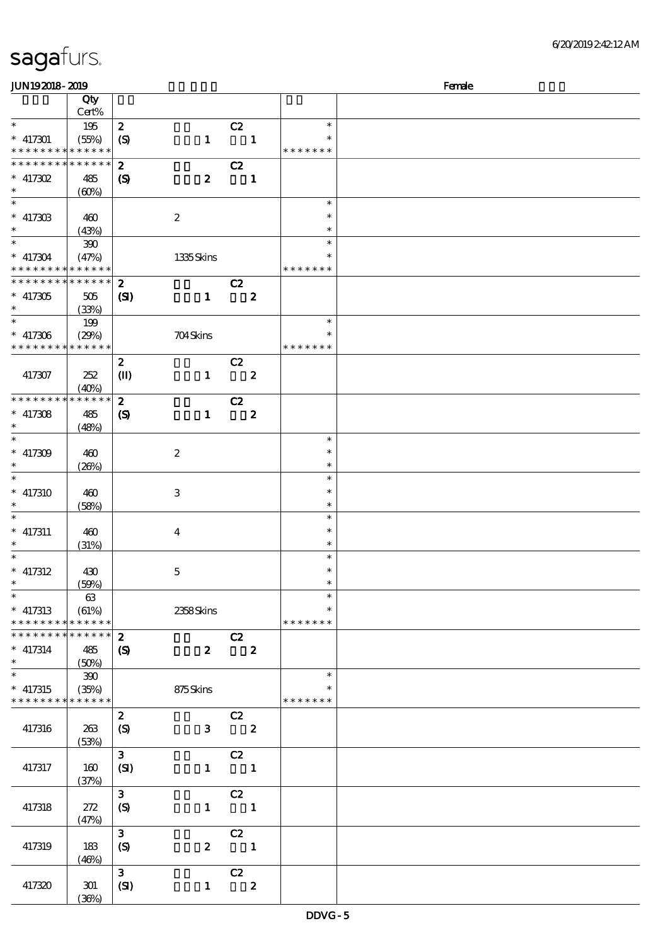|  | sagafurs. |
|--|-----------|
|  |           |

| <b>JUN192018-2019</b>                                  |                      |                            |                  |                            |                         |                  | Female |
|--------------------------------------------------------|----------------------|----------------------------|------------------|----------------------------|-------------------------|------------------|--------|
|                                                        | Qty                  |                            |                  |                            |                         |                  |        |
|                                                        | Cert%                |                            |                  |                            |                         |                  |        |
| $\ast$                                                 | 195                  | $\boldsymbol{z}$           |                  | C2                         |                         | $\ast$           |        |
| $* 417301$                                             | (55%)                | $\boldsymbol{S}$           | $\mathbf{1}$     | $\blacksquare$             |                         | ∗                |        |
| * * * * * * * *                                        | ******               |                            |                  |                            |                         | * * * * * * *    |        |
| * * * * * * *                                          | * * * * * *          | $\boldsymbol{z}$           |                  | C2                         |                         |                  |        |
| $* 417302$                                             | 485                  | $\boldsymbol{S}$           | $\boldsymbol{z}$ | $\blacksquare$             |                         |                  |        |
| $\ast$                                                 | (60%)                |                            |                  |                            |                         |                  |        |
| $\ast$                                                 |                      |                            |                  |                            |                         | $\ast$           |        |
| $* 417303$                                             | 460                  |                            | $\boldsymbol{2}$ |                            |                         | $\ast$           |        |
| $\ast$                                                 | (43%)                |                            |                  |                            |                         | $\ast$           |        |
| $\ast$                                                 | 390                  |                            |                  |                            |                         | $\ast$           |        |
| $* 417304$                                             | (47%)                |                            | 1335Skins        |                            |                         | ∗                |        |
| * * * * * * * *                                        | * * * * * *          |                            |                  |                            |                         | * * * * * * *    |        |
| * * * * * * * *                                        | * * * * * *          | $\boldsymbol{z}$           |                  | C2                         |                         |                  |        |
| $* 417305$                                             | 505                  | (S)                        | $\mathbf{1}$     |                            | $\boldsymbol{2}$        |                  |        |
| $\ast$<br>$\ast$                                       | (33%)                |                            |                  |                            |                         | $\ast$           |        |
|                                                        | 199                  |                            |                  |                            |                         | $\ast$           |        |
| $*$ 417306<br>* * * * * * * * * * * * * *              | (29%)                |                            | 704Skins         |                            |                         | * * * * * * *    |        |
|                                                        |                      |                            |                  |                            |                         |                  |        |
|                                                        |                      | $\boldsymbol{z}$           |                  | C2                         |                         |                  |        |
| 417307                                                 | 252                  | $\mathbf{I}$               | $\mathbf{1}$     | $\overline{\phantom{a}}$ 2 |                         |                  |        |
| * * * * * * * *                                        | (40%)<br>* * * * * * | $\boldsymbol{z}$           |                  | C2                         |                         |                  |        |
| $*$ 417308                                             | 485                  | $\boldsymbol{\mathcal{S}}$ | $\blacksquare$   |                            | $\boldsymbol{z}$        |                  |        |
| $\ast$                                                 | (48%)                |                            |                  |                            |                         |                  |        |
| $\overline{\ast}$                                      |                      |                            |                  |                            |                         | $\ast$           |        |
| $* 417309$                                             | 460                  |                            | $\boldsymbol{2}$ |                            |                         | $\ast$           |        |
| $\ast$                                                 | (20%)                |                            |                  |                            |                         | $\ast$           |        |
| $\overline{\ast}$                                      |                      |                            |                  |                            |                         | $\ast$           |        |
| $* 417310$                                             | 460                  |                            | $\,3$            |                            |                         | $\ast$           |        |
| $\ast$                                                 | (58%)                |                            |                  |                            |                         | $\ast$           |        |
| $\ast$                                                 |                      |                            |                  |                            |                         | $\ast$           |        |
| $*$ 417311                                             | 460                  |                            | $\boldsymbol{4}$ |                            |                         | $\ast$           |        |
| $\ast$                                                 | (31%)                |                            |                  |                            |                         | $\ast$           |        |
| $\ast$                                                 |                      |                            |                  |                            |                         | $\ast$           |        |
| $*$ 417312                                             | 430                  |                            | $\mathbf 5$      |                            |                         | $\ast$           |        |
| $\ast$                                                 | (50%)                |                            |                  |                            |                         | $\ast$           |        |
| $\overline{\phantom{0}}$                               | 63                   |                            |                  |                            |                         | $\ast$           |        |
| $*$ 417313                                             | (61%)                |                            | 2358Skins        |                            |                         | $\ast$           |        |
| * * * * * * * * * * * * * *                            |                      |                            |                  |                            |                         | * * * * * * *    |        |
| * * * * * * * *                                        | $* * * * * * *$      | $\boldsymbol{z}$           |                  | C2                         |                         |                  |        |
| $*$ 417314                                             | 485                  | $\boldsymbol{\mathcal{S}}$ | $\boldsymbol{z}$ |                            | $\overline{\mathbf{2}}$ |                  |        |
| $\ast$<br>$\ast$                                       | (50%)                |                            |                  |                            |                         |                  |        |
|                                                        | $300\,$              |                            |                  |                            |                         | $\ast$<br>$\ast$ |        |
| $*$ 417315<br>* * * * * * * * <mark>* * * * * *</mark> | (35%)                |                            | 875Skins         |                            |                         | * * * * * * *    |        |
|                                                        |                      | $\boldsymbol{z}$           |                  |                            |                         |                  |        |
| 417316                                                 | 263                  |                            | 3 <sup>1</sup>   | C2                         | $\overline{\mathbf{2}}$ |                  |        |
|                                                        | (53%)                | $\boldsymbol{S}$           |                  |                            |                         |                  |        |
|                                                        |                      | $\mathbf{3}$               |                  | C2                         |                         |                  |        |
| 417317                                                 | 160                  | (SI)                       | $\mathbf{1}$     | $\blacksquare$             |                         |                  |        |
|                                                        | (37%)                |                            |                  |                            |                         |                  |        |
|                                                        |                      | $\mathbf{3}$               |                  | C2                         |                         |                  |        |
| 417318                                                 | 272                  | (S)                        | $\mathbf{1}$     | $\blacksquare$             |                         |                  |        |
|                                                        | (47%)                |                            |                  |                            |                         |                  |        |
|                                                        |                      | $\mathbf{3}$               |                  | C2                         |                         |                  |        |
| 417319                                                 | 183                  | $\boldsymbol{S}$           | $\mathbf{2}$     | $\overline{\phantom{a}}$ 1 |                         |                  |        |
|                                                        | (46%)                |                            |                  |                            |                         |                  |        |
|                                                        |                      | $\mathbf{3}$               |                  | C2                         |                         |                  |        |
| 417320                                                 | 301                  | (SI)                       |                  | $1 \t 2$                   |                         |                  |        |
|                                                        | (36%)                |                            |                  |                            |                         |                  |        |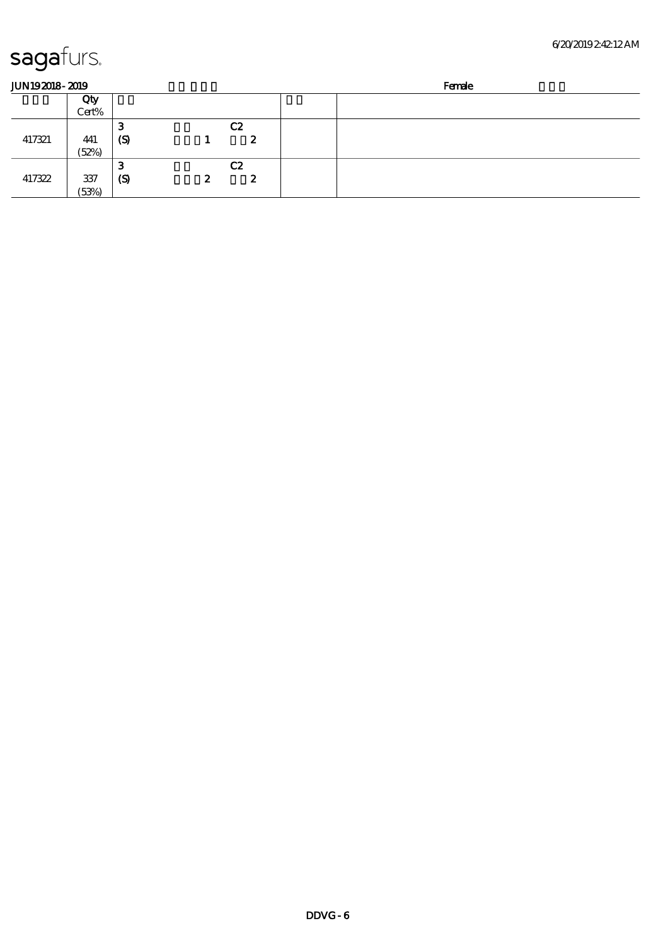| <b>JUN192018-2019</b> |       |                  |                  |                | Female |  |  |
|-----------------------|-------|------------------|------------------|----------------|--------|--|--|
|                       | Qty   |                  |                  |                |        |  |  |
|                       | Cert% |                  |                  |                |        |  |  |
|                       |       | o<br>-0          |                  | C <sub>2</sub> |        |  |  |
| 417321                | 441   | $\boldsymbol{S}$ |                  | 2              |        |  |  |
|                       | (52%) |                  |                  |                |        |  |  |
|                       |       | 3                |                  | C2             |        |  |  |
| 417322                | 337   | $\mathcal{S}$    | $\boldsymbol{z}$ | 2              |        |  |  |
|                       | (53%) |                  |                  |                |        |  |  |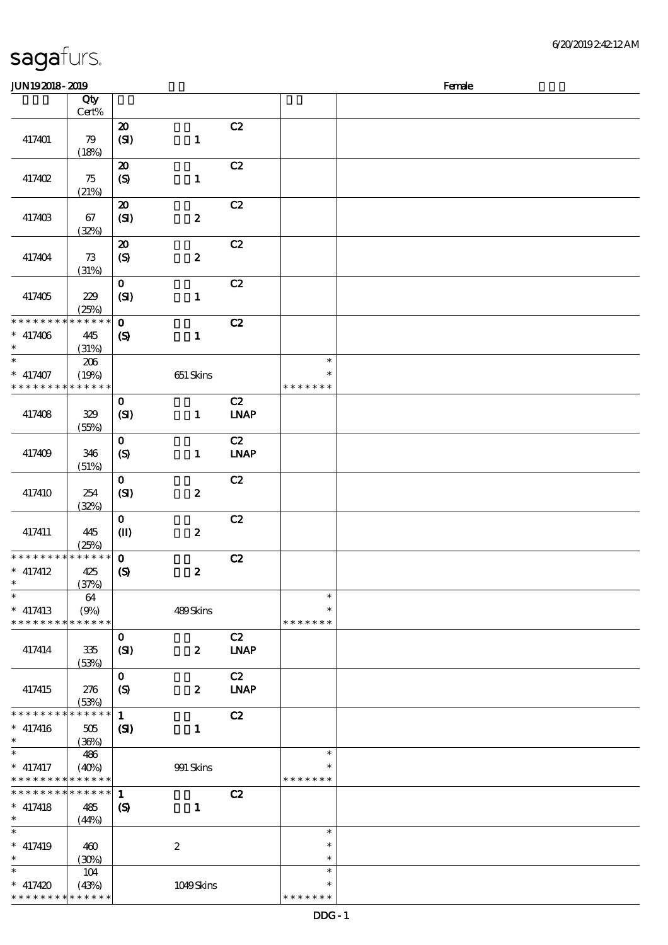| <b>JUN192018-2019</b>                   |                             |                                             |                  |                                    |                                   | Female |
|-----------------------------------------|-----------------------------|---------------------------------------------|------------------|------------------------------------|-----------------------------------|--------|
|                                         | Qty                         |                                             |                  |                                    |                                   |        |
|                                         | $Cert\%$                    |                                             |                  |                                    |                                   |        |
| 417401                                  | 79<br>(18%)                 | $\boldsymbol{\mathsf{20}}$<br>(SI)          | $\mathbf{1}$     | C2                                 |                                   |        |
| 417402                                  | 75<br>(21%)                 | $\boldsymbol{\mathfrak{D}}$<br>(S)          | $\mathbf{1}$     | C2                                 |                                   |        |
| 417403                                  | 67<br>(32%)                 | $\boldsymbol{\mathsf{20}}$<br>(SI)          | $\boldsymbol{z}$ | C2                                 |                                   |        |
| 417404                                  | 73<br>(31%)                 | $\boldsymbol{\mathsf{20}}$<br>(S)           | $\boldsymbol{z}$ | C2                                 |                                   |        |
| 417405                                  | 229<br>(25%)                | $\mathbf{o}$<br>(SI)                        | $\mathbf{1}$     | C2                                 |                                   |        |
| * * * * * * * *<br>$* 417406$<br>$\ast$ | * * * * * *<br>445<br>(31%) | $\mathbf{o}$<br>$\boldsymbol{\mathcal{S}}$  | $\mathbf{1}$     | C2                                 |                                   |        |
| $\ast$<br>$*$ 417407<br>* * * * * * * * | 206<br>(19%)<br>* * * * * * |                                             | $651$ Skins      |                                    | $\ast$<br>$\ast$<br>* * * * * * * |        |
| 417408                                  | 329<br>(55%)                | $\mathbf{O}$<br>(SI)                        | $\mathbf{1}$     | C2<br><b>LNAP</b>                  |                                   |        |
| 417409                                  | 346<br>(51%)                | $\mathbf{o}$<br>(S)                         | $\mathbf{1}$     | C2<br><b>LNAP</b>                  |                                   |        |
| 417410                                  | 254<br>(32%)                | $\mathbf{o}$<br>(SI)                        | $\boldsymbol{z}$ | C2                                 |                                   |        |
| 417411                                  | 445<br>(25%)                | $\mathbf{o}$<br>$\mathbf{I}$                | $\boldsymbol{2}$ | C2                                 |                                   |        |
| * * * * * * * *<br>$*$ 417412<br>$*$    | $*******$<br>425<br>(37%)   | $\mathbf{o}$<br>$\boldsymbol{\mathrm{(S)}}$ | $\pmb{2}$        | C2                                 |                                   |        |
| $\ast$<br>$*$ 417413<br>* * * * * * * * | 64<br>(9%)<br>* * * * * *   |                                             | 489Skins         |                                    | $\ast$<br>$\ast$<br>* * * * * * * |        |
| 417414                                  | 335<br>(53%)                | $\mathbf{o}$<br>(SI)                        | $\boldsymbol{z}$ | C2<br><b>LNAP</b>                  |                                   |        |
| 417415                                  | 276<br>(53%)                | $\mathbf{O}$<br>$\boldsymbol{S}$            | $\boldsymbol{z}$ | C2<br>$\ensuremath{\mathbf{INAP}}$ |                                   |        |
| * * * * * * * *<br>$* 417416$<br>$\ast$ | * * * * * *<br>505<br>(36%) | $\mathbf{1}$<br>(S)                         | $\mathbf{1}$     | C2                                 |                                   |        |
| $\ast$<br>$*$ 417417<br>* * * * * * * * | 486<br>(40%)<br>* * * * * * |                                             | 991 Skins        |                                    | $\ast$<br>∗<br>* * * * * * *      |        |
| * * * * * * * *<br>$*$ 417418<br>$\ast$ | * * * * * *<br>485<br>(44%) | $\mathbf{1}$<br>$\boldsymbol{\mathrm{(S)}}$ | $\mathbf{1}$     | C2                                 |                                   |        |
| $\ast$<br>$*$ 417419<br>$\ast$          | 460<br>(30%)                |                                             | $\boldsymbol{z}$ |                                    | $\ast$<br>$\ast$<br>$\ast$        |        |
| $\ast$<br>$* 417420$<br>* * * * * * * * | 104<br>(43%)<br>* * * * * * |                                             | 1049Skins        |                                    | $\ast$<br>$\ast$<br>* * * * * * * |        |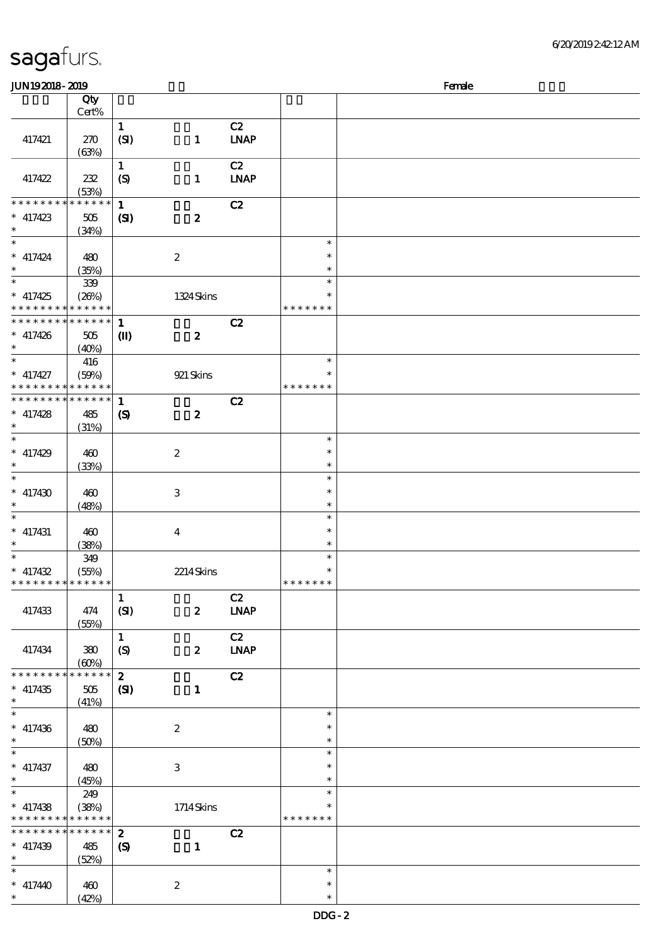| sagafurs. |
|-----------|
|-----------|

| <b>JUN192018-2019</b>                      |                 |                            |                  |                              |               | Female |
|--------------------------------------------|-----------------|----------------------------|------------------|------------------------------|---------------|--------|
|                                            | Qty             |                            |                  |                              |               |        |
|                                            | Cert%           |                            |                  |                              |               |        |
|                                            |                 | $\mathbf{1}$               |                  | C2                           |               |        |
| 417421                                     | 270             | (SI)                       | $\mathbf{1}$     | <b>LNAP</b>                  |               |        |
|                                            |                 |                            |                  |                              |               |        |
|                                            | (63%)           |                            |                  |                              |               |        |
|                                            |                 | $\mathbf{1}$               |                  | C2                           |               |        |
| 417422                                     | 232             | (S)                        | $\mathbf{1}$     | <b>LNAP</b>                  |               |        |
|                                            | (53%)           |                            |                  |                              |               |        |
| * * * * * * *                              | * * * * * *     | $\mathbf{1}$               |                  | C2                           |               |        |
| $*$ 417423                                 | 505             | (S)                        | $\boldsymbol{z}$ |                              |               |        |
| $\ast$                                     | (34%)           |                            |                  |                              |               |        |
| $\ast$                                     |                 |                            |                  |                              | $\ast$        |        |
| $*$ 417424                                 | 480             |                            | $\boldsymbol{2}$ |                              | $\ast$        |        |
| $\ast$                                     | (35%)           |                            |                  |                              | $\ast$        |        |
| $\overline{\phantom{0}}$                   | $39\!\!$        |                            |                  |                              | $\ast$        |        |
|                                            |                 |                            |                  |                              | $\ast$        |        |
| $* 417425$<br>* * * * * * * * * * * * * *  | (20%)           |                            | 1324 Skins       |                              | * * * * * * * |        |
|                                            |                 |                            |                  |                              |               |        |
| * * * * * * * * * * * * * * *              |                 | $\mathbf{1}$               |                  | C2                           |               |        |
| $* 417426$                                 | $505\,$         | $\mathbf{I}$               | $\boldsymbol{z}$ |                              |               |        |
| $\ast$                                     | (40%)           |                            |                  |                              |               |        |
| $\ast$                                     | 416             |                            |                  |                              | $\ast$        |        |
| $*$ 417427                                 | (50%)           |                            | 921 Skins        |                              | $\ast$        |        |
| * * * * * * * * * * * * * *                |                 |                            |                  |                              | * * * * * * * |        |
| * * * * * * * * * * * * * *                |                 | $\mathbf{1}$               |                  | C2                           |               |        |
| $*$ 417428                                 | 485             | $\boldsymbol{\mathcal{S}}$ | $\boldsymbol{z}$ |                              |               |        |
| $\ast$                                     |                 |                            |                  |                              |               |        |
| $*$                                        | (31%)           |                            |                  |                              | $\ast$        |        |
|                                            |                 |                            |                  |                              |               |        |
| $* 417429$                                 | 460             |                            | $\boldsymbol{2}$ |                              | $\ast$        |        |
| $\ast$                                     | (33%)           |                            |                  |                              | $\ast$        |        |
| $\ast$                                     |                 |                            |                  |                              | $\ast$        |        |
| $* 417430$                                 | 460             |                            | $\,3$            |                              | $\ast$        |        |
| $\ast$                                     | (48%)           |                            |                  |                              | $\ast$        |        |
| $\ast$                                     |                 |                            |                  |                              | $\ast$        |        |
| $*$ 417431                                 | 460             |                            | $\boldsymbol{4}$ |                              | $\ast$        |        |
| $\ast$                                     | (38%)           |                            |                  |                              | $\ast$        |        |
| $\ast$                                     | 349             |                            |                  |                              | $\ast$        |        |
| $* 417432$                                 | (55%)           |                            | 2214Skins        |                              | $\ast$        |        |
| * * * * * * * * * * * * * *                |                 |                            |                  |                              | *******       |        |
|                                            |                 | $\mathbf{1}$               |                  | C2                           |               |        |
|                                            |                 |                            |                  |                              |               |        |
| 417433                                     | 474             | (SI)                       | $\boldsymbol{z}$ | $\ensuremath{\mathbf{INAP}}$ |               |        |
|                                            | (55%)           |                            |                  |                              |               |        |
|                                            |                 | $\mathbf{1}$               |                  | C2                           |               |        |
| 417434                                     | 380             | (S)                        | $\boldsymbol{z}$ | <b>LNAP</b>                  |               |        |
|                                            | (60%)           |                            |                  |                              |               |        |
| * * * * * * * *                            | * * * * * *     | $\mathbf{z}$               |                  | C2                           |               |        |
| $*$ 417435                                 | 505             | $\mathbf{C}$               | $\mathbf{1}$     |                              |               |        |
| $\ast$                                     | (41%)           |                            |                  |                              |               |        |
| $\ast$                                     |                 |                            |                  |                              | $\ast$        |        |
| $* 417436$                                 | 480             |                            | $\boldsymbol{2}$ |                              | $\ast$        |        |
| $\ast$                                     | (50%)           |                            |                  |                              | $\ast$        |        |
| $\ast$                                     |                 |                            |                  |                              | $\ast$        |        |
|                                            |                 |                            |                  |                              | $\ast$        |        |
| $*$ 417437<br>$*$                          | 480             |                            | $\,3\,$          |                              |               |        |
| $\overline{\ast}$                          | (45%)           |                            |                  |                              | $\ast$        |        |
|                                            | 249             |                            |                  |                              | $\ast$        |        |
| $*$ 417438                                 | (38%)           |                            | 1714Skins        |                              | $\ast$        |        |
| * * * * * * * * <mark>* * * * * * *</mark> |                 |                            |                  |                              | * * * * * * * |        |
| * * * * * * * *                            | $* * * * * * *$ | $\mathbf{z}$               |                  | C2                           |               |        |
| $* 417439$                                 | 485             | $\boldsymbol{\mathcal{S}}$ | $\mathbf{1}$     |                              |               |        |
| $\ast$                                     | (52%)           |                            |                  |                              |               |        |
| $\ast$                                     |                 |                            |                  |                              | $\ast$        |        |
| $* 417440$                                 | 460             |                            | $\boldsymbol{2}$ |                              | $\ast$        |        |
| $\ast$                                     | (42%)           |                            |                  |                              | $\ast$        |        |